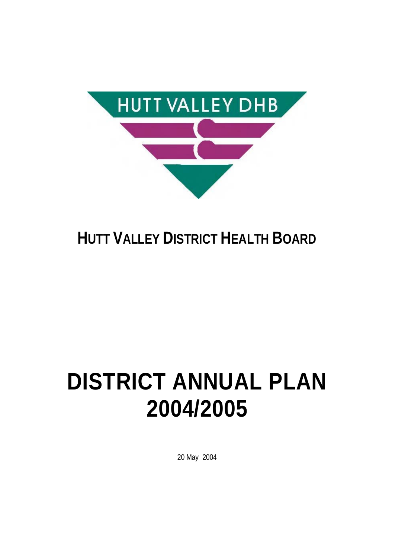

# **HUTT VALLEY DISTRICT HEALTH BOARD**

# **DISTRICT ANNUAL PLAN 2004/2005**

20 May 2004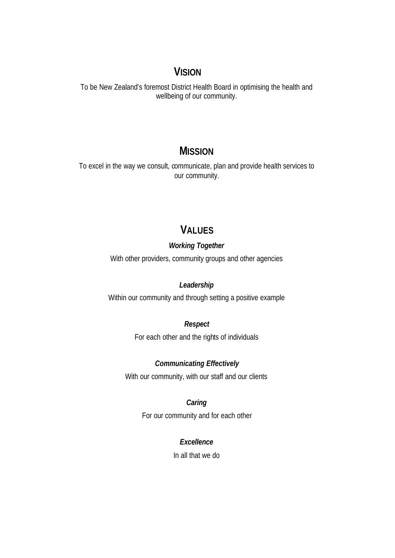### **VISION**

To be New Zealand's foremost District Health Board in optimising the health and wellbeing of our community.

### **MISSION**

To excel in the way we consult, communicate, plan and provide health services to our community.

### **VALUES**

### *Working Together*

With other providers, community groups and other agencies

### *Leadership*

Within our community and through setting a positive example

### *Respect*

For each other and the rights of individuals

### *Communicating Effectively*

With our community, with our staff and our clients

#### *Caring*

For our community and for each other

### *Excellence*

In all that we do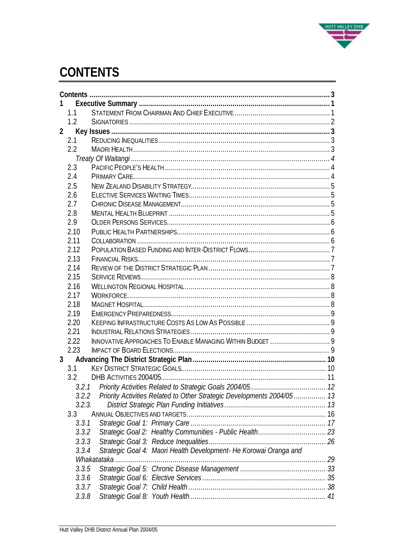

# **CONTENTS**

|             | 1.1           |                                                                         |  |
|-------------|---------------|-------------------------------------------------------------------------|--|
|             | 1.2           |                                                                         |  |
| $2^{\circ}$ |               |                                                                         |  |
|             | 2.1           |                                                                         |  |
|             | $2.2^{\circ}$ |                                                                         |  |
|             |               |                                                                         |  |
|             | 2.3           |                                                                         |  |
|             | 2.4           |                                                                         |  |
|             | 2.5           |                                                                         |  |
|             | 2.6           |                                                                         |  |
|             | 2.7           |                                                                         |  |
|             | 2.8           |                                                                         |  |
|             | 2.9           |                                                                         |  |
|             | 2.10          |                                                                         |  |
|             | 2.11          |                                                                         |  |
|             | 2.12          |                                                                         |  |
|             | 2.13          |                                                                         |  |
|             | 2.14          |                                                                         |  |
|             | 2.15          |                                                                         |  |
|             | 2.16          |                                                                         |  |
|             | 2.17          |                                                                         |  |
|             | 2.18          |                                                                         |  |
|             | 2.19          |                                                                         |  |
|             | 2.20          |                                                                         |  |
|             | 2.21          |                                                                         |  |
|             | 2.22          |                                                                         |  |
|             | 2.23          |                                                                         |  |
| $3^{\circ}$ |               |                                                                         |  |
|             | 3.1           |                                                                         |  |
|             | 3.2           |                                                                         |  |
|             | 3.2.1         |                                                                         |  |
|             | 3.2.2         | Priority Activities Related to Other Strategic Developments 2004/05  13 |  |
|             | 3.2.3.        |                                                                         |  |
|             | 3.3           |                                                                         |  |
|             | 3.3.1         |                                                                         |  |
|             | 3.3.2         |                                                                         |  |
|             | 3.3.3         |                                                                         |  |
|             | 3.3.4         | Strategic Goal 4: Maori Health Development- He Korowai Oranga and       |  |
|             |               |                                                                         |  |
|             | 3.3.5         |                                                                         |  |
|             | 3.3.6         |                                                                         |  |
|             | 3.3.7         |                                                                         |  |
|             | 3.3.8         |                                                                         |  |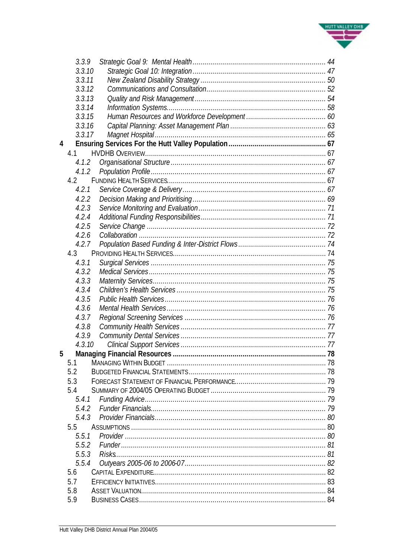

|   | 3.3.9  |      |
|---|--------|------|
|   | 3.3.10 |      |
|   | 3.3.11 |      |
|   | 3.3.12 |      |
|   | 3.3.13 |      |
|   | 3.3.14 |      |
|   | 3.3.15 |      |
|   | 3.3.16 |      |
|   | 3.3.17 |      |
| 4 |        |      |
|   | 4.1    |      |
|   | 4.1.2  |      |
|   | 4.1.2  |      |
|   | 4.2    |      |
|   | 4.2.1  |      |
|   | 4.2.2  |      |
|   | 4.2.3  |      |
|   | 4.2.4  |      |
|   | 4.2.5  |      |
|   | 4.2.6  |      |
|   | 4.2.7  |      |
|   | 4.3    |      |
|   | 4.3.1  |      |
|   | 4.3.2  |      |
|   | 4.3.3  |      |
|   | 4.3.4  |      |
|   | 4.3.5  |      |
|   | 4.3.6  |      |
|   | 4.3.7  |      |
|   | 4.3.8  |      |
|   | 4.3.9  |      |
|   | 4.3.10 |      |
| 5 |        | . 78 |
|   | 5.1    |      |
|   | 5.2    |      |
|   | 5.3    |      |
|   | 5.4    |      |
|   |        |      |
|   |        |      |
|   |        |      |
|   | 5.5    |      |
|   | 5.5.1  |      |
|   | 5.5.2  |      |
|   |        |      |
|   | 5.5.4  |      |
|   | 5.6    |      |
|   | 5.7    |      |
|   | 5.8    |      |
|   | 5.9    |      |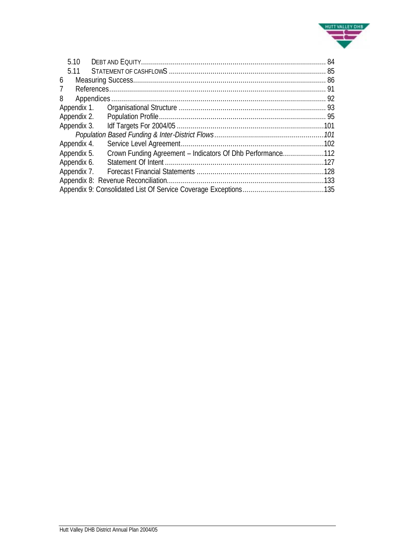

| 5.10        |                                                            | 84 |  |  |  |  |
|-------------|------------------------------------------------------------|----|--|--|--|--|
| 5.11        |                                                            |    |  |  |  |  |
| 6           |                                                            |    |  |  |  |  |
|             |                                                            |    |  |  |  |  |
| 8           |                                                            |    |  |  |  |  |
|             |                                                            |    |  |  |  |  |
|             |                                                            |    |  |  |  |  |
| Appendix 3. |                                                            |    |  |  |  |  |
|             |                                                            |    |  |  |  |  |
| Appendix 4. |                                                            |    |  |  |  |  |
| Appendix 5. | Crown Funding Agreement - Indicators Of Dhb Performance112 |    |  |  |  |  |
| Appendix 6. |                                                            |    |  |  |  |  |
| Appendix 7. |                                                            |    |  |  |  |  |
|             |                                                            |    |  |  |  |  |
|             |                                                            |    |  |  |  |  |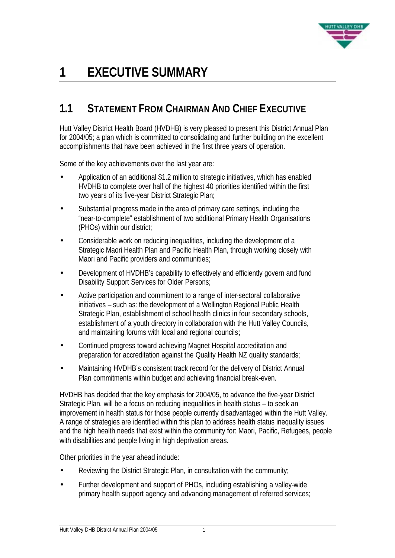

# **1 EXECUTIVE SUMMARY**

### **1.1 STATEMENT FROM CHAIRMAN AND CHIEF EXECUTIVE**

Hutt Valley District Health Board (HVDHB) is very pleased to present this District Annual Plan for 2004/05; a plan which is committed to consolidating and further building on the excellent accomplishments that have been achieved in the first three years of operation.

Some of the key achievements over the last year are:

- Application of an additional \$1.2 million to strategic initiatives, which has enabled HVDHB to complete over half of the highest 40 priorities identified within the first two years of its five-year District Strategic Plan;
- Substantial progress made in the area of primary care settings, including the "near-to-complete" establishment of two additional Primary Health Organisations (PHOs) within our district;
- Considerable work on reducing inequalities, including the development of a Strategic Maori Health Plan and Pacific Health Plan, through working closely with Maori and Pacific providers and communities;
- Development of HVDHB's capability to effectively and efficiently govern and fund Disability Support Services for Older Persons;
- Active participation and commitment to a range of inter-sectoral collaborative initiatives – such as: the development of a Wellington Regional Public Health Strategic Plan, establishment of school health clinics in four secondary schools, establishment of a youth directory in collaboration with the Hutt Valley Councils, and maintaining forums with local and regional councils;
- Continued progress toward achieving Magnet Hospital accreditation and preparation for accreditation against the Quality Health NZ quality standards;
- Maintaining HVDHB's consistent track record for the delivery of District Annual Plan commitments within budget and achieving financial break-even.

HVDHB has decided that the key emphasis for 2004/05, to advance the five-year District Strategic Plan, will be a focus on reducing inequalities in health status – to seek an improvement in health status for those people currently disadvantaged within the Hutt Valley. A range of strategies are identified within this plan to address health status inequality issues and the high health needs that exist within the community for: Maori, Pacific, Refugees, people with disabilities and people living in high deprivation areas.

Other priorities in the year ahead include:

- Reviewing the District Strategic Plan, in consultation with the community;
- Further development and support of PHOs, including establishing a valley-wide primary health support agency and advancing management of referred services;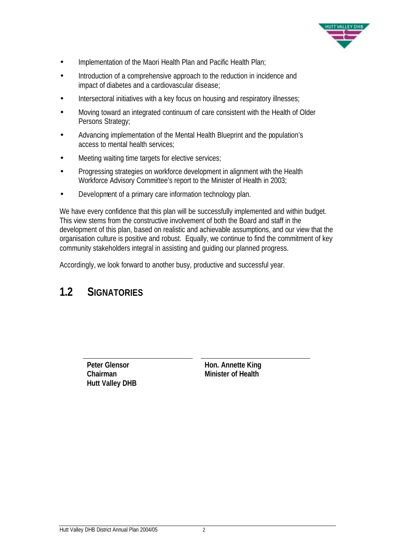

- Implementation of the Maori Health Plan and Pacific Health Plan;
- Introduction of a comprehensive approach to the reduction in incidence and impact of diabetes and a cardiovascular disease;
- Intersectoral initiatives with a key focus on housing and respiratory illnesses;
- Moving toward an integrated continuum of care consistent with the Health of Older Persons Strategy;
- Advancing implementation of the Mental Health Blueprint and the population's access to mental health services;
- Meeting waiting time targets for elective services;
- Progressing strategies on workforce development in alignment with the Health Workforce Advisory Committee's report to the Minister of Health in 2003;
- Development of a primary care information technology plan.

We have every confidence that this plan will be successfully implemented and within budget. This view stems from the constructive involvement of both the Board and staff in the development of this plan, based on realistic and achievable assumptions, and our view that the organisation culture is positive and robust. Equally, we continue to find the commitment of key community stakeholders integral in assisting and guiding our planned progress.

Accordingly, we look forward to another busy, productive and successful year.

### **1.2 SIGNATORIES**

**Peter Glensor Chairman Hutt Valley DHB** **Hon. Annette King Minister of Health**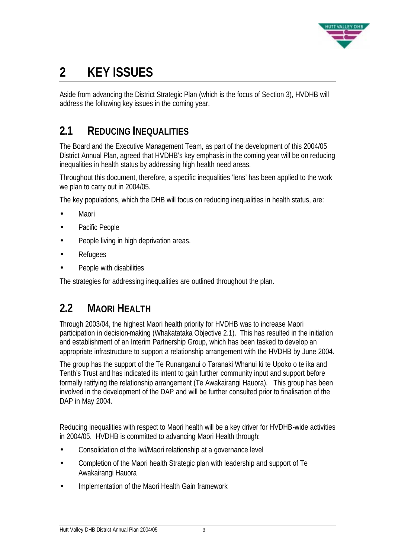

# **2 KEY ISSUES**

Aside from advancing the District Strategic Plan (which is the focus of Section 3), HVDHB will address the following key issues in the coming year.

### **2.1 REDUCING INEQUALITIES**

The Board and the Executive Management Team, as part of the development of this 2004/05 District Annual Plan, agreed that HVDHB's key emphasis in the coming year will be on reducing inequalities in health status by addressing high health need areas.

Throughout this document, therefore, a specific inequalities 'lens' has been applied to the work we plan to carry out in 2004/05.

The key populations, which the DHB will focus on reducing inequalities in health status, are:

- **Maori**
- Pacific People
- People living in high deprivation areas.
- Refugees
- People with disabilities

The strategies for addressing inequalities are outlined throughout the plan.

### **2.2 MAORI HEALTH**

Through 2003/04, the highest Maori health priority for HVDHB was to increase Maori participation in decision-making (Whakatataka Objective 2.1). This has resulted in the initiation and establishment of an Interim Partnership Group, which has been tasked to develop an appropriate infrastructure to support a relationship arrangement with the HVDHB by June 2004.

The group has the support of the Te Runanganui o Taranaki Whanui ki te Upoko o te ika and Tenth's Trust and has indicated its intent to gain further community input and support before formally ratifying the relationship arrangement (Te Awakairangi Hauora). This group has been involved in the development of the DAP and will be further consulted prior to finalisation of the DAP in May 2004.

Reducing inequalities with respect to Maori health will be a key driver for HVDHB-wide activities in 2004/05. HVDHB is committed to advancing Maori Health through:

- Consolidation of the Iwi/Maori relationship at a governance level
- Completion of the Maori health Strategic plan with leadership and support of Te Awakairangi Hauora
- Implementation of the Maori Health Gain framework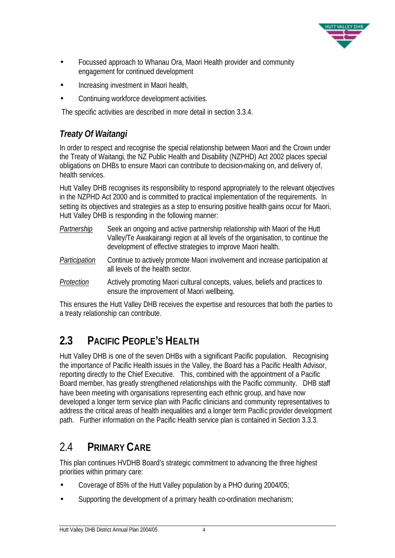

- Focussed approach to Whanau Ora, Maori Health provider and community engagement for continued development
- Increasing investment in Maori health,
- Continuing workforce development activities.

The specific activities are described in more detail in section 3.3.4.

### *Treaty Of Waitangi*

In order to respect and recognise the special relationship between Maori and the Crown under the Treaty of Waitangi, the NZ Public Health and Disability (NZPHD) Act 2002 places special obligations on DHBs to ensure Maori can contribute to decision-making on, and delivery of, health services.

Hutt Valley DHB recognises its responsibility to respond appropriately to the relevant objectives in the NZPHD Act 2000 and is committed to practical implementation of the requirements. In setting its objectives and strategies as a step to ensuring positive health gains occur for Maori, Hutt Valley DHB is responding in the following manner:

- *Partnership* Seek an ongoing and active partnership relationship with Maori of the Hutt Valley/Te Awakairangi region at all levels of the organisation, to continue the development of effective strategies to improve Maori health.
- *Participation* Continue to actively promote Maori involvement and increase participation at all levels of the health sector.
- *Protection* Actively promoting Maori cultural concepts, values, beliefs and practices to ensure the improvement of Maori wellbeing.

This ensures the Hutt Valley DHB receives the expertise and resources that both the parties to a treaty relationship can contribute.

# **2.3 PACIFIC PEOPLE'S HEALTH**

Hutt Valley DHB is one of the seven DHBs with a significant Pacific population. Recognising the importance of Pacific Health issues in the Valley, the Board has a Pacific Health Advisor, reporting directly to the Chief Executive. This, combined with the appointment of a Pacific Board member, has greatly strengthened relationships with the Pacific community. DHB staff have been meeting with organisations representing each ethnic group, and have now developed a longer term service plan with Pacific clinicians and community representatives to address the critical areas of health inequalities and a longer term Pacific provider development path. Further information on the Pacific Health service plan is contained in Section 3.3.3.

### 2.4 **PRIMARY CARE**

This plan continues HVDHB Board's strategic commitment to advancing the three highest priorities within primary care:

- Coverage of 85% of the Hutt Valley population by a PHO during 2004/05;
- Supporting the development of a primary health co-ordination mechanism;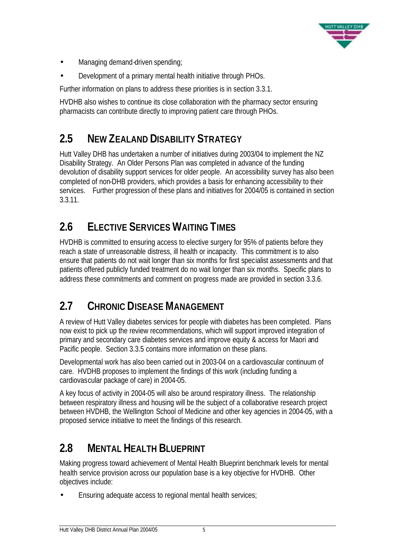

- Managing demand-driven spending;
- Development of a primary mental health initiative through PHOs.

Further information on plans to address these priorities is in section 3.3.1.

HVDHB also wishes to continue its close collaboration with the pharmacy sector ensuring pharmacists can contribute directly to improving patient care through PHOs.

### **2.5 NEW ZEALAND DISABILITY STRATEGY**

Hutt Valley DHB has undertaken a number of initiatives during 2003/04 to implement the NZ Disability Strategy. An Older Persons Plan was completed in advance of the funding devolution of disability support services for older people. An accessibility survey has also been completed of non-DHB providers, which provides a basis for enhancing accessibility to their services. Further progression of these plans and initiatives for 2004/05 is contained in section 3.3.11.

### **2.6 ELECTIVE SERVICES WAITING TIMES**

HVDHB is committed to ensuring access to elective surgery for 95% of patients before they reach a state of unreasonable distress, ill health or incapacity. This commitment is to also ensure that patients do not wait longer than six months for first specialist assessments and that patients offered publicly funded treatment do no wait longer than six months. Specific plans to address these commitments and comment on progress made are provided in section 3.3.6.

### **2.7 CHRONIC DISEASE MANAGEMENT**

A review of Hutt Valley diabetes services for people with diabetes has been completed. Plans now exist to pick up the review recommendations, which will support improved integration of primary and secondary care diabetes services and improve equity & access for Maori and Pacific people. Section 3.3.5 contains more information on these plans.

Developmental work has also been carried out in 2003-04 on a cardiovascular continuum of care. HVDHB proposes to implement the findings of this work (including funding a cardiovascular package of care) in 2004-05.

A key focus of activity in 2004-05 will also be around respiratory illness. The relationship between respiratory illness and housing will be the subject of a collaborative research project between HVDHB, the Wellington School of Medicine and other key agencies in 2004-05, with a proposed service initiative to meet the findings of this research.

### **2.8 MENTAL HEALTH BLUEPRINT**

Making progress toward achievement of Mental Health Blueprint benchmark levels for mental health service provision across our population base is a key objective for HVDHB. Other objectives include:

• Ensuring adequate access to regional mental health services;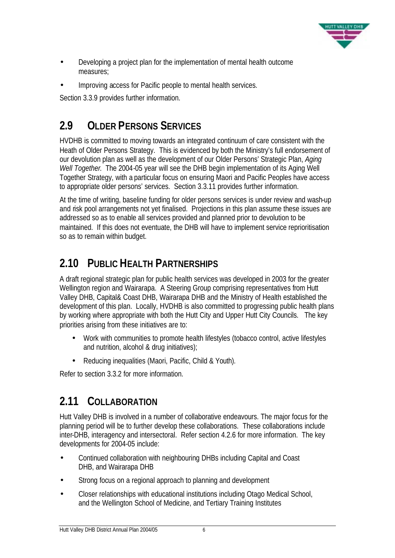

- Developing a project plan for the implementation of mental health outcome measures;
- Improving access for Pacific people to mental health services.

Section 3.3.9 provides further information.

### **2.9 OLDER PERSONS SERVICES**

HVDHB is committed to moving towards an integrated continuum of care consistent with the Heath of Older Persons Strategy. This is evidenced by both the Ministry's full endorsement of our devolution plan as well as the development of our Older Persons' Strategic Plan, *Aging Well Together*. The 2004-05 year will see the DHB begin implementation of its Aging Well Together Strategy, with a particular focus on ensuring Maori and Pacific Peoples have access to appropriate older persons' services. Section 3.3.11 provides further information.

At the time of writing, baseline funding for older persons services is under review and wash-up and risk pool arrangements not yet finalised. Projections in this plan assume these issues are addressed so as to enable all services provided and planned prior to devolution to be maintained. If this does not eventuate, the DHB will have to implement service reprioritisation so as to remain within budget.

### **2.10 PUBLIC HEALTH PARTNERSHIPS**

A draft regional strategic plan for public health services was developed in 2003 for the greater Wellington region and Wairarapa. A Steering Group comprising representatives from Hutt Valley DHB, Capital& Coast DHB, Wairarapa DHB and the Ministry of Health established the development of this plan. Locally, HVDHB is also committed to progressing public health plans by working where appropriate with both the Hutt City and Upper Hutt City Councils. The key priorities arising from these initiatives are to:

- Work with communities to promote health lifestyles (tobacco control, active lifestyles and nutrition, alcohol & drug initiatives);
- Reducing inequalities (Maori, Pacific, Child & Youth).

Refer to section 3.3.2 for more information.

### **2.11 COLLABORATION**

Hutt Valley DHB is involved in a number of collaborative endeavours. The major focus for the planning period will be to further develop these collaborations. These collaborations include inter-DHB, interagency and intersectoral. Refer section 4.2.6 for more information. The key developments for 2004-05 include:

- Continued collaboration with neighbouring DHBs including Capital and Coast DHB, and Wairarapa DHB
- Strong focus on a regional approach to planning and development
- Closer relationships with educational institutions including Otago Medical School, and the Wellington School of Medicine, and Tertiary Training Institutes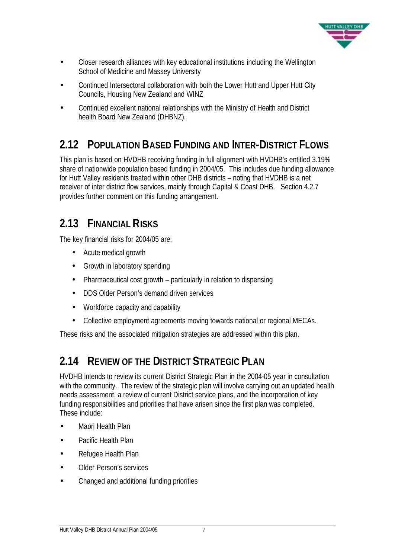

- Closer research alliances with key educational institutions including the Wellington School of Medicine and Massey University
- Continued Intersectoral collaboration with both the Lower Hutt and Upper Hutt City Councils, Housing New Zealand and WINZ
- Continued excellent national relationships with the Ministry of Health and District health Board New Zealand (DHBNZ).

### **2.12 POPULATION BASED FUNDING AND INTER-DISTRICT FLOWS**

This plan is based on HVDHB receiving funding in full alignment with HVDHB's entitled 3.19% share of nationwide population based funding in 2004/05. This includes due funding allowance for Hutt Valley residents treated within other DHB districts – noting that HVDHB is a net receiver of inter district flow services, mainly through Capital & Coast DHB. Section 4.2.7 provides further comment on this funding arrangement.

### **2.13 FINANCIAL RISKS**

The key financial risks for 2004/05 are:

- Acute medical growth
- Growth in laboratory spending
- Pharmaceutical cost growth particularly in relation to dispensing
- DDS Older Person's demand driven services
- Workforce capacity and capability
- Collective employment agreements moving towards national or regional MECAs.

These risks and the associated mitigation strategies are addressed within this plan.

### **2.14 REVIEW OF THE DISTRICT STRATEGIC PLAN**

HVDHB intends to review its current District Strategic Plan in the 2004-05 year in consultation with the community. The review of the strategic plan will involve carrying out an updated health needs assessment, a review of current District service plans, and the incorporation of key funding responsibilities and priorities that have arisen since the first plan was completed. These include:

- Maori Health Plan
- Pacific Health Plan
- Refugee Health Plan
- Older Person's services
- Changed and additional funding priorities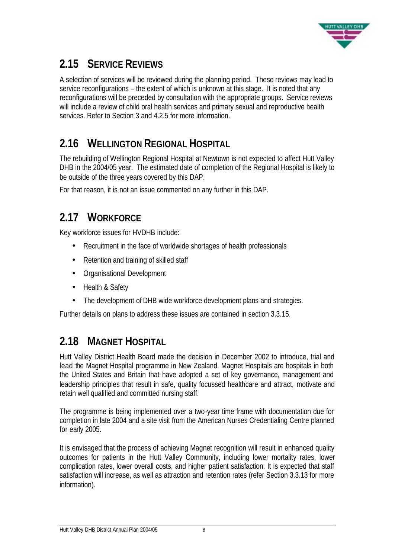

### **2.15 SERVICE REVIEWS**

A selection of services will be reviewed during the planning period. These reviews may lead to service reconfigurations – the extent of which is unknown at this stage. It is noted that any reconfigurations will be preceded by consultation with the appropriate groups. Service reviews will include a review of child oral health services and primary sexual and reproductive health services. Refer to Section 3 and 4.2.5 for more information.

### **2.16 WELLINGTON REGIONAL HOSPITAL**

The rebuilding of Wellington Regional Hospital at Newtown is not expected to affect Hutt Valley DHB in the 2004/05 year. The estimated date of completion of the Regional Hospital is likely to be outside of the three years covered by this DAP.

For that reason, it is not an issue commented on any further in this DAP.

### **2.17 WORKFORCE**

Key workforce issues for HVDHB include:

- Recruitment in the face of worldwide shortages of health professionals
- Retention and training of skilled staff
- Organisational Development
- Health & Safety
- The development of DHB wide workforce development plans and strategies.

Further details on plans to address these issues are contained in section 3.3.15.

### **2.18 MAGNET HOSPITAL**

Hutt Valley District Health Board made the decision in December 2002 to introduce, trial and lead the Magnet Hospital programme in New Zealand. Magnet Hospitals are hospitals in both the United States and Britain that have adopted a set of key governance, management and leadership principles that result in safe, quality focussed healthcare and attract, motivate and retain well qualified and committed nursing staff.

The programme is being implemented over a two-year time frame with documentation due for completion in late 2004 and a site visit from the American Nurses Credentialing Centre planned for early 2005.

It is envisaged that the process of achieving Magnet recognition will result in enhanced quality outcomes for patients in the Hutt Valley Community, including lower mortality rates, lower complication rates, lower overall costs, and higher patient satisfaction. It is expected that staff satisfaction will increase, as well as attraction and retention rates (refer Section 3.3.13 for more information).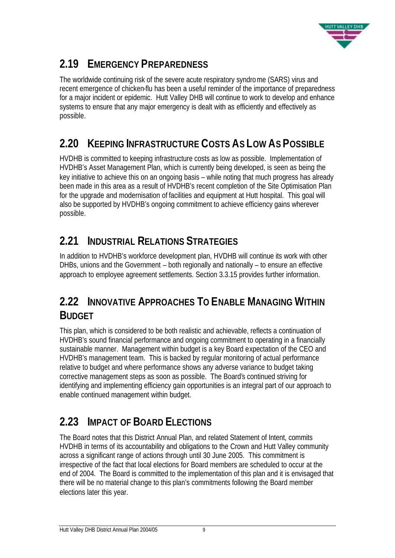

### **2.19 EMERGENCY PREPAREDNESS**

The worldwide continuing risk of the severe acute respiratory syndrome (SARS) virus and recent emergence of chicken-flu has been a useful reminder of the importance of preparedness for a major incident or epidemic. Hutt Valley DHB will continue to work to develop and enhance systems to ensure that any major emergency is dealt with as efficiently and effectively as possible.

### **2.20 KEEPING INFRASTRUCTURE COSTS AS LOW AS POSSIBLE**

HVDHB is committed to keeping infrastructure costs as low as possible. Implementation of HVDHB's Asset Management Plan, which is currently being developed, is seen as being the key initiative to achieve this on an ongoing basis – while noting that much progress has already been made in this area as a result of HVDHB's recent completion of the Site Optimisation Plan for the upgrade and modernisation of facilities and equipment at Hutt hospital. This goal will also be supported by HVDHB's ongoing commitment to achieve efficiency gains wherever possible.

### **2.21 INDUSTRIAL RELATIONS STRATEGIES**

In addition to HVDHB's workforce development plan, HVDHB will continue its work with other DHBs, unions and the Government – both regionally and nationally – to ensure an effective approach to employee agreement settlements. Section 3.3.15 provides further information.

### **2.22 INNOVATIVE APPROACHES TO ENABLE MANAGING WITHIN BUDGET**

This plan, which is considered to be both realistic and achievable, reflects a continuation of HVDHB's sound financial performance and ongoing commitment to operating in a financially sustainable manner. Management within budget is a key Board expectation of the CEO and HVDHB's management team. This is backed by regular monitoring of actual performance relative to budget and where performance shows any adverse variance to budget taking corrective management steps as soon as possible. The Board's continued striving for identifying and implementing efficiency gain opportunities is an integral part of our approach to enable continued management within budget.

### **2.23 IMPACT OF BOARD ELECTIONS**

The Board notes that this District Annual Plan, and related Statement of Intent, commits HVDHB in terms of its accountability and obligations to the Crown and Hutt Valley community across a significant range of actions through until 30 June 2005. This commitment is irrespective of the fact that local elections for Board members are scheduled to occur at the end of 2004. The Board is committed to the implementation of this plan and it is envisaged that there will be no material change to this plan's commitments following the Board member elections later this year.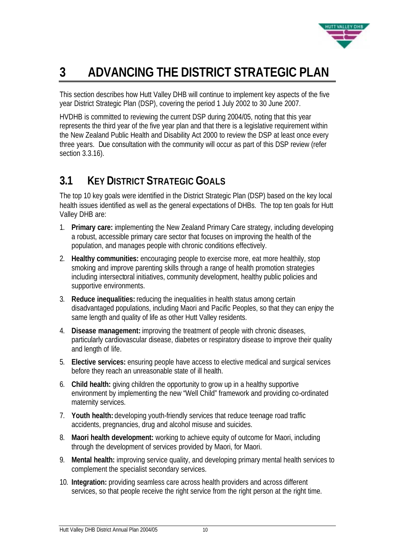

# **3 ADVANCING THE DISTRICT STRATEGIC PLAN**

This section describes how Hutt Valley DHB will continue to implement key aspects of the five year District Strategic Plan (DSP), covering the period 1 July 2002 to 30 June 2007.

HVDHB is committed to reviewing the current DSP during 2004/05, noting that this year represents the third year of the five year plan and that there is a legislative requirement within the New Zealand Public Health and Disability Act 2000 to review the DSP at least once every three years. Due consultation with the community will occur as part of this DSP review (refer section 3.3.16).

### **3.1 KEY DISTRICT STRATEGIC GOALS**

The top 10 key goals were identified in the District Strategic Plan (DSP) based on the key local health issues identified as well as the general expectations of DHBs. The top ten goals for Hutt Valley DHB are:

- 1. **Primary care:** implementing the New Zealand Primary Care strategy, including developing a robust, accessible primary care sector that focuses on improving the health of the population, and manages people with chronic conditions effectively.
- 2. **Healthy communities:** encouraging people to exercise more, eat more healthily, stop smoking and improve parenting skills through a range of health promotion strategies including intersectoral initiatives, community development, healthy public policies and supportive environments.
- 3. **Reduce inequalities:** reducing the inequalities in health status among certain disadvantaged populations, including Maori and Pacific Peoples, so that they can enjoy the same length and quality of life as other Hutt Valley residents.
- 4. **Disease management:** improving the treatment of people with chronic diseases, particularly cardiovascular disease, diabetes or respiratory disease to improve their quality and length of life.
- 5. **Elective services:** ensuring people have access to elective medical and surgical services before they reach an unreasonable state of ill health.
- 6. **Child health:** giving children the opportunity to grow up in a healthy supportive environment by implementing the new "Well Child" framework and providing co-ordinated maternity services.
- 7. **Youth health:** developing youth-friendly services that reduce teenage road traffic accidents, pregnancies, drug and alcohol misuse and suicides.
- 8. **Maori health development:** working to achieve equity of outcome for Maori, including through the development of services provided by Maori, for Maori.
- 9. **Mental health:** improving service quality, and developing primary mental health services to complement the specialist secondary services.
- 10. **Integration:** providing seamless care across health providers and across different services, so that people receive the right service from the right person at the right time.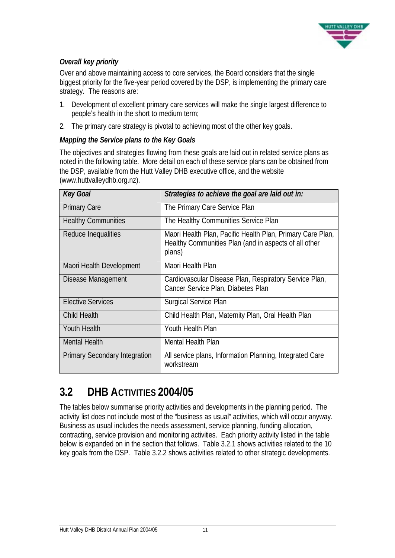

#### *Overall key priority*

Over and above maintaining access to core services, the Board considers that the single biggest priority for the five-year period covered by the DSP, is implementing the primary care strategy. The reasons are:

- 1. Development of excellent primary care services will make the single largest difference to people's health in the short to medium term;
- 2. The primary care strategy is pivotal to achieving most of the other key goals.

#### *Mapping the Service plans to the Key Goals*

The objectives and strategies flowing from these goals are laid out in related service plans as noted in the following table. More detail on each of these service plans can be obtained from the DSP, available from the Hutt Valley DHB executive office, and the website (www.huttvalleydhb.org.nz).

| <b>Key Goal</b>                      | Strategies to achieve the goal are laid out in:                                                                               |
|--------------------------------------|-------------------------------------------------------------------------------------------------------------------------------|
| <b>Primary Care</b>                  | The Primary Care Service Plan                                                                                                 |
| <b>Healthy Communities</b>           | The Healthy Communities Service Plan                                                                                          |
| Reduce Inequalities                  | Maori Health Plan, Pacific Health Plan, Primary Care Plan,<br>Healthy Communities Plan (and in aspects of all other<br>plans) |
| Maori Health Development             | Maori Health Plan                                                                                                             |
| Disease Management                   | Cardiovascular Disease Plan, Respiratory Service Plan,<br>Cancer Service Plan, Diabetes Plan                                  |
| <b>Elective Services</b>             | Surgical Service Plan                                                                                                         |
| Child Health                         | Child Health Plan, Maternity Plan, Oral Health Plan                                                                           |
| Youth Health                         | Youth Health Plan                                                                                                             |
| <b>Mental Health</b>                 | Mental Health Plan                                                                                                            |
| <b>Primary Secondary Integration</b> | All service plans, Information Planning, Integrated Care<br>workstream                                                        |

### **3.2 DHB ACTIVITIES 2004/05**

The tables below summarise priority activities and developments in the planning period. The activity list does not include most of the "business as usual" activities, which will occur anyway. Business as usual includes the needs assessment, service planning, funding allocation, contracting, service provision and monitoring activities. Each priority activity listed in the table below is expanded on in the section that follows. Table 3.2.1 shows activities related to the 10 key goals from the DSP. Table 3.2.2 shows activities related to other strategic developments.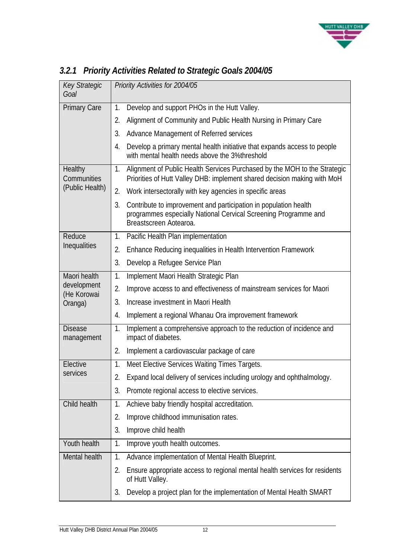

| <b>Key Strategic</b><br>Goal |    | Priority Activities for 2004/05                                                                                                                               |
|------------------------------|----|---------------------------------------------------------------------------------------------------------------------------------------------------------------|
| Primary Care                 | 1. | Develop and support PHOs in the Hutt Valley.                                                                                                                  |
|                              | 2. | Alignment of Community and Public Health Nursing in Primary Care                                                                                              |
|                              | 3. | Advance Management of Referred services                                                                                                                       |
|                              | 4. | Develop a primary mental health initiative that expands access to people<br>with mental health needs above the 3%threshold                                    |
| Healthy<br>Communities       | 1. | Alignment of Public Health Services Purchased by the MOH to the Strategic<br>Priorities of Hutt Valley DHB: implement shared decision making with MoH         |
| (Public Health)              | 2. | Work intersectorally with key agencies in specific areas                                                                                                      |
|                              | 3. | Contribute to improvement and participation in population health<br>programmes especially National Cervical Screening Programme and<br>Breastscreen Aotearoa. |
| Reduce                       | 1. | Pacific Health Plan implementation                                                                                                                            |
| Inequalities                 | 2. | Enhance Reducing inequalities in Health Intervention Framework                                                                                                |
|                              | 3. | Develop a Refugee Service Plan                                                                                                                                |
| Maori health                 | 1. | Implement Maori Health Strategic Plan                                                                                                                         |
| development<br>(He Korowai   | 2. | Improve access to and effectiveness of mainstream services for Maori                                                                                          |
| Oranga)                      | 3. | Increase investment in Maori Health                                                                                                                           |
|                              | 4. | Implement a regional Whanau Ora improvement framework                                                                                                         |
| <b>Disease</b><br>management | 1. | Implement a comprehensive approach to the reduction of incidence and<br>impact of diabetes.                                                                   |
|                              | 2. | Implement a cardiovascular package of care                                                                                                                    |
| Elective                     | 1. | Meet Elective Services Waiting Times Targets.                                                                                                                 |
| services                     | 2. | Expand local delivery of services including urology and ophthalmology.                                                                                        |
|                              | 3. | Promote regional access to elective services.                                                                                                                 |
| Child health                 | 1. | Achieve baby friendly hospital accreditation.                                                                                                                 |
|                              | 2. | Improve childhood immunisation rates.                                                                                                                         |
|                              | 3. | Improve child health                                                                                                                                          |
| Youth health                 | 1. | Improve youth health outcomes.                                                                                                                                |
| Mental health                | 1. | Advance implementation of Mental Health Blueprint.                                                                                                            |
|                              | 2. | Ensure appropriate access to regional mental health services for residents<br>of Hutt Valley.                                                                 |
|                              | 3. | Develop a project plan for the implementation of Mental Health SMART                                                                                          |

### *3.2.1 Priority Activities Related to Strategic Goals 2004/05*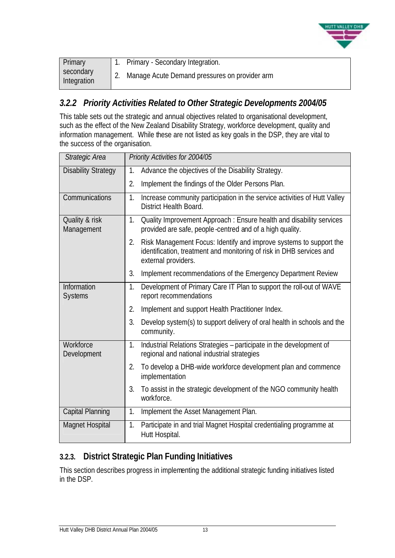

| Primary                  | 1. Primary - Secondary Integration.           |
|--------------------------|-----------------------------------------------|
| secondary<br>Integration | Manage Acute Demand pressures on provider arm |

### *3.2.2 Priority Activities Related to Other Strategic Developments 2004/05*

This table sets out the strategic and annual objectives related to organisational development, such as the effect of the New Zealand Disability Strategy, workforce development, quality and information management. While these are not listed as key goals in the DSP, they are vital to the success of the organisation.

| Strategic Area                | Priority Activities for 2004/05                                                                                                                                         |
|-------------------------------|-------------------------------------------------------------------------------------------------------------------------------------------------------------------------|
| <b>Disability Strategy</b>    | Advance the objectives of the Disability Strategy.<br>1.                                                                                                                |
|                               | Implement the findings of the Older Persons Plan.<br>2.                                                                                                                 |
| Communications                | Increase community participation in the service activities of Hutt Valley<br>1.<br>District Health Board.                                                               |
| Quality & risk<br>Management  | Quality Improvement Approach : Ensure health and disability services<br>1.<br>provided are safe, people-centred and of a high quality.                                  |
|                               | Risk Management Focus: Identify and improve systems to support the<br>2.<br>identification, treatment and monitoring of risk in DHB services and<br>external providers. |
|                               | 3.<br>Implement recommendations of the Emergency Department Review                                                                                                      |
| Information<br><b>Systems</b> | Development of Primary Care IT Plan to support the roll-out of WAVE<br>1.<br>report recommendations                                                                     |
|                               | 2.<br>Implement and support Health Practitioner Index.                                                                                                                  |
|                               | 3.<br>Develop system(s) to support delivery of oral health in schools and the<br>community.                                                                             |
| Workforce<br>Development      | Industrial Relations Strategies - participate in the development of<br>1.<br>regional and national industrial strategies                                                |
|                               | 2.<br>To develop a DHB-wide workforce development plan and commence<br>implementation                                                                                   |
|                               | 3.<br>To assist in the strategic development of the NGO community health<br>workforce.                                                                                  |
| Capital Planning              | Implement the Asset Management Plan.<br>1.                                                                                                                              |
| Magnet Hospital               | Participate in and trial Magnet Hospital credentialing programme at<br>1.<br>Hutt Hospital.                                                                             |

### **3.2.3. District Strategic Plan Funding Initiatives**

This section describes progress in implementing the additional strategic funding initiatives listed in the DSP.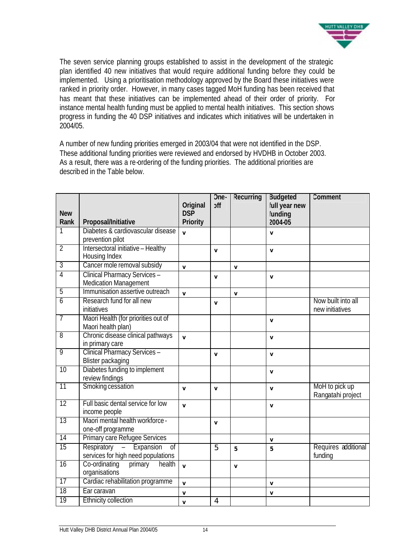

The seven service planning groups established to assist in the development of the strategic plan identified 40 new initiatives that would require additional funding before they could be implemented. Using a prioritisation methodology approved by the Board these initiatives were ranked in priority order. However, in many cases tagged MoH funding has been received that has meant that these initiatives can be implemented ahead of their order of priority. For instance mental health funding must be applied to mental health initiatives. This section shows progress in funding the 40 DSP initiatives and indicates which initiatives will be undertaken in 2004/05.

A number of new funding priorities emerged in 2003/04 that were not identified in the DSP. These additional funding priorities were reviewed and endorsed by HVDHB in October 2003. As a result, there was a re-ordering of the funding priorities. The additional priorities are described in the Table below.

|                           |                                                                                  | Original                      | One-<br>off    | Recurring    | <b>Budgeted</b><br>full year new | Comment                               |
|---------------------------|----------------------------------------------------------------------------------|-------------------------------|----------------|--------------|----------------------------------|---------------------------------------|
| <b>New</b><br><b>Rank</b> | Proposal/Initiative                                                              | <b>DSP</b><br><b>Priority</b> |                |              | funding<br>2004-05               |                                       |
| 1                         | Diabetes & cardiovascular disease                                                | $\mathbf{v}$                  |                |              | v                                |                                       |
|                           | prevention pilot                                                                 |                               |                |              |                                  |                                       |
| $\overline{2}$            | Intersectoral initiative - Healthy<br>Housing Index                              |                               | $\mathbf v$    |              | v                                |                                       |
| $\overline{3}$            | Cancer mole removal subsidy                                                      | $\mathbf v$                   |                | $\mathbf v$  |                                  |                                       |
| $\overline{4}$            | Clinical Pharmacy Services-<br>Medication Management                             |                               | $\mathbf v$    |              | v                                |                                       |
| $\overline{5}$            | Immunisation assertive outreach                                                  | $\mathbf{v}$                  |                | $\mathbf{v}$ |                                  |                                       |
| $\overline{6}$            | Research fund for all new<br>initiatives                                         |                               | $\mathsf{v}$   |              |                                  | Now built into all<br>new initiatives |
| 7                         | Maori Health (for priorities out of<br>Maori health plan)                        |                               |                |              | v                                |                                       |
| $\overline{8}$            | Chronic disease clinical pathways<br>in primary care                             | $\mathbf{v}$                  |                |              | V                                |                                       |
| 9                         | Clinical Pharmacy Services -<br><b>Blister packaging</b>                         |                               | $\mathbf v$    |              | V                                |                                       |
| 10                        | Diabetes funding to implement<br>review findings                                 |                               |                |              | $\mathbf{v}$                     |                                       |
| 11                        | Smoking cessation                                                                | $\mathbf{v}$                  | $\mathbf v$    |              | V                                | MoH to pick up<br>Rangatahi project   |
| 12                        | Full basic dental service for low<br>income people                               | $\mathbf{v}$                  |                |              | V                                |                                       |
| 13                        | Maori mental health workforce -<br>one-off programme                             |                               | $\mathbf v$    |              |                                  |                                       |
| 14                        | Primary care Refugee Services                                                    |                               |                |              | V                                |                                       |
| 15                        | Respiratory - Expansion<br>$\overline{of}$<br>services for high need populations |                               | $\mathbf 5$    | 5            | 5                                | Requires additional<br>funding        |
| 16                        | Co-ordinating<br>primary<br>health<br>organisations                              | $\mathbf{v}$                  |                | V            |                                  |                                       |
| 17                        | Cardiac rehabilitation programme                                                 | $\mathsf{v}$                  |                |              | V                                |                                       |
| 18                        | Ear caravan                                                                      | $\mathbf v$                   |                |              | V                                |                                       |
| 19                        | <b>Ethnicity collection</b>                                                      | $\mathbf{v}$                  | $\overline{4}$ |              |                                  |                                       |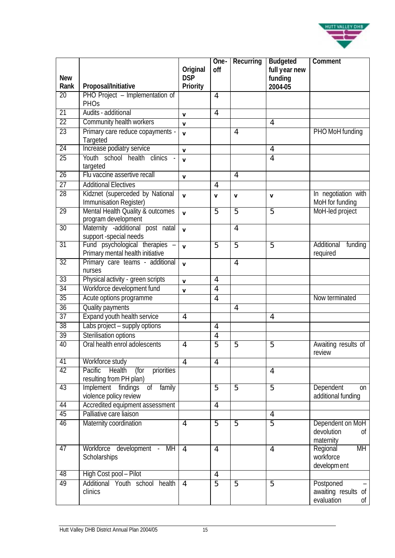

|                 |                                                                           |                        | One-<br>off             | Recurring               | <b>Budgeted</b>          | Comment                                              |
|-----------------|---------------------------------------------------------------------------|------------------------|-------------------------|-------------------------|--------------------------|------------------------------------------------------|
| <b>New</b>      |                                                                           | Original<br><b>DSP</b> |                         |                         | full year new<br>funding |                                                      |
| Rank            | Proposal/Initiative                                                       | <b>Priority</b>        |                         |                         | 2004-05                  |                                                      |
| 20              | PHO Project - Implementation of<br>PHOs                                   |                        | $\overline{4}$          |                         |                          |                                                      |
| 21              | Audits - additional                                                       | $\mathbf v$            | $\overline{4}$          |                         |                          |                                                      |
| 22              | Community health workers                                                  | $\mathbf v$            |                         |                         | $\overline{4}$           |                                                      |
| 23              | Primary care reduce copayments -<br>Targeted                              | $\mathbf{v}$           |                         | $\overline{4}$          |                          | PHO MoH funding                                      |
| 24              | Increase podiatry service                                                 | V                      |                         |                         | $\overline{4}$           |                                                      |
| 25              | Youth school health clinics<br>targeted                                   | v                      |                         |                         | $\overline{4}$           |                                                      |
| 26              | Flu vaccine assertive recall                                              | $\mathbf v$            |                         | $\overline{4}$          |                          |                                                      |
| 27              | <b>Additional Electives</b>                                               |                        | $\overline{4}$          |                         |                          |                                                      |
| 28              | Kidznet (superceded by National<br>Immunisation Register)                 | $\mathbf{v}$           | v                       | v                       | $\mathbf v$              | In negotiation with<br>MoH for funding               |
| 29              | Mental Health Quality & outcomes<br>program development                   | $\mathbf{v}$           | $5\phantom{1}$          | $5\phantom{1}$          | $\mathbf 5$              | MoH-led project                                      |
| 30              | Maternity -additional post natal<br>support -special needs                | $\mathbf{v}$           |                         | $\overline{\mathbf{4}}$ |                          |                                                      |
| 31              | Fund psychological therapies -<br>Primary mental health initiative        | V                      | $5\phantom{1}$          | $\mathbf{5}$            | $5\phantom{1}$           | Additional<br>funding<br>required                    |
| $\overline{32}$ | Primary care teams - additional<br>nurses                                 | $\mathbf{v}$           |                         | $\overline{\mathbf{4}}$ |                          |                                                      |
| 33              | Physical activity - green scripts                                         | $\mathbf{v}$           | 4                       |                         |                          |                                                      |
| 34              | Workforce development fund                                                | $\mathbf v$            | 4                       |                         |                          |                                                      |
| 35              | Acute options programme                                                   |                        | $\overline{\mathbf{4}}$ |                         |                          | Now terminated                                       |
| 36              | Quality payments                                                          |                        |                         | 4                       |                          |                                                      |
| 37              | Expand youth health service                                               | $\overline{4}$         |                         |                         | 4                        |                                                      |
| 38              | Labs project - supply options                                             |                        | 4                       |                         |                          |                                                      |
| 39              | Sterilisation options                                                     |                        | 4                       |                         |                          |                                                      |
| 40              | Oral health enrol adolescents                                             | $\overline{4}$         | $\mathbf 5$             | $\overline{\mathbf{5}}$ | $\mathbf 5$              | Awaiting results of<br>review                        |
| 41              | Workforce study                                                           | $\overline{4}$         | $\overline{\mathbf{4}}$ |                         |                          |                                                      |
| 42              | Health<br>Pacific<br>priorities<br>(for<br>resulting from PH plan)        |                        |                         |                         | $\overline{\mathbf{4}}$  |                                                      |
| 43              | family<br>Implement findings<br>$\overline{of}$<br>violence policy review |                        | $\mathbf 5$             | $\mathbf 5$             | $\mathbf 5$              | Dependent<br>on<br>additional funding                |
| 44              | Accredited equipment assessment                                           |                        | $\overline{\mathbf{4}}$ |                         |                          |                                                      |
| 45              | Palliative care liaison                                                   |                        |                         |                         | 4                        |                                                      |
| 46              | Maternity coordination                                                    | $\overline{4}$         | $\mathbf 5$             | $\mathbf{5}$            | $\overline{\mathbf{5}}$  | Dependent on MoH<br>devolution<br>0f<br>maternity    |
| 47              | development -<br>Workforce<br>МH<br>Scholarships                          | $\overline{4}$         | $\overline{\mathbf{4}}$ |                         | $\overline{\mathbf{4}}$  | MH<br>Regional<br>workforce<br>development           |
| 48              | High Cost pool - Pilot                                                    |                        | $\overline{\mathbf{4}}$ |                         |                          |                                                      |
| 49              | Additional Youth school health<br>clinics                                 | $\overline{4}$         | $\mathbf{5}$            | $\overline{\mathbf{5}}$ | $\overline{\mathbf{5}}$  | Postponed<br>awaiting results of<br>evaluation<br>Οf |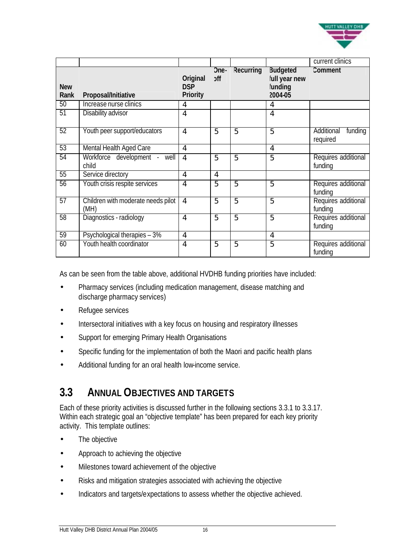

|                    |                                            |                                           |                |                         |                                                        | current clinics                   |
|--------------------|--------------------------------------------|-------------------------------------------|----------------|-------------------------|--------------------------------------------------------|-----------------------------------|
| <b>New</b><br>Rank | Proposal/Initiative                        | Original<br><b>DSP</b><br><b>Priority</b> | One-<br>Dff    | Recurring               | <b>Budgeted</b><br>full year new<br>funding<br>2004-05 | Comment                           |
| 50                 | Increase nurse clinics                     | $\overline{4}$                            |                |                         | 4                                                      |                                   |
| 51                 | Disability advisor                         | $\overline{4}$                            |                |                         | 4                                                      |                                   |
| 52                 | Youth peer support/educators               | $\overline{4}$                            | $\mathbf 5$    | $5\overline{5}$         | $5\overline{5}$                                        | Additional<br>funding<br>required |
| 53                 | Mental Health Aged Care                    | $\overline{4}$                            |                |                         | 4                                                      |                                   |
| 54                 | Workforce development - well<br>child      | $\overline{4}$                            | $5\phantom{1}$ | $5\overline{5}$         | $5\overline{5}$                                        | Requires additional<br>funding    |
| 55                 | Service directory                          | $\overline{4}$                            | 4              |                         |                                                        |                                   |
| 56                 | Youth crisis respite services              | $\overline{4}$                            | $\mathbf 5$    | $\mathbf 5$             | $5\overline{5}$                                        | Requires additional<br>funding    |
| 57                 | Children with moderate needs pilot<br>(MH) | $\overline{4}$                            | $\mathbf 5$    | $\overline{\mathbf{5}}$ | $5\phantom{1}$                                         | Requires additional<br>funding    |
| 58                 | Diagnostics - radiology                    | $\overline{4}$                            | $\mathbf 5$    | $5\phantom{1}$          | $\overline{\mathbf{5}}$                                | Requires additional<br>funding    |
| 59                 | Psychological therapies - 3%               | $\overline{4}$                            |                |                         | 4                                                      |                                   |
| 60                 | Youth health coordinator                   | $\overline{4}$                            | $\mathbf 5$    | $\mathbf 5$             | $\mathbf 5$                                            | Requires additional<br>funding    |

As can be seen from the table above, additional HVDHB funding priorities have included:

- Pharmacy services (including medication management, disease matching and discharge pharmacy services)
- Refugee services
- Intersectoral initiatives with a key focus on housing and respiratory illnesses
- Support for emerging Primary Health Organisations
- Specific funding for the implementation of both the Maori and pacific health plans
- Additional funding for an oral health low-income service.

### **3.3 ANNUAL OBJECTIVES AND TARGETS**

Each of these priority activities is discussed further in the following sections 3.3.1 to 3.3.17. Within each strategic goal an "objective template" has been prepared for each key priority activity. This template outlines:

- The objective
- Approach to achieving the objective
- Milestones toward achievement of the objective
- Risks and mitigation strategies associated with achieving the objective
- Indicators and targets/expectations to assess whether the objective achieved.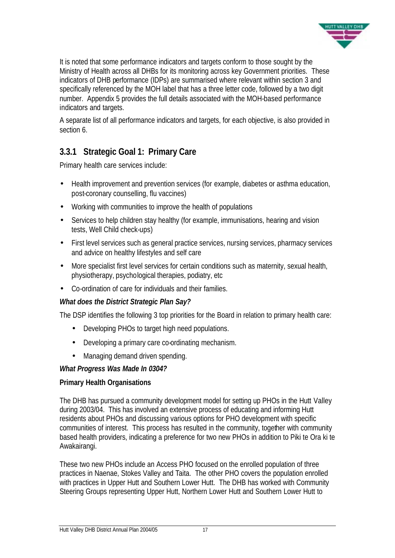

It is noted that some performance indicators and targets conform to those sought by the Ministry of Health across all DHBs for its monitoring across key Government priorities. These indicators of DHB performance (IDPs) are summarised where relevant within section 3 and specifically referenced by the MOH label that has a three letter code, followed by a two digit number. Appendix 5 provides the full details associated with the MOH-based performance indicators and targets.

A separate list of all performance indicators and targets, for each objective, is also provided in section 6.

### **3.3.1 Strategic Goal 1: Primary Care**

Primary health care services include:

- Health improvement and prevention services (for example, diabetes or asthma education, post-coronary counselling, flu vaccines)
- Working with communities to improve the health of populations
- Services to help children stay healthy (for example, immunisations, hearing and vision tests, Well Child check-ups)
- First level services such as general practice services, nursing services, pharmacy services and advice on healthy lifestyles and self care
- More specialist first level services for certain conditions such as maternity, sexual health, physiotherapy, psychological therapies, podiatry, etc
- Co-ordination of care for individuals and their families.

#### *What does the District Strategic Plan Say?*

The DSP identifies the following 3 top priorities for the Board in relation to primary health care:

- Developing PHOs to target high need populations.
- Developing a primary care co-ordinating mechanism.
- Managing demand driven spending.

#### *What Progress Was Made In 0304?*

#### **Primary Health Organisations**

The DHB has pursued a community development model for setting up PHOs in the Hutt Valley during 2003/04. This has involved an extensive process of educating and informing Hutt residents about PHOs and discussing various options for PHO development with specific communities of interest. This process has resulted in the community, together with community based health providers, indicating a preference for two new PHOs in addition to Piki te Ora ki te Awakairangi.

These two new PHOs include an Access PHO focused on the enrolled population of three practices in Naenae, Stokes Valley and Taita. The other PHO covers the population enrolled with practices in Upper Hutt and Southern Lower Hutt. The DHB has worked with Community Steering Groups representing Upper Hutt, Northern Lower Hutt and Southern Lower Hutt to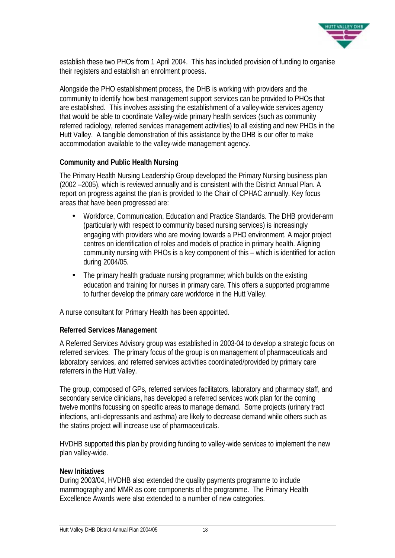

establish these two PHOs from 1 April 2004. This has included provision of funding to organise their registers and establish an enrolment process.

Alongside the PHO establishment process, the DHB is working with providers and the community to identify how best management support services can be provided to PHOs that are established. This involves assisting the establishment of a valley-wide services agency that would be able to coordinate Valley-wide primary health services (such as community referred radiology, referred services management activities) to all existing and new PHOs in the Hutt Valley. A tangible demonstration of this assistance by the DHB is our offer to make accommodation available to the valley-wide management agency.

#### **Community and Public Health Nursing**

The Primary Health Nursing Leadership Group developed the Primary Nursing business plan (2002 –2005), which is reviewed annually and is consistent with the District Annual Plan. A report on progress against the plan is provided to the Chair of CPHAC annually. Key focus areas that have been progressed are:

- Workforce, Communication, Education and Practice Standards. The DHB provider-arm (particularly with respect to community based nursing services) is increasingly engaging with providers who are moving towards a PHO environment. A major project centres on identification of roles and models of practice in primary health. Aligning community nursing with PHOs is a key component of this – which is identified for action during 2004/05.
- The primary health graduate nursing programme; which builds on the existing education and training for nurses in primary care. This offers a supported programme to further develop the primary care workforce in the Hutt Valley.

A nurse consultant for Primary Health has been appointed.

#### **Referred Services Management**

A Referred Services Advisory group was established in 2003-04 to develop a strategic focus on referred services. The primary focus of the group is on management of pharmaceuticals and laboratory services, and referred services activities coordinated/provided by primary care referrers in the Hutt Valley.

The group, composed of GPs, referred services facilitators, laboratory and pharmacy staff, and secondary service clinicians, has developed a referred services work plan for the coming twelve months focussing on specific areas to manage demand. Some projects (urinary tract infections, anti-depressants and asthma) are likely to decrease demand while others such as the statins project will increase use of pharmaceuticals.

HVDHB supported this plan by providing funding to valley-wide services to implement the new plan valley-wide.

#### **New Initiatives**

During 2003/04, HVDHB also extended the quality payments programme to include mammography and MMR as core components of the programme. The Primary Health Excellence Awards were also extended to a number of new categories.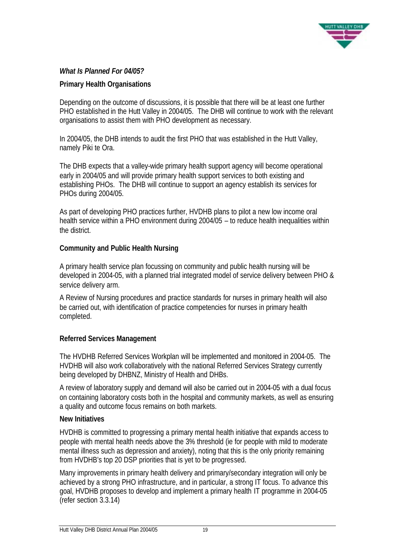

#### *What Is Planned For 04/05?*

#### **Primary Health Organisations**

Depending on the outcome of discussions, it is possible that there will be at least one further PHO established in the Hutt Valley in 2004/05. The DHB will continue to work with the relevant organisations to assist them with PHO development as necessary.

In 2004/05, the DHB intends to audit the first PHO that was established in the Hutt Valley, namely Piki te Ora.

The DHB expects that a valley-wide primary health support agency will become operational early in 2004/05 and will provide primary health support services to both existing and establishing PHOs. The DHB will continue to support an agency establish its services for PHOs during 2004/05.

As part of developing PHO practices further, HVDHB plans to pilot a new low income oral health service within a PHO environment during 2004/05 – to reduce health inequalities within the district.

#### **Community and Public Health Nursing**

A primary health service plan focussing on community and public health nursing will be developed in 2004-05, with a planned trial integrated model of service delivery between PHO & service delivery arm.

A Review of Nursing procedures and practice standards for nurses in primary health will also be carried out, with identification of practice competencies for nurses in primary health completed.

#### **Referred Services Management**

The HVDHB Referred Services Workplan will be implemented and monitored in 2004-05. The HVDHB will also work collaboratively with the national Referred Services Strategy currently being developed by DHBNZ, Ministry of Health and DHBs.

A review of laboratory supply and demand will also be carried out in 2004-05 with a dual focus on containing laboratory costs both in the hospital and community markets, as well as ensuring a quality and outcome focus remains on both markets.

#### **New Initiatives**

HVDHB is committed to progressing a primary mental health initiative that expands access to people with mental health needs above the 3% threshold (ie for people with mild to moderate mental illness such as depression and anxiety), noting that this is the only priority remaining from HVDHB's top 20 DSP priorities that is yet to be progressed.

Many improvements in primary health delivery and primary/secondary integration will only be achieved by a strong PHO infrastructure, and in particular, a strong IT focus. To advance this goal, HVDHB proposes to develop and implement a primary health IT programme in 2004-05 (refer section 3.3.14)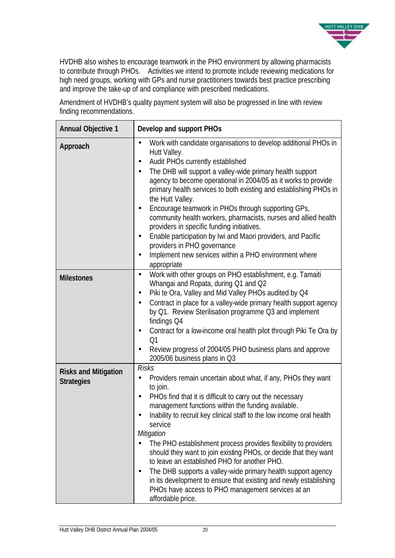

HVDHB also wishes to encourage teamwork in the PHO environment by allowing pharmacists to contribute through PHOs. Activities we intend to promote include reviewing medications for high need groups, working with GPs and nurse practitioners towards best practice prescribing and improve the take-up of and compliance with prescribed medications.

Amendment of HVDHB's quality payment system will also be progressed in line with review finding recommendations.

| <b>Annual Objective 1</b>                        | Develop and support PHOs                                                                                                                                                                                                                                                                                                                                                                                                                                                                                                                                                                                                                                                                                                                                   |
|--------------------------------------------------|------------------------------------------------------------------------------------------------------------------------------------------------------------------------------------------------------------------------------------------------------------------------------------------------------------------------------------------------------------------------------------------------------------------------------------------------------------------------------------------------------------------------------------------------------------------------------------------------------------------------------------------------------------------------------------------------------------------------------------------------------------|
| Approach                                         | Work with candidate organisations to develop additional PHOs in<br>$\bullet$<br>Hutt Valley.<br>Audit PHOs currently established<br>$\bullet$<br>The DHB will support a valley-wide primary health support<br>$\bullet$<br>agency to become operational in 2004/05 as it works to provide<br>primary health services to both existing and establishing PHOs in<br>the Hutt Valley.<br>Encourage teamwork in PHOs through supporting GPs,<br>$\bullet$<br>community health workers, pharmacists, nurses and allied health<br>providers in specific funding initiatives.<br>Enable participation by Iwi and Maori providers, and Pacific<br>$\bullet$<br>providers in PHO governance<br>Implement new services within a PHO environment where<br>appropriate |
| <b>Milestones</b>                                | Work with other groups on PHO establishment, e.g. Tamaiti<br>$\bullet$<br>Whangai and Ropata, during Q1 and Q2<br>Piki te Ora, Valley and Mid Valley PHOs audited by Q4<br>$\bullet$<br>Contract in place for a valley-wide primary health support agency<br>$\bullet$<br>by Q1. Review Sterilisation programme Q3 and implement<br>findings Q4<br>Contract for a low-income oral health pilot through Piki Te Ora by<br>$\bullet$<br>Q <sub>1</sub><br>Review progress of 2004/05 PHO business plans and approve<br>$\bullet$<br>2005/06 business plans in Q3                                                                                                                                                                                             |
| <b>Risks and Mitigation</b><br><b>Strategies</b> | <b>Risks</b><br>Providers remain uncertain about what, if any, PHOs they want<br>$\bullet$<br>to join.<br>PHOs find that it is difficult to carry out the necessary<br>$\bullet$<br>management functions within the funding available.<br>Inability to recruit key clinical staff to the low income oral health<br>service<br>Mitigation<br>The PHO establishment process provides flexibility to providers<br>should they want to join existing PHOs, or decide that they want<br>to leave an established PHO for another PHO.<br>The DHB supports a valley-wide primary health support agency<br>in its development to ensure that existing and newly establishing<br>PHOs have access to PHO management services at an<br>affordable price.             |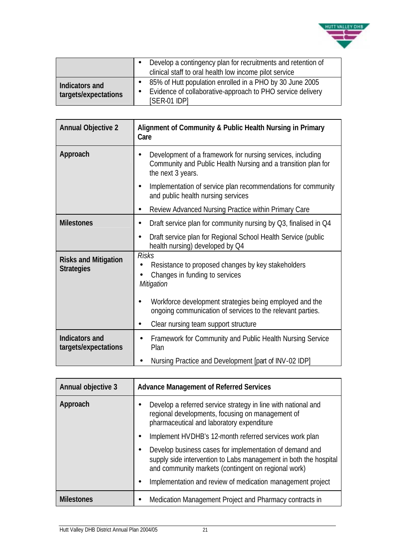

|                                        |           | Develop a contingency plan for recruitments and retention of<br>clinical staff to oral health low income pilot service                 |
|----------------------------------------|-----------|----------------------------------------------------------------------------------------------------------------------------------------|
| Indicators and<br>targets/expectations | $\bullet$ | 85% of Hutt population enrolled in a PHO by 30 June 2005<br>Evidence of collaborative-approach to PHO service delivery<br>[SER-01 IDP] |

| <b>Annual Objective 2</b>                        | Alignment of Community & Public Health Nursing in Primary<br>Care                                                                                             |
|--------------------------------------------------|---------------------------------------------------------------------------------------------------------------------------------------------------------------|
| Approach                                         | Development of a framework for nursing services, including<br>$\bullet$<br>Community and Public Health Nursing and a transition plan for<br>the next 3 years. |
|                                                  | Implementation of service plan recommendations for community<br>$\bullet$<br>and public health nursing services                                               |
|                                                  | Review Advanced Nursing Practice within Primary Care<br>$\bullet$                                                                                             |
| <b>Milestones</b>                                | Draft service plan for community nursing by Q3, finalised in Q4<br>$\bullet$                                                                                  |
|                                                  | Draft service plan for Regional School Health Service (public<br>health nursing) developed by Q4                                                              |
| <b>Risks and Mitigation</b><br><b>Strategies</b> | <b>Risks</b><br>Resistance to proposed changes by key stakeholders<br>Changes in funding to services<br>Mitigation                                            |
|                                                  | Workforce development strategies being employed and the<br>ongoing communication of services to the relevant parties.                                         |
|                                                  | Clear nursing team support structure<br>٠                                                                                                                     |
| <b>Indicators and</b><br>targets/expectations    | Framework for Community and Public Health Nursing Service<br>$\bullet$<br>Plan                                                                                |
|                                                  | Nursing Practice and Development [part of INV-02 IDP]                                                                                                         |

| <b>Annual objective 3</b> | <b>Advance Management of Referred Services</b>                                                                                                                                     |
|---------------------------|------------------------------------------------------------------------------------------------------------------------------------------------------------------------------------|
| Approach                  | Develop a referred service strategy in line with national and<br>regional developments, focusing on management of<br>pharmaceutical and laboratory expenditure                     |
|                           | Implement HVDHB's 12-month referred services work plan                                                                                                                             |
|                           | Develop business cases for implementation of demand and<br>supply side intervention to Labs management in both the hospital<br>and community markets (contingent on regional work) |
|                           | Implementation and review of medication management project                                                                                                                         |
| <b>Milestones</b>         | Medication Management Project and Pharmacy contracts in                                                                                                                            |

place by Q1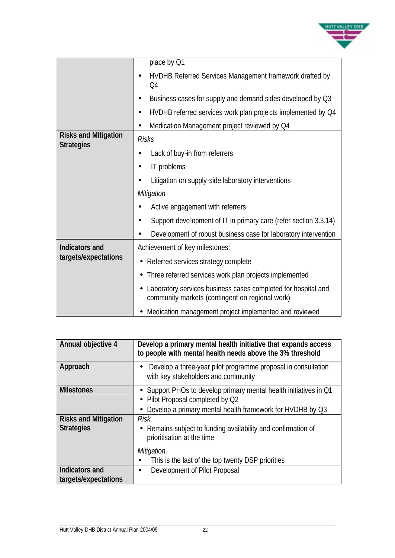

|                                                  | place by Q1                                                                                                      |
|--------------------------------------------------|------------------------------------------------------------------------------------------------------------------|
|                                                  | HVDHB Referred Services Management framework drafted by<br>Q4                                                    |
|                                                  | Business cases for supply and demand sides developed by Q3                                                       |
|                                                  | HVDHB referred services work plan projects implemented by Q4<br>$\bullet$                                        |
|                                                  | Medication Management project reviewed by Q4                                                                     |
| <b>Risks and Mitigation</b><br><b>Strategies</b> | <b>Risks</b>                                                                                                     |
|                                                  | Lack of buy-in from referrers                                                                                    |
|                                                  | IT problems                                                                                                      |
|                                                  | Litigation on supply-side laboratory interventions                                                               |
|                                                  | Mitigation                                                                                                       |
|                                                  | Active engagement with referrers                                                                                 |
|                                                  | Support development of IT in primary care (refer section 3.3.14)                                                 |
|                                                  | Development of robust business case for laboratory intervention                                                  |
| <b>Indicators and</b>                            | Achievement of key milestones:                                                                                   |
| targets/expectations                             | Referred services strategy complete                                                                              |
|                                                  | Three referred services work plan projects implemented                                                           |
|                                                  | Laboratory services business cases completed for hospital and<br>community markets (contingent on regional work) |
|                                                  | Medication management project implemented and reviewed                                                           |

| <b>Annual objective 4</b>                        | Develop a primary mental health initiative that expands access<br>to people with mental health needs above the 3% threshold                                                   |
|--------------------------------------------------|-------------------------------------------------------------------------------------------------------------------------------------------------------------------------------|
| Approach                                         | Develop a three-year pilot programme proposal in consultation<br>$\bullet$<br>with key stakeholders and community                                                             |
| <b>Milestones</b>                                | • Support PHOs to develop primary mental health initiatives in Q1<br>• Pilot Proposal completed by Q2<br>Develop a primary mental health framework for HVDHB by Q3            |
| <b>Risks and Mitigation</b><br><b>Strategies</b> | <b>Risk</b><br>• Remains subject to funding availability and confirmation of<br>prioritisation at the time<br>Mitigation<br>This is the last of the top twenty DSP priorities |
| <b>Indicators and</b><br>targets/expectations    | Development of Pilot Proposal                                                                                                                                                 |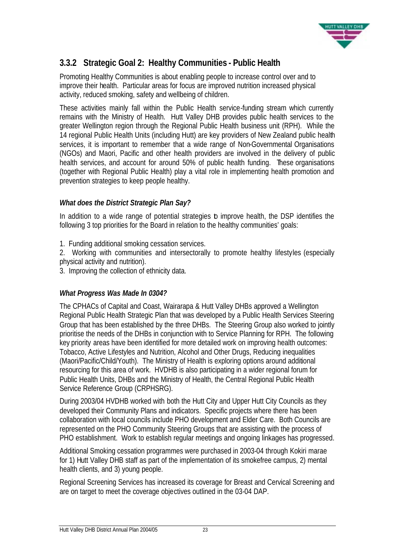

### **3.3.2 Strategic Goal 2: Healthy Communities - Public Health**

Promoting Healthy Communities is about enabling people to increase control over and to improve their health. Particular areas for focus are improved nutrition increased physical activity, reduced smoking, safety and wellbeing of children.

These activities mainly fall within the Public Health service-funding stream which currently remains with the Ministry of Health. Hutt Valley DHB provides public health services to the greater Wellington region through the Regional Public Health business unit (RPH). While the 14 regional Public Health Units (including Hutt) are key providers of New Zealand public health services, it is important to remember that a wide range of Non-Governmental Organisations (NGOs) and Maori, Pacific and other health providers are involved in the delivery of public health services, and account for around 50% of public health funding. These organisations (together with Regional Public Health) play a vital role in implementing health promotion and prevention strategies to keep people healthy.

#### *What does the District Strategic Plan Say?*

In addition to a wide range of potential strategies b improve health, the DSP identifies the following 3 top priorities for the Board in relation to the healthy communities' goals:

1. Funding additional smoking cessation services.

2. Working with communities and intersectorally to promote healthy lifestyles (especially physical activity and nutrition).

3. Improving the collection of ethnicity data.

#### *What Progress Was Made In 0304?*

The CPHACs of Capital and Coast, Wairarapa & Hutt Valley DHBs approved a Wellington Regional Public Health Strategic Plan that was developed by a Public Health Services Steering Group that has been established by the three DHBs. The Steering Group also worked to jointly prioritise the needs of the DHBs in conjunction with to Service Planning for RPH. The following key priority areas have been identified for more detailed work on improving health outcomes: Tobacco, Active Lifestyles and Nutrition, Alcohol and Other Drugs, Reducing inequalities (Maori/Pacific/Child/Youth). The Ministry of Health is exploring options around additional resourcing for this area of work. HVDHB is also participating in a wider regional forum for Public Health Units, DHBs and the Ministry of Health, the Central Regional Public Health Service Reference Group (CRPHSRG).

During 2003/04 HVDHB worked with both the Hutt City and Upper Hutt City Councils as they developed their Community Plans and indicators. Specific projects where there has been collaboration with local councils include PHO development and Elder Care. Both Councils are represented on the PHO Community Steering Groups that are assisting with the process of PHO establishment. Work to establish regular meetings and ongoing linkages has progressed.

Additional Smoking cessation programmes were purchased in 2003-04 through Kokiri marae for 1) Hutt Valley DHB staff as part of the implementation of its smokefree campus, 2) mental health clients, and 3) young people.

Regional Screening Services has increased its coverage for Breast and Cervical Screening and are on target to meet the coverage objectives outlined in the 03-04 DAP.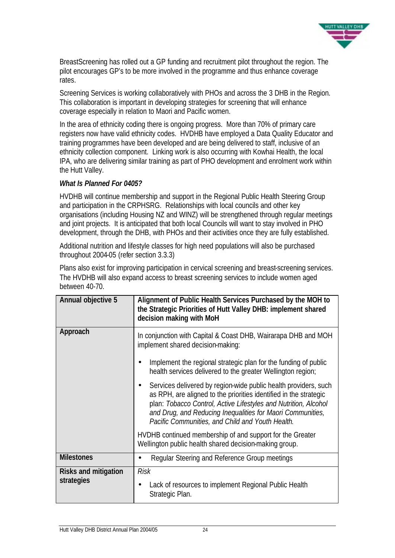

BreastScreening has rolled out a GP funding and recruitment pilot throughout the region. The pilot encourages GP's to be more involved in the programme and thus enhance coverage rates.

Screening Services is working collaboratively with PHOs and across the 3 DHB in the Region. This collaboration is important in developing strategies for screening that will enhance coverage especially in relation to Maori and Pacific women.

In the area of ethnicity coding there is ongoing progress. More than 70% of primary care registers now have valid ethnicity codes. HVDHB have employed a Data Quality Educator and training programmes have been developed and are being delivered to staff, inclusive of an ethnicity collection component. Linking work is also occurring with Kowhai Health, the local IPA, who are delivering similar training as part of PHO development and enrolment work within the Hutt Valley.

#### *What Is Planned For 0405?*

HVDHB will continue membership and support in the Regional Public Health Steering Group and participation in the CRPHSRG. Relationships with local councils and other key organisations (including Housing NZ and WINZ) will be strengthened through regular meetings and joint projects. It is anticipated that both local Councils will want to stay involved in PHO development, through the DHB, with PHOs and their activities once they are fully established.

Additional nutrition and lifestyle classes for high need populations will also be purchased throughout 2004-05 (refer section 3.3.3)

Plans also exist for improving participation in cervical screening and breast-screening services. The HVDHB will also expand access to breast screening services to include women aged between 40-70.

| Annual objective 5                        | Alignment of Public Health Services Purchased by the MOH to<br>the Strategic Priorities of Hutt Valley DHB: implement shared<br>decision making with MoH                                                                                                                                                                               |
|-------------------------------------------|----------------------------------------------------------------------------------------------------------------------------------------------------------------------------------------------------------------------------------------------------------------------------------------------------------------------------------------|
| Approach                                  | In conjunction with Capital & Coast DHB, Wairarapa DHB and MOH<br>implement shared decision-making:<br>Implement the regional strategic plan for the funding of public                                                                                                                                                                 |
|                                           | health services delivered to the greater Wellington region;                                                                                                                                                                                                                                                                            |
|                                           | Services delivered by region-wide public health providers, such<br>$\bullet$<br>as RPH, are aligned to the priorities identified in the strategic<br>plan: Tobacco Control, Active Lifestyles and Nutrition, Alcohol<br>and Drug, and Reducing Inequalities for Maori Communities,<br>Pacific Communities, and Child and Youth Health. |
|                                           | HVDHB continued membership of and support for the Greater<br>Wellington public health shared decision-making group.                                                                                                                                                                                                                    |
| <b>Milestones</b>                         | Regular Steering and Reference Group meetings                                                                                                                                                                                                                                                                                          |
| <b>Risks and mitigation</b><br>strategies | <b>Risk</b><br>Lack of resources to implement Regional Public Health<br>Strategic Plan.                                                                                                                                                                                                                                                |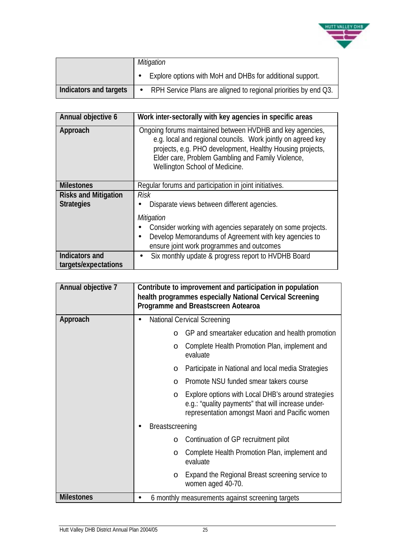

|                        |                          | Mitigation                                                      |  |
|------------------------|--------------------------|-----------------------------------------------------------------|--|
|                        |                          | Explore options with MoH and DHBs for additional support.       |  |
| Indicators and targets | $\mathbf{r}$ . $\bullet$ | RPH Service Plans are aligned to regional priorities by end Q3. |  |

| Annual objective 6          | Work inter-sectorally with key agencies in specific areas                                                                                                                                                                                                                     |
|-----------------------------|-------------------------------------------------------------------------------------------------------------------------------------------------------------------------------------------------------------------------------------------------------------------------------|
| Approach                    | Ongoing forums maintained between HVDHB and key agencies,<br>e.g. local and regional councils. Work jointly on agreed key<br>projects, e.g. PHO development, Healthy Housing projects,<br>Elder care, Problem Gambling and Family Violence,<br>Wellington School of Medicine. |
| <b>Milestones</b>           | Regular forums and participation in joint initiatives.                                                                                                                                                                                                                        |
| <b>Risks and Mitigation</b> | <b>Risk</b>                                                                                                                                                                                                                                                                   |
| <b>Strategies</b>           | Disparate views between different agencies.                                                                                                                                                                                                                                   |
|                             | Mitigation                                                                                                                                                                                                                                                                    |
|                             | Consider working with agencies separately on some projects.                                                                                                                                                                                                                   |
|                             | Develop Memorandums of Agreement with key agencies to                                                                                                                                                                                                                         |
|                             | ensure joint work programmes and outcomes                                                                                                                                                                                                                                     |
| <b>Indicators and</b>       | Six monthly update & progress report to HVDHB Board<br>$\bullet$                                                                                                                                                                                                              |
| targets/expectations        |                                                                                                                                                                                                                                                                               |

| Annual objective 7 | Contribute to improvement and participation in population<br>health programmes especially National Cervical Screening<br>Programme and Breastscreen Aotearoa          |
|--------------------|-----------------------------------------------------------------------------------------------------------------------------------------------------------------------|
| Approach           | <b>National Cervical Screening</b>                                                                                                                                    |
|                    | GP and smeartaker education and health promotion<br>O                                                                                                                 |
|                    | Complete Health Promotion Plan, implement and<br>$\circ$<br>evaluate                                                                                                  |
|                    | Participate in National and local media Strategies<br>O                                                                                                               |
|                    | Promote NSU funded smear takers course<br>$\Omega$                                                                                                                    |
|                    | Explore options with Local DHB's around strategies<br>$\circ$<br>e.g.: "quality payments" that will increase under-<br>representation amongst Maori and Pacific women |
|                    | Breastscreening                                                                                                                                                       |
|                    | Continuation of GP recruitment pilot<br>O                                                                                                                             |
|                    | Complete Health Promotion Plan, implement and<br>$\circ$<br>evaluate                                                                                                  |
|                    | Expand the Regional Breast screening service to<br>$\circ$<br>women aged 40-70.                                                                                       |
| <b>Milestones</b>  | 6 monthly measurements against screening targets                                                                                                                      |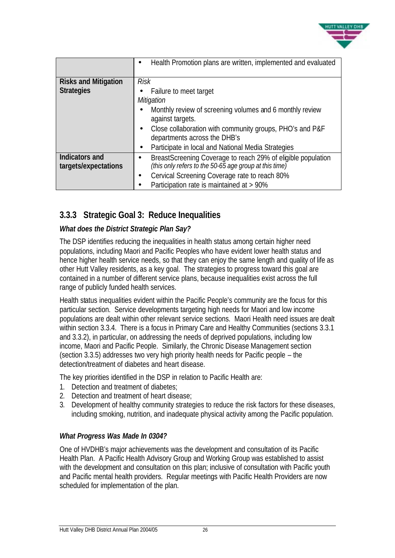

|                                                  | Health Promotion plans are written, implemented and evaluated                                                                                                                                                                                                                                                   |
|--------------------------------------------------|-----------------------------------------------------------------------------------------------------------------------------------------------------------------------------------------------------------------------------------------------------------------------------------------------------------------|
| <b>Risks and Mitigation</b><br><b>Strategies</b> | <b>Risk</b><br>Failure to meet target<br>Mitigation<br>Monthly review of screening volumes and 6 monthly review<br>against targets.<br>Close collaboration with community groups, PHO's and P&F<br>$\bullet$<br>departments across the DHB's<br>Participate in local and National Media Strategies<br>$\bullet$ |
| <b>Indicators and</b><br>targets/expectations    | BreastScreening Coverage to reach 29% of eligible population<br>$\bullet$<br>(this only refers to the 50-65 age group at this time)<br>Cervical Screening Coverage rate to reach 80%<br>$\bullet$<br>Participation rate is maintained at > 90%                                                                  |

#### **3.3.3 Strategic Goal 3: Reduce Inequalities**

#### *What does the District Strategic Plan Say?*

The DSP identifies reducing the inequalities in health status among certain higher need populations, including Maori and Pacific Peoples who have evident lower health status and hence higher health service needs, so that they can enjoy the same length and quality of life as other Hutt Valley residents, as a key goal. The strategies to progress toward this goal are contained in a number of different service plans, because inequalities exist across the full range of publicly funded health services.

Health status inequalities evident within the Pacific People's community are the focus for this particular section. Service developments targeting high needs for Maori and low income populations are dealt within other relevant service sections. Maori Health need issues are dealt within section 3.3.4. There is a focus in Primary Care and Healthy Communities (sections 3.3.1 and 3.3.2), in particular, on addressing the needs of deprived populations, including low income, Maori and Pacific People. Similarly, the Chronic Disease Management section (section 3.3.5) addresses two very high priority health needs for Pacific people – the detection/treatment of diabetes and heart disease.

The key priorities identified in the DSP in relation to Pacific Health are:

- 1. Detection and treatment of diabetes;
- 2. Detection and treatment of heart disease;
- 3. Development of healthy community strategies to reduce the risk factors for these diseases, including smoking, nutrition, and inadequate physical activity among the Pacific population.

#### *What Progress Was Made In 0304?*

One of HVDHB's major achievements was the development and consultation of its Pacific Health Plan. A Pacific Health Advisory Group and Working Group was established to assist with the development and consultation on this plan; inclusive of consultation with Pacific youth and Pacific mental health providers. Regular meetings with Pacific Health Providers are now scheduled for implementation of the plan.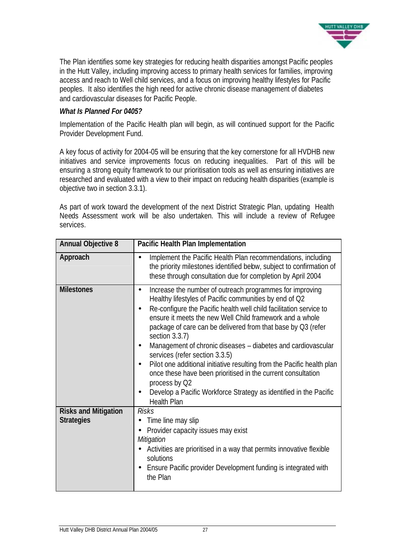

The Plan identifies some key strategies for reducing health disparities amongst Pacific peoples in the Hutt Valley, including improving access to primary health services for families, improving access and reach to Well child services, and a focus on improving healthy lifestyles for Pacific peoples. It also identifies the high need for active chronic disease management of diabetes and cardiovascular diseases for Pacific People.

#### *What Is Planned For 0405?*

Implementation of the Pacific Health plan will begin, as will continued support for the Pacific Provider Development Fund.

A key focus of activity for 2004-05 will be ensuring that the key cornerstone for all HVDHB new initiatives and service improvements focus on reducing inequalities. Part of this will be ensuring a strong equity framework to our prioritisation tools as well as ensuring initiatives are researched and evaluated with a view to their impact on reducing health disparities (example is objective two in section 3.3.1).

As part of work toward the development of the next District Strategic Plan, updating Health Needs Assessment work will be also undertaken. This will include a review of Refugee services.

| <b>Annual Objective 8</b>                        | <b>Pacific Health Plan Implementation</b>                                                                                                                                                                                                                                                                                                                                                                                                                                                                                                                                                                                                                                                                                                               |
|--------------------------------------------------|---------------------------------------------------------------------------------------------------------------------------------------------------------------------------------------------------------------------------------------------------------------------------------------------------------------------------------------------------------------------------------------------------------------------------------------------------------------------------------------------------------------------------------------------------------------------------------------------------------------------------------------------------------------------------------------------------------------------------------------------------------|
| Approach                                         | Implement the Pacific Health Plan recommendations, including<br>$\bullet$<br>the priority milestones identified bebw, subject to confirmation of<br>these through consultation due for completion by April 2004                                                                                                                                                                                                                                                                                                                                                                                                                                                                                                                                         |
| <b>Milestones</b>                                | Increase the number of outreach programmes for improving<br>$\bullet$<br>Healthy lifestyles of Pacific communities by end of Q2<br>Re-configure the Pacific health well child facilitation service to<br>$\bullet$<br>ensure it meets the new Well Child framework and a whole<br>package of care can be delivered from that base by Q3 (refer<br>section 3.3.7)<br>Management of chronic diseases - diabetes and cardiovascular<br>$\bullet$<br>services (refer section 3.3.5)<br>Pilot one additional initiative resulting from the Pacific health plan<br>$\bullet$<br>once these have been prioritised in the current consultation<br>process by Q2<br>Develop a Pacific Workforce Strategy as identified in the Pacific<br>٠<br><b>Health Plan</b> |
| <b>Risks and Mitigation</b><br><b>Strategies</b> | <b>Risks</b><br>Time line may slip<br>Provider capacity issues may exist<br>Mitigation<br>Activities are prioritised in a way that permits innovative flexible<br>solutions<br>Ensure Pacific provider Development funding is integrated with<br>the Plan                                                                                                                                                                                                                                                                                                                                                                                                                                                                                               |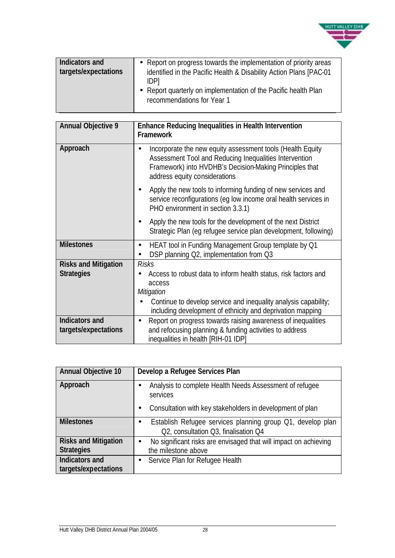

| Indicators and<br>targets/expectations | • Report on progress towards the implementation of priority areas<br>identified in the Pacific Health & Disability Action Plans [PAC-01<br><b>IDPI</b><br>• Report quarterly on implementation of the Pacific health Plan |
|----------------------------------------|---------------------------------------------------------------------------------------------------------------------------------------------------------------------------------------------------------------------------|
|                                        | recommendations for Year 1                                                                                                                                                                                                |

| <b>Annual Objective 9</b>                        | <b>Enhance Reducing Inequalities in Health Intervention</b><br><b>Framework</b>                                                                                                                                                          |
|--------------------------------------------------|------------------------------------------------------------------------------------------------------------------------------------------------------------------------------------------------------------------------------------------|
| Approach                                         | Incorporate the new equity assessment tools (Health Equity<br>$\bullet$<br>Assessment Tool and Reducing Inequalities Intervention<br>Framework) into HVDHB's Decision-Making Principles that<br>address equity considerations            |
|                                                  | Apply the new tools to informing funding of new services and<br>service reconfigurations (eg low income oral health services in<br>PHO environment in section 3.3.1)                                                                     |
|                                                  | Apply the new tools for the development of the next District<br>Strategic Plan (eg refugee service plan development, following)                                                                                                          |
| <b>Milestones</b>                                | HEAT tool in Funding Management Group template by Q1<br>$\bullet$<br>DSP planning Q2, implementation from Q3                                                                                                                             |
| <b>Risks and Mitigation</b><br><b>Strategies</b> | <b>Risks</b><br>Access to robust data to inform health status, risk factors and<br>access<br>Mitigation<br>Continue to develop service and inequality analysis capability;<br>including development of ethnicity and deprivation mapping |
| <b>Indicators and</b><br>targets/expectations    | Report on progress towards raising awareness of inequalities<br>$\bullet$<br>and refocusing planning & funding activities to address<br>inequalities in health [RIH-01 IDP]                                                              |

| <b>Annual Objective 10</b>                       | Develop a Refugee Services Plan                                                                      |
|--------------------------------------------------|------------------------------------------------------------------------------------------------------|
| Approach                                         | Analysis to complete Health Needs Assessment of refugee<br>services                                  |
|                                                  | Consultation with key stakeholders in development of plan                                            |
| <b>Milestones</b>                                | Establish Refugee services planning group Q1, develop plan<br>Q2, consultation Q3, finalisation Q4   |
| <b>Risks and Mitigation</b><br><b>Strategies</b> | No significant risks are envisaged that will impact on achieving<br>$\bullet$<br>the milestone above |
| <b>Indicators and</b><br>targets/expectations    | Service Plan for Refugee Health<br>$\bullet$                                                         |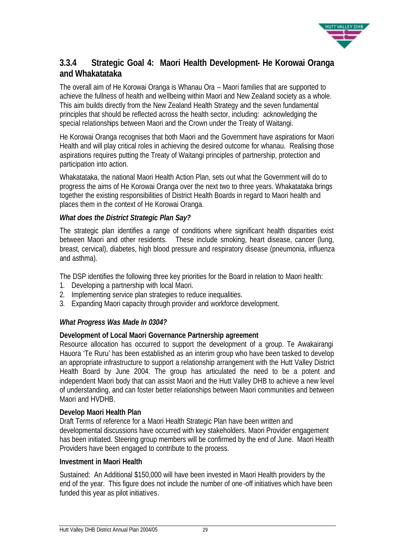

#### **3.3.4 Strategic Goal 4: Maori Health Development- He Korowai Oranga and Whakatataka**

The overall aim of He Korowai Oranga is Whanau Ora – Maori families that are supported to achieve the fullness of health and wellbeing within Maori and New Zealand society as a whole. This aim builds directly from the New Zealand Health Strategy and the seven fundamental principles that should be reflected across the health sector, including: acknowledging the special relationships between Maori and the Crown under the Treaty of Waitangi.

He Korowai Oranga recognises that both Maori and the Government have aspirations for Maori Health and will play critical roles in achieving the desired outcome for whanau. Realising those aspirations requires putting the Treaty of Waitangi principles of partnership, protection and participation into action.

Whakatataka, the national Maori Health Action Plan, sets out what the Government will do to progress the aims of He Korowai Oranga over the next two to three years. Whakatataka brings together the existing responsibilities of District Health Boards in regard to Maori health and places them in the context of He Korowai Oranga.

#### *What does the District Strategic Plan Say?*

The strategic plan identifies a range of conditions where significant health disparities exist between Maori and other residents. These include smoking, heart disease, cancer (lung, breast, cervical), diabetes, high blood pressure and respiratory disease (pneumonia, influenza and asthma).

The DSP identifies the following three key priorities for the Board in relation to Maori health:

- 1. Developing a partnership with local Maori.
- 2. Implementing service plan strategies to reduce inequalities.
- 3. Expanding Maori capacity through provider and workforce development.

#### *What Progress Was Made In 0304?*

#### **Development of Local Maori Governance Partnership agreement**

Resource allocation has occurred to support the development of a group. Te Awakairangi Hauora 'Te Ruru' has been established as an interim group who have been tasked to develop an appropriate infrastructure to support a relationship arrangement with the Hutt Valley District Health Board by June 2004. The group has articulated the need to be a potent and independent Maori body that can assist Maori and the Hutt Valley DHB to achieve a new level of understanding, and can foster better relationships between Maori communities and between Maori and HVDHB.

#### **Develop Maori Health Plan**

Draft Terms of reference for a Maori Health Strategic Plan have been written and developmental discussions have occurred with key stakeholders. Maori Provider engagement has been initiated. Steering group members will be confirmed by the end of June. Maori Health Providers have been engaged to contribute to the process.

#### **Investment in Maori Health**

Sustained: An Additional \$150,000 will have been invested in Maori Health providers by the end of the year. This figure does not include the number of one -off initiatives which have been funded this year as pilot initiatives.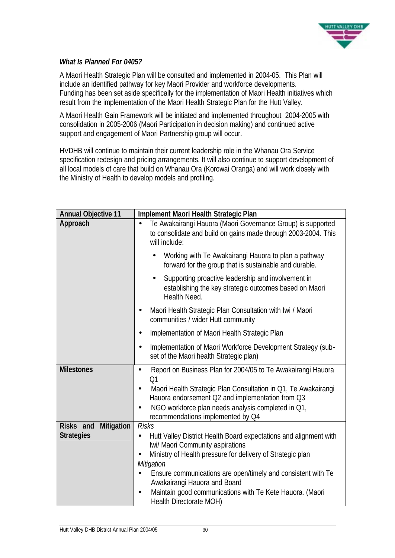

#### *What Is Planned For 0405?*

A Maori Health Strategic Plan will be consulted and implemented in 2004-05. This Plan will include an identified pathway for key Maori Provider and workforce developments. Funding has been set aside specifically for the implementation of Maori Health initiatives which result from the implementation of the Maori Health Strategic Plan for the Hutt Valley.

A Maori Health Gain Framework will be initiated and implemented throughout 2004-2005 with consolidation in 2005-2006 (Maori Participation in decision making) and continued active support and engagement of Maori Partnership group will occur.

HVDHB will continue to maintain their current leadership role in the Whanau Ora Service specification redesign and pricing arrangements. It will also continue to support development of all local models of care that build on Whanau Ora (Korowai Oranga) and will work closely with the Ministry of Health to develop models and profiling.

| <b>Annual Objective 11</b>     | <b>Implement Maori Health Strategic Plan</b>                                                                                                   |
|--------------------------------|------------------------------------------------------------------------------------------------------------------------------------------------|
| Approach                       | Te Awakairangi Hauora (Maori Governance Group) is supported<br>to consolidate and build on gains made through 2003-2004. This<br>will include: |
|                                | Working with Te Awakairangi Hauora to plan a pathway<br>forward for the group that is sustainable and durable.                                 |
|                                | Supporting proactive leadership and involvement in<br>$\bullet$<br>establishing the key strategic outcomes based on Maori<br>Health Need.      |
|                                | Maori Health Strategic Plan Consultation with Iwi / Maori<br>communities / wider Hutt community                                                |
|                                | Implementation of Maori Health Strategic Plan<br>$\bullet$                                                                                     |
|                                | Implementation of Maori Workforce Development Strategy (sub-<br>set of the Maori health Strategic plan)                                        |
| <b>Milestones</b>              | Report on Business Plan for 2004/05 to Te Awakairangi Hauora<br>$\bullet$<br>Ω1                                                                |
|                                | Maori Health Strategic Plan Consultation in Q1, Te Awakairangi<br>$\bullet$<br>Hauora endorsement Q2 and implementation from Q3                |
|                                | NGO workforce plan needs analysis completed in Q1,<br>recommendations implemented by Q4                                                        |
| <b>Mitigation</b><br>Risks and | <b>Risks</b>                                                                                                                                   |
| <b>Strategies</b>              | Hutt Valley District Health Board expectations and alignment with<br>$\bullet$<br>Iwi/ Maori Community aspirations                             |
|                                | Ministry of Health pressure for delivery of Strategic plan                                                                                     |
|                                | Mitigation                                                                                                                                     |
|                                | Ensure communications are open/timely and consistent with Te                                                                                   |
|                                | Awakairangi Hauora and Board                                                                                                                   |
|                                | Maintain good communications with Te Kete Hauora. (Maori<br>Health Directorate MOH)                                                            |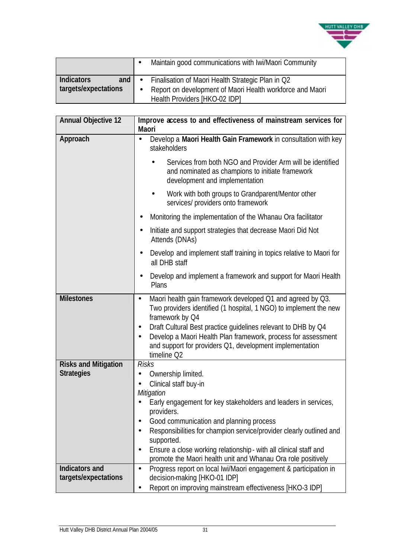

|                                                    | Maintain good communications with Iwi/Maori Community                                                                                           |
|----------------------------------------------------|-------------------------------------------------------------------------------------------------------------------------------------------------|
| <b>Indicators</b><br>and I<br>targets/expectations | Finalisation of Maori Health Strategic Plan in Q2<br>Report on development of Maori Health workforce and Maori<br>Health Providers [HKO-02 IDP] |

| <b>Annual Objective 12</b>                    | Improve access to and effectiveness of mainstream services for<br>Maori                                                                                                                                                                                                                                                                                                                                |
|-----------------------------------------------|--------------------------------------------------------------------------------------------------------------------------------------------------------------------------------------------------------------------------------------------------------------------------------------------------------------------------------------------------------------------------------------------------------|
| Approach                                      | Develop a Maori Health Gain Framework in consultation with key<br>$\bullet$<br>stakeholders                                                                                                                                                                                                                                                                                                            |
|                                               | Services from both NGO and Provider Arm will be identified<br>and nominated as champions to initiate framework<br>development and implementation                                                                                                                                                                                                                                                       |
|                                               | Work with both groups to Grandparent/Mentor other<br>services/ providers onto framework                                                                                                                                                                                                                                                                                                                |
|                                               | Monitoring the implementation of the Whanau Ora facilitator                                                                                                                                                                                                                                                                                                                                            |
|                                               | Initiate and support strategies that decrease Maori Did Not<br>$\bullet$<br>Attends (DNAs)                                                                                                                                                                                                                                                                                                             |
|                                               | Develop and implement staff training in topics relative to Maori for<br>all DHB staff                                                                                                                                                                                                                                                                                                                  |
|                                               | Develop and implement a framework and support for Maori Health<br>Plans                                                                                                                                                                                                                                                                                                                                |
| <b>Milestones</b>                             | Maori health gain framework developed Q1 and agreed by Q3.<br>$\bullet$<br>Two providers identified (1 hospital, 1 NGO) to implement the new<br>framework by Q4<br>Draft Cultural Best practice guidelines relevant to DHB by Q4<br>$\bullet$<br>Develop a Maori Health Plan framework, process for assessment<br>$\bullet$<br>and support for providers Q1, development implementation<br>timeline Q2 |
| <b>Risks and Mitigation</b>                   | <b>Risks</b>                                                                                                                                                                                                                                                                                                                                                                                           |
| <b>Strategies</b>                             | Ownership limited.<br>$\bullet$<br>Clinical staff buy-in                                                                                                                                                                                                                                                                                                                                               |
|                                               | Mitigation                                                                                                                                                                                                                                                                                                                                                                                             |
|                                               | Early engagement for key stakeholders and leaders in services,<br>providers.                                                                                                                                                                                                                                                                                                                           |
|                                               | Good communication and planning process                                                                                                                                                                                                                                                                                                                                                                |
|                                               | Responsibilities for champion service/provider clearly outlined and<br>supported.                                                                                                                                                                                                                                                                                                                      |
|                                               | Ensure a close working relationship - with all clinical staff and<br>$\bullet$<br>promote the Maori health unit and Whanau Ora role positively                                                                                                                                                                                                                                                         |
| <b>Indicators and</b><br>targets/expectations | Progress report on local Iwi/Maori engagement & participation in<br>$\bullet$<br>decision-making [HKO-01 IDP]                                                                                                                                                                                                                                                                                          |
|                                               | Report on improving mainstream effectiveness [HKO-3 IDP]                                                                                                                                                                                                                                                                                                                                               |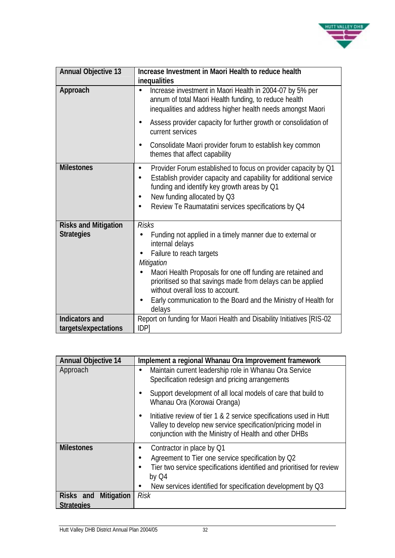

| <b>Annual Objective 13</b>                       | Increase Investment in Maori Health to reduce health<br>inequalities                                                                                                                                                                                                                                                                                                                               |  |
|--------------------------------------------------|----------------------------------------------------------------------------------------------------------------------------------------------------------------------------------------------------------------------------------------------------------------------------------------------------------------------------------------------------------------------------------------------------|--|
| Approach                                         | Increase investment in Maori Health in 2004-07 by 5% per<br>$\bullet$<br>annum of total Maori Health funding, to reduce health<br>inequalities and address higher health needs amongst Maori                                                                                                                                                                                                       |  |
|                                                  | Assess provider capacity for further growth or consolidation of<br>$\bullet$<br>current services                                                                                                                                                                                                                                                                                                   |  |
|                                                  | Consolidate Maori provider forum to establish key common<br>$\bullet$<br>themes that affect capability                                                                                                                                                                                                                                                                                             |  |
| <b>Milestones</b>                                | Provider Forum established to focus on provider capacity by Q1<br>$\bullet$<br>Establish provider capacity and capability for additional service<br>$\bullet$<br>funding and identify key growth areas by Q1<br>New funding allocated by Q3<br>$\bullet$<br>Review Te Raumatatini services specifications by Q4<br>$\bullet$                                                                       |  |
| <b>Risks and Mitigation</b><br><b>Strategies</b> | <b>Risks</b><br>Funding not applied in a timely manner due to external or<br>internal delays<br>Failure to reach targets<br>$\bullet$<br>Mitigation<br>Maori Health Proposals for one off funding are retained and<br>prioritised so that savings made from delays can be applied<br>without overall loss to account.<br>Early communication to the Board and the Ministry of Health for<br>delays |  |
| <b>Indicators and</b><br>targets/expectations    | Report on funding for Maori Health and Disability Initiatives [RIS-02<br><b>IDPI</b>                                                                                                                                                                                                                                                                                                               |  |

| <b>Annual Objective 14</b>     | Implement a regional Whanau Ora Improvement framework                                                                                                                                                                                        |  |  |
|--------------------------------|----------------------------------------------------------------------------------------------------------------------------------------------------------------------------------------------------------------------------------------------|--|--|
| Approach                       | Maintain current leadership role in Whanau Ora Service<br>Specification redesign and pricing arrangements                                                                                                                                    |  |  |
|                                | Support development of all local models of care that build to<br>Whanau Ora (Korowai Oranga)                                                                                                                                                 |  |  |
|                                | Initiative review of tier 1 & 2 service specifications used in Hutt<br>Valley to develop new service specification/pricing model in<br>conjunction with the Ministry of Health and other DHBs                                                |  |  |
| <b>Milestones</b>              | Contractor in place by Q1<br>Agreement to Tier one service specification by Q2<br>Tier two service specifications identified and prioritised for review<br>$\bullet$<br>by Q4<br>New services identified for specification development by Q3 |  |  |
| <b>Mitigation</b><br>Risks and | <b>Risk</b>                                                                                                                                                                                                                                  |  |  |
| <b>Strategies</b>              |                                                                                                                                                                                                                                              |  |  |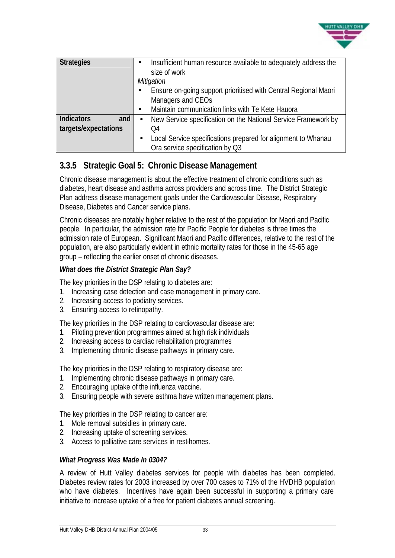

| <b>Strategies</b>        | Insufficient human resource available to adequately address the             |  |
|--------------------------|-----------------------------------------------------------------------------|--|
|                          | size of work                                                                |  |
|                          | <b>Mitigation</b>                                                           |  |
|                          | Ensure on-going support prioritised with Central Regional Maori             |  |
|                          | Managers and CEOs                                                           |  |
|                          | Maintain communication links with Te Kete Hauora<br>$\bullet$               |  |
| <b>Indicators</b><br>and | New Service specification on the National Service Framework by<br>$\bullet$ |  |
| targets/expectations     | O4                                                                          |  |
|                          | Local Service specifications prepared for alignment to Whanau<br>$\bullet$  |  |
|                          | Ora service specification by Q3                                             |  |

# **3.3.5 Strategic Goal 5: Chronic Disease Management**

Chronic disease management is about the effective treatment of chronic conditions such as diabetes, heart disease and asthma across providers and across time. The District Strategic Plan address disease management goals under the Cardiovascular Disease, Respiratory Disease, Diabetes and Cancer service plans.

Chronic diseases are notably higher relative to the rest of the population for Maori and Pacific people. In particular, the admission rate for Pacific People for diabetes is three times the admission rate of European. Significant Maori and Pacific differences, relative to the rest of the population, are also particularly evident in ethnic mortality rates for those in the 45-65 age group – reflecting the earlier onset of chronic diseases.

## *What does the District Strategic Plan Say?*

The key priorities in the DSP relating to diabetes are:

- 1. Increasing case detection and case management in primary care.
- 2. Increasing access to podiatry services.
- 3. Ensuring access to retinopathy.

The key priorities in the DSP relating to cardiovascular disease are:

- 1. Piloting prevention programmes aimed at high risk individuals
- 2. Increasing access to cardiac rehabilitation programmes
- 3. Implementing chronic disease pathways in primary care.

The key priorities in the DSP relating to respiratory disease are:

- 1. Implementing chronic disease pathways in primary care.
- 2. Encouraging uptake of the influenza vaccine.
- 3. Ensuring people with severe asthma have written management plans.

The key priorities in the DSP relating to cancer are:

- 1. Mole removal subsidies in primary care.
- 2. Increasing uptake of screening services.
- 3. Access to palliative care services in rest-homes.

## *What Progress Was Made In 0304?*

A review of Hutt Valley diabetes services for people with diabetes has been completed. Diabetes review rates for 2003 increased by over 700 cases to 71% of the HVDHB population who have diabetes. Incentives have again been successful in supporting a primary care initiative to increase uptake of a free for patient diabetes annual screening.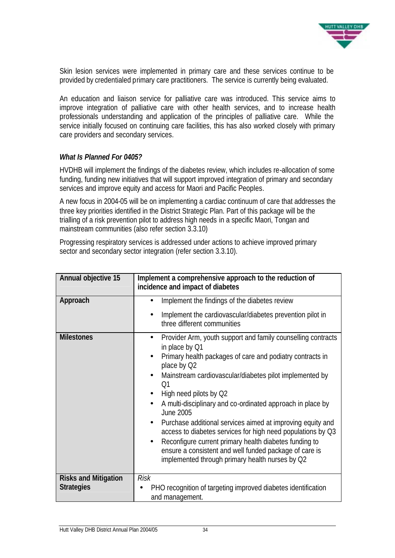

Skin lesion services were implemented in primary care and these services continue to be provided by credentialed primary care practitioners. The service is currently being evaluated.

An education and liaison service for palliative care was introduced. This service aims to improve integration of palliative care with other health services, and to increase health professionals understanding and application of the principles of palliative care. While the service initially focused on continuing care facilities, this has also worked closely with primary care providers and secondary services.

#### *What Is Planned For 0405?*

HVDHB will implement the findings of the diabetes review, which includes re-allocation of some funding, funding new initiatives that will support improved integration of primary and secondary services and improve equity and access for Maori and Pacific Peoples.

A new focus in 2004-05 will be on implementing a cardiac continuum of care that addresses the three key priorities identified in the District Strategic Plan. Part of this package will be the trialling of a risk prevention pilot to address high needs in a specific Maori, Tongan and mainstream communities (also refer section 3.3.10)

Progressing respiratory services is addressed under actions to achieve improved primary sector and secondary sector integration (refer section 3.3.10).

| Annual objective 15                              | Implement a comprehensive approach to the reduction of<br>incidence and impact of diabetes                                                                                                                                                                                                                                                                                                                                                                                                                                                                                                                                                                                              |  |  |
|--------------------------------------------------|-----------------------------------------------------------------------------------------------------------------------------------------------------------------------------------------------------------------------------------------------------------------------------------------------------------------------------------------------------------------------------------------------------------------------------------------------------------------------------------------------------------------------------------------------------------------------------------------------------------------------------------------------------------------------------------------|--|--|
| Approach                                         | Implement the findings of the diabetes review                                                                                                                                                                                                                                                                                                                                                                                                                                                                                                                                                                                                                                           |  |  |
|                                                  | Implement the cardiovascular/diabetes prevention pilot in<br>three different communities                                                                                                                                                                                                                                                                                                                                                                                                                                                                                                                                                                                                |  |  |
| <b>Milestones</b>                                | Provider Arm, youth support and family counselling contracts<br>$\bullet$<br>in place by Q1<br>Primary health packages of care and podiatry contracts in<br>$\bullet$<br>place by Q2<br>Mainstream cardiovascular/diabetes pilot implemented by<br>O <sub>1</sub><br>High need pilots by Q2<br>A multi-disciplinary and co-ordinated approach in place by<br>June 2005<br>Purchase additional services aimed at improving equity and<br>$\bullet$<br>access to diabetes services for high need populations by Q3<br>Reconfigure current primary health diabetes funding to<br>ensure a consistent and well funded package of care is<br>implemented through primary health nurses by Q2 |  |  |
| <b>Risks and Mitigation</b><br><b>Strategies</b> | <b>Risk</b><br>PHO recognition of targeting improved diabetes identification<br>and management.                                                                                                                                                                                                                                                                                                                                                                                                                                                                                                                                                                                         |  |  |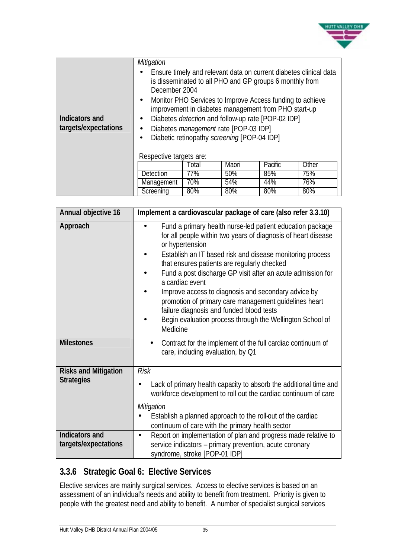

|                       | Mitigation                                                                                                                                    |       |       |                                                                                                                   |       |
|-----------------------|-----------------------------------------------------------------------------------------------------------------------------------------------|-------|-------|-------------------------------------------------------------------------------------------------------------------|-------|
|                       | Ensure timely and relevant data on current diabetes clinical data<br>is disseminated to all PHO and GP groups 6 monthly from<br>December 2004 |       |       |                                                                                                                   |       |
|                       | $\bullet$                                                                                                                                     |       |       | Monitor PHO Services to Improve Access funding to achieve<br>improvement in diabetes management from PHO start-up |       |
| <b>Indicators and</b> | Diabetes <i>detection</i> and follow-up rate [POP-02 IDP]<br>$\bullet$                                                                        |       |       |                                                                                                                   |       |
| targets/expectations  | Diabetes management rate [POP-03 IDP]                                                                                                         |       |       |                                                                                                                   |       |
|                       | Diabetic retinopathy screening [POP-04 IDP]                                                                                                   |       |       |                                                                                                                   |       |
|                       |                                                                                                                                               |       |       |                                                                                                                   |       |
|                       | Respective targets are:                                                                                                                       |       |       |                                                                                                                   |       |
|                       |                                                                                                                                               | Total | Maori | Pacific                                                                                                           | Other |
|                       | Detection                                                                                                                                     | 77%   | 50%   | 85%                                                                                                               | 75%   |
|                       | Management                                                                                                                                    | 70%   | 54%   | 44%                                                                                                               | 76%   |
|                       | Screening                                                                                                                                     | 80%   | 80%   | 80%                                                                                                               | 80%   |

| Annual objective 16                              | Implement a cardiovascular package of care (also refer 3.3.10)                                                                                                                                                                                                                                                                                                                                                                                                                                                                                                                   |
|--------------------------------------------------|----------------------------------------------------------------------------------------------------------------------------------------------------------------------------------------------------------------------------------------------------------------------------------------------------------------------------------------------------------------------------------------------------------------------------------------------------------------------------------------------------------------------------------------------------------------------------------|
| Approach                                         | Fund a primary health nurse-led patient education package<br>for all people within two years of diagnosis of heart disease<br>or hypertension<br>Establish an IT based risk and disease monitoring process<br>that ensures patients are regularly checked<br>Fund a post discharge GP visit after an acute admission for<br>a cardiac event<br>Improve access to diagnosis and secondary advice by<br>promotion of primary care management guidelines heart<br>failure diagnosis and funded blood tests<br>Begin evaluation process through the Wellington School of<br>Medicine |
| <b>Milestones</b>                                | Contract for the implement of the full cardiac continuum of<br>$\bullet$<br>care, including evaluation, by Q1                                                                                                                                                                                                                                                                                                                                                                                                                                                                    |
| <b>Risks and Mitigation</b><br><b>Strategies</b> | <b>Risk</b><br>Lack of primary health capacity to absorb the additional time and<br>$\bullet$<br>workforce development to roll out the cardiac continuum of care<br>Mitigation<br>Establish a planned approach to the roll-out of the cardiac<br>continuum of care with the primary health sector                                                                                                                                                                                                                                                                                |
| <b>Indicators and</b><br>targets/expectations    | Report on implementation of plan and progress made relative to<br>$\bullet$<br>service indicators - primary prevention, acute coronary<br>syndrome, stroke [POP-01 IDP]                                                                                                                                                                                                                                                                                                                                                                                                          |

# **3.3.6 Strategic Goal 6: Elective Services**

Elective services are mainly surgical services. Access to elective services is based on an assessment of an individual's needs and ability to benefit from treatment. Priority is given to people with the greatest need and ability to benefit. A number of specialist surgical services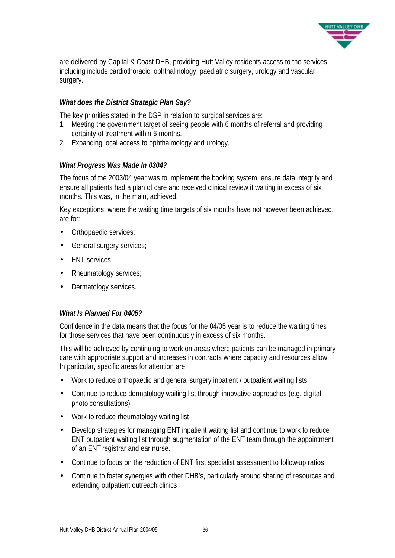

are delivered by Capital & Coast DHB, providing Hutt Valley residents access to the services including include cardiothoracic, ophthalmology, paediatric surgery, urology and vascular surgery.

## *What does the District Strategic Plan Say?*

The key priorities stated in the DSP in relation to surgical services are:

- 1. Meeting the government target of seeing people with 6 months of referral and providing certainty of treatment within 6 months.
- 2. Expanding local access to ophthalmology and urology.

## *What Progress Was Made In 0304?*

The focus of the 2003/04 year was to implement the booking system, ensure data integrity and ensure all patients had a plan of care and received clinical review if waiting in excess of six months. This was, in the main, achieved.

Key exceptions, where the waiting time targets of six months have not however been achieved, are for:

- Orthopaedic services;
- General surgery services;
- ENT services;
- Rheumatology services;
- Dermatology services.

## *What Is Planned For 0405?*

Confidence in the data means that the focus for the 04/05 year is to reduce the waiting times for those services that have been continuously in excess of six months.

This will be achieved by continuing to work on areas where patients can be managed in primary care with appropriate support and increases in contracts where capacity and resources allow. In particular, specific areas for attention are:

- Work to reduce orthopaedic and general surgery inpatient / outpatient waiting lists
- Continue to reduce dermatology waiting list through innovative approaches (e.g. digital photo consultations)
- Work to reduce rheumatology waiting list
- Develop strategies for managing ENT inpatient waiting list and continue to work to reduce ENT outpatient waiting list through augmentation of the ENT team through the appointment of an ENT registrar and ear nurse.
- Continue to focus on the reduction of ENT first specialist assessment to follow-up ratios
- Continue to foster synergies with other DHB's, particularly around sharing of resources and extending outpatient outreach clinics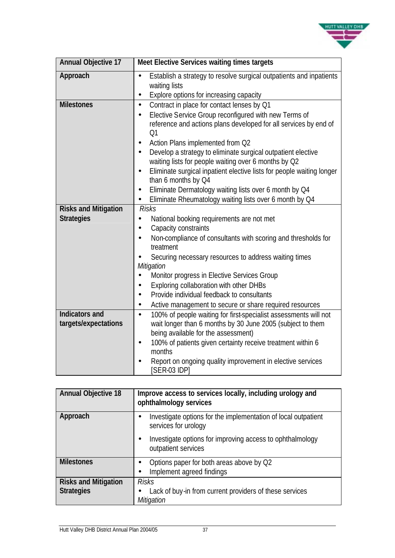

| <b>Annual Objective 17</b>  | Meet Elective Services waiting times targets                                                              |  |  |
|-----------------------------|-----------------------------------------------------------------------------------------------------------|--|--|
| Approach                    | Establish a strategy to resolve surgical outpatients and inpatients<br>$\bullet$                          |  |  |
|                             | waiting lists                                                                                             |  |  |
|                             | Explore options for increasing capacity<br>$\bullet$                                                      |  |  |
| <b>Milestones</b>           | Contract in place for contact lenses by Q1<br>$\bullet$                                                   |  |  |
|                             | Elective Service Group reconfigured with new Terms of<br>$\bullet$                                        |  |  |
|                             | reference and actions plans developed for all services by end of<br>O <sub>1</sub>                        |  |  |
|                             | Action Plans implemented from Q2<br>$\bullet$                                                             |  |  |
|                             | Develop a strategy to eliminate surgical outpatient elective<br>$\bullet$                                 |  |  |
|                             | waiting lists for people waiting over 6 months by Q2                                                      |  |  |
|                             | Eliminate surgical inpatient elective lists for people waiting longer<br>$\bullet$<br>than 6 months by Q4 |  |  |
|                             | Eliminate Dermatology waiting lists over 6 month by Q4<br>$\bullet$                                       |  |  |
|                             | Eliminate Rheumatology waiting lists over 6 month by Q4<br>$\bullet$                                      |  |  |
| <b>Risks and Mitigation</b> | <b>Risks</b>                                                                                              |  |  |
| <b>Strategies</b>           | National booking requirements are not met<br>$\bullet$                                                    |  |  |
|                             | Capacity constraints<br>$\bullet$                                                                         |  |  |
|                             | Non-compliance of consultants with scoring and thresholds for<br>$\bullet$<br>treatment                   |  |  |
|                             | Securing necessary resources to address waiting times                                                     |  |  |
|                             | Mitigation                                                                                                |  |  |
|                             | Monitor progress in Elective Services Group<br>$\bullet$                                                  |  |  |
|                             | Exploring collaboration with other DHBs<br>$\bullet$                                                      |  |  |
|                             | Provide individual feedback to consultants<br>$\bullet$                                                   |  |  |
|                             | Active management to secure or share required resources<br>$\bullet$                                      |  |  |
| <b>Indicators and</b>       | 100% of people waiting for first-specialist assessments will not<br>$\bullet$                             |  |  |
| targets/expectations        | wait longer than 6 months by 30 June 2005 (subject to them                                                |  |  |
|                             | being available for the assessment)                                                                       |  |  |
|                             | 100% of patients given certainty receive treatment within 6<br>$\bullet$<br>months                        |  |  |
|                             | Report on ongoing quality improvement in elective services<br>SER-03 IDPI                                 |  |  |

| <b>Annual Objective 18</b>  | Improve access to services locally, including urology and<br>ophthalmology services                 |  |
|-----------------------------|-----------------------------------------------------------------------------------------------------|--|
| Approach                    | Investigate options for the implementation of local outpatient<br>$\bullet$<br>services for urology |  |
|                             | Investigate options for improving access to ophthalmology<br>$\bullet$<br>outpatient services       |  |
| <b>Milestones</b>           | Options paper for both areas above by Q2                                                            |  |
|                             | Implement agreed findings                                                                           |  |
| <b>Risks and Mitigation</b> | <b>Risks</b>                                                                                        |  |
| <b>Strategies</b>           | Lack of buy-in from current providers of these services                                             |  |
|                             | <b>Mitigation</b>                                                                                   |  |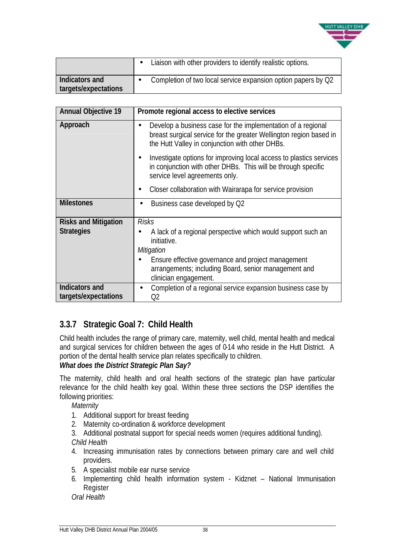

|                                        | Liaison with other providers to identify realistic options.   |
|----------------------------------------|---------------------------------------------------------------|
| Indicators and<br>targets/expectations | Completion of two local service expansion option papers by Q2 |

| <b>Annual Objective 19</b>  | Promote regional access to elective services                                                                                                                                          |  |  |
|-----------------------------|---------------------------------------------------------------------------------------------------------------------------------------------------------------------------------------|--|--|
| Approach                    | Develop a business case for the implementation of a regional<br>breast surgical service for the greater Wellington region based in<br>the Hutt Valley in conjunction with other DHBs. |  |  |
|                             | Investigate options for improving local access to plastics services<br>in conjunction with other DHBs. This will be through specific<br>service level agreements only.                |  |  |
|                             | Closer collaboration with Wairarapa for service provision                                                                                                                             |  |  |
| <b>Milestones</b>           | Business case developed by Q2                                                                                                                                                         |  |  |
| <b>Risks and Mitigation</b> | <b>Risks</b>                                                                                                                                                                          |  |  |
| <b>Strategies</b>           | A lack of a regional perspective which would support such an<br>initiative.                                                                                                           |  |  |
|                             | Mitigation                                                                                                                                                                            |  |  |
|                             | Ensure effective governance and project management<br>arrangements; including Board, senior management and<br>clinician engagement.                                                   |  |  |
| <b>Indicators and</b>       | Completion of a regional service expansion business case by<br>$\bullet$                                                                                                              |  |  |
| targets/expectations        | Q <sub>2</sub>                                                                                                                                                                        |  |  |

# **3.3.7 Strategic Goal 7: Child Health**

Child health includes the range of primary care, maternity, well child, mental health and medical and surgical services for children between the ages of 0-14 who reside in the Hutt District. A portion of the dental health service plan relates specifically to children.

## *What does the District Strategic Plan Say?*

The maternity, child health and oral health sections of the strategic plan have particular relevance for the child health key goal. Within these three sections the DSP identifies the following priorities:

*Maternity*

- 1. Additional support for breast feeding
- 2. Maternity co-ordination & workforce development
- 3. Additional postnatal support for special needs women (requires additional funding). *Child Health*
- 4. Increasing immunisation rates by connections between primary care and well child providers.
- 5. A specialist mobile ear nurse service
- 6. Implementing child health information system Kidznet National Immunisation Register

*Oral Health*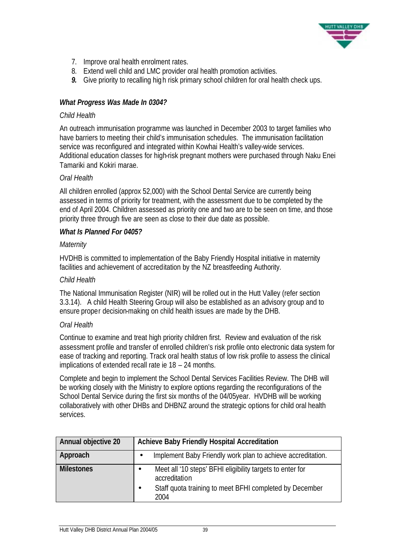

- 7. Improve oral health enrolment rates.
- 8. Extend well child and LMC provider oral health promotion activities.
- **9.** Give priority to recalling high risk primary school children for oral health check ups.

## *What Progress Was Made In 0304?*

## *Child Health*

An outreach immunisation programme was launched in December 2003 to target families who have barriers to meeting their child's immunisation schedules. The immunisation facilitation service was reconfigured and integrated within Kowhai Health's valley-wide services. Additional education classes for high-risk pregnant mothers were purchased through Naku Enei Tamariki and Kokiri marae.

## *Oral Health*

All children enrolled (approx 52,000) with the School Dental Service are currently being assessed in terms of priority for treatment, with the assessment due to be completed by the end of April 2004. Children assessed as priority one and two are to be seen on time, and those priority three through five are seen as close to their due date as possible.

## *What Is Planned For 0405?*

## *Maternity*

HVDHB is committed to implementation of the Baby Friendly Hospital initiative in maternity facilities and achievement of accreditation by the NZ breastfeeding Authority.

## *Child Health*

The National Immunisation Register (NIR) will be rolled out in the Hutt Valley (refer section 3.3.14). A child Health Steering Group will also be established as an advisory group and to ensure proper decision-making on child health issues are made by the DHB.

## *Oral Health*

Continue to examine and treat high priority children first. Review and evaluation of the risk assessment profile and transfer of enrolled children's risk profile onto electronic data system for ease of tracking and reporting. Track oral health status of low risk profile to assess the clinical implications of extended recall rate ie 18 – 24 months.

Complete and begin to implement the School Dental Services Facilities Review. The DHB will be working closely with the Ministry to explore options regarding the reconfigurations of the School Dental Service during the first six months of the 04/05year. HVDHB will be working collaboratively with other DHBs and DHBNZ around the strategic options for child oral health services.

| Annual objective 20 | <b>Achieve Baby Friendly Hospital Accreditation</b>                                                                                                        |  |  |
|---------------------|------------------------------------------------------------------------------------------------------------------------------------------------------------|--|--|
| Approach            | Implement Baby Friendly work plan to achieve accreditation.                                                                                                |  |  |
| <b>Milestones</b>   | Meet all '10 steps' BFHI eligibility targets to enter for<br>$\bullet$<br>accreditation<br>Staff quota training to meet BFHI completed by December<br>2004 |  |  |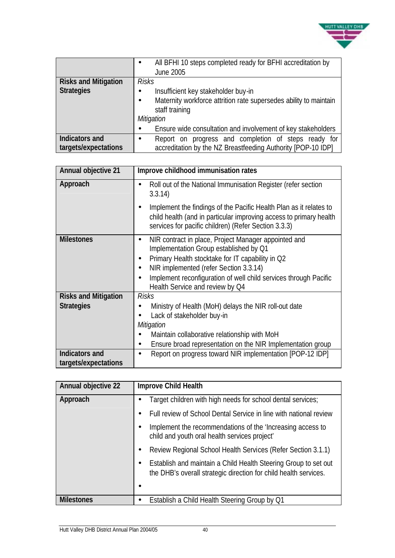

|                             | All BFHI 10 steps completed ready for BFHI accreditation by<br>June 2005       |  |  |
|-----------------------------|--------------------------------------------------------------------------------|--|--|
| <b>Risks and Mitigation</b> | <b>Risks</b>                                                                   |  |  |
| <b>Strategies</b>           | Insufficient key stakeholder buy-in<br>$\bullet$                               |  |  |
|                             | Maternity workforce attrition rate supersedes ability to maintain<br>$\bullet$ |  |  |
|                             | staff training                                                                 |  |  |
|                             | Mitigation                                                                     |  |  |
|                             | Ensure wide consultation and involvement of key stakeholders                   |  |  |
| <b>Indicators and</b>       | progress and completion of steps ready for<br>Report on<br>$\bullet$           |  |  |
| targets/expectations        | accreditation by the NZ Breastfeeding Authority [POP-10 IDP]                   |  |  |

| <b>Annual objective 21</b>                    | Improve childhood immunisation rates                                                                                                                                                                                                                                                                                  |
|-----------------------------------------------|-----------------------------------------------------------------------------------------------------------------------------------------------------------------------------------------------------------------------------------------------------------------------------------------------------------------------|
| Approach                                      | Roll out of the National Immunisation Register (refer section<br>$\bullet$<br>3.3.14                                                                                                                                                                                                                                  |
|                                               | Implement the findings of the Pacific Health Plan as it relates to<br>child health (and in particular improving access to primary health<br>services for pacific children) (Refer Section 3.3.3)                                                                                                                      |
| <b>Milestones</b>                             | NIR contract in place, Project Manager appointed and<br>$\bullet$<br>Implementation Group established by Q1<br>Primary Health stocktake for IT capability in Q2<br>٠<br>NIR implemented (refer Section 3.3.14)<br>Implement reconfiguration of well child services through Pacific<br>Health Service and review by Q4 |
| <b>Risks and Mitigation</b>                   | <b>Risks</b>                                                                                                                                                                                                                                                                                                          |
| <b>Strategies</b>                             | Ministry of Health (MoH) delays the NIR roll-out date                                                                                                                                                                                                                                                                 |
|                                               | Lack of stakeholder buy-in<br>Mitigation                                                                                                                                                                                                                                                                              |
|                                               | Maintain collaborative relationship with MoH                                                                                                                                                                                                                                                                          |
|                                               | Ensure broad representation on the NIR Implementation group<br>$\bullet$                                                                                                                                                                                                                                              |
| <b>Indicators and</b><br>targets/expectations | Report on progress toward NIR implementation [POP-12 IDP]                                                                                                                                                                                                                                                             |

| Annual objective 22 | <b>Improve Child Health</b>                                                                                                                      |
|---------------------|--------------------------------------------------------------------------------------------------------------------------------------------------|
| Approach            | Target children with high needs for school dental services;                                                                                      |
|                     | Full review of School Dental Service in line with national review                                                                                |
|                     | Implement the recommendations of the 'Increasing access to<br>child and youth oral health services project'                                      |
|                     | Review Regional School Health Services (Refer Section 3.1.1)                                                                                     |
|                     | Establish and maintain a Child Health Steering Group to set out<br>$\bullet$<br>the DHB's overall strategic direction for child health services. |
|                     |                                                                                                                                                  |
| <b>Milestones</b>   | Establish a Child Health Steering Group by Q1                                                                                                    |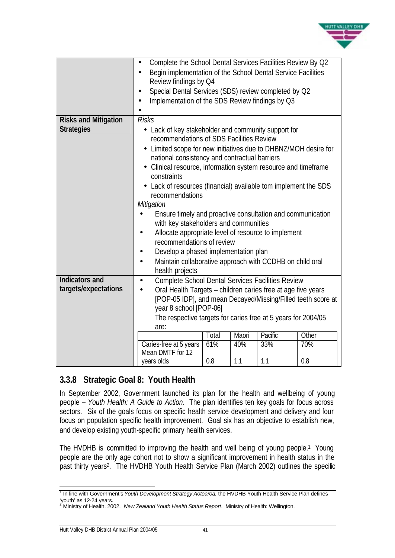

|                             | Complete the School Dental Services Facilities Review By Q2<br>$\bullet$  |       |       |         |       |
|-----------------------------|---------------------------------------------------------------------------|-------|-------|---------|-------|
|                             | Begin implementation of the School Dental Service Facilities              |       |       |         |       |
|                             | Review findings by Q4                                                     |       |       |         |       |
|                             | Special Dental Services (SDS) review completed by Q2<br>$\bullet$         |       |       |         |       |
|                             | Implementation of the SDS Review findings by Q3<br>$\bullet$              |       |       |         |       |
|                             |                                                                           |       |       |         |       |
| <b>Risks and Mitigation</b> | <b>Risks</b>                                                              |       |       |         |       |
| <b>Strategies</b>           | • Lack of key stakeholder and community support for                       |       |       |         |       |
|                             | recommendations of SDS Facilities Review                                  |       |       |         |       |
|                             | • Limited scope for new initiatives due to DHBNZ/MOH desire for           |       |       |         |       |
|                             | national consistency and contractual barriers                             |       |       |         |       |
|                             | Clinical resource, information system resource and timeframe              |       |       |         |       |
|                             | constraints                                                               |       |       |         |       |
|                             | Lack of resources (financial) available tom implement the SDS             |       |       |         |       |
|                             | recommendations                                                           |       |       |         |       |
|                             | Mitigation                                                                |       |       |         |       |
|                             | Ensure timely and proactive consultation and communication                |       |       |         |       |
|                             | with key stakeholders and communities                                     |       |       |         |       |
|                             | Allocate appropriate level of resource to implement<br>$\bullet$          |       |       |         |       |
|                             | recommendations of review                                                 |       |       |         |       |
|                             | Develop a phased implementation plan                                      |       |       |         |       |
|                             | Maintain collaborative approach with CCDHB on child oral<br>$\bullet$     |       |       |         |       |
|                             | health projects                                                           |       |       |         |       |
| <b>Indicators and</b>       | Complete School Dental Services Facilities Review<br>$\bullet$            |       |       |         |       |
| targets/expectations        | Oral Health Targets - children caries free at age five years<br>$\bullet$ |       |       |         |       |
|                             | [POP-05 IDP], and mean Decayed/Missing/Filled teeth score at              |       |       |         |       |
|                             | year 8 school [POP-06]                                                    |       |       |         |       |
|                             | The respective targets for caries free at 5 years for 2004/05             |       |       |         |       |
|                             | are:                                                                      |       |       |         |       |
|                             |                                                                           | Total | Maori | Pacific | Other |
|                             | Caries-free at 5 years                                                    | 61%   | 40%   | 33%     | 70%   |
|                             | Mean DMTF for 12                                                          |       |       |         |       |
|                             | years olds                                                                | 0.8   | 1.1   | 1.1     | 0.8   |

## **3.3.8 Strategic Goal 8: Youth Health**

In September 2002, Government launched its plan for the health and wellbeing of young people – *Youth Health: A Guide to Action*. The plan identifies ten key goals for focus across sectors. Six of the goals focus on specific health service development and delivery and four focus on population specific health improvement. Goal six has an objective to establish new, and develop existing youth-specific primary health services.

The HVDHB is committed to improving the health and well being of young people.<sup>1</sup> Young people are the only age cohort not to show a significant improvement in health status in the past thirty years<sup>2</sup>. The HVDHB Youth Health Service Plan (March 2002) outlines the specific

j

<sup>&</sup>lt;sup>1</sup> In line with Government's Youth Development Strategy Aotearoa, the HVDHB Youth Health Service Plan defines ʻyouth' as 12-24 years.<br><sup>2</sup> Ministry of Health. 2002. *New Zealand Youth Health Status Report*. Ministry of Health: Wellington.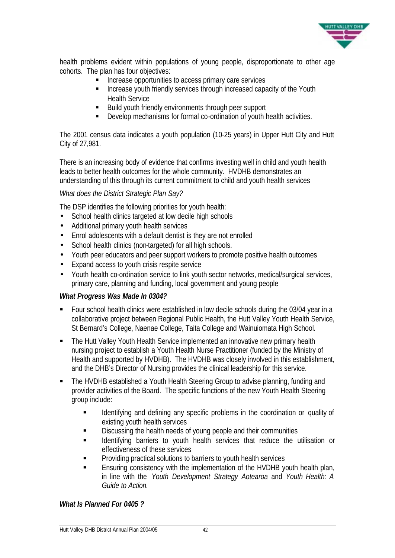

health problems evident within populations of young people, disproportionate to other age cohorts. The plan has four objectives:

- **EXECUTE:** Increase opportunities to access primary care services
- **EXEDENT Increase youth friendly services through increased capacity of the Youth** Health Service
- Build youth friendly environments through peer support
- **•** Develop mechanisms for formal co-ordination of youth health activities.

The 2001 census data indicates a youth population (10-25 years) in Upper Hutt City and Hutt City of 27,981.

There is an increasing body of evidence that confirms investing well in child and youth health leads to better health outcomes for the whole community. HVDHB demonstrates an understanding of this through its current commitment to child and youth health services

## *What does the District Strategic Plan Say?*

The DSP identifies the following priorities for youth health:

- School health clinics targeted at low decile high schools
- Additional primary youth health services
- Enrol adolescents with a default dentist is they are not enrolled
- School health clinics (non-targeted) for all high schools.
- Youth peer educators and peer support workers to promote positive health outcomes
- Expand access to youth crisis respite service
- Youth health co-ordination service to link youth sector networks, medical/surgical services, primary care, planning and funding, local government and young people

## *What Progress Was Made In 0304?*

- **Four school health clinics were established in low decile schools during the 03/04 year in a** collaborative project between Regional Public Health, the Hutt Valley Youth Health Service, St Bernard's College, Naenae College, Taita College and Wainuiomata High School.
- The Hutt Valley Youth Health Service implemented an innovative new primary health nursing project to establish a Youth Health Nurse Practitioner (funded by the Ministry of Health and supported by HVDHB). The HVDHB was closely involved in this establishment, and the DHB's Director of Nursing provides the clinical leadership for this service.
- The HVDHB established a Youth Health Steering Group to advise planning, funding and provider activities of the Board. The specific functions of the new Youth Health Steering group include:
	- **EXECT** Identifying and defining any specific problems in the coordination or quality of existing youth health services
	- **EXECUSE Discussing the health needs of young people and their communities**
	- **EXECUTE:** Identifying barriers to youth health services that reduce the utilisation or effectiveness of these services
	- ß Providing practical solutions to barriers to youth health services
	- ß Ensuring consistency with the implementation of the HVDHB youth health plan, in line with the *Youth Development Strategy Aotearoa* and *Youth Health: A Guide to Action.*

## *What Is Planned For 0405 ?*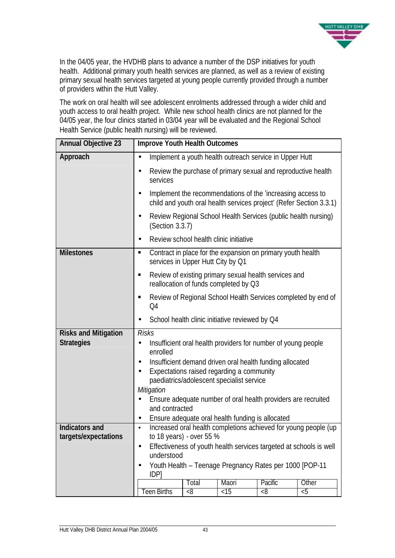

In the 04/05 year, the HVDHB plans to advance a number of the DSP initiatives for youth health. Additional primary youth health services are planned, as well as a review of existing primary sexual health services targeted at young people currently provided through a number of providers within the Hutt Valley.

The work on oral health will see adolescent enrolments addressed through a wider child and youth access to oral health project. While new school health clinics are not planned for the 04/05 year, the four clinics started in 03/04 year will be evaluated and the Regional School Health Service (public health nursing) will be reviewed.

| <b>Annual Objective 23</b>                                                | <b>Improve Youth Health Outcomes</b>                                                                                                                                                                                                                                                                                                                                                                                                                                                                                        |                                                                                                                                   |                                        |                                                             |       |  |
|---------------------------------------------------------------------------|-----------------------------------------------------------------------------------------------------------------------------------------------------------------------------------------------------------------------------------------------------------------------------------------------------------------------------------------------------------------------------------------------------------------------------------------------------------------------------------------------------------------------------|-----------------------------------------------------------------------------------------------------------------------------------|----------------------------------------|-------------------------------------------------------------|-------|--|
| Approach                                                                  | $\bullet$                                                                                                                                                                                                                                                                                                                                                                                                                                                                                                                   |                                                                                                                                   |                                        | Implement a youth health outreach service in Upper Hutt     |       |  |
|                                                                           | Review the purchase of primary sexual and reproductive health<br>$\bullet$<br>services                                                                                                                                                                                                                                                                                                                                                                                                                                      |                                                                                                                                   |                                        |                                                             |       |  |
|                                                                           |                                                                                                                                                                                                                                                                                                                                                                                                                                                                                                                             | Implement the recommendations of the 'increasing access to<br>child and youth oral health services project' (Refer Section 3.3.1) |                                        |                                                             |       |  |
|                                                                           |                                                                                                                                                                                                                                                                                                                                                                                                                                                                                                                             | Review Regional School Health Services (public health nursing)<br>(Section 3.3.7)                                                 |                                        |                                                             |       |  |
|                                                                           | $\bullet$                                                                                                                                                                                                                                                                                                                                                                                                                                                                                                                   |                                                                                                                                   | Review school health clinic initiative |                                                             |       |  |
| <b>Milestones</b>                                                         | ٠                                                                                                                                                                                                                                                                                                                                                                                                                                                                                                                           | services in Upper Hutt City by Q1                                                                                                 |                                        | Contract in place for the expansion on primary youth health |       |  |
|                                                                           | ٠                                                                                                                                                                                                                                                                                                                                                                                                                                                                                                                           |                                                                                                                                   | reallocation of funds completed by Q3  | Review of existing primary sexual health services and       |       |  |
|                                                                           | п<br>Q4                                                                                                                                                                                                                                                                                                                                                                                                                                                                                                                     | Review of Regional School Health Services completed by end of                                                                     |                                        |                                                             |       |  |
|                                                                           |                                                                                                                                                                                                                                                                                                                                                                                                                                                                                                                             | School health clinic initiative reviewed by Q4                                                                                    |                                        |                                                             |       |  |
| <b>Risks and Mitigation</b><br><b>Strategies</b><br><b>Indicators and</b> | <b>Risks</b><br>Insufficient oral health providers for number of young people<br>$\bullet$<br>enrolled<br>Insufficient demand driven oral health funding allocated<br>$\bullet$<br>Expectations raised regarding a community<br>$\bullet$<br>paediatrics/adolescent specialist service<br>Mitigation<br>Ensure adequate number of oral health providers are recruited<br>and contracted<br>Ensure adequate oral health funding is allocated<br>$\bullet$<br>Increased oral health completions achieved for young people (up |                                                                                                                                   |                                        |                                                             |       |  |
| targets/expectations                                                      | $\bullet$<br>to 18 years) - over 55 %                                                                                                                                                                                                                                                                                                                                                                                                                                                                                       |                                                                                                                                   |                                        |                                                             |       |  |
|                                                                           | Effectiveness of youth health services targeted at schools is well<br>understood                                                                                                                                                                                                                                                                                                                                                                                                                                            |                                                                                                                                   |                                        |                                                             |       |  |
|                                                                           | Youth Health - Teenage Pregnancy Rates per 1000 [POP-11<br>IDP                                                                                                                                                                                                                                                                                                                                                                                                                                                              |                                                                                                                                   |                                        |                                                             |       |  |
|                                                                           |                                                                                                                                                                                                                                                                                                                                                                                                                                                                                                                             | Total                                                                                                                             | Maori                                  | Pacific                                                     | Other |  |
|                                                                           | Feen Births                                                                                                                                                                                                                                                                                                                                                                                                                                                                                                                 | <8                                                                                                                                | < 15                                   | < 8                                                         | &5    |  |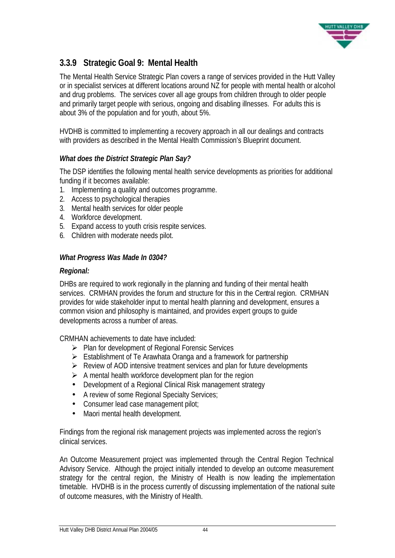

# **3.3.9 Strategic Goal 9: Mental Health**

The Mental Health Service Strategic Plan covers a range of services provided in the Hutt Valley or in specialist services at different locations around NZ for people with mental health or alcohol and drug problems. The services cover all age groups from children through to older people and primarily target people with serious, ongoing and disabling illnesses. For adults this is about 3% of the population and for youth, about 5%.

HVDHB is committed to implementing a recovery approach in all our dealings and contracts with providers as described in the Mental Health Commission's Blueprint document.

## *What does the District Strategic Plan Say?*

The DSP identifies the following mental health service developments as priorities for additional funding if it becomes available:

- 1. Implementing a quality and outcomes programme.
- 2. Access to psychological therapies
- 3. Mental health services for older people
- 4. Workforce development.
- 5. Expand access to youth crisis respite services.
- 6. Children with moderate needs pilot.

## *What Progress Was Made In 0304?*

## *Regional:*

DHBs are required to work regionally in the planning and funding of their mental health services. CRMHAN provides the forum and structure for this in the Central region. CRMHAN provides for wide stakeholder input to mental health planning and development, ensures a common vision and philosophy is maintained, and provides expert groups to guide developments across a number of areas.

CRMHAN achievements to date have included:

- $\triangleright$  Plan for development of Regional Forensic Services
- $\triangleright$  Establishment of Te Arawhata Oranga and a framework for partnership
- $\triangleright$  Review of AOD intensive treatment services and plan for future developments
- $\triangleright$  A mental health workforce development plan for the region
- Development of a Regional Clinical Risk management strategy
- A review of some Regional Specialty Services;
- Consumer lead case management pilot;
- Maori mental health development.

Findings from the regional risk management projects was implemented across the region's clinical services.

An Outcome Measurement project was implemented through the Central Region Technical Advisory Service. Although the project initially intended to develop an outcome measurement strategy for the central region, the Ministry of Health is now leading the implementation timetable. HVDHB is in the process currently of discussing implementation of the national suite of outcome measures, with the Ministry of Health.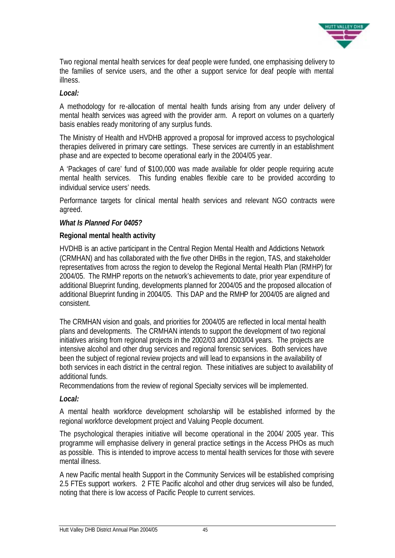

Two regional mental health services for deaf people were funded, one emphasising delivery to the families of service users, and the other a support service for deaf people with mental illness.

## *Local:*

A methodology for re-allocation of mental health funds arising from any under delivery of mental health services was agreed with the provider arm. A report on volumes on a quarterly basis enables ready monitoring of any surplus funds.

The Ministry of Health and HVDHB approved a proposal for improved access to psychological therapies delivered in primary care settings. These services are currently in an establishment phase and are expected to become operational early in the 2004/05 year.

A 'Packages of care' fund of \$100,000 was made available for older people requiring acute mental health services. This funding enables flexible care to be provided according to individual service users' needs.

Performance targets for clinical mental health services and relevant NGO contracts were agreed.

## *What Is Planned For 0405?*

## **Regional mental health activity**

HVDHB is an active participant in the Central Region Mental Health and Addictions Network (CRMHAN) and has collaborated with the five other DHBs in the region, TAS, and stakeholder representatives from across the region to develop the Regional Mental Health Plan (RMHP) for 2004/05. The RMHP reports on the network's achievements to date, prior year expenditure of additional Blueprint funding, developments planned for 2004/05 and the proposed allocation of additional Blueprint funding in 2004/05. This DAP and the RMHP for 2004/05 are aligned and consistent.

The CRMHAN vision and goals, and priorities for 2004/05 are reflected in local mental health plans and developments. The CRMHAN intends to support the development of two regional initiatives arising from regional projects in the 2002/03 and 2003/04 years. The projects are intensive alcohol and other drug services and regional forensic services. Both services have been the subject of regional review projects and will lead to expansions in the availability of both services in each district in the central region. These initiatives are subject to availability of additional funds.

Recommendations from the review of regional Specialty services will be implemented.

## *Local:*

A mental health workforce development scholarship will be established informed by the regional workforce development project and Valuing People document.

The psychological therapies initiative will become operational in the 2004/ 2005 year. This programme will emphasise delivery in general practice settings in the Access PHOs as much as possible. This is intended to improve access to mental health services for those with severe mental illness.

A new Pacific mental health Support in the Community Services will be established comprising 2.5 FTEs support workers. 2 FTE Pacific alcohol and other drug services will also be funded, noting that there is low access of Pacific People to current services.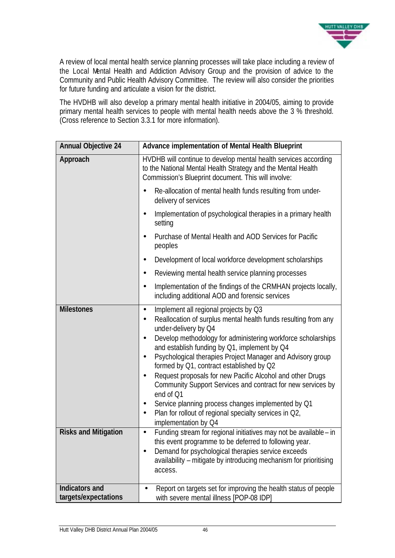

A review of local mental health service planning processes will take place including a review of the Local Mental Health and Addiction Advisory Group and the provision of advice to the Community and Public Health Advisory Committee. The review will also consider the priorities for future funding and articulate a vision for the district.

The HVDHB will also develop a primary mental health initiative in 2004/05, aiming to provide primary mental health services to people with mental health needs above the 3 % threshold. (Cross reference to Section 3.3.1 for more information).

| <b>Annual Objective 24</b>                    | Advance implementation of Mental Health Blueprint                                                                                                                                                                                                                                                                                                                                                                                                                                                                                                                                                                                                                                                                                     |  |  |  |
|-----------------------------------------------|---------------------------------------------------------------------------------------------------------------------------------------------------------------------------------------------------------------------------------------------------------------------------------------------------------------------------------------------------------------------------------------------------------------------------------------------------------------------------------------------------------------------------------------------------------------------------------------------------------------------------------------------------------------------------------------------------------------------------------------|--|--|--|
| Approach                                      | HVDHB will continue to develop mental health services according<br>to the National Mental Health Strategy and the Mental Health<br>Commission's Blueprint document. This will involve:                                                                                                                                                                                                                                                                                                                                                                                                                                                                                                                                                |  |  |  |
|                                               | Re-allocation of mental health funds resulting from under-<br>$\bullet$<br>delivery of services                                                                                                                                                                                                                                                                                                                                                                                                                                                                                                                                                                                                                                       |  |  |  |
|                                               | Implementation of psychological therapies in a primary health<br>$\bullet$<br>setting                                                                                                                                                                                                                                                                                                                                                                                                                                                                                                                                                                                                                                                 |  |  |  |
|                                               | Purchase of Mental Health and AOD Services for Pacific<br>$\bullet$<br>peoples                                                                                                                                                                                                                                                                                                                                                                                                                                                                                                                                                                                                                                                        |  |  |  |
|                                               | Development of local workforce development scholarships                                                                                                                                                                                                                                                                                                                                                                                                                                                                                                                                                                                                                                                                               |  |  |  |
|                                               | Reviewing mental health service planning processes<br>٠                                                                                                                                                                                                                                                                                                                                                                                                                                                                                                                                                                                                                                                                               |  |  |  |
|                                               | Implementation of the findings of the CRMHAN projects locally,<br>$\bullet$<br>including additional AOD and forensic services                                                                                                                                                                                                                                                                                                                                                                                                                                                                                                                                                                                                         |  |  |  |
| <b>Milestones</b>                             | Implement all regional projects by Q3<br>$\bullet$<br>Reallocation of surplus mental health funds resulting from any<br>$\bullet$<br>under-delivery by Q4<br>Develop methodology for administering workforce scholarships<br>$\bullet$<br>and establish funding by Q1, implement by Q4<br>Psychological therapies Project Manager and Advisory group<br>$\bullet$<br>formed by Q1, contract established by Q2<br>Request proposals for new Pacific Alcohol and other Drugs<br>$\bullet$<br>Community Support Services and contract for new services by<br>end of Q1<br>Service planning process changes implemented by Q1<br>$\bullet$<br>Plan for rollout of regional specialty services in Q2,<br>$\bullet$<br>implementation by Q4 |  |  |  |
| <b>Risks and Mitigation</b>                   | Funding stream for regional initiatives may not be available - in<br>$\bullet$<br>this event programme to be deferred to following year.<br>Demand for psychological therapies service exceeds<br>$\bullet$<br>availability - mitigate by introducing mechanism for prioritising<br>access.                                                                                                                                                                                                                                                                                                                                                                                                                                           |  |  |  |
| <b>Indicators and</b><br>targets/expectations | Report on targets set for improving the health status of people<br>$\bullet$<br>with severe mental illness [POP-08 IDP]                                                                                                                                                                                                                                                                                                                                                                                                                                                                                                                                                                                                               |  |  |  |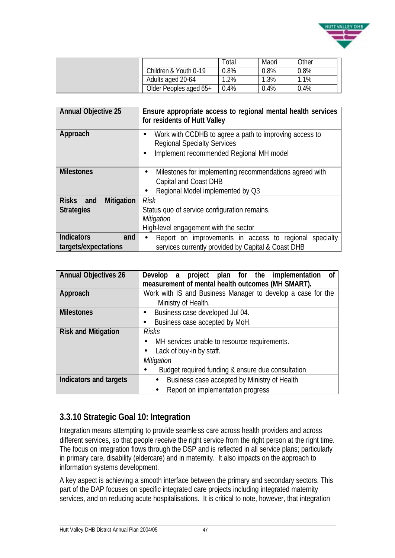

|                        | otal               | Maori   | Other   |
|------------------------|--------------------|---------|---------|
| Children & Youth 0-19  | $0.\overline{8\%}$ | $0.8\%$ | $0.8\%$ |
| Adults aged 20-64      | .2%                | .3%     | $1\%$   |
| Older Peoples aged 65+ | $0.\overline{4\%}$ | 0.4%    | $.4\%$  |

| <b>Annual Objective 25</b>               | Ensure appropriate access to regional mental health services<br>for residents of Hutt Valley  |  |  |  |  |
|------------------------------------------|-----------------------------------------------------------------------------------------------|--|--|--|--|
| Approach                                 | Work with CCDHB to agree a path to improving access to<br><b>Regional Specialty Services</b>  |  |  |  |  |
|                                          | Implement recommended Regional MH model<br>$\bullet$                                          |  |  |  |  |
| <b>Milestones</b>                        | Milestones for implementing recommendations agreed with<br>$\bullet$<br>Capital and Coast DHB |  |  |  |  |
|                                          | Regional Model implemented by Q3<br>$\bullet$                                                 |  |  |  |  |
| <b>Risks</b><br><b>Mitigation</b><br>and | <b>Risk</b>                                                                                   |  |  |  |  |
| <b>Strategies</b>                        | Status quo of service configuration remains.                                                  |  |  |  |  |
|                                          | <b>Mitigation</b>                                                                             |  |  |  |  |
|                                          | High-level engagement with the sector                                                         |  |  |  |  |
| <b>Indicators</b><br>and                 | Report on improvements in access to regional specialty<br>$\bullet$                           |  |  |  |  |
| targets/expectations                     | services currently provided by Capital & Coast DHB                                            |  |  |  |  |

| <b>Annual Objectives 26</b> | Develop a project plan for the implementation<br>- of<br>measurement of mental health outcomes (MH SMART). |  |  |
|-----------------------------|------------------------------------------------------------------------------------------------------------|--|--|
|                             |                                                                                                            |  |  |
| Approach                    | Work with IS and Business Manager to develop a case for the                                                |  |  |
|                             | Ministry of Health.                                                                                        |  |  |
| <b>Milestones</b>           | Business case developed Jul 04.<br>$\bullet$                                                               |  |  |
|                             | Business case accepted by MoH.<br>$\bullet$                                                                |  |  |
| <b>Risk and Mitigation</b>  | <b>Risks</b>                                                                                               |  |  |
|                             | MH services unable to resource requirements.                                                               |  |  |
|                             | Lack of buy-in by staff.                                                                                   |  |  |
|                             | Mitigation                                                                                                 |  |  |
|                             | Budget required funding & ensure due consultation                                                          |  |  |
| Indicators and targets      | Business case accepted by Ministry of Health                                                               |  |  |
|                             | Report on implementation progress                                                                          |  |  |

# **3.3.10 Strategic Goal 10: Integration**

Integration means attempting to provide seamle ss care across health providers and across different services, so that people receive the right service from the right person at the right time. The focus on integration flows through the DSP and is reflected in all service plans; particularly in primary care, disability (eldercare) and in maternity. It also impacts on the approach to information systems development.

A key aspect is achieving a smooth interface between the primary and secondary sectors. This part of the DAP focuses on specific integrated care projects including integrated maternity services, and on reducing acute hospitalisations. It is critical to note, however, that integration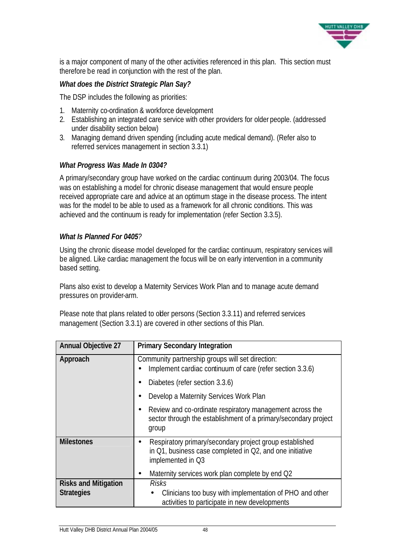

is a major component of many of the other activities referenced in this plan. This section must therefore be read in conjunction with the rest of the plan.

## *What does the District Strategic Plan Say?*

The DSP includes the following as priorities:

- 1. Maternity co-ordination & workforce development
- 2. Establishing an integrated care service with other providers for older people. (addressed under disability section below)
- 3. Managing demand driven spending (including acute medical demand). (Refer also to referred services management in section 3.3.1)

## *What Progress Was Made In 0304?*

A primary/secondary group have worked on the cardiac continuum during 2003/04. The focus was on establishing a model for chronic disease management that would ensure people received appropriate care and advice at an optimum stage in the disease process. The intent was for the model to be able to used as a framework for all chronic conditions. This was achieved and the continuum is ready for implementation (refer Section 3.3.5).

## *What Is Planned For 0405?*

Using the chronic disease model developed for the cardiac continuum, respiratory services will be aligned. Like cardiac management the focus will be on early intervention in a community based setting.

Plans also exist to develop a Maternity Services Work Plan and to manage acute demand pressures on provider-arm.

Please note that plans related to older persons (Section 3.3.11) and referred services management (Section 3.3.1) are covered in other sections of this Plan.

| <b>Annual Objective 27</b>  | <b>Primary Secondary Integration</b>                                                                                                     |
|-----------------------------|------------------------------------------------------------------------------------------------------------------------------------------|
| Approach                    | Community partnership groups will set direction:<br>Implement cardiac continuum of care (refer section 3.3.6)                            |
|                             | Diabetes (refer section 3.3.6)                                                                                                           |
|                             | Develop a Maternity Services Work Plan                                                                                                   |
|                             | Review and co-ordinate respiratory management across the<br>sector through the establishment of a primary/secondary project<br>group     |
| <b>Milestones</b>           | Respiratory primary/secondary project group established<br>in Q1, business case completed in Q2, and one initiative<br>implemented in Q3 |
|                             | Maternity services work plan complete by end Q2<br>$\bullet$                                                                             |
| <b>Risks and Mitigation</b> | <b>Risks</b>                                                                                                                             |
| <b>Strategies</b>           | Clinicians too busy with implementation of PHO and other<br>activities to participate in new developments                                |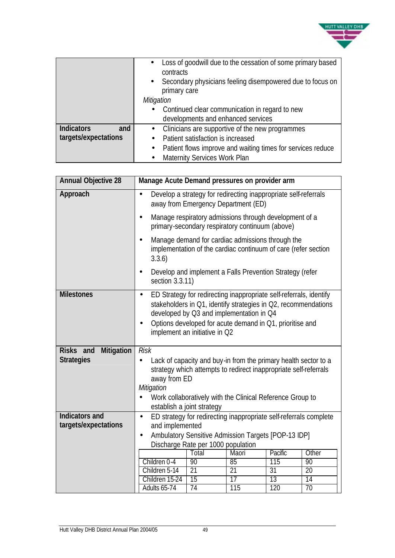

|                                                  | Loss of goodwill due to the cessation of some primary based<br>$\bullet$<br>contracts<br>• Secondary physicians feeling disempowered due to focus on<br>primary care<br>Mitigation<br>• Continued clear communication in regard to new<br>developments and enhanced services |
|--------------------------------------------------|------------------------------------------------------------------------------------------------------------------------------------------------------------------------------------------------------------------------------------------------------------------------------|
| <b>Indicators</b><br>and<br>targets/expectations | • Clinicians are supportive of the new programmes<br>Patient satisfaction is increased<br>$\bullet$                                                                                                                                                                          |
|                                                  | Patient flows improve and waiting times for services reduce<br>$\bullet$                                                                                                                                                                                                     |
|                                                  | • Maternity Services Work Plan                                                                                                                                                                                                                                               |

| <b>Annual Objective 28</b>     | Manage Acute Demand pressures on provider arm                                                                                                                                                                                                                                                           |                                                                                                                    |                 |                 |                 |
|--------------------------------|---------------------------------------------------------------------------------------------------------------------------------------------------------------------------------------------------------------------------------------------------------------------------------------------------------|--------------------------------------------------------------------------------------------------------------------|-----------------|-----------------|-----------------|
| Approach                       | $\bullet$                                                                                                                                                                                                                                                                                               | Develop a strategy for redirecting inappropriate self-referrals<br>away from Emergency Department (ED)             |                 |                 |                 |
|                                | $\bullet$                                                                                                                                                                                                                                                                                               | Manage respiratory admissions through development of a<br>primary-secondary respiratory continuum (above)          |                 |                 |                 |
|                                | $\bullet$<br>3.3.6)                                                                                                                                                                                                                                                                                     | Manage demand for cardiac admissions through the<br>implementation of the cardiac continuum of care (refer section |                 |                 |                 |
|                                | $\bullet$<br>section 3.3.11)                                                                                                                                                                                                                                                                            | Develop and implement a Falls Prevention Strategy (refer                                                           |                 |                 |                 |
| <b>Milestones</b>              | ED Strategy for redirecting inappropriate self-referrals, identify<br>$\bullet$<br>stakeholders in Q1, identify strategies in Q2, recommendations<br>developed by Q3 and implementation in Q4<br>Options developed for acute demand in Q1, prioritise and<br>$\bullet$<br>implement an initiative in Q2 |                                                                                                                    |                 |                 |                 |
| <b>Mitigation</b><br>Risks and | <b>Risk</b>                                                                                                                                                                                                                                                                                             |                                                                                                                    |                 |                 |                 |
| <b>Strategies</b>              | $\bullet$                                                                                                                                                                                                                                                                                               | Lack of capacity and buy-in from the primary health sector to a                                                    |                 |                 |                 |
|                                |                                                                                                                                                                                                                                                                                                         | strategy which attempts to redirect inappropriate self-referrals                                                   |                 |                 |                 |
|                                | away from ED<br>Mitigation                                                                                                                                                                                                                                                                              |                                                                                                                    |                 |                 |                 |
|                                |                                                                                                                                                                                                                                                                                                         | Work collaboratively with the Clinical Reference Group to                                                          |                 |                 |                 |
|                                |                                                                                                                                                                                                                                                                                                         | establish a joint strategy                                                                                         |                 |                 |                 |
| <b>Indicators and</b>          | ED strategy for redirecting inappropriate self-referrals complete<br>$\bullet$                                                                                                                                                                                                                          |                                                                                                                    |                 |                 |                 |
| targets/expectations           | and implemented                                                                                                                                                                                                                                                                                         |                                                                                                                    |                 |                 |                 |
|                                | Ambulatory Sensitive Admission Targets [POP-13 IDP]<br>$\bullet$<br>Discharge Rate per 1000 population                                                                                                                                                                                                  |                                                                                                                    |                 |                 |                 |
|                                |                                                                                                                                                                                                                                                                                                         | Total                                                                                                              | Maori           | Pacific         | Other           |
|                                | Children 0-4                                                                                                                                                                                                                                                                                            | 90                                                                                                                 | 85              | 115             | 90              |
|                                | Children 5-14                                                                                                                                                                                                                                                                                           | 21                                                                                                                 | 21              | $\overline{31}$ | $\overline{20}$ |
|                                | Children 15-24                                                                                                                                                                                                                                                                                          | $\overline{15}$                                                                                                    | $\overline{17}$ | $\overline{13}$ | 14              |
|                                | <b>Adults 65-74</b>                                                                                                                                                                                                                                                                                     | 74                                                                                                                 | 115             | 120             | 70              |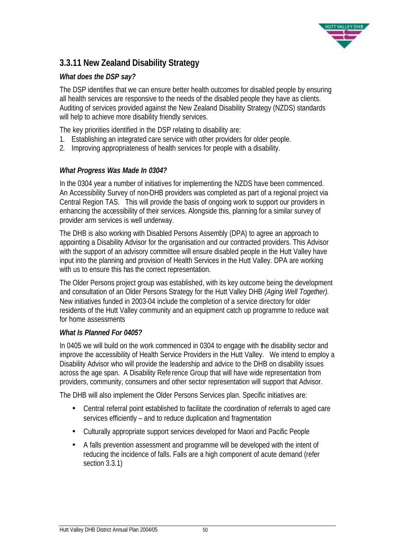

# **3.3.11 New Zealand Disability Strategy**

## *What does the DSP say?*

The DSP identifies that we can ensure better health outcomes for disabled people by ensuring all health services are responsive to the needs of the disabled people they have as clients. Auditing of services provided against the New Zealand Disability Strategy (NZDS) standards will help to achieve more disability friendly services.

The key priorities identified in the DSP relating to disability are:

- 1. Establishing an integrated care service with other providers for older people.
- 2. Improving appropriateness of health services for people with a disability.

## *What Progress Was Made In 0304?*

In the 0304 year a number of initiatives for implementing the NZDS have been commenced. An Accessibility Survey of non-DHB providers was completed as part of a regional project via Central Region TAS. This will provide the basis of ongoing work to support our providers in enhancing the accessibility of their services. Alongside this, planning for a similar survey of provider arm services is well underway.

The DHB is also working with Disabled Persons Assembly (DPA) to agree an approach to appointing a Disability Advisor for the organisation and our contracted providers. This Advisor with the support of an advisory committee will ensure disabled people in the Hutt Valley have input into the planning and provision of Health Services in the Hutt Valley. DPA are working with us to ensure this has the correct representation.

The Older Persons project group was established, with its key outcome being the development and consultation of an Older Persons Strategy for the Hutt Valley DHB *(Aging Well Together).*  New initiatives funded in 2003-04 include the completion of a service directory for older residents of the Hutt Valley community and an equipment catch up programme to reduce wait for home assessments

## *What Is Planned For 0405?*

In 0405 we will build on the work commenced in 0304 to engage with the disability sector and improve the accessibility of Health Service Providers in the Hutt Valley. We intend to employ a Disability Advisor who will provide the leadership and advice to the DHB on disability issues across the age span. A Disability Refe rence Group that will have wide representation from providers, community, consumers and other sector representation will support that Advisor.

The DHB will also implement the Older Persons Services plan. Specific initiatives are:

- Central referral point established to facilitate the coordination of referrals to aged care services efficiently – and to reduce duplication and fragmentation
- Culturally appropriate support services developed for Maori and Pacific People
- A falls prevention assessment and programme will be developed with the intent of reducing the incidence of falls. Falls are a high component of acute demand (refer section 3.3.1)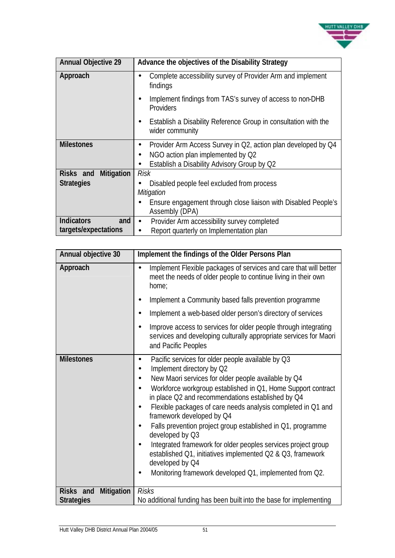

| <b>Annual Objective 29</b>     | Advance the objectives of the Disability Strategy                                  |  |  |
|--------------------------------|------------------------------------------------------------------------------------|--|--|
| Approach                       | Complete accessibility survey of Provider Arm and implement<br>findings            |  |  |
|                                | Implement findings from TAS's survey of access to non-DHB<br>Providers             |  |  |
|                                | Establish a Disability Reference Group in consultation with the<br>wider community |  |  |
| <b>Milestones</b>              | Provider Arm Access Survey in Q2, action plan developed by Q4<br>$\bullet$         |  |  |
|                                | NGO action plan implemented by Q2<br>$\bullet$                                     |  |  |
|                                | Establish a Disability Advisory Group by Q2                                        |  |  |
| <b>Mitigation</b><br>Risks and | <b>Risk</b>                                                                        |  |  |
| <b>Strategies</b>              | Disabled people feel excluded from process                                         |  |  |
|                                | Mitigation                                                                         |  |  |
|                                | Ensure engagement through close liaison with Disabled People's                     |  |  |
|                                | Assembly (DPA)                                                                     |  |  |
| <b>Indicators</b><br>and       | Provider Arm accessibility survey completed<br>$\bullet$                           |  |  |
| targets/expectations           | Report quarterly on Implementation plan<br>$\bullet$                               |  |  |

| Annual objective 30                                 | Implement the findings of the Older Persons Plan                                                                                                                                                                                                                                                                                                                                                                                                                                                                                                                                                                                                                                              |  |
|-----------------------------------------------------|-----------------------------------------------------------------------------------------------------------------------------------------------------------------------------------------------------------------------------------------------------------------------------------------------------------------------------------------------------------------------------------------------------------------------------------------------------------------------------------------------------------------------------------------------------------------------------------------------------------------------------------------------------------------------------------------------|--|
| Approach                                            | Implement Flexible packages of services and care that will better<br>$\bullet$<br>meet the needs of older people to continue living in their own<br>home;                                                                                                                                                                                                                                                                                                                                                                                                                                                                                                                                     |  |
|                                                     | Implement a Community based falls prevention programme                                                                                                                                                                                                                                                                                                                                                                                                                                                                                                                                                                                                                                        |  |
|                                                     | Implement a web-based older person's directory of services                                                                                                                                                                                                                                                                                                                                                                                                                                                                                                                                                                                                                                    |  |
|                                                     | Improve access to services for older people through integrating<br>services and developing culturally appropriate services for Maori<br>and Pacific Peoples                                                                                                                                                                                                                                                                                                                                                                                                                                                                                                                                   |  |
| <b>Milestones</b>                                   | Pacific services for older people available by Q3<br>$\bullet$<br>Implement directory by Q2<br>New Maori services for older people available by Q4<br>$\bullet$<br>Workforce workgroup established in Q1, Home Support contract<br>$\bullet$<br>in place Q2 and recommendations established by Q4<br>Flexible packages of care needs analysis completed in Q1 and<br>framework developed by Q4<br>Falls prevention project group established in Q1, programme<br>developed by Q3<br>Integrated framework for older peoples services project group<br>established Q1, initiatives implemented Q2 & Q3, framework<br>developed by Q4<br>Monitoring framework developed Q1, implemented from Q2. |  |
| <b>Mitigation</b><br>Risks and<br><b>Strategies</b> | <b>Risks</b><br>No additional funding has been built into the base for implementing                                                                                                                                                                                                                                                                                                                                                                                                                                                                                                                                                                                                           |  |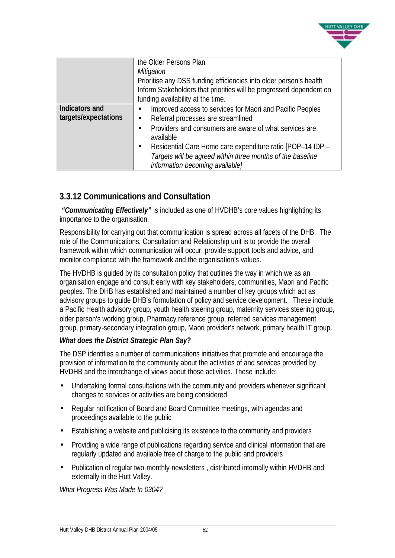

|                      | the Older Persons Plan                                              |  |  |
|----------------------|---------------------------------------------------------------------|--|--|
|                      | <b>Mitigation</b>                                                   |  |  |
|                      | Prioritise any DSS funding efficiencies into older person's health  |  |  |
|                      | Inform Stakeholders that priorities will be progressed dependent on |  |  |
|                      | funding availability at the time.                                   |  |  |
| Indicators and       | Improved access to services for Maori and Pacific Peoples           |  |  |
| targets/expectations | Referral processes are streamlined<br>$\bullet$                     |  |  |
|                      | Providers and consumers are aware of what services are<br>available |  |  |
|                      |                                                                     |  |  |
|                      | Residential Care Home care expenditure ratio [POP-14 IDP -          |  |  |
|                      | Targets will be agreed within three months of the baseline          |  |  |
|                      | information becoming available]                                     |  |  |

# **3.3.12 Communications and Consultation**

 *"Communicating Effectively"* is included as one of HVDHB's core values highlighting its importance to the organisation.

Responsibility for carrying out that communication is spread across all facets of the DHB. The role of the Communications, Consultation and Relationship unit is to provide the overall framework within which communication will occur, provide support tools and advice, and monitor compliance with the framework and the organisation's values.

The HVDHB is guided by its consultation policy that outlines the way in which we as an organisation engage and consult early with key stakeholders, communities, Maori and Pacific peoples. The DHB has established and maintained a number of key groups which act as advisory groups to guide DHB's formulation of policy and service development. These include a Pacific Health advisory group, youth health steering group, maternity services steering group, older person's working group, Pharmacy reference group, referred services management group, primary-secondary integration group, Maori provider's network, primary health IT group.

## *What does the District Strategic Plan Say?*

The DSP identifies a number of communications initiatives that promote and encourage the provision of information to the community about the activities of and services provided by HVDHB and the interchange of views about those activities. These include:

- Undertaking formal consultations with the community and providers whenever significant changes to services or activities are being considered
- Regular notification of Board and Board Committee meetings, with agendas and proceedings available to the public
- Establishing a website and publicising its existence to the community and providers
- Providing a wide range of publications regarding service and clinical information that are regularly updated and available free of charge to the public and providers
- Publication of regular two-monthly newsletters , distributed internally within HVDHB and externally in the Hutt Valley.

*What Progress Was Made In 0304?*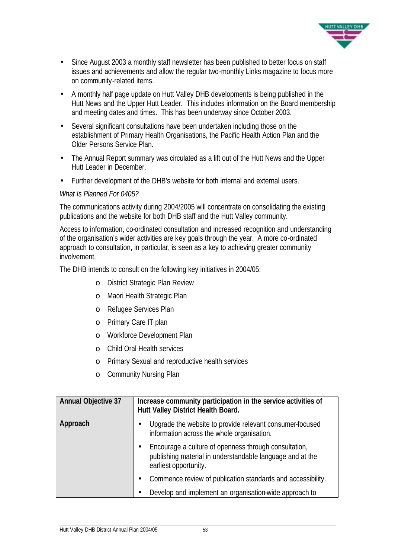

- Since August 2003 a monthly staff newsletter has been published to better focus on staff issues and achievements and allow the regular two-monthly Links magazine to focus more on community-related items.
- A monthly half page update on Hutt Valley DHB developments is being published in the Hutt News and the Upper Hutt Leader. This includes information on the Board membership and meeting dates and times. This has been underway since October 2003.
- Several significant consultations have been undertaken including those on the establishment of Primary Health Organisations, the Pacific Health Action Plan and the Older Persons Service Plan.
- The Annual Report summary was circulated as a lift out of the Hutt News and the Upper Hutt Leader in December.
- Further development of the DHB's website for both internal and external users.

#### *What Is Planned For 0405?*

The communications activity during 2004/2005 will concentrate on consolidating the existing publications and the website for both DHB staff and the Hutt Valley community.

Access to information, co-ordinated consultation and increased recognition and understanding of the organisation's wider activities are key goals through the year. A more co-ordinated approach to consultation, in particular, is seen as a key to achieving greater community involvement.

The DHB intends to consult on the following key initiatives in 2004/05:

- o District Strategic Plan Review
- o Maori Health Strategic Plan
- o Refugee Services Plan
- o Primary Care IT plan
- o Workforce Development Plan
- o Child Oral Health services
- o Primary Sexual and reproductive health services
- o Community Nursing Plan

| <b>Annual Objective 37</b> | Increase community participation in the service activities of<br>Hutt Valley District Health Board.                                         |
|----------------------------|---------------------------------------------------------------------------------------------------------------------------------------------|
| Approach                   | Upgrade the website to provide relevant consumer-focused<br>information across the whole organisation.                                      |
|                            | Encourage a culture of openness through consultation,<br>publishing material in understandable language and at the<br>earliest opportunity. |
|                            | Commence review of publication standards and accessibility.                                                                                 |
|                            | Develop and implement an organisation-wide approach to                                                                                      |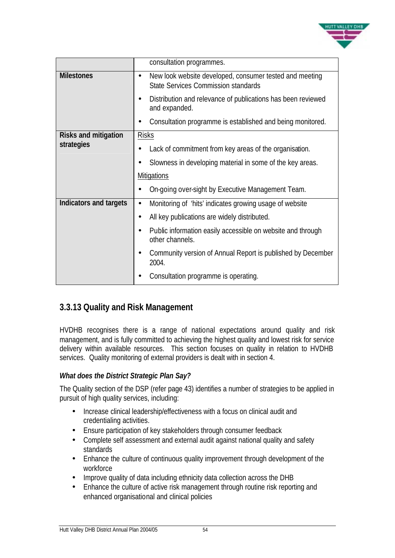

|                             | consultation programmes.                                                                                           |
|-----------------------------|--------------------------------------------------------------------------------------------------------------------|
| <b>Milestones</b>           | New look website developed, consumer tested and meeting<br>$\bullet$<br><b>State Services Commission standards</b> |
|                             | Distribution and relevance of publications has been reviewed<br>$\bullet$<br>and expanded.                         |
|                             | Consultation programme is established and being monitored.                                                         |
| <b>Risks and mitigation</b> | <b>Risks</b>                                                                                                       |
| strategies                  | Lack of commitment from key areas of the organisation.                                                             |
|                             | Slowness in developing material in some of the key areas.                                                          |
|                             | <b>Mitigations</b>                                                                                                 |
|                             |                                                                                                                    |
|                             | On-going over-sight by Executive Management Team.                                                                  |
| Indicators and targets      | Monitoring of 'hits' indicates growing usage of website<br>٠                                                       |
|                             | All key publications are widely distributed.<br>$\bullet$                                                          |
|                             | Public information easily accessible on website and through<br>$\bullet$<br>other channels.                        |
|                             | Community version of Annual Report is published by December<br>$\bullet$<br>2004.                                  |

## **3.3.13 Quality and Risk Management**

HVDHB recognises there is a range of national expectations around quality and risk management, and is fully committed to achieving the highest quality and lowest risk for service delivery within available resources. This section focuses on quality in relation to HVDHB services. Quality monitoring of external providers is dealt with in section 4.

## *What does the District Strategic Plan Say?*

The Quality section of the DSP (refer page 43) identifies a number of strategies to be applied in pursuit of high quality services, including:

- Increase clinical leadership/effectiveness with a focus on clinical audit and credentialing activities.
- Ensure participation of key stakeholders through consumer feedback
- Complete self assessment and external audit against national quality and safety standards
- Enhance the culture of continuous quality improvement through development of the workforce
- Improve quality of data including ethnicity data collection across the DHB
- Enhance the culture of active risk management through routine risk reporting and enhanced organisational and clinical policies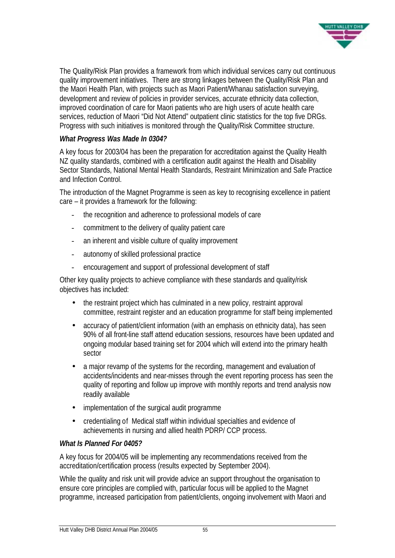

The Quality/Risk Plan provides a framework from which individual services carry out continuous quality improvement initiatives. There are strong linkages between the Quality/Risk Plan and the Maori Health Plan, with projects such as Maori Patient/Whanau satisfaction surveying, development and review of policies in provider services, accurate ethnicity data collection, improved coordination of care for Maori patients who are high users of acute health care services, reduction of Maori "Did Not Attend" outpatient clinic statistics for the top five DRGs. Progress with such initiatives is monitored through the Quality/Risk Committee structure.

## *What Progress Was Made In 0304?*

A key focus for 2003/04 has been the preparation for accreditation against the Quality Health NZ quality standards, combined with a certification audit against the Health and Disability Sector Standards, National Mental Health Standards, Restraint Minimization and Safe Practice and Infection Control.

The introduction of the Magnet Programme is seen as key to recognising excellence in patient care – it provides a framework for the following:

- the recognition and adherence to professional models of care
- commitment to the delivery of quality patient care
- an inherent and visible culture of quality improvement
- autonomy of skilled professional practice
- encouragement and support of professional development of staff

Other key quality projects to achieve compliance with these standards and quality/risk objectives has included:

- the restraint project which has culminated in a new policy, restraint approval committee, restraint register and an education programme for staff being implemented
- accuracy of patient/client information (with an emphasis on ethnicity data), has seen 90% of all front-line staff attend education sessions, resources have been updated and ongoing modular based training set for 2004 which will extend into the primary health sector
- a major revamp of the systems for the recording, management and evaluation of accidents/incidents and near-misses through the event reporting process has seen the quality of reporting and follow up improve with monthly reports and trend analysis now readily available
- implementation of the surgical audit programme
- credentialing of Medical staff within individual specialties and evidence of achievements in nursing and allied health PDRP/ CCP process.

## *What Is Planned For 0405?*

A key focus for 2004/05 will be implementing any recommendations received from the accreditation/certification process (results expected by September 2004).

While the quality and risk unit will provide advice an support throughout the organisation to ensure core principles are complied with, particular focus will be applied to the Magnet programme, increased participation from patient/clients, ongoing involvement with Maori and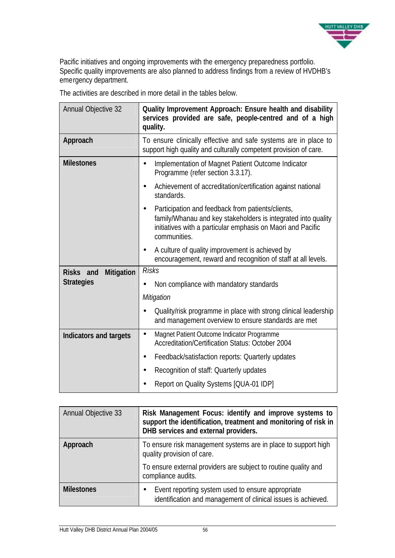

Pacific initiatives and ongoing improvements with the emergency preparedness portfolio. Specific quality improvements are also planned to address findings from a review of HVDHB's emergency department.

The activities are described in more detail in the tables below.

| Annual Objective 32                      | Quality Improvement Approach: Ensure health and disability<br>services provided are safe, people-centred and of a high<br>quality.                                                                |
|------------------------------------------|---------------------------------------------------------------------------------------------------------------------------------------------------------------------------------------------------|
| Approach                                 | To ensure clinically effective and safe systems are in place to<br>support high quality and culturally competent provision of care.                                                               |
| <b>Milestones</b>                        | Implementation of Magnet Patient Outcome Indicator<br>Programme (refer section 3.3.17).                                                                                                           |
|                                          | Achievement of accreditation/certification against national<br>standards.                                                                                                                         |
|                                          | Participation and feedback from patients/clients,<br>family/Whanau and key stakeholders is integrated into quality<br>initiatives with a particular emphasis on Maori and Pacific<br>communities. |
|                                          | A culture of quality improvement is achieved by<br>$\bullet$<br>encouragement, reward and recognition of staff at all levels.                                                                     |
| <b>Mitigation</b><br><b>Risks</b><br>and | <b>Risks</b>                                                                                                                                                                                      |
| <b>Strategies</b>                        | Non compliance with mandatory standards                                                                                                                                                           |
|                                          | Mitigation                                                                                                                                                                                        |
|                                          | Quality/risk programme in place with strong clinical leadership<br>and management overview to ensure standards are met                                                                            |
| Indicators and targets                   | Magnet Patient Outcome Indicator Programme<br>٠<br><b>Accreditation/Certification Status: October 2004</b>                                                                                        |
|                                          | Feedback/satisfaction reports: Quarterly updates                                                                                                                                                  |
|                                          | Recognition of staff: Quarterly updates                                                                                                                                                           |
|                                          | Report on Quality Systems [QUA-01 IDP]                                                                                                                                                            |

| Annual Objective 33 | Risk Management Focus: identify and improve systems to<br>support the identification, treatment and monitoring of risk in<br>DHB services and external providers. |
|---------------------|-------------------------------------------------------------------------------------------------------------------------------------------------------------------|
| Approach            | To ensure risk management systems are in place to support high<br>quality provision of care.                                                                      |
|                     | To ensure external providers are subject to routine quality and<br>compliance audits.                                                                             |
| <b>Milestones</b>   | Event reporting system used to ensure appropriate<br>identification and management of clinical issues is achieved.                                                |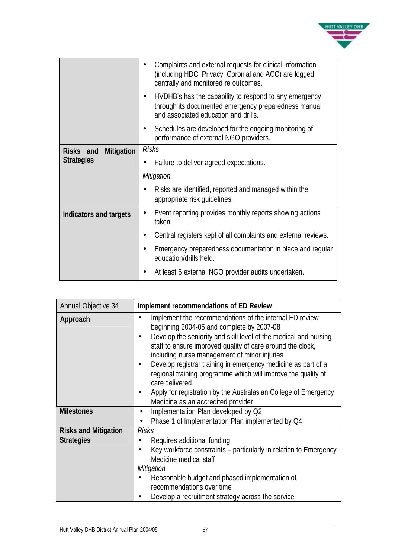

|                                | Complaints and external requests for clinical information<br>(including HDC, Privacy, Coronial and ACC) are logged<br>centrally and monitored re outcomes. |  |
|--------------------------------|------------------------------------------------------------------------------------------------------------------------------------------------------------|--|
|                                | HVDHB's has the capability to respond to any emergency<br>through its documented emergency preparedness manual<br>and associated education and drills.     |  |
|                                | Schedules are developed for the ongoing monitoring of<br>performance of external NGO providers.                                                            |  |
| <b>Mitigation</b><br>Risks and | <b>Risks</b>                                                                                                                                               |  |
| <b>Strategies</b>              | Failure to deliver agreed expectations.                                                                                                                    |  |
|                                |                                                                                                                                                            |  |
|                                | Mitigation                                                                                                                                                 |  |
|                                | Risks are identified, reported and managed within the<br>appropriate risk guidelines.                                                                      |  |
| Indicators and targets         | Event reporting provides monthly reports showing actions<br>٠<br>taken.                                                                                    |  |
|                                | Central registers kept of all complaints and external reviews.                                                                                             |  |
|                                | Emergency preparedness documentation in place and regular<br>education/drills held.                                                                        |  |

| Annual Objective 34         | Implement recommendations of ED Review                                                                                                                                                                                                                                                                                                                                                                                                                                                                                                                           |
|-----------------------------|------------------------------------------------------------------------------------------------------------------------------------------------------------------------------------------------------------------------------------------------------------------------------------------------------------------------------------------------------------------------------------------------------------------------------------------------------------------------------------------------------------------------------------------------------------------|
| Approach                    | Implement the recommendations of the internal ED review<br>$\bullet$<br>beginning 2004-05 and complete by 2007-08<br>Develop the seniority and skill level of the medical and nursing<br>staff to ensure improved quality of care around the clock,<br>including nurse management of minor injuries<br>Develop registrar training in emergency medicine as part of a<br>regional training programme which will improve the quality of<br>care delivered<br>Apply for registration by the Australasian College of Emergency<br>Medicine as an accredited provider |
| <b>Milestones</b>           | Implementation Plan developed by Q2<br>Phase 1 of Implementation Plan implemented by Q4                                                                                                                                                                                                                                                                                                                                                                                                                                                                          |
| <b>Risks and Mitigation</b> | <b>Risks</b>                                                                                                                                                                                                                                                                                                                                                                                                                                                                                                                                                     |
| <b>Strategies</b>           | Requires additional funding<br>Key workforce constraints - particularly in relation to Emergency<br>Medicine medical staff<br>Mitigation<br>Reasonable budget and phased implementation of<br>recommendations over time<br>Develop a recruitment strategy across the service                                                                                                                                                                                                                                                                                     |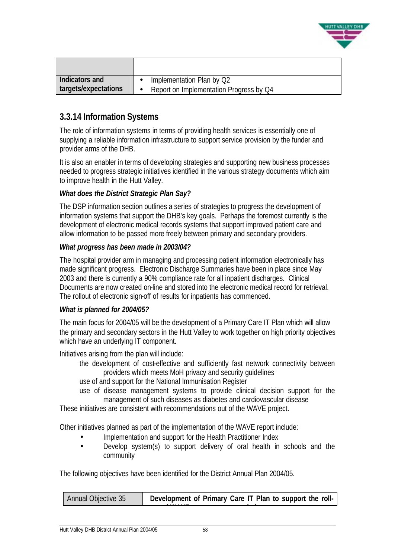

| Indicators and       | Implementation Plan by Q2               |
|----------------------|-----------------------------------------|
| targets/expectations | Report on Implementation Progress by Q4 |

## **3.3.14 Information Systems**

The role of information systems in terms of providing health services is essentially one of supplying a reliable information infrastructure to support service provision by the funder and provider arms of the DHB.

It is also an enabler in terms of developing strategies and supporting new business processes needed to progress strategic initiatives identified in the various strategy documents which aim to improve health in the Hutt Valley.

## *What does the District Strategic Plan Say?*

The DSP information section outlines a series of strategies to progress the development of information systems that support the DHB's key goals. Perhaps the foremost currently is the development of electronic medical records systems that support improved patient care and allow information to be passed more freely between primary and secondary providers.

## *What progress has been made in 2003/04?*

The hospital provider arm in managing and processing patient information electronically has made significant progress. Electronic Discharge Summaries have been in place since May 2003 and there is currently a 90% compliance rate for all inpatient discharges. Clinical Documents are now created on-line and stored into the electronic medical record for retrieval. The rollout of electronic sign-off of results for inpatients has commenced.

## *What is planned for 2004/05?*

The main focus for 2004/05 will be the development of a Primary Care IT Plan which will allow the primary and secondary sectors in the Hutt Valley to work together on high priority objectives which have an underlying IT component.

Initiatives arising from the plan will include:

the development of cost-effective and sufficiently fast network connectivity between providers which meets MoH privacy and security guidelines

use of and support for the National Immunisation Register

use of disease management systems to provide clinical decision support for the management of such diseases as diabetes and cardiovascular disease

These initiatives are consistent with recommendations out of the WAVE project.

Other initiatives planned as part of the implementation of the WAVE report include:

- Implementation and support for the Health Practitioner Index
- Develop system(s) to support delivery of oral health in schools and the community

The following objectives have been identified for the District Annual Plan 2004/05.

| Annual Objective 35 | Development of Primary Care IT Plan to support the roll- |
|---------------------|----------------------------------------------------------|
|                     |                                                          |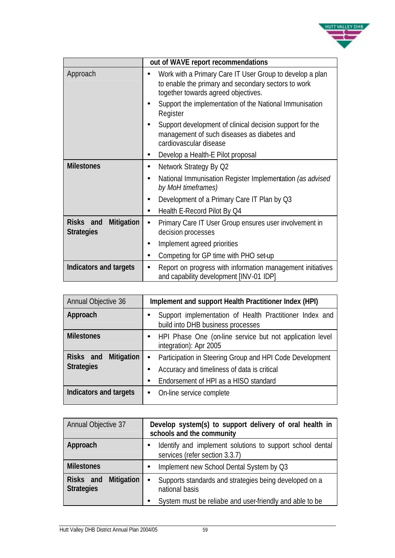

|                                                     | out of WAVE report recommendations                                                                                                                     |
|-----------------------------------------------------|--------------------------------------------------------------------------------------------------------------------------------------------------------|
| Approach                                            | Work with a Primary Care IT User Group to develop a plan<br>to enable the primary and secondary sectors to work<br>together towards agreed objectives. |
|                                                     | Support the implementation of the National Immunisation<br>Register                                                                                    |
|                                                     | Support development of clinical decision support for the<br>management of such diseases as diabetes and<br>cardiovascular disease                      |
|                                                     | Develop a Health-E Pilot proposal                                                                                                                      |
| <b>Milestones</b>                                   | Network Strategy By Q2<br>$\bullet$                                                                                                                    |
|                                                     | National Immunisation Register Implementation (as advised<br>$\bullet$<br>by MoH timeframes)                                                           |
|                                                     | Development of a Primary Care IT Plan by Q3                                                                                                            |
|                                                     | Health E-Record Pilot By Q4                                                                                                                            |
| Risks and<br><b>Mitigation</b><br><b>Strategies</b> | Primary Care IT User Group ensures user involvement in<br>$\bullet$<br>decision processes                                                              |
|                                                     | Implement agreed priorities<br>$\bullet$                                                                                                               |
|                                                     | Competing for GP time with PHO set-up                                                                                                                  |
| Indicators and targets                              | Report on progress with information management initiatives<br>$\bullet$<br>and capability development [INV-01 IDP]                                     |

| Annual Objective 36            | Implement and support Health Practitioner Index (HPI)                                           |
|--------------------------------|-------------------------------------------------------------------------------------------------|
| Approach                       | Support implementation of Health Practitioner Index and<br>build into DHB business processes    |
| <b>Milestones</b>              | HPI Phase One (on-line service but not application level<br>$\bullet$<br>integration): Apr 2005 |
| Risks and<br><b>Mitigation</b> | • Participation in Steering Group and HPI Code Development                                      |
| <b>Strategies</b>              | Accuracy and timeliness of data is critical<br>$\bullet$                                        |
|                                | Endorsement of HPI as a HISO standard                                                           |
| Indicators and targets         | On-line service complete<br>$\bullet$                                                           |

| Annual Objective 37                                 | Develop system(s) to support delivery of oral health in<br>schools and the community        |  |
|-----------------------------------------------------|---------------------------------------------------------------------------------------------|--|
| Approach                                            | Identify and implement solutions to support school dental<br>services (refer section 3.3.7) |  |
| <b>Milestones</b>                                   | Implement new School Dental System by Q3                                                    |  |
| <b>Mitigation</b><br>Risks and<br><b>Strategies</b> | Supports standards and strategies being developed on a<br>national basis                    |  |
|                                                     | System must be reliable and user-friendly and able to be                                    |  |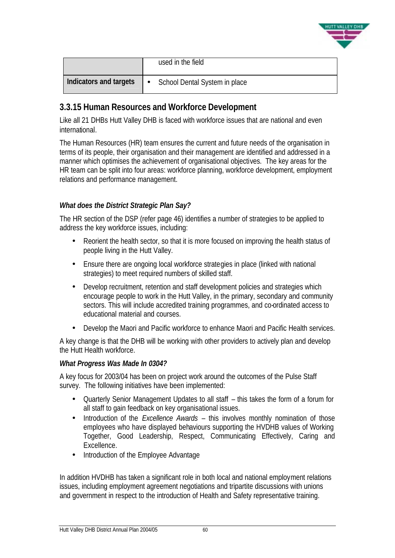

|                        | used in the field                               |
|------------------------|-------------------------------------------------|
| Indicators and targets | School Dental System in place<br>$\blacksquare$ |

## **3.3.15 Human Resources and Workforce Development**

Like all 21 DHBs Hutt Valley DHB is faced with workforce issues that are national and even international.

The Human Resources (HR) team ensures the current and future needs of the organisation in terms of its people, their organisation and their management are identified and addressed in a manner which optimises the achievement of organisational objectives. The key areas for the HR team can be split into four areas: workforce planning, workforce development, employment relations and performance management.

## *What does the District Strategic Plan Say?*

The HR section of the DSP (refer page 46) identifies a number of strategies to be applied to address the key workforce issues, including:

- Reorient the health sector, so that it is more focused on improving the health status of people living in the Hutt Valley.
- Ensure there are ongoing local workforce strategies in place (linked with national strategies) to meet required numbers of skilled staff.
- Develop recruitment, retention and staff development policies and strategies which encourage people to work in the Hutt Valley, in the primary, secondary and community sectors. This will include accredited training programmes, and co-ordinated access to educational material and courses.
- Develop the Maori and Pacific workforce to enhance Maori and Pacific Health services.

A key change is that the DHB will be working with other providers to actively plan and develop the Hutt Health workforce.

## *What Progress Was Made In 0304?*

A key focus for 2003/04 has been on project work around the outcomes of the Pulse Staff survey. The following initiatives have been implemented:

- Quarterly Senior Management Updates to all staff this takes the form of a forum for all staff to gain feedback on key organisational issues.
- Introduction of the *Excellence Awards* this involves monthly nomination of those employees who have displayed behaviours supporting the HVDHB values of Working Together, Good Leadership, Respect, Communicating Effectively, Caring and Excellence.
- Introduction of the Employee Advantage

In addition HVDHB has taken a significant role in both local and national employment relations issues, including employment agreement negotiations and tripartite discussions with unions and government in respect to the introduction of Health and Safety representative training.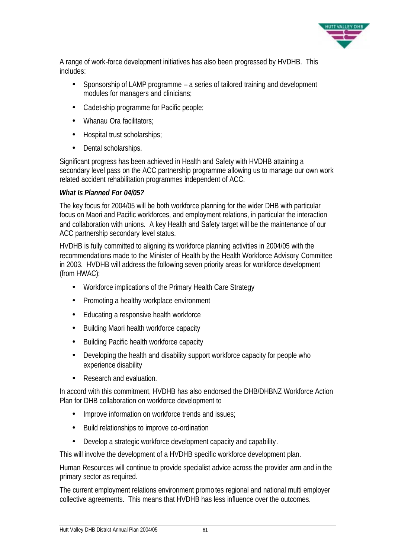

A range of work-force development initiatives has also been progressed by HVDHB. This includes:

- Sponsorship of LAMP programme a series of tailored training and development modules for managers and clinicians;
- Cadet-ship programme for Pacific people;
- Whanau Ora facilitators:
- Hospital trust scholarships;
- Dental scholarships.

Significant progress has been achieved in Health and Safety with HVDHB attaining a secondary level pass on the ACC partnership programme allowing us to manage our own work related accident rehabilitation programmes independent of ACC.

## *What Is Planned For 04/05?*

The key focus for 2004/05 will be both workforce planning for the wider DHB with particular focus on Maori and Pacific workforces, and employment relations, in particular the interaction and collaboration with unions. A key Health and Safety target will be the maintenance of our ACC partnership secondary level status.

HVDHB is fully committed to aligning its workforce planning activities in 2004/05 with the recommendations made to the Minister of Health by the Health Workforce Advisory Committee in 2003. HVDHB will address the following seven priority areas for workforce development (from HWAC):

- Workforce implications of the Primary Health Care Strategy
- Promoting a healthy workplace environment
- Educating a responsive health workforce
- Building Maori health workforce capacity
- Building Pacific health workforce capacity
- Developing the health and disability support workforce capacity for people who experience disability
- Research and evaluation.

In accord with this commitment, HVDHB has also endorsed the DHB/DHBNZ Workforce Action Plan for DHB collaboration on workforce development to

- Improve information on workforce trends and issues;
- Build relationships to improve co-ordination
- Develop a strategic workforce development capacity and capability.

This will involve the development of a HVDHB specific workforce development plan.

Human Resources will continue to provide specialist advice across the provider arm and in the primary sector as required.

The current employment relations environment promo tes regional and national multi employer collective agreements. This means that HVDHB has less influence over the outcomes.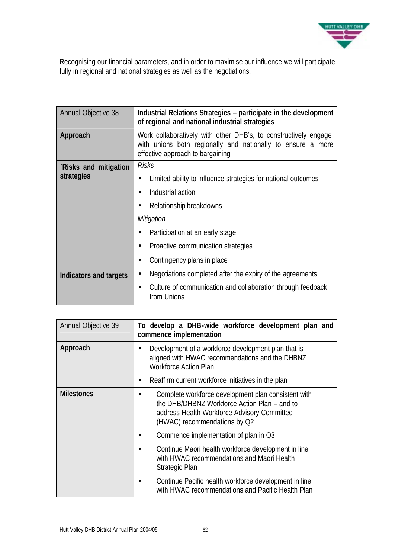

Recognising our financial parameters, and in order to maximise our influence we will participate fully in regional and national strategies as well as the negotiations.

| <b>Annual Objective 38</b> | Industrial Relations Strategies – participate in the development<br>of regional and national industrial strategies                                                 |
|----------------------------|--------------------------------------------------------------------------------------------------------------------------------------------------------------------|
| Approach                   | Work collaboratively with other DHB's, to constructively engage<br>with unions both regionally and nationally to ensure a more<br>effective approach to bargaining |
| Risks and mitigation       | <b>Risks</b>                                                                                                                                                       |
| strategies                 | Limited ability to influence strategies for national outcomes                                                                                                      |
|                            | Industrial action                                                                                                                                                  |
|                            | Relationship breakdowns                                                                                                                                            |
|                            | Mitigation                                                                                                                                                         |
|                            | Participation at an early stage                                                                                                                                    |
|                            | Proactive communication strategies                                                                                                                                 |
|                            | Contingency plans in place                                                                                                                                         |
| Indicators and targets     | Negotiations completed after the expiry of the agreements<br>$\bullet$                                                                                             |
|                            | Culture of communication and collaboration through feedback<br>$\bullet$<br>from Unions                                                                            |

| Annual Objective 39 | To develop a DHB-wide workforce development plan and<br>commence implementation                                                                                                    |
|---------------------|------------------------------------------------------------------------------------------------------------------------------------------------------------------------------------|
| Approach            | Development of a workforce development plan that is<br>aligned with HWAC recommendations and the DHBNZ<br><b>Workforce Action Plan</b>                                             |
|                     | Reaffirm current workforce initiatives in the plan                                                                                                                                 |
| <b>Milestones</b>   | Complete workforce development plan consistent with<br>the DHB/DHBNZ Workforce Action Plan – and to<br>address Health Workforce Advisory Committee<br>(HWAC) recommendations by Q2 |
|                     | Commence implementation of plan in Q3                                                                                                                                              |
|                     | Continue Maori health workforce development in line<br>with HWAC recommendations and Maori Health<br>Strategic Plan                                                                |
|                     | Continue Pacific health workforce development in line<br>with HWAC recommendations and Pacific Health Plan                                                                         |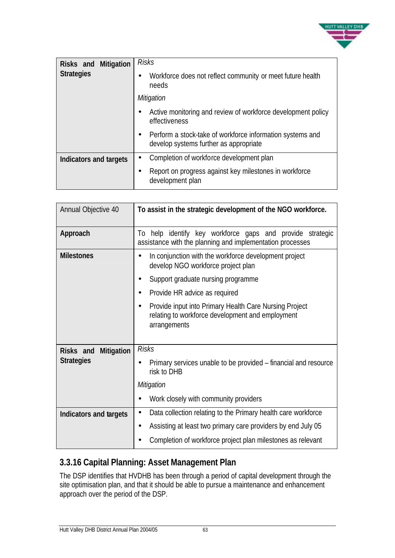

| Risks and Mitigation<br><b>Strategies</b> | <b>Risks</b><br>Workforce does not reflect community or meet future health<br>needs                              |
|-------------------------------------------|------------------------------------------------------------------------------------------------------------------|
|                                           | <b>Mitigation</b>                                                                                                |
|                                           | Active monitoring and review of workforce development policy<br>effectiveness                                    |
|                                           | Perform a stock-take of workforce information systems and<br>$\bullet$<br>develop systems further as appropriate |
| Indicators and targets                    | Completion of workforce development plan<br>$\bullet$                                                            |
|                                           | Report on progress against key milestones in workforce<br>development plan                                       |

| Annual Objective 40    | To assist in the strategic development of the NGO workforce.                                                               |
|------------------------|----------------------------------------------------------------------------------------------------------------------------|
| Approach               | To help identify key workforce gaps and provide strategic<br>assistance with the planning and implementation processes     |
| <b>Milestones</b>      | In conjunction with the workforce development project<br>$\bullet$<br>develop NGO workforce project plan                   |
|                        | Support graduate nursing programme                                                                                         |
|                        | Provide HR advice as required                                                                                              |
|                        | Provide input into Primary Health Care Nursing Project<br>relating to workforce development and employment<br>arrangements |
| Risks and Mitigation   | <b>Risks</b>                                                                                                               |
| <b>Strategies</b>      | Primary services unable to be provided – financial and resource<br>risk to DHB                                             |
|                        | Mitigation                                                                                                                 |
|                        | Work closely with community providers                                                                                      |
| Indicators and targets | Data collection relating to the Primary health care workforce<br>$\bullet$                                                 |
|                        | Assisting at least two primary care providers by end July 05                                                               |
|                        | Completion of workforce project plan milestones as relevant                                                                |

# **3.3.16 Capital Planning: Asset Management Plan**

The DSP identifies that HVDHB has been through a period of capital development through the site optimisation plan, and that it should be able to pursue a maintenance and enhancement approach over the period of the DSP.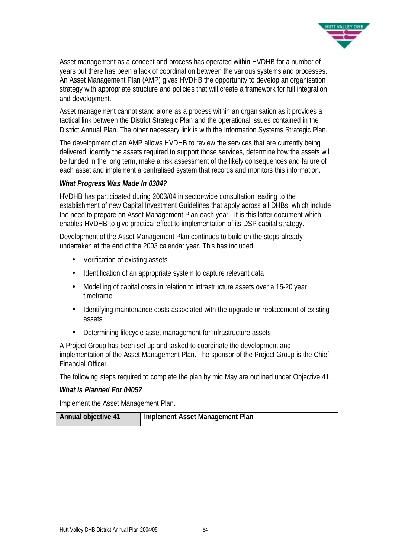

Asset management as a concept and process has operated within HVDHB for a number of years but there has been a lack of coordination between the various systems and processes. An Asset Management Plan (AMP) gives HVDHB the opportunity to develop an organisation strategy with appropriate structure and policies that will create a framework for full integration and development.

Asset management cannot stand alone as a process within an organisation as it provides a tactical link between the District Strategic Plan and the operational issues contained in the District Annual Plan. The other necessary link is with the Information Systems Strategic Plan.

The development of an AMP allows HVDHB to review the services that are currently being delivered, identify the assets required to support those services, determine how the assets will be funded in the long term, make a risk assessment of the likely consequences and failure of each asset and implement a centralised system that records and monitors this information.

## *What Progress Was Made In 0304?*

HVDHB has participated during 2003/04 in sector-wide consultation leading to the establishment of new Capital Investment Guidelines that apply across all DHBs, which include the need to prepare an Asset Management Plan each year. It is this latter document which enables HVDHB to give practical effect to implementation of its DSP capital strategy.

Development of the Asset Management Plan continues to build on the steps already undertaken at the end of the 2003 calendar year. This has included:

- Verification of existing assets
- Identification of an appropriate system to capture relevant data
- Modelling of capital costs in relation to infrastructure assets over a 15-20 year timeframe
- Identifying maintenance costs associated with the upgrade or replacement of existing assets
- Determining lifecycle asset management for infrastructure assets

A Project Group has been set up and tasked to coordinate the development and implementation of the Asset Management Plan. The sponsor of the Project Group is the Chief Financial Officer.

The following steps required to complete the plan by mid May are outlined under Objective 41.

## *What Is Planned For 0405?*

Implement the Asset Management Plan.

| <b>Annual objective 41</b> | Implement Asset Management Plan |
|----------------------------|---------------------------------|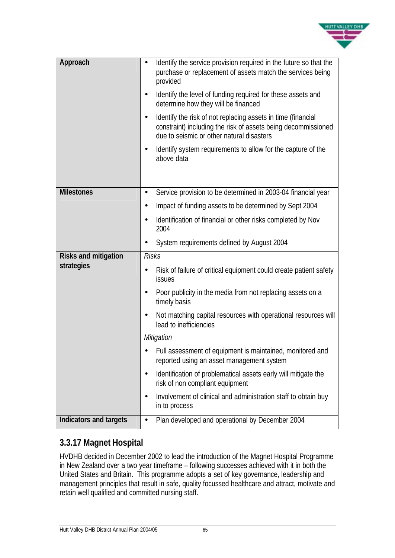

| Approach                    | Identify the service provision required in the future so that the<br>purchase or replacement of assets match the services being<br>provided                                |
|-----------------------------|----------------------------------------------------------------------------------------------------------------------------------------------------------------------------|
|                             | Identify the level of funding required for these assets and<br>determine how they will be financed                                                                         |
|                             | Identify the risk of not replacing assets in time (financial<br>constraint) including the risk of assets being decommissioned<br>due to seismic or other natural disasters |
|                             | Identify system requirements to allow for the capture of the<br>above data                                                                                                 |
|                             |                                                                                                                                                                            |
| <b>Milestones</b>           | Service provision to be determined in 2003-04 financial year<br>$\bullet$                                                                                                  |
|                             | Impact of funding assets to be determined by Sept 2004                                                                                                                     |
|                             | Identification of financial or other risks completed by Nov<br>2004                                                                                                        |
|                             | System requirements defined by August 2004                                                                                                                                 |
| <b>Risks and mitigation</b> | <b>Risks</b>                                                                                                                                                               |
| strategies                  | Risk of failure of critical equipment could create patient safety<br>issues                                                                                                |
|                             | Poor publicity in the media from not replacing assets on a<br>timely basis                                                                                                 |
|                             | Not matching capital resources with operational resources will<br>lead to inefficiencies                                                                                   |
|                             | Mitigation                                                                                                                                                                 |
|                             | Full assessment of equipment is maintained, monitored and<br>reported using an asset management system                                                                     |
|                             | Identification of problematical assets early will mitigate the<br>risk of non compliant equipment                                                                          |
|                             | Involvement of clinical and administration staff to obtain buy<br>in to process                                                                                            |
| Indicators and targets      | Plan developed and operational by December 2004<br>$\bullet$                                                                                                               |

# **3.3.17 Magnet Hospital**

HVDHB decided in December 2002 to lead the introduction of the Magnet Hospital Programme in New Zealand over a two year timeframe – following successes achieved with it in both the United States and Britain. This programme adopts a set of key governance, leadership and management principles that result in safe, quality focussed healthcare and attract, motivate and retain well qualified and committed nursing staff.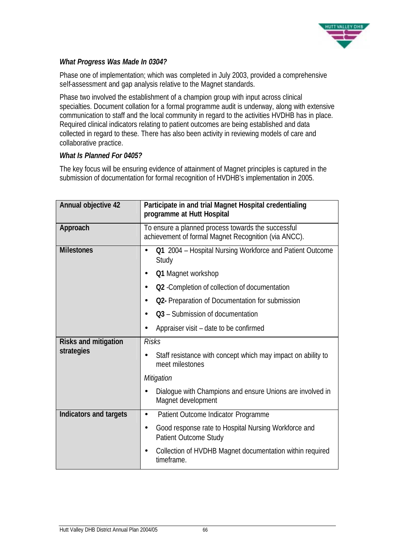

## *What Progress Was Made In 0304?*

Phase one of implementation; which was completed in July 2003, provided a comprehensive self-assessment and gap analysis relative to the Magnet standards.

Phase two involved the establishment of a champion group with input across clinical specialties. Document collation for a formal programme audit is underway, along with extensive communication to staff and the local community in regard to the activities HVDHB has in place. Required clinical indicators relating to patient outcomes are being established and data collected in regard to these. There has also been activity in reviewing models of care and collaborative practice.

## *What Is Planned For 0405?*

The key focus will be ensuring evidence of attainment of Magnet principles is captured in the submission of documentation for formal recognition of HVDHB's implementation in 2005.

| Annual objective 42                       | Participate in and trial Magnet Hospital credentialing<br>programme at Hutt Hospital                       |
|-------------------------------------------|------------------------------------------------------------------------------------------------------------|
| Approach                                  | To ensure a planned process towards the successful<br>achievement of formal Magnet Recognition (via ANCC). |
| <b>Milestones</b>                         | Q1 2004 - Hospital Nursing Workforce and Patient Outcome<br>$\bullet$<br>Study                             |
|                                           | Q1 Magnet workshop                                                                                         |
|                                           | Q2 - Completion of collection of documentation                                                             |
|                                           | <b>Q2-</b> Preparation of Documentation for submission                                                     |
|                                           | Q3 - Submission of documentation                                                                           |
|                                           | Appraiser visit – date to be confirmed                                                                     |
| <b>Risks and mitigation</b><br>strategies | <b>Risks</b>                                                                                               |
|                                           | Staff resistance with concept which may impact on ability to<br>meet milestones                            |
|                                           | Mitigation                                                                                                 |
|                                           | Dialogue with Champions and ensure Unions are involved in<br>Magnet development                            |
| Indicators and targets                    | Patient Outcome Indicator Programme<br>$\bullet$                                                           |
|                                           | Good response rate to Hospital Nursing Workforce and<br>Patient Outcome Study                              |
|                                           | Collection of HVDHB Magnet documentation within required<br>timeframe.                                     |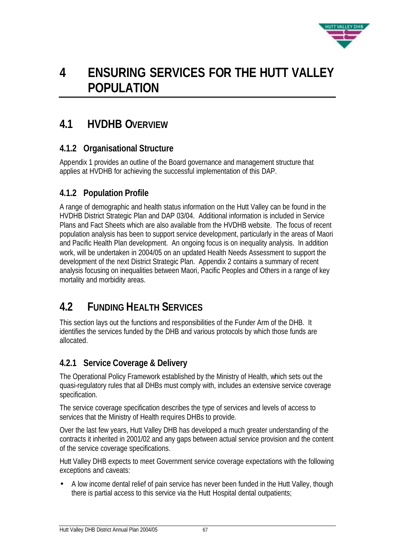

# **4 ENSURING SERVICES FOR THE HUTT VALLEY POPULATION**

# **4.1 HVDHB OVERVIEW**

# **4.1.2 Organisational Structure**

Appendix 1 provides an outline of the Board governance and management structure that applies at HVDHB for achieving the successful implementation of this DAP.

# **4.1.2 Population Profile**

A range of demographic and health status information on the Hutt Valley can be found in the HVDHB District Strategic Plan and DAP 03/04. Additional information is included in Service Plans and Fact Sheets which are also available from the HVDHB website. The focus of recent population analysis has been to support service development, particularly in the areas of Maori and Pacific Health Plan development. An ongoing focus is on inequality analysis. In addition work, will be undertaken in 2004/05 on an updated Health Needs Assessment to support the development of the next District Strategic Plan. Appendix 2 contains a summary of recent analysis focusing on inequalities between Maori, Pacific Peoples and Others in a range of key mortality and morbidity areas.

# **4.2 FUNDING HEALTH SERVICES**

This section lays out the functions and responsibilities of the Funder Arm of the DHB. It identifies the services funded by the DHB and various protocols by which those funds are allocated.

# **4.2.1 Service Coverage & Delivery**

The Operational Policy Framework established by the Ministry of Health, which sets out the quasi-regulatory rules that all DHBs must comply with, includes an extensive service coverage specification.

The service coverage specification describes the type of services and levels of access to services that the Ministry of Health requires DHBs to provide.

Over the last few years, Hutt Valley DHB has developed a much greater understanding of the contracts it inherited in 2001/02 and any gaps between actual service provision and the content of the service coverage specifications.

Hutt Valley DHB expects to meet Government service coverage expectations with the following exceptions and caveats:

• A low income dental relief of pain service has never been funded in the Hutt Valley, though there is partial access to this service via the Hutt Hospital dental outpatients;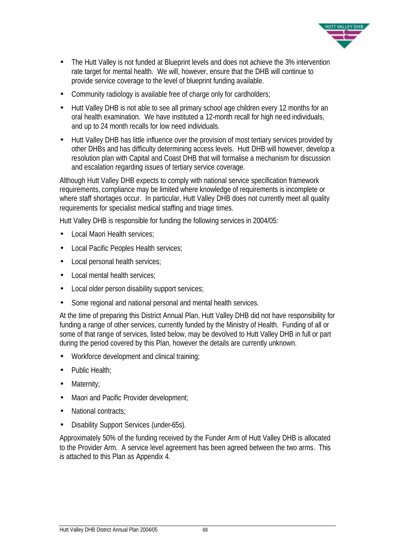

- The Hutt Valley is not funded at Blueprint levels and does not achieve the 3% intervention rate target for mental health. We will, however, ensure that the DHB will continue to provide service coverage to the level of blueprint funding available.
- Community radiology is available free of charge only for cardholders;
- Hutt Valley DHB is not able to see all primary school age children every 12 months for an oral health examination. We have instituted a 12-month recall for high ne ed individuals, and up to 24 month recalls for low need individuals.
- Hutt Valley DHB has little influence over the provision of most tertiary services provided by other DHBs and has difficulty determining access levels. Hutt DHB will however, develop a resolution plan with Capital and Coast DHB that will formalise a mechanism for discussion and escalation regarding issues of tertiary service coverage.

Although Hutt Valley DHB expects to comply with national service specification framework requirements, compliance may be limited where knowledge of requirements is incomplete or where staff shortages occur. In particular, Hutt Valley DHB does not currently meet all quality requirements for specialist medical staffing and triage times.

Hutt Valley DHB is responsible for funding the following services in 2004/05:

- Local Maori Health services:
- Local Pacific Peoples Health services;
- Local personal health services;
- Local mental health services;
- Local older person disability support services;
- Some regional and national personal and mental health services.

At the time of preparing this District Annual Plan, Hutt Valley DHB did not have responsibility for funding a range of other services, currently funded by the Ministry of Health. Funding of all or some of that range of services, listed below, may be devolved to Hutt Valley DHB in full or part during the period covered by this Plan, however the details are currently unknown.

- Workforce development and clinical training;
- Public Health:
- Maternity;
- Maori and Pacific Provider development;
- National contracts:
- Disability Support Services (under-65s).

Approximately 50% of the funding received by the Funder Arm of Hutt Valley DHB is allocated to the Provider Arm. A service level agreement has been agreed between the two arms. This is attached to this Plan as Appendix 4.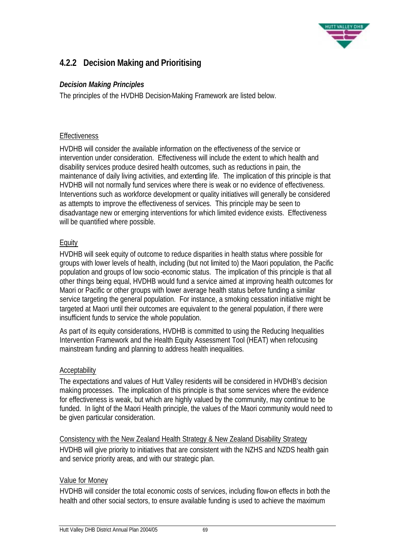

# **4.2.2 Decision Making and Prioritising**

### *Decision Making Principles*

The principles of the HVDHB Decision-Making Framework are listed below.

#### **Effectiveness**

HVDHB will consider the available information on the effectiveness of the service or intervention under consideration. Effectiveness will include the extent to which health and disability services produce desired health outcomes, such as reductions in pain, the maintenance of daily living activities, and extending life. The implication of this principle is that HVDHB will not normally fund services where there is weak or no evidence of effectiveness. Interventions such as workforce development or quality initiatives will generally be considered as attempts to improve the effectiveness of services. This principle may be seen to disadvantage new or emerging interventions for which limited evidence exists. Effectiveness will be quantified where possible.

### Equity

HVDHB will seek equity of outcome to reduce disparities in health status where possible for groups with lower levels of health, including (but not limited to) the Maori population, the Pacific population and groups of low socio -economic status. The implication of this principle is that all other things being equal, HVDHB would fund a service aimed at improving health outcomes for Maori or Pacific or other groups with lower average health status before funding a similar service targeting the general population. For instance, a smoking cessation initiative might be targeted at Maori until their outcomes are equivalent to the general population, if there were insufficient funds to service the whole population.

As part of its equity considerations, HVDHB is committed to using the Reducing Inequalities Intervention Framework and the Health Equity Assessment Tool (HEAT) when refocusing mainstream funding and planning to address health inequalities.

### **Acceptability**

The expectations and values of Hutt Valley residents will be considered in HVDHB's decision making processes. The implication of this principle is that some services where the evidence for effectiveness is weak, but which are highly valued by the community, may continue to be funded. In light of the Maori Health principle, the values of the Maori community would need to be given particular consideration.

Consistency with the New Zealand Health Strategy & New Zealand Disability Strategy HVDHB will give priority to initiatives that are consistent with the NZHS and NZDS health gain and service priority areas, and with our strategic plan.

### Value for Money

HVDHB will consider the total economic costs of services, including flow-on effects in both the health and other social sectors, to ensure available funding is used to achieve the maximum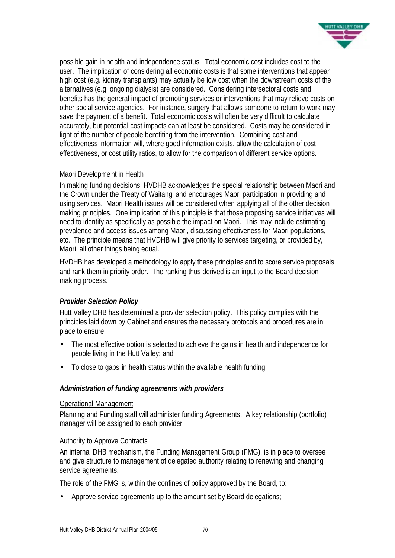

possible gain in health and independence status. Total economic cost includes cost to the user. The implication of considering all economic costs is that some interventions that appear high cost (e.g. kidney transplants) may actually be low cost when the downstream costs of the alternatives (e.g. ongoing dialysis) are considered. Considering intersectoral costs and benefits has the general impact of promoting services or interventions that may relieve costs on other social service agencies. For instance, surgery that allows someone to return to work may save the payment of a benefit. Total economic costs will often be very difficult to calculate accurately, but potential cost impacts can at least be considered. Costs may be considered in light of the number of people benefiting from the intervention. Combining cost and effectiveness information will, where good information exists, allow the calculation of cost effectiveness, or cost utility ratios, to allow for the comparison of different service options.

#### Maori Developme nt in Health

In making funding decisions, HVDHB acknowledges the special relationship between Maori and the Crown under the Treaty of Waitangi and encourages Maori participation in providing and using services. Maori Health issues will be considered when applying all of the other decision making principles. One implication of this principle is that those proposing service initiatives will need to identify as specifically as possible the impact on Maori. This may include estimating prevalence and access issues among Maori, discussing effectiveness for Maori populations, etc. The principle means that HVDHB will give priority to services targeting, or provided by, Maori, all other things being equal.

HVDHB has developed a methodology to apply these princip les and to score service proposals and rank them in priority order. The ranking thus derived is an input to the Board decision making process.

### *Provider Selection Policy*

Hutt Valley DHB has determined a provider selection policy. This policy complies with the principles laid down by Cabinet and ensures the necessary protocols and procedures are in place to ensure:

- The most effective option is selected to achieve the gains in health and independence for people living in the Hutt Valley; and
- To close to gaps in health status within the available health funding.

### *Administration of funding agreements with providers*

#### Operational Management

Planning and Funding staff will administer funding Agreements. A key relationship (portfolio) manager will be assigned to each provider.

#### Authority to Approve Contracts

An internal DHB mechanism, the Funding Management Group (FMG), is in place to oversee and give structure to management of delegated authority relating to renewing and changing service agreements.

The role of the FMG is, within the confines of policy approved by the Board, to:

• Approve service agreements up to the amount set by Board delegations;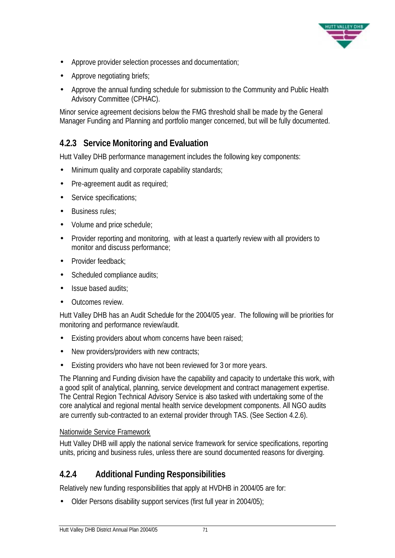

- Approve provider selection processes and documentation;
- Approve negotiating briefs;
- Approve the annual funding schedule for submission to the Community and Public Health Advisory Committee (CPHAC).

Minor service agreement decisions below the FMG threshold shall be made by the General Manager Funding and Planning and portfolio manger concerned, but will be fully documented.

## **4.2.3 Service Monitoring and Evaluation**

Hutt Valley DHB performance management includes the following key components:

- Minimum quality and corporate capability standards;
- Pre-agreement audit as required;
- Service specifications;
- Business rules:
- Volume and price schedule;
- Provider reporting and monitoring, with at least a quarterly review with all providers to monitor and discuss performance;
- Provider feedback;
- Scheduled compliance audits;
- Issue based audits:
- Outcomes review.

Hutt Valley DHB has an Audit Schedule for the 2004/05 year. The following will be priorities for monitoring and performance review/audit.

- Existing providers about whom concerns have been raised;
- New providers/providers with new contracts;
- Existing providers who have not been reviewed for 3 or more years.

The Planning and Funding division have the capability and capacity to undertake this work, with a good split of analytical, planning, service development and contract management expertise. The Central Region Technical Advisory Service is also tasked with undertaking some of the core analytical and regional mental health service development components. All NGO audits are currently sub-contracted to an external provider through TAS. (See Section 4.2.6).

#### Nationwide Service Framework

Hutt Valley DHB will apply the national service framework for service specifications, reporting units, pricing and business rules, unless there are sound documented reasons for diverging.

# **4.2.4 Additional Funding Responsibilities**

Relatively new funding responsibilities that apply at HVDHB in 2004/05 are for:

• Older Persons disability support services (first full year in 2004/05);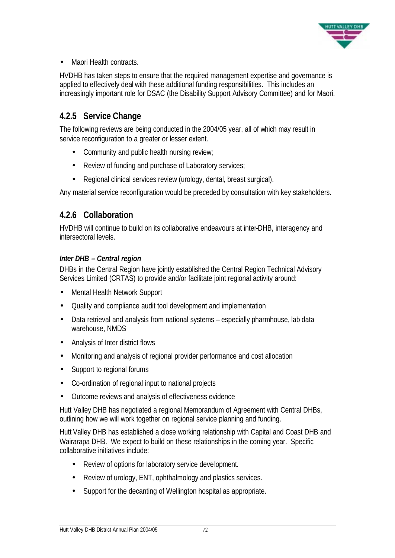

• Maori Health contracts.

HVDHB has taken steps to ensure that the required management expertise and governance is applied to effectively deal with these additional funding responsibilities. This includes an increasingly important role for DSAC (the Disability Support Advisory Committee) and for Maori.

# **4.2.5 Service Change**

The following reviews are being conducted in the 2004/05 year, all of which may result in service reconfiguration to a greater or lesser extent.

- Community and public health nursing review;
- Review of funding and purchase of Laboratory services;
- Regional clinical services review (urology, dental, breast surgical).

Any material service reconfiguration would be preceded by consultation with key stakeholders.

# **4.2.6 Collaboration**

HVDHB will continue to build on its collaborative endeavours at inter-DHB, interagency and intersectoral levels.

### *Inter DHB – Central region*

DHBs in the Central Region have jointly established the Central Region Technical Advisory Services Limited (CRTAS) to provide and/or facilitate joint regional activity around:

- Mental Health Network Support
- Quality and compliance audit tool development and implementation
- Data retrieval and analysis from national systems especially pharmhouse, lab data warehouse, NMDS
- Analysis of Inter district flows
- Monitoring and analysis of regional provider performance and cost allocation
- Support to regional forums
- Co-ordination of regional input to national projects
- Outcome reviews and analysis of effectiveness evidence

Hutt Valley DHB has negotiated a regional Memorandum of Agreement with Central DHBs, outlining how we will work together on regional service planning and funding.

Hutt Valley DHB has established a close working relationship with Capital and Coast DHB and Wairarapa DHB. We expect to build on these relationships in the coming year. Specific collaborative initiatives include:

- Review of options for laboratory service development.
- Review of urology, ENT, ophthalmology and plastics services.
- Support for the decanting of Wellington hospital as appropriate.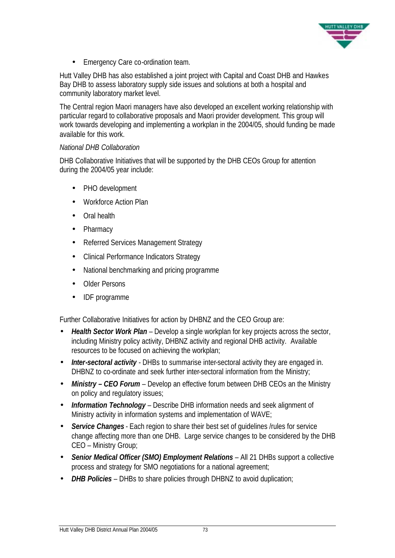

• Emergency Care co-ordination team.

Hutt Valley DHB has also established a joint project with Capital and Coast DHB and Hawkes Bay DHB to assess laboratory supply side issues and solutions at both a hospital and community laboratory market level.

The Central region Maori managers have also developed an excellent working relationship with particular regard to collaborative proposals and Maori provider development. This group will work towards developing and implementing a workplan in the 2004/05, should funding be made available for this work.

#### *National DHB Collaboration*

DHB Collaborative Initiatives that will be supported by the DHB CEOs Group for attention during the 2004/05 year include:

- PHO development
- Workforce Action Plan
- Oral health
- Pharmacy
- Referred Services Management Strategy
- Clinical Performance Indicators Strategy
- National benchmarking and pricing programme
- Older Persons
- IDF programme

Further Collaborative Initiatives for action by DHBNZ and the CEO Group are:

- *Health Sector Work Plan* Develop a single workplan for key projects across the sector, including Ministry policy activity, DHBNZ activity and regional DHB activity. Available resources to be focused on achieving the workplan;
- *Inter-sectoral activity* DHBs to summarise inter-sectoral activity they are engaged in. DHBNZ to co-ordinate and seek further inter-sectoral information from the Ministry;
- *Ministry CEO Forum* Develop an effective forum between DHB CEOs an the Ministry on policy and regulatory issues;
- *Information Technology* Describe DHB information needs and seek alignment of Ministry activity in information systems and implementation of WAVE;
- *Service Changes* Each region to share their best set of guidelines /rules for service change affecting more than one DHB. Large service changes to be considered by the DHB CEO – Ministry Group;
- *Senior Medical Officer (SMO) Employment Relations* All 21 DHBs support a collective process and strategy for SMO negotiations for a national agreement;
- *DHB Policies* DHBs to share policies through DHBNZ to avoid duplication;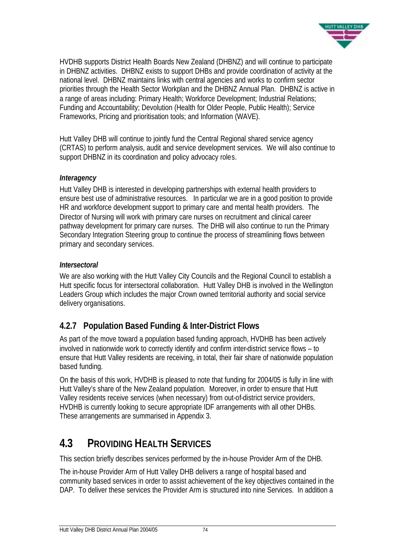

HVDHB supports District Health Boards New Zealand (DHBNZ) and will continue to participate in DHBNZ activities. DHBNZ exists to support DHBs and provide coordination of activity at the national level. DHBNZ maintains links with central agencies and works to confirm sector priorities through the Health Sector Workplan and the DHBNZ Annual Plan. DHBNZ is active in a range of areas including: Primary Health; Workforce Development; Industrial Relations; Funding and Accountability; Devolution (Health for Older People, Public Health); Service Frameworks, Pricing and prioritisation tools; and Information (WAVE).

Hutt Valley DHB will continue to jointly fund the Central Regional shared service agency (CRTAS) to perform analysis, audit and service development services. We will also continue to support DHBNZ in its coordination and policy advocacy roles.

### *Interagency*

Hutt Valley DHB is interested in developing partnerships with external health providers to ensure best use of administrative resources. In particular we are in a good position to provide HR and workforce development support to primary care and mental health providers. The Director of Nursing will work with primary care nurses on recruitment and clinical career pathway development for primary care nurses. The DHB will also continue to run the Primary Secondary Integration Steering group to continue the process of streamlining flows between primary and secondary services.

### *Intersectoral*

We are also working with the Hutt Valley City Councils and the Regional Council to establish a Hutt specific focus for intersectoral collaboration. Hutt Valley DHB is involved in the Wellington Leaders Group which includes the major Crown owned territorial authority and social service delivery organisations.

# **4.2.7 Population Based Funding & Inter-District Flows**

As part of the move toward a population based funding approach, HVDHB has been actively involved in nationwide work to correctly identify and confirm inter-district service flows – to ensure that Hutt Valley residents are receiving, in total, their fair share of nationwide population based funding.

On the basis of this work, HVDHB is pleased to note that funding for 2004/05 is fully in line with Hutt Valley's share of the New Zealand population. Moreover, in order to ensure that Hutt Valley residents receive services (when necessary) from out-of-district service providers, HVDHB is currently looking to secure appropriate IDF arrangements with all other DHBs. These arrangements are summarised in Appendix 3.

# **4.3 PROVIDING HEALTH SERVICES**

This section briefly describes services performed by the in-house Provider Arm of the DHB.

The in-house Provider Arm of Hutt Valley DHB delivers a range of hospital based and community based services in order to assist achievement of the key objectives contained in the DAP. To deliver these services the Provider Arm is structured into nine Services. In addition a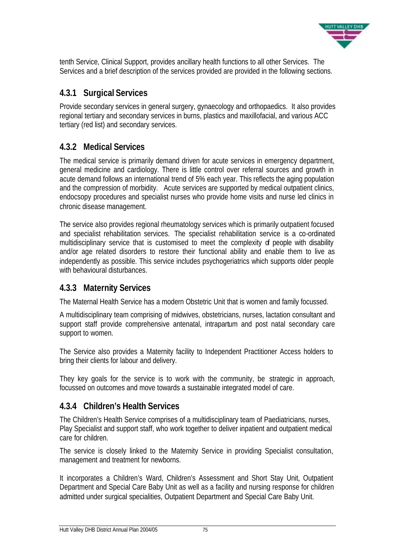

tenth Service, Clinical Support, provides ancillary health functions to all other Services. The Services and a brief description of the services provided are provided in the following sections.

## **4.3.1 Surgical Services**

Provide secondary services in general surgery, gynaecology and orthopaedics. It also provides regional tertiary and secondary services in burns, plastics and maxillofacial, and various ACC tertiary (red list) and secondary services.

## **4.3.2 Medical Services**

The medical service is primarily demand driven for acute services in emergency department, general medicine and cardiology. There is little control over referral sources and growth in acute demand follows an international trend of 5% each year. This reflects the aging population and the compression of morbidity. Acute services are supported by medical outpatient clinics, endocsopy procedures and specialist nurses who provide home visits and nurse led clinics in chronic disease management.

The service also provides regional rheumatology services which is primarily outpatient focused and specialist rehabilitation services. The specialist rehabilitation service is a co-ordinated multidisciplinary service that is customised to meet the complexity of people with disability and/or age related disorders to restore their functional ability and enable them to live as independently as possible. This service includes psychogeriatrics which supports older people with behavioural disturbances.

## **4.3.3 Maternity Services**

The Maternal Health Service has a modern Obstetric Unit that is women and family focussed.

A multidisciplinary team comprising of midwives, obstetricians, nurses, lactation consultant and support staff provide comprehensive antenatal, intrapartum and post natal secondary care support to women.

The Service also provides a Maternity facility to Independent Practitioner Access holders to bring their clients for labour and delivery.

They key goals for the service is to work with the community, be strategic in approach, focussed on outcomes and move towards a sustainable integrated model of care.

# **4.3.4 Children's Health Services**

The Children's Health Service comprises of a multidisciplinary team of Paediatricians, nurses, Play Specialist and support staff, who work together to deliver inpatient and outpatient medical care for children.

The service is closely linked to the Maternity Service in providing Specialist consultation, management and treatment for newborns.

It incorporates a Children's Ward, Children's Assessment and Short Stay Unit, Outpatient Department and Special Care Baby Unit as well as a facility and nursing response for children admitted under surgical specialities, Outpatient Department and Special Care Baby Unit.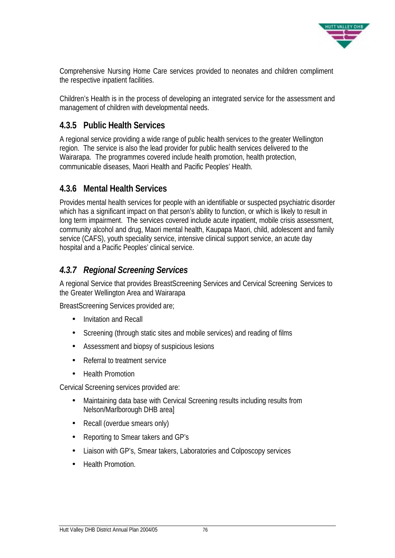

Comprehensive Nursing Home Care services provided to neonates and children compliment the respective inpatient facilities.

Children's Health is in the process of developing an integrated service for the assessment and management of children with developmental needs.

## **4.3.5 Public Health Services**

A regional service providing a wide range of public health services to the greater Wellington region. The service is also the lead provider for public health services delivered to the Wairarapa. The programmes covered include health promotion, health protection, communicable diseases, Maori Health and Pacific Peoples' Health.

### **4.3.6 Mental Health Services**

Provides mental health services for people with an identifiable or suspected psychiatric disorder which has a significant impact on that person's ability to function, or which is likely to result in long term impairment. The services covered include acute inpatient, mobile crisis assessment, community alcohol and drug, Maori mental health, Kaupapa Maori, child, adolescent and family service (CAFS), youth speciality service, intensive clinical support service, an acute day hospital and a Pacific Peoples' clinical service.

## *4.3.7 Regional Screening Services*

A regional Service that provides BreastScreening Services and Cervical Screening Services to the Greater Wellington Area and Wairarapa

BreastScreening Services provided are;

- Invitation and Recall
- Screening (through static sites and mobile services) and reading of films
- Assessment and biopsy of suspicious lesions
- Referral to treatment service
- Health Promotion

Cervical Screening services provided are:

- Maintaining data base with Cervical Screening results including results from Nelson/Marlborough DHB area]
- Recall (overdue smears only)
- Reporting to Smear takers and GP's
- Liaison with GP's, Smear takers, Laboratories and Colposcopy services
- Health Promotion.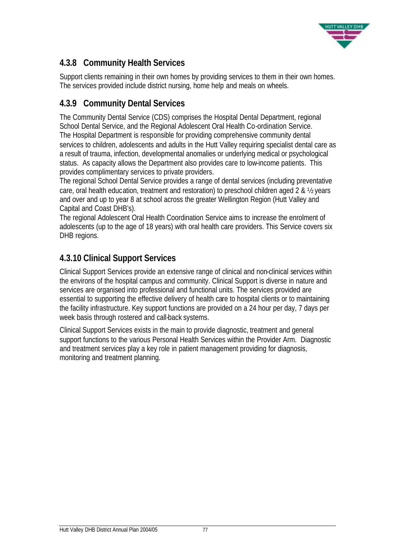

# **4.3.8 Community Health Services**

Support clients remaining in their own homes by providing services to them in their own homes. The services provided include district nursing, home help and meals on wheels.

# **4.3.9 Community Dental Services**

The Community Dental Service (CDS) comprises the Hospital Dental Department, regional School Dental Service, and the Regional Adolescent Oral Health Co-ordination Service. The Hospital Department is responsible for providing comprehensive community dental services to children, adolescents and adults in the Hutt Valley requiring specialist dental care as a result of trauma, infection, developmental anomalies or underlying medical or psychological status. As capacity allows the Department also provides care to low-income patients. This provides complimentary services to private providers.

The regional School Dental Service provides a range of dental services (including preventative care, oral health education, treatment and restoration) to preschool children aged 2 & ½ years and over and up to year 8 at school across the greater Wellington Region (Hutt Valley and Capital and Coast DHB's).

The regional Adolescent Oral Health Coordination Service aims to increase the enrolment of adolescents (up to the age of 18 years) with oral health care providers. This Service covers six DHB regions.

# **4.3.10 Clinical Support Services**

Clinical Support Services provide an extensive range of clinical and non-clinical services within the environs of the hospital campus and community. Clinical Support is diverse in nature and services are organised into professional and functional units. The services provided are essential to supporting the effective delivery of health care to hospital clients or to maintaining the facility infrastructure. Key support functions are provided on a 24 hour per day, 7 days per week basis through rostered and call-back systems.

Clinical Support Services exists in the main to provide diagnostic, treatment and general support functions to the various Personal Health Services within the Provider Arm. Diagnostic and treatment services play a key role in patient management providing for diagnosis, monitoring and treatment planning.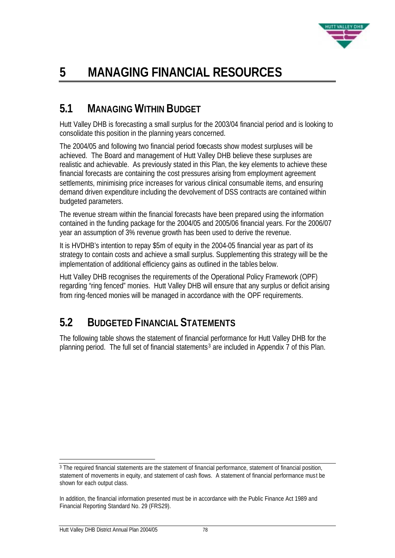

# **5 MANAGING FINANCIAL RESOURCES**

# **5.1 MANAGING WITHIN BUDGET**

Hutt Valley DHB is forecasting a small surplus for the 2003/04 financial period and is looking to consolidate this position in the planning years concerned.

The 2004/05 and following two financial period forecasts show modest surpluses will be achieved. The Board and management of Hutt Valley DHB believe these surpluses are realistic and achievable. As previously stated in this Plan, the key elements to achieve these financial forecasts are containing the cost pressures arising from employment agreement settlements, minimising price increases for various clinical consumable items, and ensuring demand driven expenditure including the devolvement of DSS contracts are contained within budgeted parameters.

The revenue stream within the financial forecasts have been prepared using the information contained in the funding package for the 2004/05 and 2005/06 financial years. For the 2006/07 year an assumption of 3% revenue growth has been used to derive the revenue.

It is HVDHB's intention to repay \$5m of equity in the 2004-05 financial year as part of its strategy to contain costs and achieve a small surplus. Supplementing this strategy will be the implementation of additional efficiency gains as outlined in the tables below.

Hutt Valley DHB recognises the requirements of the Operational Policy Framework (OPF) regarding "ring fenced" monies. Hutt Valley DHB will ensure that any surplus or deficit arising from ring-fenced monies will be managed in accordance with the OPF requirements.

# **5.2 BUDGETED FINANCIAL STATEMENTS**

The following table shows the statement of financial performance for Hutt Valley DHB for the planning period. The full set of financial statements<sup>3</sup> are included in Appendix 7 of this Plan.

l

<sup>3</sup> The required financial statements are the statement of financial performance, statement of financial position, statement of movements in equity, and statement of cash flows. A statement of financial performance must be shown for each output class.

In addition, the financial information presented must be in accordance with the Public Finance Act 1989 and Financial Reporting Standard No. 29 (FRS29).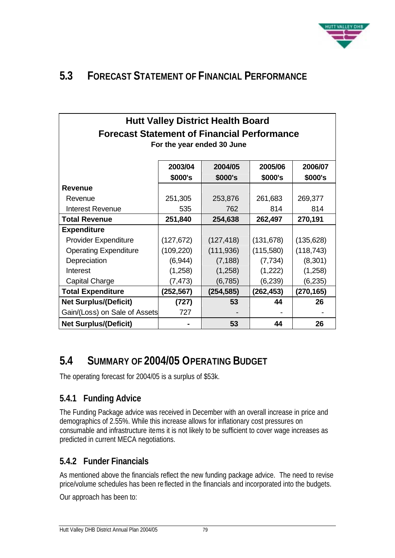

# **5.3 FORECAST STATEMENT OF FINANCIAL PERFORMANCE**

| <b>Hutt Valley District Health Board</b>           |            |            |            |            |  |  |  |
|----------------------------------------------------|------------|------------|------------|------------|--|--|--|
| <b>Forecast Statement of Financial Performance</b> |            |            |            |            |  |  |  |
| For the year ended 30 June                         |            |            |            |            |  |  |  |
|                                                    |            |            |            |            |  |  |  |
|                                                    | 2003/04    | 2004/05    | 2005/06    | 2006/07    |  |  |  |
|                                                    | \$000's    | \$000's    | \$000's    | \$000's    |  |  |  |
| Revenue                                            |            |            |            |            |  |  |  |
| Revenue                                            | 251,305    | 253,876    | 261,683    | 269,377    |  |  |  |
| <b>Interest Revenue</b>                            | 535        | 762        | 814        | 814        |  |  |  |
| <b>Total Revenue</b>                               | 251,840    | 254,638    | 262,497    | 270,191    |  |  |  |
| <b>Expenditure</b>                                 |            |            |            |            |  |  |  |
| <b>Provider Expenditure</b>                        | (127, 672) | (127, 418) | (131, 678) | (135, 628) |  |  |  |
| <b>Operating Expenditure</b>                       | (109, 220) | (111, 936) | (115,580)  | (118, 743) |  |  |  |
| Depreciation                                       | (6,944)    | (7, 188)   | (7, 734)   | (8, 301)   |  |  |  |
| Interest                                           | (1,258)    | (1,258)    | (1,222)    | (1,258)    |  |  |  |
| Capital Charge                                     | (7, 473)   | (6,785)    | (6,239)    | (6,235)    |  |  |  |
| <b>Total Expenditure</b>                           | (252, 567) | (254, 585) | (262, 453) | (270, 165) |  |  |  |
| <b>Net Surplus/(Deficit)</b>                       | (727)      | 53         | 44         | 26         |  |  |  |
| Gain/(Loss) on Sale of Assets                      | 727        |            |            |            |  |  |  |
| <b>Net Surplus/(Deficit)</b>                       |            | 53         | 44         | 26         |  |  |  |

# **5.4 SUMMARY OF 2004/05 OPERATING BUDGET**

The operating forecast for 2004/05 is a surplus of \$53k.

# **5.4.1 Funding Advice**

The Funding Package advice was received in December with an overall increase in price and demographics of 2.55%. While this increase allows for inflationary cost pressures on consumable and infrastructure items it is not likely to be sufficient to cover wage increases as predicted in current MECA negotiations.

# **5.4.2 Funder Financials**

As mentioned above the financials reflect the new funding package advice. The need to revise price/volume schedules has been re flected in the financials and incorporated into the budgets.

Our approach has been to: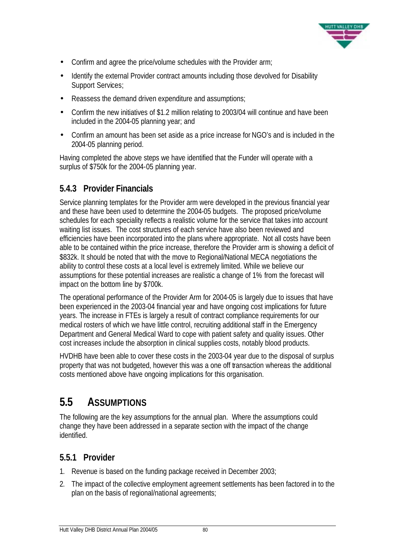

- Confirm and agree the price/volume schedules with the Provider arm;
- Identify the external Provider contract amounts including those devolved for Disability Support Services;
- Reassess the demand driven expenditure and assumptions;
- Confirm the new initiatives of \$1.2 million relating to 2003/04 will continue and have been included in the 2004-05 planning year; and
- Confirm an amount has been set aside as a price increase for NGO's and is included in the 2004-05 planning period.

Having completed the above steps we have identified that the Funder will operate with a surplus of \$750k for the 2004-05 planning year.

## **5.4.3 Provider Financials**

Service planning templates for the Provider arm were developed in the previous financial year and these have been used to determine the 2004-05 budgets. The proposed price/volume schedules for each speciality reflects a realistic volume for the service that takes into account waiting list issues. The cost structures of each service have also been reviewed and efficiencies have been incorporated into the plans where appropriate. Not all costs have been able to be contained within the price increase, therefore the Provider arm is showing a deficit of \$832k. It should be noted that with the move to Regional/National MECA negotiations the ability to control these costs at a local level is extremely limited. While we believe our assumptions for these potential increases are realistic a change of 1% from the forecast will impact on the bottom line by \$700k.

The operational performance of the Provider Arm for 2004-05 is largely due to issues that have been experienced in the 2003-04 financial year and have ongoing cost implications for future years. The increase in FTEs is largely a result of contract compliance requirements for our medical rosters of which we have little control, recruiting additional staff in the Emergency Department and General Medical Ward to cope with patient safety and quality issues. Other cost increases include the absorption in clinical supplies costs, notably blood products.

HVDHB have been able to cover these costs in the 2003-04 year due to the disposal of surplus property that was not budgeted, however this was a one off transaction whereas the additional costs mentioned above have ongoing implications for this organisation.

# **5.5 ASSUMPTIONS**

The following are the key assumptions for the annual plan. Where the assumptions could change they have been addressed in a separate section with the impact of the change identified.

# **5.5.1 Provider**

- 1. Revenue is based on the funding package received in December 2003;
- 2. The impact of the collective employment agreement settlements has been factored in to the plan on the basis of regional/national agreements;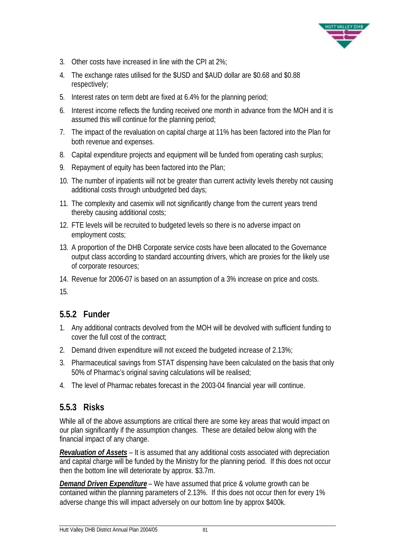

- 3. Other costs have increased in line with the CPI at 2%;
- 4. The exchange rates utilised for the \$USD and \$AUD dollar are \$0.68 and \$0.88 respectively;
- 5. Interest rates on term debt are fixed at 6.4% for the planning period;
- 6. Interest income reflects the funding received one month in advance from the MOH and it is assumed this will continue for the planning period;
- 7. The impact of the revaluation on capital charge at 11% has been factored into the Plan for both revenue and expenses.
- 8. Capital expenditure projects and equipment will be funded from operating cash surplus;
- 9. Repayment of equity has been factored into the Plan;
- 10. The number of inpatients will not be greater than current activity levels thereby not causing additional costs through unbudgeted bed days;
- 11. The complexity and casemix will not significantly change from the current years trend thereby causing additional costs;
- 12. FTE levels will be recruited to budgeted levels so there is no adverse impact on employment costs;
- 13. A proportion of the DHB Corporate service costs have been allocated to the Governance output class according to standard accounting drivers, which are proxies for the likely use of corporate resources;
- 14. Revenue for 2006-07 is based on an assumption of a 3% increase on price and costs.

15.

## **5.5.2 Funder**

- 1. Any additional contracts devolved from the MOH will be devolved with sufficient funding to cover the full cost of the contract;
- 2. Demand driven expenditure will not exceed the budgeted increase of 2.13%;
- 3. Pharmaceutical savings from STAT dispensing have been calculated on the basis that only 50% of Pharmac's original saving calculations will be realised;
- 4. The level of Pharmac rebates forecast in the 2003-04 financial year will continue.

## **5.5.3 Risks**

While all of the above assumptions are critical there are some key areas that would impact on our plan significantly if the assumption changes. These are detailed below along with the financial impact of any change.

*Revaluation of Assets* – It is assumed that any additional costs associated with depreciation and capital charge will be funded by the Ministry for the planning period. If this does not occur then the bottom line will deteriorate by approx. \$3.7m.

*Demand Driven Expenditure* – We have assumed that price & volume growth can be contained within the planning parameters of 2.13%. If this does not occur then for every 1% adverse change this will impact adversely on our bottom line by approx \$400k.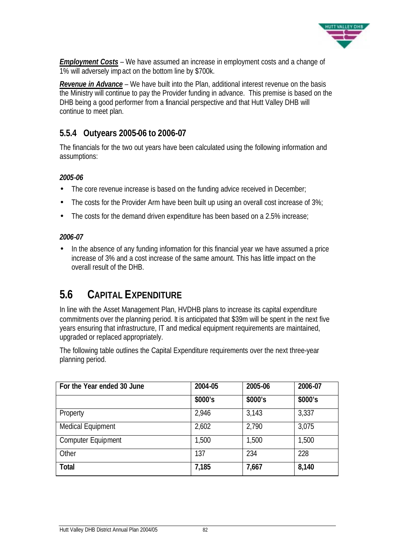

*Employment Costs* – We have assumed an increase in employment costs and a change of 1% will adversely imp act on the bottom line by \$700k.

*Revenue in Advance* – We have built into the Plan, additional interest revenue on the basis the Ministry will continue to pay the Provider funding in advance. This premise is based on the DHB being a good performer from a financial perspective and that Hutt Valley DHB will continue to meet plan.

## **5.5.4 Outyears 2005-06 to 2006-07**

The financials for the two out years have been calculated using the following information and assumptions:

#### *2005-06*

- The core revenue increase is based on the funding advice received in December;
- The costs for the Provider Arm have been built up using an overall cost increase of 3%;
- The costs for the demand driven expenditure has been based on a 2.5% increase;

#### *2006-07*

• In the absence of any funding information for this financial year we have assumed a price increase of 3% and a cost increase of the same amount. This has little impact on the overall result of the DHB.

# **5.6 CAPITAL EXPENDITURE**

In line with the Asset Management Plan, HVDHB plans to increase its capital expenditure commitments over the planning period. It is anticipated that \$39m will be spent in the next five years ensuring that infrastructure, IT and medical equipment requirements are maintained, upgraded or replaced appropriately.

The following table outlines the Capital Expenditure requirements over the next three-year planning period.

| For the Year ended 30 June | 2004-05 | 2005-06 | 2006-07 |
|----------------------------|---------|---------|---------|
|                            | \$000's | \$000's | \$000's |
| Property                   | 2,946   | 3,143   | 3,337   |
| <b>Medical Equipment</b>   | 2,602   | 2,790   | 3,075   |
| <b>Computer Equipment</b>  | 1,500   | 1,500   | 1,500   |
| Other                      | 137     | 234     | 228     |
| <b>Total</b>               | 7,185   | 7,667   | 8,140   |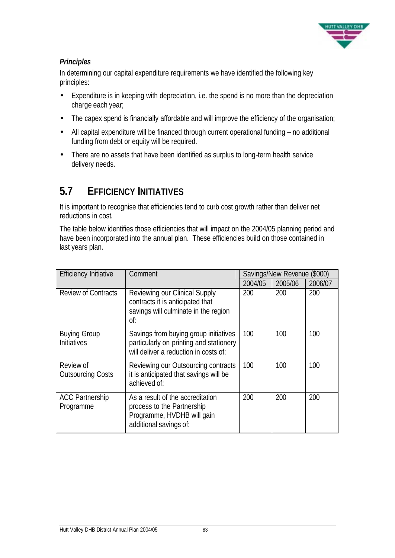

### *Principles*

In determining our capital expenditure requirements we have identified the following key principles:

- Expenditure is in keeping with depreciation, i.e. the spend is no more than the depreciation charge each year;
- The capex spend is financially affordable and will improve the efficiency of the organisation;
- All capital expenditure will be financed through current operational funding no additional funding from debt or equity will be required.
- There are no assets that have been identified as surplus to long-term health service delivery needs.

# **5.7 EFFICIENCY INITIATIVES**

It is important to recognise that efficiencies tend to curb cost growth rather than deliver net reductions in cost.

The table below identifies those efficiencies that will impact on the 2004/05 planning period and have been incorporated into the annual plan. These efficiencies build on those contained in last years plan.

| <b>Efficiency Initiative</b>          | Comment                                                                                                                   |         | Savings/New Revenue (\$000) |         |
|---------------------------------------|---------------------------------------------------------------------------------------------------------------------------|---------|-----------------------------|---------|
|                                       |                                                                                                                           | 2004/05 | 2005/06                     | 2006/07 |
| <b>Review of Contracts</b>            | Reviewing our Clinical Supply<br>contracts it is anticipated that<br>savings will culminate in the region<br>of:          | 200     | 200                         | 200     |
| <b>Buying Group</b><br>Initiatives    | Savings from buying group initiatives<br>particularly on printing and stationery<br>will deliver a reduction in costs of: | 100     | 100                         | 100     |
| Review of<br><b>Outsourcing Costs</b> | Reviewing our Outsourcing contracts<br>it is anticipated that savings will be<br>achieved of:                             | 100     | 100                         | 100     |
| <b>ACC Partnership</b><br>Programme   | As a result of the accreditation<br>process to the Partnership<br>Programme, HVDHB will gain<br>additional savings of:    | 200     | 200                         | 200     |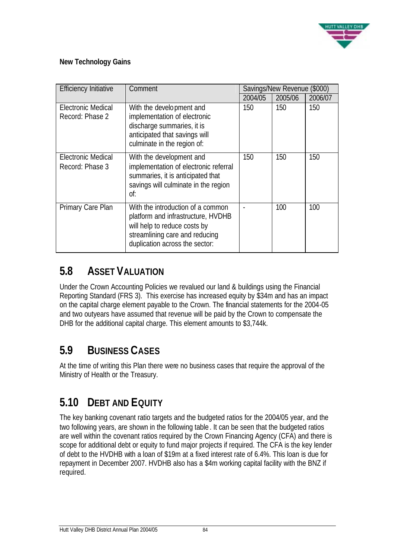

### **New Technology Gains**

| Comment<br><b>Efficiency Initiative</b>      |                                                                                                                                                                             |         | Savings/New Revenue (\$000) |         |
|----------------------------------------------|-----------------------------------------------------------------------------------------------------------------------------------------------------------------------------|---------|-----------------------------|---------|
|                                              |                                                                                                                                                                             | 2004/05 | 2005/06                     | 2006/07 |
| <b>Electronic Medical</b><br>Record: Phase 2 | With the development and<br>implementation of electronic<br>discharge summaries, it is<br>anticipated that savings will<br>culminate in the region of:                      | 150     | 150                         | 150     |
| <b>Electronic Medical</b><br>Record: Phase 3 | With the development and<br>implementation of electronic referral<br>summaries, it is anticipated that<br>savings will culminate in the region<br>of:                       | 150     | 150                         | 150     |
| Primary Care Plan                            | With the introduction of a common<br>platform and infrastructure, HVDHB<br>will help to reduce costs by<br>streamlining care and reducing<br>duplication across the sector: |         | 100                         | 100     |

# **5.8 ASSET VALUATION**

Under the Crown Accounting Policies we revalued our land & buildings using the Financial Reporting Standard (FRS 3). This exercise has increased equity by \$34m and has an impact on the capital charge element payable to the Crown. The financial statements for the 2004-05 and two outyears have assumed that revenue will be paid by the Crown to compensate the DHB for the additional capital charge. This element amounts to \$3,744k.

# **5.9 BUSINESS CASES**

At the time of writing this Plan there were no business cases that require the approval of the Ministry of Health or the Treasury.

# **5.10 DEBT AND EQUITY**

The key banking covenant ratio targets and the budgeted ratios for the 2004/05 year, and the two following years, are shown in the following table . It can be seen that the budgeted ratios are well within the covenant ratios required by the Crown Financing Agency (CFA) and there is scope for additional debt or equity to fund major projects if required. The CFA is the key lender of debt to the HVDHB with a loan of \$19m at a fixed interest rate of 6.4%. This loan is due for repayment in December 2007. HVDHB also has a \$4m working capital facility with the BNZ if required.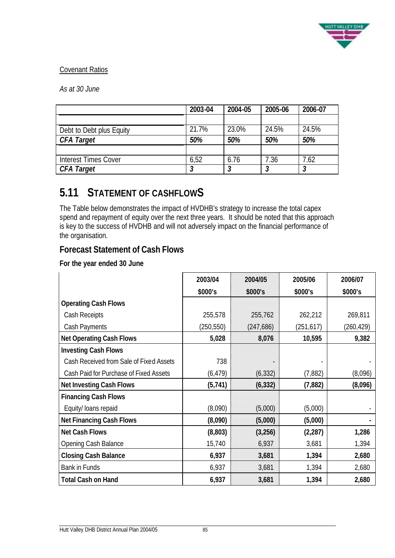

#### Covenant Ratios

*As at 30 June*

|                             | 2003-04 | 2004-05 | 2005-06 | 2006-07 |
|-----------------------------|---------|---------|---------|---------|
|                             |         |         |         |         |
| Debt to Debt plus Equity    | 21.7%   | 23.0%   | 24.5%   | 24.5%   |
| <b>CFA Target</b>           | 50%     | 50%     | 50%     | 50%     |
|                             |         |         |         |         |
| <b>Interest Times Cover</b> | 6,52    | 6.76    | 7.36    | 7.62    |
| <b>CFA Target</b>           |         | 2       | 3       | 3       |

# **5.11 STATEMENT OF CASHFLOWS**

The Table below demonstrates the impact of HVDHB's strategy to increase the total capex spend and repayment of equity over the next three years. It should be noted that this approach is key to the success of HVDHB and will not adversely impact on the financial performance of the organisation.

### **Forecast Statement of Cash Flows**

#### **For the year ended 30 June**

|                                         | 2003/04    | 2004/05    | 2005/06    | 2006/07    |
|-----------------------------------------|------------|------------|------------|------------|
|                                         | \$000's    | \$000's    | \$000's    | \$000's    |
| <b>Operating Cash Flows</b>             |            |            |            |            |
| Cash Receipts                           | 255,578    | 255,762    | 262,212    | 269,811    |
| <b>Cash Payments</b>                    | (250, 550) | (247, 686) | (251, 617) | (260, 429) |
| <b>Net Operating Cash Flows</b>         | 5,028      | 8,076      | 10,595     | 9,382      |
| <b>Investing Cash Flows</b>             |            |            |            |            |
| Cash Received from Sale of Fixed Assets | 738        |            |            |            |
| Cash Paid for Purchase of Fixed Assets  | (6, 479)   | (6, 332)   | (7, 882)   | (8,096)    |
| <b>Net Investing Cash Flows</b>         | (5,741)    | (6, 332)   | (7, 882)   | (8,096)    |
| <b>Financing Cash Flows</b>             |            |            |            |            |
| Equity/ loans repaid                    | (8,090)    | (5,000)    | (5,000)    |            |
| <b>Net Financing Cash Flows</b>         | (8,090)    | (5,000)    | (5,000)    |            |
| <b>Net Cash Flows</b>                   | (8, 803)   | (3,256)    | (2, 287)   | 1,286      |
| Opening Cash Balance                    | 15,740     | 6,937      | 3,681      | 1,394      |
| <b>Closing Cash Balance</b>             | 6,937      | 3,681      | 1,394      | 2,680      |
| Bank in Funds                           | 6,937      | 3,681      | 1,394      | 2,680      |
| <b>Total Cash on Hand</b>               | 6,937      | 3,681      | 1,394      | 2,680      |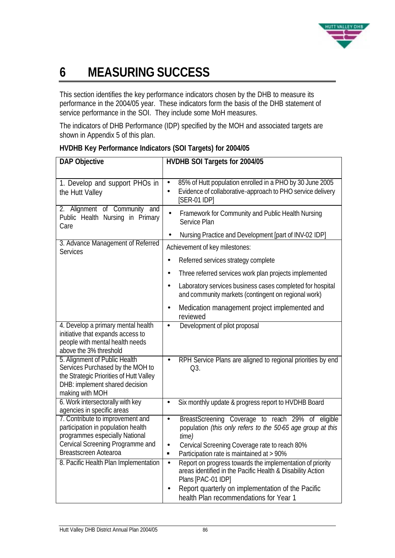

# **6 MEASURING SUCCESS**

This section identifies the key performance indicators chosen by the DHB to measure its performance in the 2004/05 year. These indicators form the basis of the DHB statement of service performance in the SOI. They include some MoH measures.

The indicators of DHB Performance (IDP) specified by the MOH and associated targets are shown in Appendix 5 of this plan.

| <b>DAP Objective</b>                                                                                                                                                  | HVDHB SOI Targets for 2004/05                                                                                                                                                                                                                                          |  |  |  |  |
|-----------------------------------------------------------------------------------------------------------------------------------------------------------------------|------------------------------------------------------------------------------------------------------------------------------------------------------------------------------------------------------------------------------------------------------------------------|--|--|--|--|
| 1. Develop and support PHOs in<br>the Hutt Valley                                                                                                                     | 85% of Hutt population enrolled in a PHO by 30 June 2005<br>$\bullet$<br>Evidence of collaborative-approach to PHO service delivery<br>$\bullet$<br>[SER-01 IDP]                                                                                                       |  |  |  |  |
| 2. Alignment of Community and<br>Public Health Nursing in Primary<br>Care                                                                                             | Framework for Community and Public Health Nursing<br>$\bullet$<br>Service Plan<br>Nursing Practice and Development [part of INV-02 IDP]<br>$\bullet$                                                                                                                   |  |  |  |  |
| 3. Advance Management of Referred<br><b>Services</b>                                                                                                                  | Achievement of key milestones:                                                                                                                                                                                                                                         |  |  |  |  |
|                                                                                                                                                                       | Referred services strategy complete<br>$\bullet$<br>Three referred services work plan projects implemented<br>$\bullet$                                                                                                                                                |  |  |  |  |
|                                                                                                                                                                       | Laboratory services business cases completed for hospital<br>and community markets (contingent on regional work)                                                                                                                                                       |  |  |  |  |
|                                                                                                                                                                       | Medication management project implemented and<br>$\bullet$<br>reviewed                                                                                                                                                                                                 |  |  |  |  |
| 4. Develop a primary mental health<br>initiative that expands access to<br>people with mental health needs<br>above the 3% threshold                                  | Development of pilot proposal<br>$\bullet$                                                                                                                                                                                                                             |  |  |  |  |
| 5. Alignment of Public Health<br>Services Purchased by the MOH to<br>the Strategic Priorities of Hutt Valley<br>DHB: implement shared decision<br>making with MOH     | RPH Service Plans are aligned to regional priorities by end<br>Q3.                                                                                                                                                                                                     |  |  |  |  |
| 6. Work intersectorally with key<br>agencies in specific areas                                                                                                        | Six monthly update & progress report to HVDHB Board<br>$\bullet$                                                                                                                                                                                                       |  |  |  |  |
| 7. Contribute to improvement and<br>participation in population health<br>programmes especially National<br>Cervical Screening Programme and<br>Breastscreen Aotearoa | BreastScreening Coverage to reach 29% of eligible<br>$\bullet$<br>population (this only refers to the 50-65 age group at this<br>time)<br>Cervical Screening Coverage rate to reach 80%<br>$\bullet$<br>Participation rate is maintained at > 90%<br>٠                 |  |  |  |  |
| 8. Pacific Health Plan Implementation                                                                                                                                 | Report on progress towards the implementation of priority<br>$\bullet$<br>areas identified in the Pacific Health & Disability Action<br>Plans [PAC-01 IDP]<br>Report quarterly on implementation of the Pacific<br>$\bullet$<br>health Plan recommendations for Year 1 |  |  |  |  |

#### **HVDHB Key Performance Indicators (SOI Targets) for 2004/05**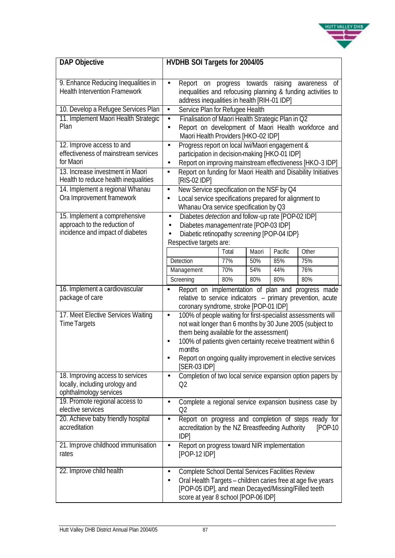

| <b>DAP Objective</b>                                                                              | HVDHB SOI Targets for 2004/05                                                                                                                                                                                                                                                                                                             |            |            |            |                                                                                                                  |
|---------------------------------------------------------------------------------------------------|-------------------------------------------------------------------------------------------------------------------------------------------------------------------------------------------------------------------------------------------------------------------------------------------------------------------------------------------|------------|------------|------------|------------------------------------------------------------------------------------------------------------------|
|                                                                                                   |                                                                                                                                                                                                                                                                                                                                           |            |            |            |                                                                                                                  |
| 9. Enhance Reducing Inequalities in<br><b>Health Intervention Framework</b>                       | Report on progress towards raising awareness<br>Οf<br>$\bullet$<br>inequalities and refocusing planning & funding activities to<br>address inequalities in health [RIH-01 IDP]                                                                                                                                                            |            |            |            |                                                                                                                  |
| 10. Develop a Refugee Services Plan                                                               | Service Plan for Refugee Health<br>$\bullet$                                                                                                                                                                                                                                                                                              |            |            |            |                                                                                                                  |
| 11. Implement Maori Health Strategic<br>Plan                                                      | Finalisation of Maori Health Strategic Plan in Q2<br>$\bullet$<br>$\bullet$<br>Maori Health Providers [HKO-02 IDP]                                                                                                                                                                                                                        |            |            |            | Report on development of Maori Health workforce and                                                              |
| 12. Improve access to and<br>effectiveness of mainstream services<br>for Maori                    | Progress report on local Iwi/Maori engagement &<br>$\bullet$<br>participation in decision-making [HKO-01 IDP]<br>$\bullet$                                                                                                                                                                                                                |            |            |            | Report on improving mainstream effectiveness [HKO-3 IDP]                                                         |
| 13. Increase investment in Maori<br>Health to reduce health inequalities                          | $\bullet$<br>[RIS-02 IDP]                                                                                                                                                                                                                                                                                                                 |            |            |            | Report on funding for Maori Health and Disability Initiatives                                                    |
| 14. Implement a regional Whanau<br>Ora Improvement framework                                      | New Service specification on the NSF by Q4<br>$\bullet$<br>Local service specifications prepared for alignment to<br>$\bullet$<br>Whanau Ora service specification by Q3                                                                                                                                                                  |            |            |            |                                                                                                                  |
| 15. Implement a comprehensive<br>approach to the reduction of<br>incidence and impact of diabetes | Diabetes <i>detection</i> and follow-up rate [POP-02 IDP]<br>$\bullet$<br>Diabetes managementrate [POP-03 IDP]<br>$\bullet$<br>Diabetic retinopathy screening [POP-04 IDP]<br>Respective targets are:                                                                                                                                     |            |            |            |                                                                                                                  |
|                                                                                                   |                                                                                                                                                                                                                                                                                                                                           | Total      | Maori      | Pacific    | Other                                                                                                            |
|                                                                                                   | Detection                                                                                                                                                                                                                                                                                                                                 | 77%        | 50%        | 85%        | 75%                                                                                                              |
|                                                                                                   | Management<br>Screening                                                                                                                                                                                                                                                                                                                   | 70%<br>80% | 54%<br>80% | 44%<br>80% | 76%<br>80%                                                                                                       |
| 16. Implement a cardiovascular                                                                    |                                                                                                                                                                                                                                                                                                                                           |            |            |            |                                                                                                                  |
| package of care                                                                                   | $\bullet$<br>coronary syndrome, stroke [POP-01 IDP]                                                                                                                                                                                                                                                                                       |            |            |            | Report on implementation of plan and progress made<br>relative to service indicators - primary prevention, acute |
| 17. Meet Elective Services Waiting<br><b>Time Targets</b>                                         | 100% of people waiting for first-specialist assessments will<br>$\bullet$<br>not wait longer than 6 months by 30 June 2005 (subject to<br>them being available for the assessment)<br>100% of patients given certainty receive treatment within 6<br>months<br>Report on ongoing quality improvement in elective services<br>[SER-03 IDP] |            |            |            |                                                                                                                  |
| 18. Improving access to services<br>locally, including urology and<br>ophthalmology services      | $\bullet$<br>Q2                                                                                                                                                                                                                                                                                                                           |            |            |            | Completion of two local service expansion option papers by                                                       |
| 19. Promote regional access to<br>elective services                                               | $\bullet$<br>Q2                                                                                                                                                                                                                                                                                                                           |            |            |            | Complete a regional service expansion business case by                                                           |
| 20. Achieve baby friendly hospital<br>accreditation                                               | Report on progress and completion of steps ready for<br>$\bullet$<br>accreditation by the NZ Breastfeeding Authority<br>$[POP-10]$<br>IDP <sub>l</sub>                                                                                                                                                                                    |            |            |            |                                                                                                                  |
| 21. Improve childhood immunisation<br>rates                                                       | Report on progress toward NIR implementation<br>$\bullet$<br>[POP-12 IDP]                                                                                                                                                                                                                                                                 |            |            |            |                                                                                                                  |
| 22. Improve child health                                                                          | <b>Complete School Dental Services Facilities Review</b><br>$\bullet$<br>Oral Health Targets - children caries free at age five years<br>$\bullet$<br>[POP-05 IDP], and mean Decayed/Missing/Filled teeth<br>score at year 8 school [POP-06 IDP]                                                                                          |            |            |            |                                                                                                                  |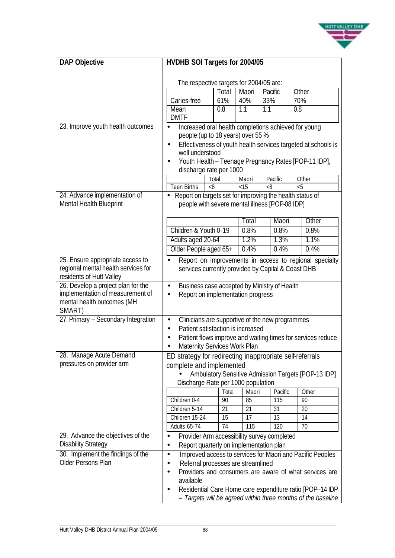

| <b>DAP Objective</b>                                                                                           | HVDHB SOI Targets for 2004/05                                                                                             |       |        |         |                                                               |
|----------------------------------------------------------------------------------------------------------------|---------------------------------------------------------------------------------------------------------------------------|-------|--------|---------|---------------------------------------------------------------|
|                                                                                                                |                                                                                                                           |       |        |         |                                                               |
|                                                                                                                | The respective targets for 2004/05 are:                                                                                   |       |        |         |                                                               |
|                                                                                                                |                                                                                                                           | Total | Maori  | Pacific | Other                                                         |
|                                                                                                                | Caries-free                                                                                                               | 61%   | 40%    | 33%     | 70%                                                           |
|                                                                                                                | Mean<br><b>DMTF</b>                                                                                                       | 0.8   | 1.1    | 1.1     | 0.8                                                           |
| 23. Improve youth health outcomes                                                                              | $\bullet$                                                                                                                 |       |        |         | Increased oral health completions achieved for young          |
|                                                                                                                | people (up to 18 years) over 55 %                                                                                         |       |        |         | Effectiveness of youth health services targeted at schools is |
|                                                                                                                | $\bullet$<br>well understood                                                                                              |       |        |         |                                                               |
|                                                                                                                | $\bullet$                                                                                                                 |       |        |         | Youth Health - Teenage Pregnancy Rates [POP-11 IDP],          |
|                                                                                                                | discharge rate per 1000                                                                                                   |       |        |         |                                                               |
|                                                                                                                |                                                                                                                           | Total | Maori  | Pacific | Other                                                         |
|                                                                                                                | <b>Teen Births</b>                                                                                                        | <8    | $<$ 15 | -8      | &5                                                            |
| 24. Advance implementation of                                                                                  | Report on targets set for improving the health status of                                                                  |       |        |         |                                                               |
| Mental Health Blueprint                                                                                        | people with severe mental illness [POP-08 IDP]                                                                            |       |        |         |                                                               |
|                                                                                                                | Total<br>Maori<br>Other                                                                                                   |       |        |         |                                                               |
|                                                                                                                | Children & Youth 0-19                                                                                                     |       | 0.8%   | 0.8%    | 0.8%                                                          |
|                                                                                                                | Adults aged 20-64                                                                                                         |       | 1.2%   | 1.3%    | 1.1%                                                          |
|                                                                                                                | Older People aged 65+                                                                                                     |       | 0.4%   | 0.4%    | 0.4%                                                          |
| 25. Ensure appropriate access to<br>regional mental health services for<br>residents of Hutt Valley            | Report on improvements in access to regional specialty<br>$\bullet$<br>services currently provided by Capital & Coast DHB |       |        |         |                                                               |
| 26. Develop a project plan for the<br>implementation of measurement of<br>mental health outcomes (MH<br>SMART) | Business case accepted by Ministry of Health<br>$\bullet$<br>Report on implementation progress                            |       |        |         |                                                               |
| 27. Primary - Secondary Integration                                                                            | Clinicians are supportive of the new programmes<br>$\bullet$                                                              |       |        |         |                                                               |
|                                                                                                                | Patient satisfaction is increased<br>$\bullet$                                                                            |       |        |         |                                                               |
|                                                                                                                | Patient flows improve and waiting times for services reduce                                                               |       |        |         |                                                               |
|                                                                                                                | Maternity Services Work Plan                                                                                              |       |        |         |                                                               |
| 28. Manage Acute Demand                                                                                        | ED strategy for redirecting inappropriate self-referrals                                                                  |       |        |         |                                                               |
| pressures on provider arm                                                                                      | complete and implemented                                                                                                  |       |        |         |                                                               |
|                                                                                                                |                                                                                                                           |       |        |         | Ambulatory Sensitive Admission Targets [POP-13 IDP]           |
|                                                                                                                | Discharge Rate per 1000 population                                                                                        | Total | Maori  | Pacific | Other                                                         |
|                                                                                                                | Children 0-4                                                                                                              | 90    | 85     | 115     | 90                                                            |
|                                                                                                                | Children 5-14                                                                                                             | 21    | 21     | 31      | 20                                                            |
|                                                                                                                | Children 15-24                                                                                                            | 15    | 17     | 13      | 14                                                            |
|                                                                                                                | Adults 65-74                                                                                                              | 74    | 115    | 120     | 70                                                            |
| 29. Advance the objectives of the                                                                              | Provider Arm accessibility survey completed<br>$\bullet$                                                                  |       |        |         |                                                               |
| <b>Disability Strategy</b>                                                                                     | Report quarterly on implementation plan<br>$\bullet$                                                                      |       |        |         |                                                               |
| 30. Implement the findings of the                                                                              | $\bullet$                                                                                                                 |       |        |         | Improved access to services for Maori and Pacific Peoples     |
| Older Persons Plan                                                                                             | Referral processes are streamlined<br>$\bullet$                                                                           |       |        |         |                                                               |
|                                                                                                                | $\bullet$                                                                                                                 |       |        |         | Providers and consumers are aware of what services are        |
|                                                                                                                | available                                                                                                                 |       |        |         |                                                               |
|                                                                                                                | ٠                                                                                                                         |       |        |         | Residential Care Home care expenditure ratio [POP-14 IDP      |
|                                                                                                                | - Targets will be agreed within three months of the baseline                                                              |       |        |         |                                                               |

*information becoming available]*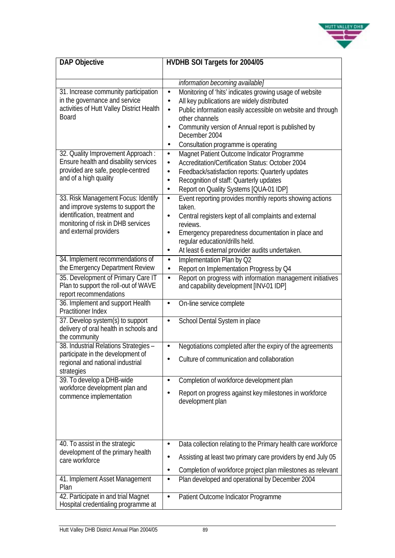

| <b>DAP Objective</b>                                                                                                                                                       | HVDHB SOI Targets for 2004/05                                                                                                                                                                                                                                                                                                                                                                             |  |  |  |
|----------------------------------------------------------------------------------------------------------------------------------------------------------------------------|-----------------------------------------------------------------------------------------------------------------------------------------------------------------------------------------------------------------------------------------------------------------------------------------------------------------------------------------------------------------------------------------------------------|--|--|--|
|                                                                                                                                                                            |                                                                                                                                                                                                                                                                                                                                                                                                           |  |  |  |
| 31. Increase community participation<br>in the governance and service<br>activities of Hutt Valley District Health<br><b>Board</b>                                         | information becoming available]<br>Monitoring of 'hits' indicates growing usage of website<br>$\bullet$<br>All key publications are widely distributed<br>$\bullet$<br>Public information easily accessible on website and through<br>$\bullet$<br>other channels<br>Community version of Annual report is published by<br>$\bullet$<br>December 2004<br>Consultation programme is operating<br>$\bullet$ |  |  |  |
| 32. Quality Improvement Approach:<br>Ensure health and disability services<br>provided are safe, people-centred<br>and of a high quality                                   | Magnet Patient Outcome Indicator Programme<br>$\bullet$<br>Accreditation/Certification Status: October 2004<br>$\bullet$<br>Feedback/satisfaction reports: Quarterly updates<br>Recognition of staff: Quarterly updates<br>$\bullet$<br>Report on Quality Systems [QUA-01 IDP]<br>$\bullet$                                                                                                               |  |  |  |
| 33. Risk Management Focus: Identify<br>and improve systems to support the<br>identification, treatment and<br>monitoring of risk in DHB services<br>and external providers | Event reporting provides monthly reports showing actions<br>$\bullet$<br>taken.<br>Central registers kept of all complaints and external<br>$\bullet$<br>reviews.<br>Emergency preparedness documentation in place and<br>٠<br>regular education/drills held.<br>At least 6 external provider audits undertaken.<br>$\bullet$                                                                             |  |  |  |
| 34. Implement recommendations of<br>the Emergency Department Review                                                                                                        | Implementation Plan by Q2<br>$\bullet$<br>Report on Implementation Progress by Q4<br>$\bullet$                                                                                                                                                                                                                                                                                                            |  |  |  |
| 35. Development of Primary Care IT<br>Plan to support the roll-out of WAVE<br>report recommendations                                                                       | Report on progress with information management initiatives<br>$\bullet$<br>and capability development [INV-01 IDP]                                                                                                                                                                                                                                                                                        |  |  |  |
| 36. Implement and support Health<br><b>Practitioner Index</b>                                                                                                              | On-line service complete<br>$\bullet$                                                                                                                                                                                                                                                                                                                                                                     |  |  |  |
| 37. Develop system(s) to support<br>delivery of oral health in schools and<br>the community                                                                                | School Dental System in place<br>$\bullet$                                                                                                                                                                                                                                                                                                                                                                |  |  |  |
| 38. Industrial Relations Strategies -<br>participate in the development of                                                                                                 | Negotiations completed after the expiry of the agreements<br>$\bullet$                                                                                                                                                                                                                                                                                                                                    |  |  |  |
| regional and national industrial<br>strategies                                                                                                                             | Culture of communication and collaboration                                                                                                                                                                                                                                                                                                                                                                |  |  |  |
| 39. To develop a DHB-wide<br>workforce development plan and                                                                                                                | Completion of workforce development plan<br>$\bullet$                                                                                                                                                                                                                                                                                                                                                     |  |  |  |
| commence implementation                                                                                                                                                    | Report on progress against key milestones in workforce<br>development plan                                                                                                                                                                                                                                                                                                                                |  |  |  |
|                                                                                                                                                                            |                                                                                                                                                                                                                                                                                                                                                                                                           |  |  |  |
| 40. To assist in the strategic<br>development of the primary health<br>care workforce                                                                                      | Data collection relating to the Primary health care workforce<br>$\bullet$<br>Assisting at least two primary care providers by end July 05<br>Completion of workforce project plan milestones as relevant<br>$\bullet$                                                                                                                                                                                    |  |  |  |
| 41. Implement Asset Management<br>Plan                                                                                                                                     | Plan developed and operational by December 2004<br>$\bullet$                                                                                                                                                                                                                                                                                                                                              |  |  |  |
| 42. Participate in and trial Magnet<br>Hospital credentialing programme at                                                                                                 | Patient Outcome Indicator Programme<br>$\bullet$                                                                                                                                                                                                                                                                                                                                                          |  |  |  |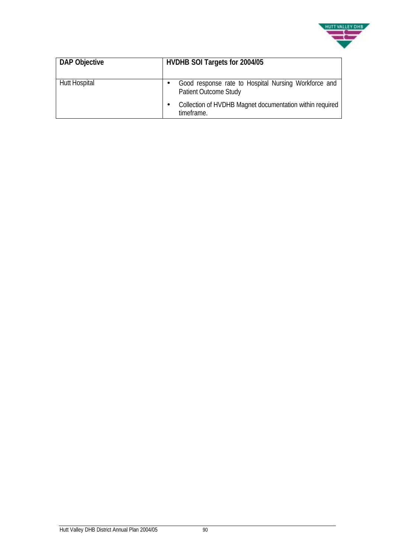

| DAP Objective        | HVDHB SOI Targets for 2004/05                                                 |
|----------------------|-------------------------------------------------------------------------------|
| <b>Hutt Hospital</b> | Good response rate to Hospital Nursing Workforce and<br>Patient Outcome Study |
|                      | Collection of HVDHB Magnet documentation within required<br>timeframe.        |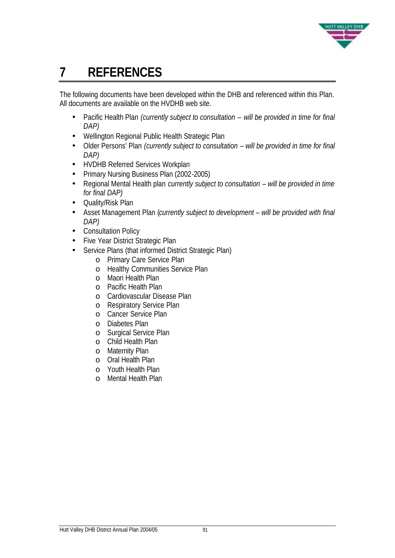

# **7 REFERENCES**

The following documents have been developed within the DHB and referenced within this Plan. All documents are available on the HVDHB web site.

- Pacific Health Plan *(currently subject to consultation will be provided in time for final DAP)*
- Wellington Regional Public Health Strategic Plan
- Older Persons' Plan *(currently subject to consultation – will be provided in time for final DAP)*
- HVDHB Referred Services Workplan
- Primary Nursing Business Plan (2002-2005)
- Regional Mental Health plan *currently subject to consultation will be provided in time for final DAP)*
- Quality/Risk Plan
- Asset Management Plan (*currently subject to development will be provided with final DAP)*
- Consultation Policy
- Five Year District Strategic Plan
- Service Plans (that informed District Strategic Plan)
	- o Primary Care Service Plan
	- o Healthy Communities Service Plan
	- o Maori Health Plan
	- o Pacific Health Plan
	- o Cardiovascular Disease Plan
	- o Respiratory Service Plan
	- o Cancer Service Plan
	- o Diabetes Plan
	- o Surgical Service Plan
	- o Child Health Plan
	- o Maternity Plan
	- o Oral Health Plan
	- o Youth Health Plan
	- o Mental Health Plan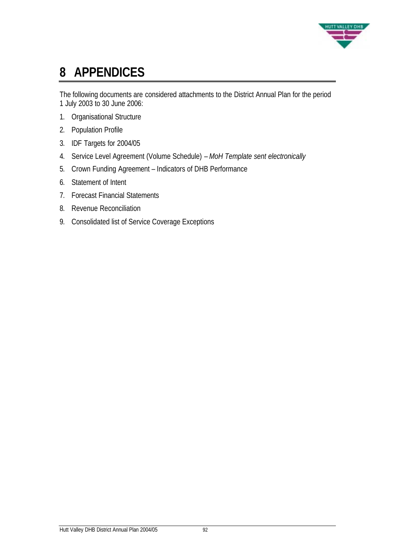

# **8 APPENDICES**

The following documents are considered attachments to the District Annual Plan for the period 1 July 2003 to 30 June 2006:

- 1. Organisational Structure
- 2. Population Profile
- 3. IDF Targets for 2004/05
- 4. Service Level Agreement (Volume Schedule) –*MoH Template sent electronically*
- 5. Crown Funding Agreement Indicators of DHB Performance
- 6. Statement of Intent
- 7. Forecast Financial Statements
- 8. Revenue Reconciliation
- 9. Consolidated list of Service Coverage Exceptions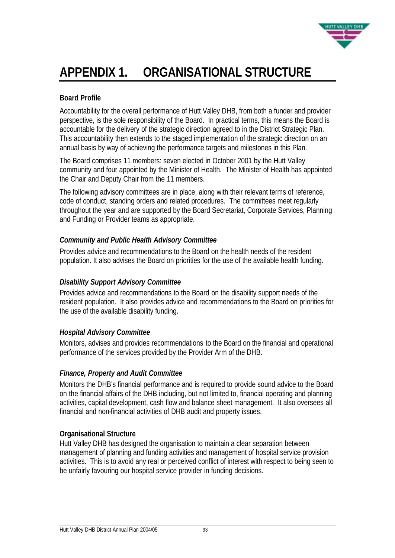

# **APPENDIX 1. ORGANISATIONAL STRUCTURE**

#### **Board Profile**

Accountability for the overall performance of Hutt Valley DHB, from both a funder and provider perspective, is the sole responsibility of the Board. In practical terms, this means the Board is accountable for the delivery of the strategic direction agreed to in the District Strategic Plan. This accountability then extends to the staged implementation of the strategic direction on an annual basis by way of achieving the performance targets and milestones in this Plan.

The Board comprises 11 members: seven elected in October 2001 by the Hutt Valley community and four appointed by the Minister of Health. The Minister of Health has appointed the Chair and Deputy Chair from the 11 members.

The following advisory committees are in place, along with their relevant terms of reference, code of conduct, standing orders and related procedures. The committees meet regularly throughout the year and are supported by the Board Secretariat, Corporate Services, Planning and Funding or Provider teams as appropriate.

#### *Community and Public Health Advisory Committee*

Provides advice and recommendations to the Board on the health needs of the resident population. It also advises the Board on priorities for the use of the available health funding.

### *Disability Support Advisory Committee*

Provides advice and recommendations to the Board on the disability support needs of the resident population. It also provides advice and recommendations to the Board on priorities for the use of the available disability funding.

### *Hospital Advisory Committee*

Monitors, advises and provides recommendations to the Board on the financial and operational performance of the services provided by the Provider Arm of the DHB.

### *Finance, Property and Audit Committee*

Monitors the DHB's financial performance and is required to provide sound advice to the Board on the financial affairs of the DHB including, but not limited to, financial operating and planning activities, capital development, cash flow and balance sheet management. It also oversees all financial and non-financial activities of DHB audit and property issues.

#### **Organisational Structure**

Hutt Valley DHB has designed the organisation to maintain a clear separation between management of planning and funding activities and management of hospital service provision activities. This is to avoid any real or perceived conflict of interest with respect to being seen to be unfairly favouring our hospital service provider in funding decisions.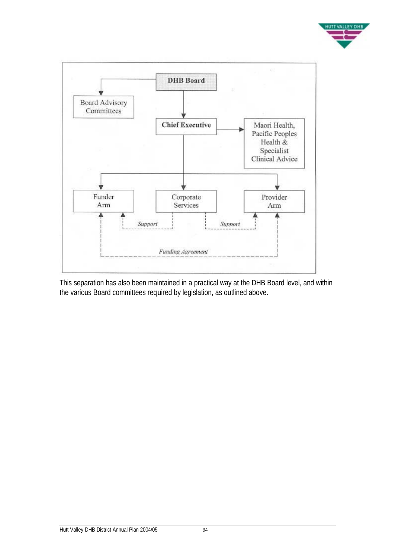

This separation has also been maintained in a practical way at the DHB Board level, and within the various Board committees required by legislation, as outlined above.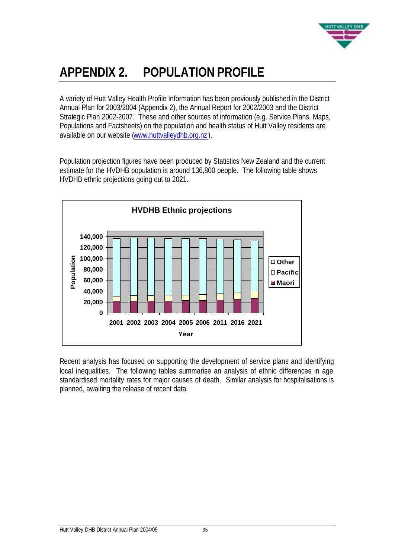

# **APPENDIX 2. POPULATION PROFILE**

A variety of Hutt Valley Health Profile Information has been previously published in the District Annual Plan for 2003/2004 (Appendix 2), the Annual Report for 2002/2003 and the District Strategic Plan 2002-2007. These and other sources of information (e.g. Service Plans, Maps, Populations and Factsheets) on the population and health status of Hutt Valley residents are available on our website (www.huttvalleydhb.org.nz ).

Population projection figures have been produced by Statistics New Zealand and the current estimate for the HVDHB population is around 136,800 people. The following table shows HVDHB ethnic projections going out to 2021.



Recent analysis has focused on supporting the development of service plans and identifying local inequalities. The following tables summarise an analysis of ethnic differences in age standardised mortality rates for major causes of death. Similar analysis for hospitalisations is planned, awaiting the release of recent data.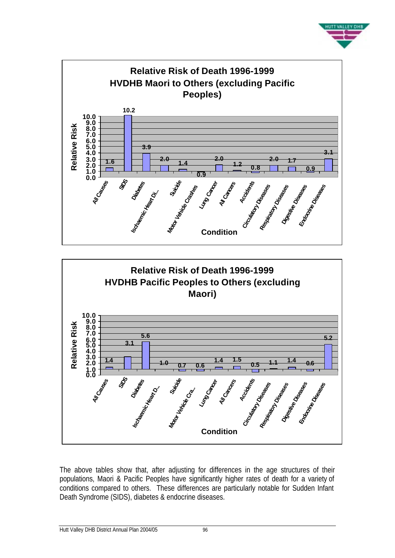





The above tables show that, after adjusting for differences in the age structures of their populations, Maori & Pacific Peoples have significantly higher rates of death for a variety of conditions compared to others. These differences are particularly notable for Sudden Infant Death Syndrome (SIDS), diabetes & endocrine diseases.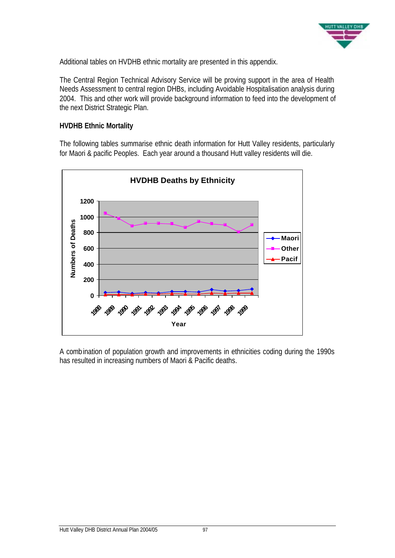

Additional tables on HVDHB ethnic mortality are presented in this appendix.

The Central Region Technical Advisory Service will be proving support in the area of Health Needs Assessment to central region DHBs, including Avoidable Hospitalisation analysis during 2004. This and other work will provide background information to feed into the development of the next District Strategic Plan.

#### **HVDHB Ethnic Mortality**

The following tables summarise ethnic death information for Hutt Valley residents, particularly for Maori & pacific Peoples. Each year around a thousand Hutt valley residents will die.



A comb ination of population growth and improvements in ethnicities coding during the 1990s has resulted in increasing numbers of Maori & Pacific deaths.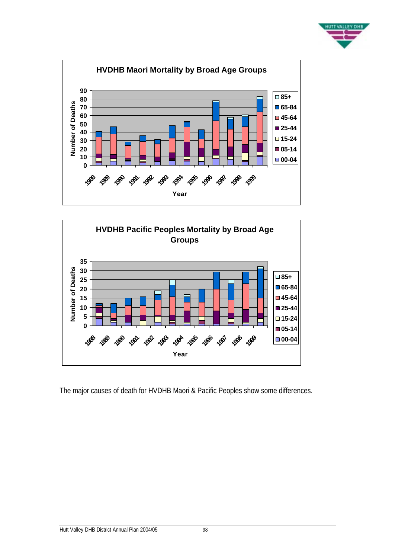





The major causes of death for HVDHB Maori & Pacific Peoples show some differences.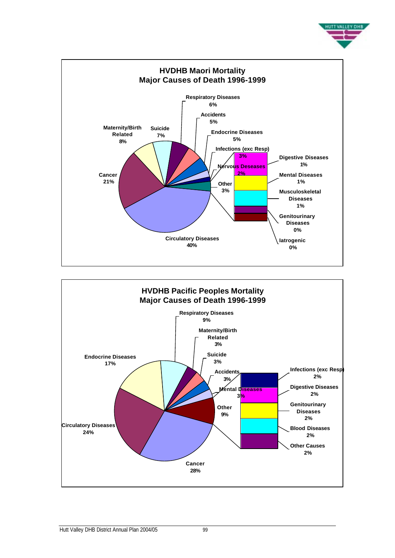



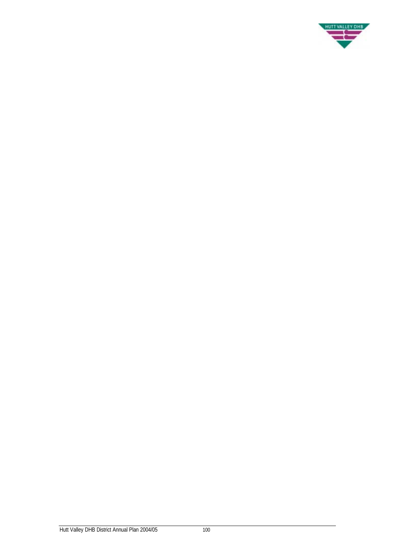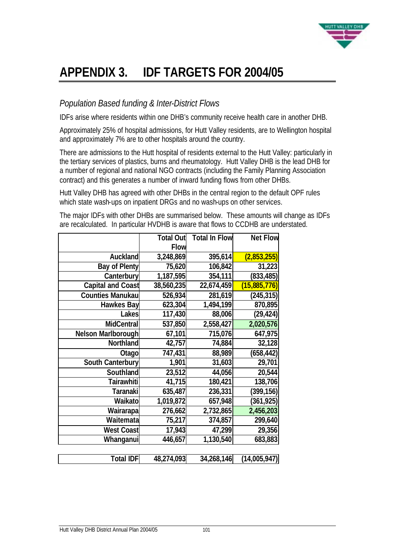

# **APPENDIX 3. IDF TARGETS FOR 2004/05**

### *Population Based funding & Inter-District Flows*

IDFs arise where residents within one DHB's community receive health care in another DHB.

Approximately 25% of hospital admissions, for Hutt Valley residents, are to Wellington hospital and approximately 7% are to other hospitals around the country.

There are admissions to the Hutt hospital of residents external to the Hutt Valley: particularly in the tertiary services of plastics, burns and rheumatology. Hutt Valley DHB is the lead DHB for a number of regional and national NGO contracts (including the Family Planning Association contract) and this generates a number of inward funding flows from other DHBs.

Hutt Valley DHB has agreed with other DHBs in the central region to the default OPF rules which state wash-ups on inpatient DRGs and no wash-ups on other services.

The major IDFs with other DHBs are summarised below. These amounts will change as IDFs are recalculated. In particular HVDHB is aware that flows to CCDHB are understated.

|                           | <b>Total Outl</b> | <b>Total In Flow</b> | <b>Net Flow</b> |
|---------------------------|-------------------|----------------------|-----------------|
|                           | <b>Flow</b>       |                      |                 |
| <b>Auckland</b>           | 3,248,869         | 395,614              | (2,853,255)     |
| <b>Bay of Plenty</b>      | 75,620            | 106,842              | 31,223          |
| Canterbury                | 1,187,595         | 354,111              | (833, 485)      |
| <b>Capital and Coast</b>  | 38,560,235        | 22,674,459           | (15,885,776)    |
| <b>Counties Manukau</b>   | 526,934           | 281,619              | (245, 315)      |
| <b>Hawkes Bay</b>         | 623,304           | 1,494,199            | 870,895         |
| Lakes                     | 117,430           | 88,006               | (29, 424)       |
| <b>MidCentral</b>         | 537,850           | 2,558,427            | 2,020,576       |
| <b>Nelson Marlborough</b> | 67,101            | 715,076              | 647,975         |
| Northland                 | 42,757            | 74,884               | 32,128          |
| Otago                     | 747,431           | 88,989               | (658, 442)      |
| <b>South Canterbury</b>   | 1,901             | 31,603               | 29,701          |
| Southland                 | 23,512            | 44,056               | 20,544          |
| Tairawhiti                | 41,715            | 180,421              | 138,706         |
| Taranaki                  | 635,487           | 236,331              | (399, 156)      |
| Waikato                   | 1,019,872         | 657,948              | (361, 925)      |
| Wairarapa                 | 276,662           | 2,732,865            | 2,456,203       |
| Waitemata                 | 75,217            | 374,857              | 299,640         |
| <b>West Coast</b>         | 17,943            | 47,299               | 29,356          |
| Whanganui                 | 446,657           | 1,130,540            | 683,883         |
|                           |                   |                      |                 |
| <b>Total IDF</b>          | 48,274,093        | 34,268,146           | (14,005,947)    |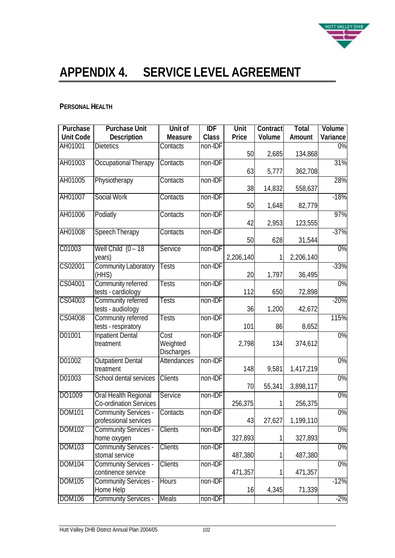

# **APPENDIX 4. SERVICE LEVEL AGREEMENT**

### **PERSONAL HEALTH**

| Purchase<br><b>Unit Code</b> | <b>Purchase Unit</b><br><b>Description</b>        | Unit of<br><b>Measure</b>             | <b>IDF</b><br><b>Class</b> | Unit<br>Price | <b>Contract</b><br>Volume | <b>Total</b><br>Amount | Volume<br>Variance |
|------------------------------|---------------------------------------------------|---------------------------------------|----------------------------|---------------|---------------------------|------------------------|--------------------|
| AH01001                      | <b>Dietetics</b>                                  | Contacts                              | non-IDF                    | 50            | 2,685                     | 134,868                | 0%                 |
| AH01003                      | Occupational Therapy                              | Contacts                              | non-IDF                    | 63            | 5,777                     | 362,708                | 31%                |
| AH01005                      | Physiotherapy                                     | Contacts                              | non-IDF                    | 38            | 14,832                    | 558,637                | 28%                |
| AH01007                      | Social Work                                       | Contacts                              | non-IDF                    | 50            | 1,648                     | 82,779                 | $-18%$             |
| AH01006                      | Podiatly                                          | Contacts                              | non-IDF                    | 42            | 2,953                     | 123,555                | 97%                |
| AH01008                      | <b>Speech Therapy</b>                             | Contacts                              | non-IDF                    | 50            | 628                       | 31,544                 | $-37%$             |
| C01003                       | Well Child (0-18<br>years)                        | Service                               | non-IDF                    | 2,206,140     |                           | 2,206,140              | 0%                 |
| CS02001                      | <b>Community Laboratory</b><br>(HHS)              | <b>Tests</b>                          | non-IDF                    | 20            | 1,797                     | 36,495                 | $-33%$             |
| CS04001                      | Community referred<br>tests - cardiology          | <b>Tests</b>                          | non-IDF                    | 112           | 650                       | 72,898                 | $0\%$              |
| CS04003                      | Community referred<br>tests - audiology           | Tests                                 | non-IDF                    | 36            | 1,200                     | 42,672                 | $-20%$             |
| CS04008                      | Community referred<br>tests - respiratory         | Tests                                 | non-IDF                    | 101           | 86                        | 8,652                  | 115%               |
| D01001                       | <b>Inpatient Dental</b><br>treatment              | Cost<br>Weighted<br><b>Discharges</b> | non-IDF                    | 2,798         | 134                       | 374,612                | $0\%$              |
| D01002                       | <b>Outpatient Dental</b><br>treatment             | <b>Attendances</b>                    | non-IDF                    | 148           | 9,581                     | 1,417,219              | 0%                 |
| D01003                       | School dental services                            | <b>Clients</b>                        | non-IDF                    | 70            | 55,341                    | 3,898,117              | 0%                 |
| DO1009                       | Oral Health Regional<br>Co-ordination Services    | Service                               | non-IDF                    | 256,375       |                           | 256,375                | $0\%$              |
| <b>DOM101</b>                | Community Services -<br>professional services     | Contacts                              | non-IDF                    | 43            | 27,627                    | 1,199,110              | 0%                 |
| <b>DOM102</b>                | Community Services -<br>home oxygen               | <b>Clients</b>                        | non-IDF                    | 327,893       | 1                         | 327,893                | $0\%$              |
| <b>DOM103</b>                | <b>Community Services -</b><br>stomal service     | <b>Clients</b>                        | non-IDF                    | 487,380       | 1                         | 487,380                | $0\%$              |
| <b>DOM104</b>                | <b>Community Services -</b><br>continence service | <b>Clients</b>                        | non-IDF                    | 471,357       |                           | 471,357                | 0%                 |
| <b>DOM105</b>                | Community Services -<br>Home Help                 | Hours                                 | non-IDF                    | 16            | 4,345                     | 71,339                 | $-12%$             |
| <b>DOM106</b>                | <b>Community Services -</b>                       | Meals                                 | non-IDF                    |               |                           |                        | $-2%$              |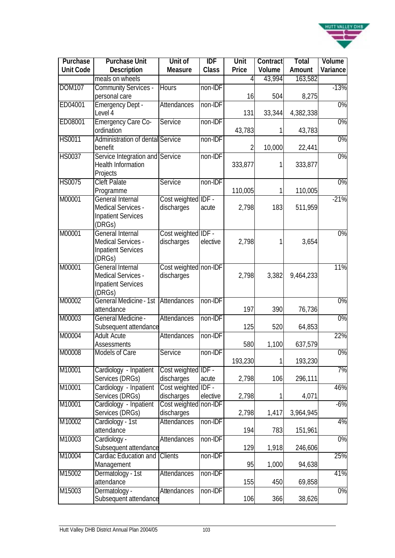| meals on wheels<br>43,994<br>163,582<br>4<br>non-IDF<br>$-13%$<br><b>Community Services -</b><br>Hours<br>personal care<br>504<br>8,275<br>16<br>0%<br>Attendances<br>non-IDF<br><b>Emergency Dept -</b><br>Level 4<br>131<br>33,344<br>4,382,338<br>ED08001<br><b>Emergency Care Co-</b><br>non-IDF<br>0%<br>Service<br>ordination<br>43,783<br>43,783<br>11<br><b>HS0011</b><br>0%<br>Administration of dental Service<br>non-IDF<br>10,000<br>benefit<br>2<br>22,441<br>Service Integration and Service<br>0%<br><b>HS0037</b><br>non-IDF<br><b>Health Information</b><br>333,877<br>1<br>333,877<br>Projects<br><b>HS0075</b><br><b>Cleft Palate</b><br>Service<br>non-IDF<br>0%<br>110,005<br>$\mathbf{1}$<br>110,005<br>Programme<br>Cost weighted IDF -<br>$-21%$<br>M00001<br><b>General Internal</b><br>183<br>Medical Services -<br>discharges<br>511,959<br>acute<br>2,798<br><b>Inpatient Services</b><br>(DRGs)<br>Cost weighted IDF -<br>0%<br>M00001<br><b>General Internal</b><br>elective<br>Medical Services -<br>discharges<br>2,798<br>3,654<br><b>Inpatient Services</b><br>(DRGs)<br>11%<br>M00001<br><b>General Internal</b><br>Cost weighted non-IDF<br>Medical Services -<br>2,798<br>discharges<br>3,382<br>9,464,233<br><b>Inpatient Services</b><br>(DRGs)<br>General Medicine - 1st<br>0%<br>Attendances<br>non-IDF<br>attendance<br>197<br>390<br>76,736<br><b>General Medicine -</b><br>Attendances<br>0%<br>non-IDF<br>125<br>520<br>Subsequent attendance<br>64,853<br>22%<br>Attendances<br><b>Adult Acute</b><br>non-IDF<br>580<br>1,100<br>637,579<br>Assessments<br>Models of Care<br>Service<br>non-IDF<br>$0\%$<br>$\mathbf{1}$<br>193,230<br>193,230<br>7%<br>Cost weighted IDF -<br>M10001<br>Cardiology - Inpatient<br>Services (DRGs)<br>106<br>discharges<br>2,798<br>acute<br>296,111<br>46%<br>M10001<br>Cost weighted IDF -<br>Cardiology - Inpatient<br>Services (DRGs)<br>discharges<br>elective<br>2,798<br>4,071<br>Cardiology - Inpatient<br>$-6%$<br>M10001<br>Cost weighted<br>non-IDF<br>Services (DRGs)<br>discharges<br>1,417<br>2,798<br>3,964,945<br>4%<br>M10002<br>Cardiology - 1st<br><b>Attendances</b><br>non-IDF<br>attendance<br>194<br>783<br>151,961<br>0%<br>M10003<br>Cardiology -<br>Attendances<br>non-IDF<br>Subsequent attendance<br>129<br>1,918<br>246,606<br>25%<br>M10004<br>Cardiac Education and<br><b>Clients</b><br>non-IDF<br>95<br>Management<br>1,000<br>94,638<br>M15002<br>41%<br>Dermatology - 1st<br><b>Attendances</b><br>non-IDF<br>attendance<br>155<br>450<br>69,858<br>0%<br>M15003<br>Attendances<br>non-IDF<br>Dermatology -<br>Subsequent attendance<br>106<br>38,626<br>366 | Purchase<br><b>Unit Code</b> | <b>Purchase Unit</b><br><b>Description</b> | Unit of<br><b>Measure</b> | <b>IDF</b><br><b>Class</b> | Unit<br><b>Price</b> | Contract<br>Volume | Total<br>Amount | Volume<br>Variance |
|-------------------------------------------------------------------------------------------------------------------------------------------------------------------------------------------------------------------------------------------------------------------------------------------------------------------------------------------------------------------------------------------------------------------------------------------------------------------------------------------------------------------------------------------------------------------------------------------------------------------------------------------------------------------------------------------------------------------------------------------------------------------------------------------------------------------------------------------------------------------------------------------------------------------------------------------------------------------------------------------------------------------------------------------------------------------------------------------------------------------------------------------------------------------------------------------------------------------------------------------------------------------------------------------------------------------------------------------------------------------------------------------------------------------------------------------------------------------------------------------------------------------------------------------------------------------------------------------------------------------------------------------------------------------------------------------------------------------------------------------------------------------------------------------------------------------------------------------------------------------------------------------------------------------------------------------------------------------------------------------------------------------------------------------------------------------------------------------------------------------------------------------------------------------------------------------------------------------------------------------------------------------------------------------------------------------------------------------------------------------------------------------------------------------------------------------------------------------------------------------------------------------------------------------------------------------------------------------------------------------------------------------------------------------------------|------------------------------|--------------------------------------------|---------------------------|----------------------------|----------------------|--------------------|-----------------|--------------------|
|                                                                                                                                                                                                                                                                                                                                                                                                                                                                                                                                                                                                                                                                                                                                                                                                                                                                                                                                                                                                                                                                                                                                                                                                                                                                                                                                                                                                                                                                                                                                                                                                                                                                                                                                                                                                                                                                                                                                                                                                                                                                                                                                                                                                                                                                                                                                                                                                                                                                                                                                                                                                                                                                               |                              |                                            |                           |                            |                      |                    |                 |                    |
|                                                                                                                                                                                                                                                                                                                                                                                                                                                                                                                                                                                                                                                                                                                                                                                                                                                                                                                                                                                                                                                                                                                                                                                                                                                                                                                                                                                                                                                                                                                                                                                                                                                                                                                                                                                                                                                                                                                                                                                                                                                                                                                                                                                                                                                                                                                                                                                                                                                                                                                                                                                                                                                                               | <b>DOM107</b>                |                                            |                           |                            |                      |                    |                 |                    |
|                                                                                                                                                                                                                                                                                                                                                                                                                                                                                                                                                                                                                                                                                                                                                                                                                                                                                                                                                                                                                                                                                                                                                                                                                                                                                                                                                                                                                                                                                                                                                                                                                                                                                                                                                                                                                                                                                                                                                                                                                                                                                                                                                                                                                                                                                                                                                                                                                                                                                                                                                                                                                                                                               |                              |                                            |                           |                            |                      |                    |                 |                    |
|                                                                                                                                                                                                                                                                                                                                                                                                                                                                                                                                                                                                                                                                                                                                                                                                                                                                                                                                                                                                                                                                                                                                                                                                                                                                                                                                                                                                                                                                                                                                                                                                                                                                                                                                                                                                                                                                                                                                                                                                                                                                                                                                                                                                                                                                                                                                                                                                                                                                                                                                                                                                                                                                               | ED04001                      |                                            |                           |                            |                      |                    |                 |                    |
|                                                                                                                                                                                                                                                                                                                                                                                                                                                                                                                                                                                                                                                                                                                                                                                                                                                                                                                                                                                                                                                                                                                                                                                                                                                                                                                                                                                                                                                                                                                                                                                                                                                                                                                                                                                                                                                                                                                                                                                                                                                                                                                                                                                                                                                                                                                                                                                                                                                                                                                                                                                                                                                                               |                              |                                            |                           |                            |                      |                    |                 |                    |
|                                                                                                                                                                                                                                                                                                                                                                                                                                                                                                                                                                                                                                                                                                                                                                                                                                                                                                                                                                                                                                                                                                                                                                                                                                                                                                                                                                                                                                                                                                                                                                                                                                                                                                                                                                                                                                                                                                                                                                                                                                                                                                                                                                                                                                                                                                                                                                                                                                                                                                                                                                                                                                                                               |                              |                                            |                           |                            |                      |                    |                 |                    |
|                                                                                                                                                                                                                                                                                                                                                                                                                                                                                                                                                                                                                                                                                                                                                                                                                                                                                                                                                                                                                                                                                                                                                                                                                                                                                                                                                                                                                                                                                                                                                                                                                                                                                                                                                                                                                                                                                                                                                                                                                                                                                                                                                                                                                                                                                                                                                                                                                                                                                                                                                                                                                                                                               |                              |                                            |                           |                            |                      |                    |                 |                    |
|                                                                                                                                                                                                                                                                                                                                                                                                                                                                                                                                                                                                                                                                                                                                                                                                                                                                                                                                                                                                                                                                                                                                                                                                                                                                                                                                                                                                                                                                                                                                                                                                                                                                                                                                                                                                                                                                                                                                                                                                                                                                                                                                                                                                                                                                                                                                                                                                                                                                                                                                                                                                                                                                               |                              |                                            |                           |                            |                      |                    |                 |                    |
|                                                                                                                                                                                                                                                                                                                                                                                                                                                                                                                                                                                                                                                                                                                                                                                                                                                                                                                                                                                                                                                                                                                                                                                                                                                                                                                                                                                                                                                                                                                                                                                                                                                                                                                                                                                                                                                                                                                                                                                                                                                                                                                                                                                                                                                                                                                                                                                                                                                                                                                                                                                                                                                                               |                              |                                            |                           |                            |                      |                    |                 |                    |
|                                                                                                                                                                                                                                                                                                                                                                                                                                                                                                                                                                                                                                                                                                                                                                                                                                                                                                                                                                                                                                                                                                                                                                                                                                                                                                                                                                                                                                                                                                                                                                                                                                                                                                                                                                                                                                                                                                                                                                                                                                                                                                                                                                                                                                                                                                                                                                                                                                                                                                                                                                                                                                                                               |                              |                                            |                           |                            |                      |                    |                 |                    |
|                                                                                                                                                                                                                                                                                                                                                                                                                                                                                                                                                                                                                                                                                                                                                                                                                                                                                                                                                                                                                                                                                                                                                                                                                                                                                                                                                                                                                                                                                                                                                                                                                                                                                                                                                                                                                                                                                                                                                                                                                                                                                                                                                                                                                                                                                                                                                                                                                                                                                                                                                                                                                                                                               |                              |                                            |                           |                            |                      |                    |                 |                    |
|                                                                                                                                                                                                                                                                                                                                                                                                                                                                                                                                                                                                                                                                                                                                                                                                                                                                                                                                                                                                                                                                                                                                                                                                                                                                                                                                                                                                                                                                                                                                                                                                                                                                                                                                                                                                                                                                                                                                                                                                                                                                                                                                                                                                                                                                                                                                                                                                                                                                                                                                                                                                                                                                               |                              |                                            |                           |                            |                      |                    |                 |                    |
|                                                                                                                                                                                                                                                                                                                                                                                                                                                                                                                                                                                                                                                                                                                                                                                                                                                                                                                                                                                                                                                                                                                                                                                                                                                                                                                                                                                                                                                                                                                                                                                                                                                                                                                                                                                                                                                                                                                                                                                                                                                                                                                                                                                                                                                                                                                                                                                                                                                                                                                                                                                                                                                                               |                              |                                            |                           |                            |                      |                    |                 |                    |
|                                                                                                                                                                                                                                                                                                                                                                                                                                                                                                                                                                                                                                                                                                                                                                                                                                                                                                                                                                                                                                                                                                                                                                                                                                                                                                                                                                                                                                                                                                                                                                                                                                                                                                                                                                                                                                                                                                                                                                                                                                                                                                                                                                                                                                                                                                                                                                                                                                                                                                                                                                                                                                                                               |                              |                                            |                           |                            |                      |                    |                 |                    |
|                                                                                                                                                                                                                                                                                                                                                                                                                                                                                                                                                                                                                                                                                                                                                                                                                                                                                                                                                                                                                                                                                                                                                                                                                                                                                                                                                                                                                                                                                                                                                                                                                                                                                                                                                                                                                                                                                                                                                                                                                                                                                                                                                                                                                                                                                                                                                                                                                                                                                                                                                                                                                                                                               |                              |                                            |                           |                            |                      |                    |                 |                    |
|                                                                                                                                                                                                                                                                                                                                                                                                                                                                                                                                                                                                                                                                                                                                                                                                                                                                                                                                                                                                                                                                                                                                                                                                                                                                                                                                                                                                                                                                                                                                                                                                                                                                                                                                                                                                                                                                                                                                                                                                                                                                                                                                                                                                                                                                                                                                                                                                                                                                                                                                                                                                                                                                               |                              |                                            |                           |                            |                      |                    |                 |                    |
|                                                                                                                                                                                                                                                                                                                                                                                                                                                                                                                                                                                                                                                                                                                                                                                                                                                                                                                                                                                                                                                                                                                                                                                                                                                                                                                                                                                                                                                                                                                                                                                                                                                                                                                                                                                                                                                                                                                                                                                                                                                                                                                                                                                                                                                                                                                                                                                                                                                                                                                                                                                                                                                                               |                              |                                            |                           |                            |                      |                    |                 |                    |
|                                                                                                                                                                                                                                                                                                                                                                                                                                                                                                                                                                                                                                                                                                                                                                                                                                                                                                                                                                                                                                                                                                                                                                                                                                                                                                                                                                                                                                                                                                                                                                                                                                                                                                                                                                                                                                                                                                                                                                                                                                                                                                                                                                                                                                                                                                                                                                                                                                                                                                                                                                                                                                                                               |                              |                                            |                           |                            |                      |                    |                 |                    |
|                                                                                                                                                                                                                                                                                                                                                                                                                                                                                                                                                                                                                                                                                                                                                                                                                                                                                                                                                                                                                                                                                                                                                                                                                                                                                                                                                                                                                                                                                                                                                                                                                                                                                                                                                                                                                                                                                                                                                                                                                                                                                                                                                                                                                                                                                                                                                                                                                                                                                                                                                                                                                                                                               |                              |                                            |                           |                            |                      |                    |                 |                    |
|                                                                                                                                                                                                                                                                                                                                                                                                                                                                                                                                                                                                                                                                                                                                                                                                                                                                                                                                                                                                                                                                                                                                                                                                                                                                                                                                                                                                                                                                                                                                                                                                                                                                                                                                                                                                                                                                                                                                                                                                                                                                                                                                                                                                                                                                                                                                                                                                                                                                                                                                                                                                                                                                               |                              |                                            |                           |                            |                      |                    |                 |                    |
|                                                                                                                                                                                                                                                                                                                                                                                                                                                                                                                                                                                                                                                                                                                                                                                                                                                                                                                                                                                                                                                                                                                                                                                                                                                                                                                                                                                                                                                                                                                                                                                                                                                                                                                                                                                                                                                                                                                                                                                                                                                                                                                                                                                                                                                                                                                                                                                                                                                                                                                                                                                                                                                                               |                              |                                            |                           |                            |                      |                    |                 |                    |
|                                                                                                                                                                                                                                                                                                                                                                                                                                                                                                                                                                                                                                                                                                                                                                                                                                                                                                                                                                                                                                                                                                                                                                                                                                                                                                                                                                                                                                                                                                                                                                                                                                                                                                                                                                                                                                                                                                                                                                                                                                                                                                                                                                                                                                                                                                                                                                                                                                                                                                                                                                                                                                                                               |                              |                                            |                           |                            |                      |                    |                 |                    |
|                                                                                                                                                                                                                                                                                                                                                                                                                                                                                                                                                                                                                                                                                                                                                                                                                                                                                                                                                                                                                                                                                                                                                                                                                                                                                                                                                                                                                                                                                                                                                                                                                                                                                                                                                                                                                                                                                                                                                                                                                                                                                                                                                                                                                                                                                                                                                                                                                                                                                                                                                                                                                                                                               |                              |                                            |                           |                            |                      |                    |                 |                    |
|                                                                                                                                                                                                                                                                                                                                                                                                                                                                                                                                                                                                                                                                                                                                                                                                                                                                                                                                                                                                                                                                                                                                                                                                                                                                                                                                                                                                                                                                                                                                                                                                                                                                                                                                                                                                                                                                                                                                                                                                                                                                                                                                                                                                                                                                                                                                                                                                                                                                                                                                                                                                                                                                               |                              |                                            |                           |                            |                      |                    |                 |                    |
|                                                                                                                                                                                                                                                                                                                                                                                                                                                                                                                                                                                                                                                                                                                                                                                                                                                                                                                                                                                                                                                                                                                                                                                                                                                                                                                                                                                                                                                                                                                                                                                                                                                                                                                                                                                                                                                                                                                                                                                                                                                                                                                                                                                                                                                                                                                                                                                                                                                                                                                                                                                                                                                                               |                              |                                            |                           |                            |                      |                    |                 |                    |
|                                                                                                                                                                                                                                                                                                                                                                                                                                                                                                                                                                                                                                                                                                                                                                                                                                                                                                                                                                                                                                                                                                                                                                                                                                                                                                                                                                                                                                                                                                                                                                                                                                                                                                                                                                                                                                                                                                                                                                                                                                                                                                                                                                                                                                                                                                                                                                                                                                                                                                                                                                                                                                                                               | M00002                       |                                            |                           |                            |                      |                    |                 |                    |
|                                                                                                                                                                                                                                                                                                                                                                                                                                                                                                                                                                                                                                                                                                                                                                                                                                                                                                                                                                                                                                                                                                                                                                                                                                                                                                                                                                                                                                                                                                                                                                                                                                                                                                                                                                                                                                                                                                                                                                                                                                                                                                                                                                                                                                                                                                                                                                                                                                                                                                                                                                                                                                                                               |                              |                                            |                           |                            |                      |                    |                 |                    |
|                                                                                                                                                                                                                                                                                                                                                                                                                                                                                                                                                                                                                                                                                                                                                                                                                                                                                                                                                                                                                                                                                                                                                                                                                                                                                                                                                                                                                                                                                                                                                                                                                                                                                                                                                                                                                                                                                                                                                                                                                                                                                                                                                                                                                                                                                                                                                                                                                                                                                                                                                                                                                                                                               | M00003                       |                                            |                           |                            |                      |                    |                 |                    |
|                                                                                                                                                                                                                                                                                                                                                                                                                                                                                                                                                                                                                                                                                                                                                                                                                                                                                                                                                                                                                                                                                                                                                                                                                                                                                                                                                                                                                                                                                                                                                                                                                                                                                                                                                                                                                                                                                                                                                                                                                                                                                                                                                                                                                                                                                                                                                                                                                                                                                                                                                                                                                                                                               |                              |                                            |                           |                            |                      |                    |                 |                    |
|                                                                                                                                                                                                                                                                                                                                                                                                                                                                                                                                                                                                                                                                                                                                                                                                                                                                                                                                                                                                                                                                                                                                                                                                                                                                                                                                                                                                                                                                                                                                                                                                                                                                                                                                                                                                                                                                                                                                                                                                                                                                                                                                                                                                                                                                                                                                                                                                                                                                                                                                                                                                                                                                               | M00004                       |                                            |                           |                            |                      |                    |                 |                    |
|                                                                                                                                                                                                                                                                                                                                                                                                                                                                                                                                                                                                                                                                                                                                                                                                                                                                                                                                                                                                                                                                                                                                                                                                                                                                                                                                                                                                                                                                                                                                                                                                                                                                                                                                                                                                                                                                                                                                                                                                                                                                                                                                                                                                                                                                                                                                                                                                                                                                                                                                                                                                                                                                               |                              |                                            |                           |                            |                      |                    |                 |                    |
|                                                                                                                                                                                                                                                                                                                                                                                                                                                                                                                                                                                                                                                                                                                                                                                                                                                                                                                                                                                                                                                                                                                                                                                                                                                                                                                                                                                                                                                                                                                                                                                                                                                                                                                                                                                                                                                                                                                                                                                                                                                                                                                                                                                                                                                                                                                                                                                                                                                                                                                                                                                                                                                                               | M00008                       |                                            |                           |                            |                      |                    |                 |                    |
|                                                                                                                                                                                                                                                                                                                                                                                                                                                                                                                                                                                                                                                                                                                                                                                                                                                                                                                                                                                                                                                                                                                                                                                                                                                                                                                                                                                                                                                                                                                                                                                                                                                                                                                                                                                                                                                                                                                                                                                                                                                                                                                                                                                                                                                                                                                                                                                                                                                                                                                                                                                                                                                                               |                              |                                            |                           |                            |                      |                    |                 |                    |
|                                                                                                                                                                                                                                                                                                                                                                                                                                                                                                                                                                                                                                                                                                                                                                                                                                                                                                                                                                                                                                                                                                                                                                                                                                                                                                                                                                                                                                                                                                                                                                                                                                                                                                                                                                                                                                                                                                                                                                                                                                                                                                                                                                                                                                                                                                                                                                                                                                                                                                                                                                                                                                                                               |                              |                                            |                           |                            |                      |                    |                 |                    |
|                                                                                                                                                                                                                                                                                                                                                                                                                                                                                                                                                                                                                                                                                                                                                                                                                                                                                                                                                                                                                                                                                                                                                                                                                                                                                                                                                                                                                                                                                                                                                                                                                                                                                                                                                                                                                                                                                                                                                                                                                                                                                                                                                                                                                                                                                                                                                                                                                                                                                                                                                                                                                                                                               |                              |                                            |                           |                            |                      |                    |                 |                    |
|                                                                                                                                                                                                                                                                                                                                                                                                                                                                                                                                                                                                                                                                                                                                                                                                                                                                                                                                                                                                                                                                                                                                                                                                                                                                                                                                                                                                                                                                                                                                                                                                                                                                                                                                                                                                                                                                                                                                                                                                                                                                                                                                                                                                                                                                                                                                                                                                                                                                                                                                                                                                                                                                               |                              |                                            |                           |                            |                      |                    |                 |                    |
|                                                                                                                                                                                                                                                                                                                                                                                                                                                                                                                                                                                                                                                                                                                                                                                                                                                                                                                                                                                                                                                                                                                                                                                                                                                                                                                                                                                                                                                                                                                                                                                                                                                                                                                                                                                                                                                                                                                                                                                                                                                                                                                                                                                                                                                                                                                                                                                                                                                                                                                                                                                                                                                                               |                              |                                            |                           |                            |                      |                    |                 |                    |
|                                                                                                                                                                                                                                                                                                                                                                                                                                                                                                                                                                                                                                                                                                                                                                                                                                                                                                                                                                                                                                                                                                                                                                                                                                                                                                                                                                                                                                                                                                                                                                                                                                                                                                                                                                                                                                                                                                                                                                                                                                                                                                                                                                                                                                                                                                                                                                                                                                                                                                                                                                                                                                                                               |                              |                                            |                           |                            |                      |                    |                 |                    |
|                                                                                                                                                                                                                                                                                                                                                                                                                                                                                                                                                                                                                                                                                                                                                                                                                                                                                                                                                                                                                                                                                                                                                                                                                                                                                                                                                                                                                                                                                                                                                                                                                                                                                                                                                                                                                                                                                                                                                                                                                                                                                                                                                                                                                                                                                                                                                                                                                                                                                                                                                                                                                                                                               |                              |                                            |                           |                            |                      |                    |                 |                    |
|                                                                                                                                                                                                                                                                                                                                                                                                                                                                                                                                                                                                                                                                                                                                                                                                                                                                                                                                                                                                                                                                                                                                                                                                                                                                                                                                                                                                                                                                                                                                                                                                                                                                                                                                                                                                                                                                                                                                                                                                                                                                                                                                                                                                                                                                                                                                                                                                                                                                                                                                                                                                                                                                               |                              |                                            |                           |                            |                      |                    |                 |                    |
|                                                                                                                                                                                                                                                                                                                                                                                                                                                                                                                                                                                                                                                                                                                                                                                                                                                                                                                                                                                                                                                                                                                                                                                                                                                                                                                                                                                                                                                                                                                                                                                                                                                                                                                                                                                                                                                                                                                                                                                                                                                                                                                                                                                                                                                                                                                                                                                                                                                                                                                                                                                                                                                                               |                              |                                            |                           |                            |                      |                    |                 |                    |
|                                                                                                                                                                                                                                                                                                                                                                                                                                                                                                                                                                                                                                                                                                                                                                                                                                                                                                                                                                                                                                                                                                                                                                                                                                                                                                                                                                                                                                                                                                                                                                                                                                                                                                                                                                                                                                                                                                                                                                                                                                                                                                                                                                                                                                                                                                                                                                                                                                                                                                                                                                                                                                                                               |                              |                                            |                           |                            |                      |                    |                 |                    |
|                                                                                                                                                                                                                                                                                                                                                                                                                                                                                                                                                                                                                                                                                                                                                                                                                                                                                                                                                                                                                                                                                                                                                                                                                                                                                                                                                                                                                                                                                                                                                                                                                                                                                                                                                                                                                                                                                                                                                                                                                                                                                                                                                                                                                                                                                                                                                                                                                                                                                                                                                                                                                                                                               |                              |                                            |                           |                            |                      |                    |                 |                    |
|                                                                                                                                                                                                                                                                                                                                                                                                                                                                                                                                                                                                                                                                                                                                                                                                                                                                                                                                                                                                                                                                                                                                                                                                                                                                                                                                                                                                                                                                                                                                                                                                                                                                                                                                                                                                                                                                                                                                                                                                                                                                                                                                                                                                                                                                                                                                                                                                                                                                                                                                                                                                                                                                               |                              |                                            |                           |                            |                      |                    |                 |                    |
|                                                                                                                                                                                                                                                                                                                                                                                                                                                                                                                                                                                                                                                                                                                                                                                                                                                                                                                                                                                                                                                                                                                                                                                                                                                                                                                                                                                                                                                                                                                                                                                                                                                                                                                                                                                                                                                                                                                                                                                                                                                                                                                                                                                                                                                                                                                                                                                                                                                                                                                                                                                                                                                                               |                              |                                            |                           |                            |                      |                    |                 |                    |
|                                                                                                                                                                                                                                                                                                                                                                                                                                                                                                                                                                                                                                                                                                                                                                                                                                                                                                                                                                                                                                                                                                                                                                                                                                                                                                                                                                                                                                                                                                                                                                                                                                                                                                                                                                                                                                                                                                                                                                                                                                                                                                                                                                                                                                                                                                                                                                                                                                                                                                                                                                                                                                                                               |                              |                                            |                           |                            |                      |                    |                 |                    |
|                                                                                                                                                                                                                                                                                                                                                                                                                                                                                                                                                                                                                                                                                                                                                                                                                                                                                                                                                                                                                                                                                                                                                                                                                                                                                                                                                                                                                                                                                                                                                                                                                                                                                                                                                                                                                                                                                                                                                                                                                                                                                                                                                                                                                                                                                                                                                                                                                                                                                                                                                                                                                                                                               |                              |                                            |                           |                            |                      |                    |                 |                    |
|                                                                                                                                                                                                                                                                                                                                                                                                                                                                                                                                                                                                                                                                                                                                                                                                                                                                                                                                                                                                                                                                                                                                                                                                                                                                                                                                                                                                                                                                                                                                                                                                                                                                                                                                                                                                                                                                                                                                                                                                                                                                                                                                                                                                                                                                                                                                                                                                                                                                                                                                                                                                                                                                               |                              |                                            |                           |                            |                      |                    |                 |                    |

HUTT VALLEY OHE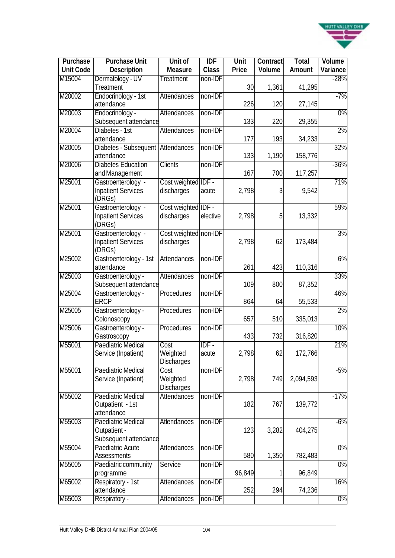| <b>Purchase</b><br><b>Unit Code</b> | <b>Purchase Unit</b><br><b>Description</b>                  | Unit of<br><b>Measure</b>             | <b>IDF</b><br><b>Class</b> | Unit<br>Price | Contract<br>Volume | <b>Total</b><br>Amount | Volume<br>Variance |
|-------------------------------------|-------------------------------------------------------------|---------------------------------------|----------------------------|---------------|--------------------|------------------------|--------------------|
| M15004                              | Dermatology - UV<br>Treatment                               | <b>Treatment</b>                      | non-IDF                    | 30            | 1,361              | 41,295                 | $-28%$             |
| M20002                              | Endocrinology - 1st<br>attendance                           | Attendances                           | non-IDF                    | 226           | 120                | 27,145                 | $-7%$              |
| M20003                              | Endocrinology -<br>Subsequent attendance                    | Attendances                           | non-IDF                    | 133           | 220                | 29,355                 | 0%                 |
| M20004                              | Diabetes - 1st<br>attendance                                | Attendances                           | non-IDF                    | 177           | 193                | 34,233                 | 2%                 |
| M20005                              | Diabetes - Subsequent Attendances<br>non-IDF<br>attendance  |                                       | 133                        | 1,190         | 158,776            | 32%                    |                    |
| M20006                              | <b>Diabetes Education</b><br>and Management                 | <b>Clients</b>                        | non-IDF                    | 167           | 700                | 117,257                | $-36%$             |
| M25001                              | Gastroenterology -<br><b>Inpatient Services</b><br>(DRGs)   | Cost weighted IDF -<br>discharges     | acute                      | 2,798         | 3                  | 9,542                  | 71%                |
| M25001                              | Gastroenterology -<br><b>Inpatient Services</b><br>(DRGs)   | Cost weighted IDF -<br>discharges     | elective                   | 2,798         | 5                  | 13,332                 | 59%                |
| M25001                              | Gastroenterology -<br><b>Inpatient Services</b><br>(DRGs)   | Cost weighted non-IDF<br>discharges   |                            | 2,798         | 62                 | 173,484                | 3%                 |
| M25002                              | Gastroenterology - 1st<br>attendance                        | Attendances                           | non-IDF                    | 261           | 423                | 110,316                | 6%                 |
| M25003                              | Gastroenterology -<br>Subsequent attendance                 | Attendances                           | non-IDF                    | 109           | 800                | 87,352                 | 33%                |
| M25004                              | Gastroenterology -<br><b>ERCP</b>                           | Procedures                            | non-IDF                    | 864           | 64                 | 55,533                 | 46%                |
| M25005                              | Gastroenterology -<br>Colonoscopy                           | Procedures                            | non-IDF                    | 657           | 510                | 335,013                | 2%                 |
| M25006                              | Gastroenterology -<br>Gastroscopy                           | Procedures                            | non-IDF                    | 433           | 732                | 316,820                | 10%                |
| M55001                              | Paediatric Medical<br>Service (Inpatient)                   | Cost<br>Weighted<br><b>Discharges</b> | $IDF -$<br>acute           | 2,798         | 62                 | 172,766                | 21%                |
| M55001                              | Paediatric Medical<br>Service (Inpatient)                   | Cost<br>Weighted<br><b>Discharges</b> | non-IDF                    | 2,798         | 749                | 2,094,593              | $-5%$              |
| M55002                              | Paediatric Medical<br>Outpatient - 1st<br>attendance        | Attendances                           | non-IDF                    | 182           | 767                | 139,772                | $-17%$             |
| M55003                              | Paediatric Medical<br>Outpatient -<br>Subsequent attendance | Attendances                           | non-IDF                    | 123           | 3,282              | 404,275                | $-6%$              |
| M55004                              | Paediatric Acute<br>Assessments                             | Attendances                           | non-IDF                    | 580           | 1,350              | 782,483                | 0%                 |
| M55005                              | Paediatric community<br>programme                           | Service                               | non-IDF                    | 96,849        | 1                  | 96,849                 | 0%                 |
| M65002                              | Respiratory - 1st<br>attendance                             | Attendances                           | non-IDF                    | 252           | 294                | 74,236                 | 16%                |
| M65003                              | Respiratory -                                               | <b>Attendances</b>                    | non-IDF                    |               |                    |                        | 0%                 |

HUTT VALLEY OHE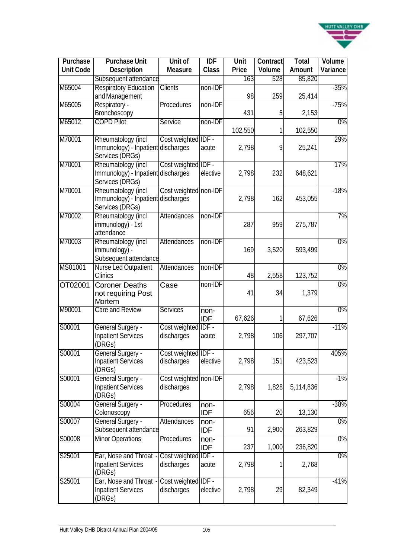

| <b>Purchase</b><br><b>Unit Code</b> | Unit of<br><b>Purchase Unit</b><br>Unit<br>Contract<br><b>IDF</b><br><b>Class</b><br><b>Price</b><br>Volume<br><b>Description</b><br><b>Measure</b> |                                     | <b>Total</b><br>Amount | <b>Volume</b><br>Variance |         |           |        |
|-------------------------------------|-----------------------------------------------------------------------------------------------------------------------------------------------------|-------------------------------------|------------------------|---------------------------|---------|-----------|--------|
|                                     | Subsequent attendance                                                                                                                               |                                     |                        | 163                       | 528     | 85,820    |        |
| M65004                              | <b>Respiratory Education</b><br>and Management                                                                                                      | <b>Clients</b>                      | non-IDF                | 98                        | 259     | 25,414    | $-35%$ |
| M65005                              | Respiratory -<br>Bronchoscopy                                                                                                                       | Procedures                          | non-IDF                | 431                       | 5       | 2,153     | $-75%$ |
| M65012                              | <b>COPD Pilot</b>                                                                                                                                   | Service                             | non-IDF                | 102,550                   |         | 102,550   | 0%     |
| M70001                              | Rheumatology (incl<br>Immunology) - Inpatient<br>Services (DRGs)                                                                                    | Cost weighted IDF -<br>discharges   | acute                  | 2,798                     | 9       | 25,241    | 29%    |
| M70001                              | Rheumatology (incl<br>Immunology) - Inpatient discharges<br>Services (DRGs)                                                                         | Cost weighted IDF -                 | elective               | 2,798                     | 232     | 648,621   | 17%    |
| M70001                              | Cost weighted non-IDF<br>Rheumatology (incl<br>Immunology) - Inpatient<br>discharges<br>Services (DRGs)                                             |                                     | 2,798                  | 162                       | 453,055 | $-18%$    |        |
| M70002                              | Rheumatology (incl<br>immunology) - 1st<br>attendance                                                                                               | Attendances                         | non-IDF                | 287                       | 959     | 275,787   | 7%     |
| M70003                              | Rheumatology (incl<br>immunology) -<br>Subsequent attendance                                                                                        | Attendances                         | non-IDF                | 169                       | 3,520   | 593,499   | 0%     |
| MS01001                             | Nurse Led Outpatient<br>Clinics                                                                                                                     | Attendances                         | non-IDF                | 48                        | 2,558   | 123,752   | 0%     |
| OT02001                             | <b>Coroner Deaths</b><br>not requiring Post<br>Mortem                                                                                               |                                     | non-IDF                | 41                        | 34      | 1,379     | 0%     |
| M90001                              | Care and Review                                                                                                                                     | <b>Services</b>                     | non-<br><b>IDF</b>     | 67,626                    |         | 67,626    | 0%     |
| S00001                              | <b>General Surgery -</b><br><b>Inpatient Services</b><br>(DRGs)                                                                                     | Cost weighted IDF -<br>discharges   | acute                  | 2,798                     | 106     | 297,707   | $-11%$ |
| S00001                              | <b>General Surgery -</b><br><b>Inpatient Services</b><br>(DRGs)                                                                                     | Cost weighted IDF -<br>discharges   | elective               | 2,798                     | 151     | 423,523   | 405%   |
| S00001                              | <b>General Surgery -</b><br><b>Inpatient Services</b><br>(DRGs)                                                                                     | Cost weighted non-IDF<br>discharges |                        | 2,798                     | 1,828   | 5,114,836 | $-1%$  |
| S00004                              | <b>General Surgery -</b><br>Colonoscopy                                                                                                             | Procedures                          | non-<br><b>IDF</b>     | 656                       | 20      | 13,130    | $-38%$ |
| S00007                              | <b>General Surgery -</b><br>Subsequent attendance                                                                                                   | Attendances                         | non-<br><b>IDF</b>     | 91                        | 2,900   | 263,829   | $0\%$  |
| S00008                              | <b>Minor Operations</b>                                                                                                                             | Procedures                          | non-<br><b>IDF</b>     | 237                       | 1,000   | 236,820   | 0%     |
| S25001                              | Ear, Nose and Throat -<br><b>Inpatient Services</b><br>(DRGs)                                                                                       | Cost weighted IDF -<br>discharges   | acute                  | 2,798                     |         | 2,768     | $0\%$  |
| S25001                              | Ear, Nose and Throat -<br><b>Inpatient Services</b><br>(DRGs)                                                                                       | Cost weighted IDF -<br>discharges   | elective               | 2,798                     | 29      | 82,349    | $-41%$ |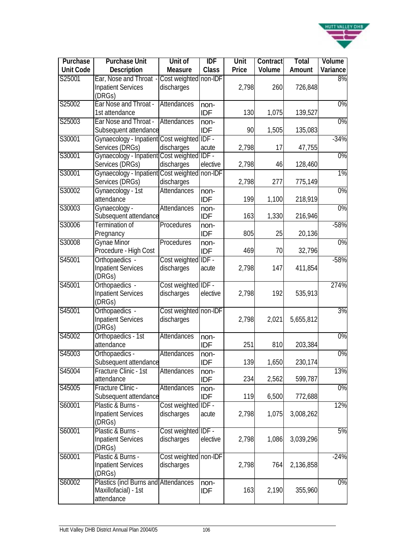

| Purchase         | <b>Purchase Unit</b>                                                       | Unit of                             | <b>IDF</b>          | Unit         | <b>Contract</b> | Total     | <b>Volume</b> |
|------------------|----------------------------------------------------------------------------|-------------------------------------|---------------------|--------------|-----------------|-----------|---------------|
| <b>Unit Code</b> | <b>Description</b>                                                         | <b>Measure</b>                      | <b>Class</b>        | <b>Price</b> | Volume          | Amount    | Variance      |
| S25001           | Ear, Nose and Throat -<br><b>Inpatient Services</b><br>(DRGs)              | Cost weighted<br>discharges         | non-IDF             | 2,798        | 260             | 726,848   | 8%            |
| S25002           | Ear Nose and Throat -<br>1st attendance                                    | Attendances                         | non-<br><b>IDF</b>  | 130          | 1,075           | 139,527   | 0%            |
| S25003           | Ear Nose and Throat -<br>Subsequent attendance                             | Attendances                         | non-<br><b>IDF</b>  | 90           | 1,505           | 135,083   | $0\%$         |
| S30001           | Gynaecology - Inpatient<br>Services (DRGs)                                 | Cost weighted<br>discharges         | $IDF -$<br>acute    | 2,798        | 17              | 47,755    | $-34%$        |
| S30001           | Gynaecology - Inpatient<br>Services (DRGs)                                 | Cost weighted<br>discharges         | $IDF -$<br>elective | 2,798        | 46              | 128,460   | 0%            |
| S30001           | Gynaecology - Inpatient Cost weighted<br>Services (DRGs)                   | discharges                          | non-IDF             | 2,798        | 277             | 775,149   | 1%            |
| S30002           | Gynaecology - 1st<br>attendance                                            | Attendances                         | non-<br><b>IDF</b>  | 199          | 1,100           | 218,919   | 0%            |
| S30003           | Gynaecology -<br>Subsequent attendance                                     | Attendances                         | non-<br><b>IDF</b>  | 163          | 1,330           | 216,946   | $0\%$         |
| S30006           | Termination of<br>Pregnancy                                                | Procedures                          | non-<br><b>IDF</b>  | 805          | 25              | 20,136    | $-58%$        |
| S30008           | <b>Gynae Minor</b><br>Procedure - High Cost                                | Procedures                          | non-<br><b>IDF</b>  | 469          | 70              | 32,796    | 0%            |
| S45001           | Orthopaedics -<br><b>Inpatient Services</b><br>(DRGs)                      | Cost weighted IDF -<br>discharges   | acute               | 2,798        | 147             | 411,854   | $-58%$        |
| S45001           | Orthopaedics -<br><b>Inpatient Services</b><br>(DRGs)                      | Cost weighted IDF -<br>discharges   | elective            | 2,798        | 192             | 535,913   | 274%          |
| S45001           | Orthopaedics -<br><b>Inpatient Services</b><br>(DRGs)                      | Cost weighted non-IDF<br>discharges |                     | 2,798        | 2,021           | 5,655,812 | 3%            |
| S45002           | Orthopaedics - 1st<br>attendance                                           | Attendances                         | non-<br><b>IDF</b>  | 251          | 810             | 203,384   | 0%            |
| S45003           | Orthopaedics -<br>Subsequent attendance                                    | Attendances                         | non-<br><b>IDF</b>  | 139          | 1,650           | 230,174   | $0\%$         |
| S45004           | Fracture Clinic - 1st<br>attendance                                        | Attendances                         | non-<br><b>IDF</b>  | 234          | 2,562           | 599,787   | 13%           |
| S45005           | Fracture Clinic -<br>Subsequent attendance                                 | Attendances                         | non-<br><b>IDF</b>  | 119          | 6,500           | 772,688   | 0%            |
| S60001           | Plastic & Burns -<br><b>Inpatient Services</b><br>(DRGs)                   | Cost weighted<br>discharges         | IDF-<br>acute       | 2,798        | 1,075           | 3,008,262 | 12%           |
| S60001           | Plastic & Burns -<br><b>Inpatient Services</b><br>(DRGs)                   | Cost weighted IDF -<br>discharges   | elective            | 2,798        | 1,086           | 3,039,296 | 5%            |
| S60001           | Plastic & Burns -<br><b>Inpatient Services</b><br>(DRGs)                   | Cost weighted<br>discharges         | non-IDF             | 2,798        | 764             | 2,136,858 | $-24%$        |
| S60002           | Plastics (incl Burns and Attendances<br>Maxillofacial) - 1st<br>attendance |                                     | non-<br><b>IDF</b>  | 163          | 2,190           | 355,960   | 0%            |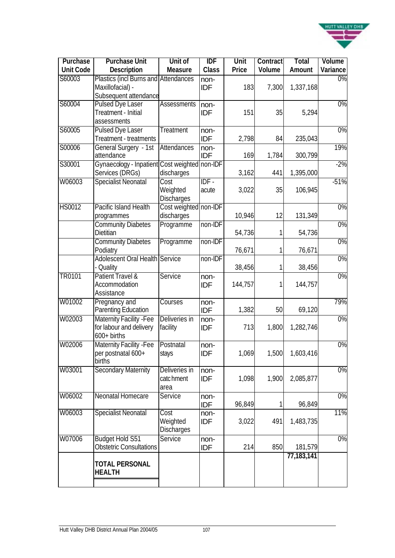

| Purchase         | <b>Purchase Unit</b><br>Unit of<br><b>IDF</b><br>Unit                              |                                       | Contract           | <b>Total</b> | Volume |            |          |
|------------------|------------------------------------------------------------------------------------|---------------------------------------|--------------------|--------------|--------|------------|----------|
| <b>Unit Code</b> | <b>Description</b>                                                                 | <b>Measure</b>                        | <b>Class</b>       | Price        | Volume | Amount     | Variance |
| S60003           | Plastics (incl Burns and<br>Maxillofacial) -<br>Subsequent attendance              | Attendances                           | non-<br><b>IDF</b> | 183          | 7,300  | 1,337,168  | 0%       |
| S60004           | <b>Pulsed Dye Laser</b><br>Treatment - Initial<br>assessments                      | <b>Assessments</b>                    | non-<br><b>IDF</b> | 151          | 35     | 5,294      | 0%       |
| S60005           | <b>Pulsed Dye Laser</b><br>Treatment - treatments                                  | <b>Treatment</b>                      | non-<br><b>IDF</b> | 2,798        | 84     | 235,043    | $0\%$    |
| S00006           | General Surgery - 1st<br>attendance                                                | Attendances                           | non-<br><b>IDF</b> | 169          | 1,784  | 300,799    | 19%      |
| S30001           | Gynaecology - Inpatient Cost weighted non-IDF<br>Services (DRGs)                   | discharges                            |                    | 3,162        | 441    | 1,395,000  | $-2%$    |
| W06003           | <b>Specialist Neonatal</b>                                                         | Cost<br>Weighted<br><b>Discharges</b> | $IDF -$<br>acute   | 3,022        | 35     | 106,945    | $-51%$   |
| <b>HS0012</b>    | Pacific Island Health<br>programmes                                                | Cost weighted<br>discharges           | non-IDF            | 10,946       | 12     | 131,349    | 0%       |
|                  | <b>Community Diabetes</b><br><b>Dietitian</b>                                      | Programme                             | non-IDF            | 54,736       |        | 54,736     | $0\%$    |
|                  | <b>Community Diabetes</b><br>Podiatry                                              | Programme                             | non-IDF            | 76,671       |        | 76,671     | 0%       |
|                  | <b>Adolescent Oral Health Service</b><br>- Quality                                 |                                       | non-IDF            | 38,456       |        | 38,456     | $0\%$    |
| <b>TR0101</b>    | Patient Travel &<br>Accommodation<br>Assistance                                    | Service                               | non-<br><b>IDF</b> | 144,757      | 1      | 144,757    | $0\%$    |
| W01002           | Pregnancy and<br>Parenting Education                                               | Courses                               | non-<br><b>IDF</b> | 1,382        | 50     | 69,120     | 79%      |
| W02003           | <b>Maternity Facility -Fee</b><br>for labour and delivery<br>$600 + \text{births}$ | Deliveries in<br>facility             | non-<br><b>IDF</b> | 713          | 1,800  | 1,282,746  | 0%       |
| W02006           | <b>Maternity Facility -Fee</b><br>per postnatal 600+<br>births                     | Postnatal<br>stays                    | non-<br>IDF        | 1,069        | 1,500  | 1,603,416  | 0%       |
| W03001           | <b>Secondary Maternity</b>                                                         | Deliveries in<br>catc hment<br>area   | non-<br><b>IDF</b> | 1,098        | 1,900  | 2,085,877  | $0\%$    |
| W06002           | Neonatal Homecare                                                                  | Service                               | non-<br><b>IDF</b> | 96,849       |        | 96,849     | 0%       |
| W06003           | <b>Specialist Neonatal</b>                                                         | Cost<br>Weighted<br><b>Discharges</b> | non-<br><b>IDF</b> | 3,022        | 491    | 1,483,735  | 11%      |
| W07006           | <b>Budget Hold S51</b><br><b>Obstetric Consultations</b>                           | Service                               | non-<br><b>IDF</b> | 214          | 850    | 181,579    | 0%       |
|                  | <b>TOTAL PERSONAL</b><br><b>HEALTH</b>                                             |                                       |                    |              |        | 77,183,141 |          |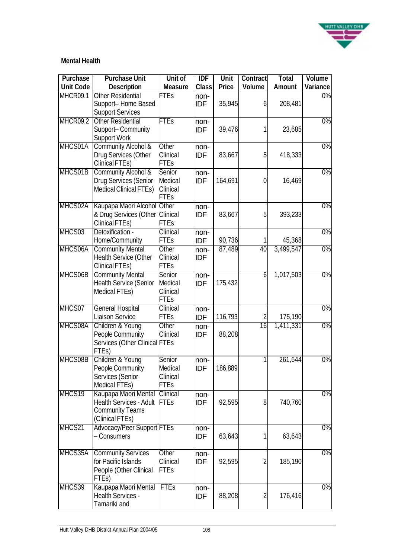

#### **Mental Health**

| Purchase         | <b>Purchase Unit</b><br>Unit of<br><b>IDF</b><br><b>Unit</b>                                                                                            |                                                                                               | <b>Contract</b>    |         |                |           | <b>Volume</b> |
|------------------|---------------------------------------------------------------------------------------------------------------------------------------------------------|-----------------------------------------------------------------------------------------------|--------------------|---------|----------------|-----------|---------------|
| <b>Unit Code</b> | <b>Description</b>                                                                                                                                      | <b>Measure</b>                                                                                | <b>Class</b>       | Price   | Volume         | Amount    | Variance      |
| <b>MHCR09.1</b>  | Other Residential<br>Support-Home Based<br><b>Support Services</b>                                                                                      | <b>FTEs</b>                                                                                   | non-<br><b>IDF</b> | 35,945  | 6              | 208,481   | 0%            |
| <b>MHCR09.2</b>  | Other Residential<br>Support- Community<br>Support Work                                                                                                 | <b>FTEs</b>                                                                                   | non-<br><b>IDF</b> | 39,476  | 1              | 23,685    | 0%            |
| MHCS01A          | Community Alcohol &<br>Drug Services (Other<br>Clinical FTEs)                                                                                           | Other<br>Clinical<br><b>FTEs</b>                                                              | non-<br><b>IDF</b> | 83,667  | 5              | 418,333   | 0%            |
| MHCS01B          | Community Alcohol &<br><b>Drug Services (Senior</b><br>Medical Clinical FTEs)                                                                           | Senior<br>Medical<br>Clinical<br><b>FTEs</b>                                                  | non-<br><b>IDF</b> | 164,691 | 0              | 16,469    | 0%            |
| MHCS02A          | Kaupapa Maori Alcohol Other<br>non-<br>& Drug Services (Other Clinical<br><b>IDF</b><br>83,667<br>Clinical FTEs)<br><b>FTEs</b>                         |                                                                                               | 5                  | 393,233 | 0%             |           |               |
| MHCS03           | Detoxification -<br>Home/Community                                                                                                                      | Clinical<br><b>FTEs</b>                                                                       | non-<br><b>IDF</b> | 90,736  |                | 45,368    | 0%            |
| MHCS06A          | <b>Community Mental</b><br>Health Service (Other<br>Clinical FTEs)                                                                                      | Other<br>Clinical<br><b>FTEs</b>                                                              | non-<br><b>IDF</b> | 87,489  | 40             | 3,499,547 | 0%            |
| MHCS06B          | <b>Community Mental</b><br><b>Health Service (Senior</b><br>Medical FTEs)                                                                               | Senior<br>Medical<br>Clinical<br><b>FTEs</b>                                                  | non-<br><b>IDF</b> | 175,432 | $\overline{6}$ | 1,017,503 | 0%            |
| MHCS07           | <b>General Hospital</b><br>Liaison Service                                                                                                              | Clinical<br><b>FTEs</b>                                                                       | non-<br><b>IDF</b> | 116,793 | $\overline{2}$ | 175,190   | 0%            |
| MHCS08A          | Children & Young<br>People Community<br>Services (Other Clinical FTEs<br>FTE <sub>s</sub> )                                                             | Other<br>Clinical                                                                             | non-<br><b>IDF</b> | 88,208  | 16             | 1,411,331 | 0%            |
| MHCS08B          | Children & Young<br>People Community<br>Services (Senior<br>Medical FTEs)                                                                               | Senior<br>Medical<br>Clinical<br><b>FTEs</b>                                                  | non-<br><b>IDF</b> | 186,889 |                | 261,644   | 0%            |
| MHCS19           | <b>Community Teams</b><br>(Clinical FTEs)                                                                                                               | Kaupapa Maori Mental Clinical<br>non-<br>Health Services - Adult FTEs<br><b>IDF</b><br>92,595 |                    | 8       | 740,760        | 0%        |               |
| MHCS21           | Advocacy/Peer Support FTEs<br>- Consumers                                                                                                               |                                                                                               | non-<br><b>IDF</b> | 63,643  | 1              | 63,643    | 0%            |
| MHCS35A          | <b>Community Services</b><br>Other<br>non-<br>for Pacific Islands<br>92,595<br>Clinical<br><b>IDF</b><br>People (Other Clinical<br><b>FTEs</b><br>FTEs) |                                                                                               | $\overline{2}$     | 185,190 | $0\%$          |           |               |
| MHCS39           | Kaupapa Maori Mental<br><b>Health Services -</b><br>Tamariki and                                                                                        | <b>FTEs</b>                                                                                   | non-<br><b>IDF</b> | 88,208  | $\overline{2}$ | 176,416   | 0%            |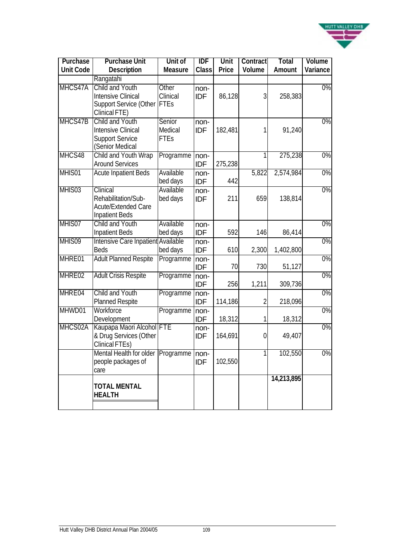| Purchase         | <b>Purchase Unit</b>                                                                  | Unit of                            | <b>IDF</b>         | <b>Unit</b> | Contract       | Total      | Volume   |
|------------------|---------------------------------------------------------------------------------------|------------------------------------|--------------------|-------------|----------------|------------|----------|
| <b>Unit Code</b> | <b>Description</b>                                                                    | <b>Measure</b>                     | <b>Class</b>       | Price       | Volume         | Amount     | Variance |
|                  | Rangatahi                                                                             | Other                              |                    |             |                |            |          |
| MHCS47A          | Child and Youth<br>Intensive Clinical<br>Support Service (Other FTEs<br>Clinical FTE) |                                    | non-<br><b>IDF</b> | 86,128      | 3              | 258,383    | 0%       |
| MHCS47B          | Child and Youth<br>Intensive Clinical<br><b>Support Service</b><br>(Senior Medical    | Senior<br>Medical<br><b>FTEs</b>   | non-<br><b>IDF</b> | 182,481     |                | 91,240     | 0%       |
| MHCS48           | Child and Youth Wrap<br><b>Around Services</b>                                        | Programme                          | non-<br><b>IDF</b> | 275,238     | 1              | 275,238    | 0%       |
| MHIS01           | <b>Acute Inpatient Beds</b>                                                           | Available<br>bed days<br>Available | non-<br><b>IDF</b> | 442         | 5,822          | 2,574,984  | 0%       |
| MHIS03           | Clinical<br>Rehabilitation/Sub-<br>Acute/Extended Care<br><b>Inpatient Beds</b>       |                                    | non-<br><b>IDF</b> | 211         | 659            | 138,814    | 0%       |
| MHIS07           | Child and Youth<br><b>Inpatient Beds</b>                                              | Available<br>bed days              | non-<br><b>IDF</b> | 592         | 146            | 86,414     | 0%       |
| MHIS09           | Intensive Care Inpatient Available<br><b>Beds</b>                                     | bed days                           | non-<br><b>IDF</b> | 610         | 2,300          | 1,402,800  | 0%       |
| MHRE01           | <b>Adult Planned Respite</b>                                                          | Programme                          | non-<br><b>IDF</b> | 70          | 730            | 51,127     | $0\%$    |
| MHRE02           | <b>Adult Crisis Respite</b>                                                           | Programme                          | non-<br><b>IDF</b> | 256         | 1,211          | 309,736    | 0%       |
| MHRE04           | Child and Youth<br>Planned Respite                                                    | Programme                          | non-<br><b>IDF</b> | 114,186     | $\overline{2}$ | 218,096    | 0%       |
| MHWD01           | Workforce<br>Development                                                              | Programme                          | non-<br><b>IDF</b> | 18,312      | 1              | 18,312     | 0%       |
| MHCS02A          | Kaupapa Maori Alcohol FTE<br>& Drug Services (Other<br>Clinical FTEs)                 |                                    | non-<br><b>IDF</b> | 164,691     | $\mathbf 0$    | 49,407     | 0%       |
|                  | Mental Health for older Programme   non-<br>people packages of<br>care                |                                    | <b>IDF</b>         | 102,550     |                | 102,550    | 0%       |
|                  | TOTAL MENTAL<br><b>HEALTH</b>                                                         |                                    |                    |             |                | 14,213,895 |          |

**HUTT VALLEY DHE**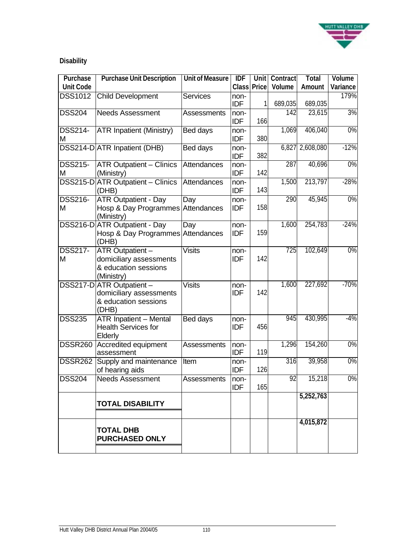

### **Disability**

| Purchase<br><b>Unit Code</b> | <b>Purchase Unit Description</b>                                                      | <b>Unit of Measure</b> | <b>IDF</b>         | <b>Unit</b>        | Contract | Total           | <b>Volume</b> |
|------------------------------|---------------------------------------------------------------------------------------|------------------------|--------------------|--------------------|----------|-----------------|---------------|
|                              |                                                                                       |                        |                    | <b>Class Price</b> | Volume   | Amount          | Variance      |
| <b>DSS1012</b>               | <b>Child Development</b>                                                              | <b>Services</b>        | non-<br><b>IDF</b> |                    | 689,035  | 689,035         | 179%          |
| <b>DSS204</b>                | <b>Needs Assessment</b>                                                               | Assessments            | non-<br><b>IDF</b> | 166                | 142      | 23,615          | 3%            |
| <b>DSS214-</b><br>Μ          | <b>ATR Inpatient (Ministry)</b>                                                       | Bed days               | non-<br>IDF        | 380                | 1,069    | 406,040         | 0%            |
|                              | DSS214-DATR Inpatient (DHB)                                                           | Bed days               | non-<br><b>IDF</b> | 382                |          | 6,827 2,608,080 | $-12%$        |
| <b>DSS215-</b><br>М          | <b>ATR Outpatient - Clinics</b><br>(Ministry)                                         | Attendances            | non-<br><b>IDF</b> | 142                | 287      | 40,696          | $0\%$         |
|                              | DSS215-DATR Outpatient - Clinics<br>(DHB)                                             | Attendances            | non-<br><b>IDF</b> | 143                | 1,500    | 213,797         | $-28%$        |
| <b>DSS216-</b><br>Μ          | <b>ATR Outpatient - Day</b><br>Hosp & Day Programmes<br>(Ministry)                    | Day<br>Attendances     | non-<br><b>IDF</b> | 158                | 290      | 45,945          | 0%            |
|                              | DSS216-DATR Outpatient - Day<br>Hosp & Day Programmes Attendances<br>(DHB)            | Day                    | non-<br><b>IDF</b> | 159                | 1,600    | 254,783         | $-24%$        |
| <b>DSS217-</b><br>М          | ATR Outpatient-<br>domiciliary assessments<br>& education sessions<br>(Ministry)      | <b>Visits</b>          | non-<br><b>IDF</b> | 142                | 725      | 102,649         | 0%            |
|                              | DSS217-D ATR Outpatient -<br>domiciliary assessments<br>& education sessions<br>(DHB) | <b>Visits</b>          | non-<br><b>IDF</b> | 142                | 1,600    | 227,692         | $-70%$        |
| <b>DSS235</b>                | <b>ATR Inpatient - Mental</b><br><b>Health Services for</b><br>Elderly                | Bed days               | non-<br><b>IDF</b> | 456                | 945      | 430,995         | $-4%$         |
| <b>DSSR260</b>               | Accredited equipment<br>assessment                                                    | Assessments            | non-<br><b>IDF</b> | 119                | 1,296    | 154,260         | $0\%$         |
| DSSR262                      | Supply and maintenance<br>of hearing aids                                             | Item                   | non-<br><b>IDF</b> | 126                | 316      | 39,958          | 0%            |
| <b>DSS204</b>                | <b>Needs Assessment</b>                                                               | Assessments            | non-<br><b>IDF</b> | 165                | 92       | 15,218          | 0%            |
|                              | <b>TOTAL DISABILITY</b>                                                               |                        |                    |                    |          | 5,252,763       |               |
|                              | <b>TOTAL DHB</b><br><b>PURCHASED ONLY</b>                                             |                        |                    |                    |          | 4,015,872       |               |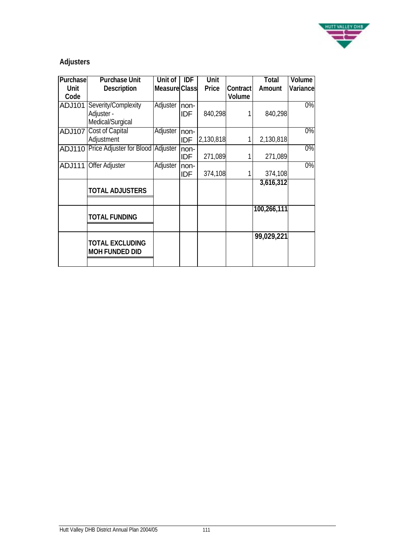

## **Adjusters**

| <b>Purchase</b> | <b>Purchase Unit</b>              | Unit of          | IDF        | Unit      |          | <b>Total</b> | Volume   |
|-----------------|-----------------------------------|------------------|------------|-----------|----------|--------------|----------|
| Unit            | <b>Description</b>                | Measure Class    |            | Price     | Contract | Amount       | Variance |
| Code            |                                   |                  |            |           | Volume   |              |          |
| <b>ADJ101</b>   | Severity/Complexity               | Adjuster<br>non- |            |           |          |              | $0\%$    |
|                 | Adjuster -                        |                  | <b>IDF</b> | 840,298   |          | 840,298      |          |
|                 | Medical/Surgical                  |                  |            |           |          |              |          |
| ADJ107          | <b>Cost of Capital</b>            | Adjuster         | non-       |           |          |              | 0%       |
|                 | Adjustment                        |                  | <b>IDF</b> | 2,130,818 |          | 2,130,818    |          |
| ADJ110          | Price Adjuster for Blood Adjuster |                  | non-       |           |          |              | $0\%$    |
|                 |                                   |                  | <b>IDF</b> | 271,089   |          | 271,089      |          |
| <b>ADJ111</b>   | <b>Offer Adjuster</b>             | Adjuster         | non-       |           |          |              | $0\%$    |
|                 |                                   |                  | <b>IDF</b> | 374,108   |          | 374,108      |          |
|                 |                                   |                  |            |           |          | 3,616,312    |          |
|                 | <b>TOTAL ADJUSTERS</b>            |                  |            |           |          |              |          |
|                 |                                   |                  |            |           |          |              |          |
|                 |                                   |                  |            |           |          | 100,266,111  |          |
|                 | <b>TOTAL FUNDING</b>              |                  |            |           |          |              |          |
|                 |                                   |                  |            |           |          |              |          |
|                 |                                   |                  |            |           |          | 99,029,221   |          |
|                 | <b>TOTAL EXCLUDING</b>            |                  |            |           |          |              |          |
|                 | <b>MOH FUNDED DID</b>             |                  |            |           |          |              |          |
|                 |                                   |                  |            |           |          |              |          |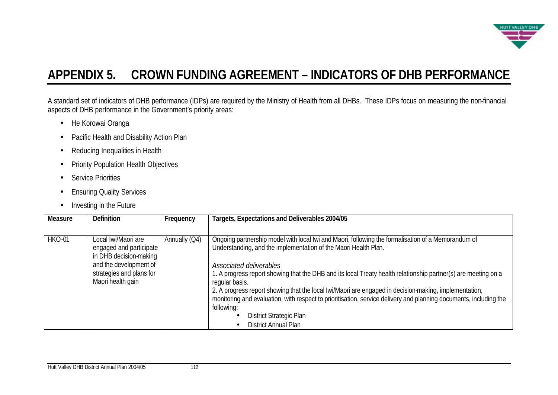

# **APPENDIX 5. CROWN FUNDING AGREEMENT – INDICATORS OF DHB PERFORMANCE**

A standard set of indicators of DHB performance (IDPs) are required by the Ministry of Health from all DHBs. These IDPs focus on measuring the non-financial aspects of DHB performance in the Government's priority areas:

- He Korowai Oranga
- Pacific Health and Disability Action Plan
- Reducing Inequalities in Health
- Priority Population Health Objectives
- Service Priorities
- Ensuring Quality Services
- Investing in the Future

| <b>Measure</b> | <b>Definition</b>                                                        | Frequency       | Targets, Expectations and Deliverables 2004/05                                                                                                                                                                                           |
|----------------|--------------------------------------------------------------------------|-----------------|------------------------------------------------------------------------------------------------------------------------------------------------------------------------------------------------------------------------------------------|
|                |                                                                          |                 |                                                                                                                                                                                                                                          |
| <b>HKO-01</b>  | Local Iwi/Maori are<br>engaged and participate<br>in DHB decision-making | Annually $(Q4)$ | Ongoing partnership model with local lwi and Maori, following the formalisation of a Memorandum of<br>Understanding, and the implementation of the Maori Health Plan.                                                                    |
|                | and the development of<br>strategies and plans for<br>Maori health gain  |                 | Associated deliverables<br>1. A progress report showing that the DHB and its local Treaty health relationship partner(s) are meeting on a<br>regular basis.                                                                              |
|                |                                                                          |                 | 2. A progress report showing that the local lwi/Maori are engaged in decision-making, implementation,<br>monitoring and evaluation, with respect to prioritisation, service delivery and planning documents, including the<br>following: |
|                |                                                                          |                 | <b>District Strategic Plan</b><br><b>District Annual Plan</b>                                                                                                                                                                            |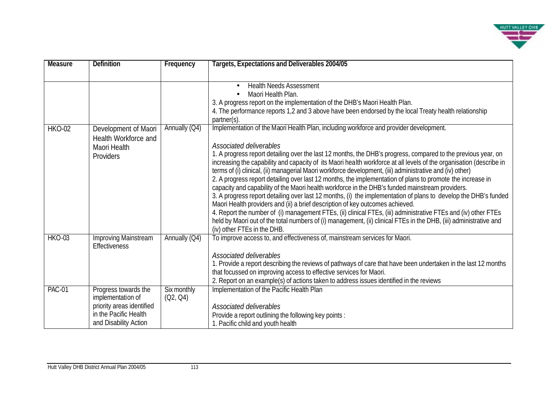

| <b>Measure</b> | <b>Definition</b>                                   | Frequency               | Targets, Expectations and Deliverables 2004/05                                                                                                                                                                                                                                                                                                   |
|----------------|-----------------------------------------------------|-------------------------|--------------------------------------------------------------------------------------------------------------------------------------------------------------------------------------------------------------------------------------------------------------------------------------------------------------------------------------------------|
|                |                                                     |                         |                                                                                                                                                                                                                                                                                                                                                  |
|                |                                                     |                         | <b>Health Needs Assessment</b>                                                                                                                                                                                                                                                                                                                   |
|                |                                                     |                         | Maori Health Plan.                                                                                                                                                                                                                                                                                                                               |
|                |                                                     |                         | 3. A progress report on the implementation of the DHB's Maori Health Plan.<br>4. The performance reports 1,2 and 3 above have been endorsed by the local Treaty health relationship                                                                                                                                                              |
|                |                                                     |                         | partner(s).                                                                                                                                                                                                                                                                                                                                      |
| <b>HKO-02</b>  | Development of Maori<br>Health Workforce and        | Annually (Q4)           | Implementation of the Maori Health Plan, including workforce and provider development.                                                                                                                                                                                                                                                           |
|                | Maori Health                                        |                         | Associated deliverables                                                                                                                                                                                                                                                                                                                          |
|                | Providers                                           |                         | 1. A progress report detailing over the last 12 months, the DHB's progress, compared to the previous year, on<br>increasing the capability and capacity of its Maori health workforce at all levels of the organisation (describe in<br>terms of (i) clinical, (ii) managerial Maori workforce development, (iii) administrative and (iv) other) |
|                |                                                     |                         | 2. A progress report detailing over last 12 months, the implementation of plans to promote the increase in<br>capacity and capability of the Maori health workforce in the DHB's funded mainstream providers.<br>3. A progress report detailing over last 12 months, (i) the implementation of plans to develop the DHB's funded                 |
|                |                                                     |                         | Maori Health providers and (ii) a brief description of key outcomes achieved.<br>4. Report the number of (i) management FTEs, (ii) clinical FTEs, (iii) administrative FTEs and (iv) other FTEs                                                                                                                                                  |
|                |                                                     |                         | held by Maori out of the total numbers of (i) management, (ii) clinical FTEs in the DHB, (iii) administrative and<br>(iv) other FTEs in the DHB.                                                                                                                                                                                                 |
| <b>HKO-03</b>  | <b>Improving Mainstream</b><br><b>Effectiveness</b> | Annually (Q4)           | To improve access to, and effectiveness of, mainstream services for Maori.                                                                                                                                                                                                                                                                       |
|                |                                                     |                         | Associated deliverables                                                                                                                                                                                                                                                                                                                          |
|                |                                                     |                         | 1. Provide a report describing the reviews of pathways of care that have been undertaken in the last 12 months                                                                                                                                                                                                                                   |
|                |                                                     |                         | that focussed on improving access to effective services for Maori.                                                                                                                                                                                                                                                                               |
|                |                                                     |                         | 2. Report on an example(s) of actions taken to address issues identified in the reviews                                                                                                                                                                                                                                                          |
| <b>PAC-01</b>  | Progress towards the<br>implementation of           | Six monthly<br>(Q2, Q4) | Implementation of the Pacific Health Plan                                                                                                                                                                                                                                                                                                        |
|                | priority areas identified                           |                         | Associated deliverables                                                                                                                                                                                                                                                                                                                          |
|                | in the Pacific Health                               |                         | Provide a report outlining the following key points:                                                                                                                                                                                                                                                                                             |
|                | and Disability Action                               |                         | 1. Pacific child and youth health                                                                                                                                                                                                                                                                                                                |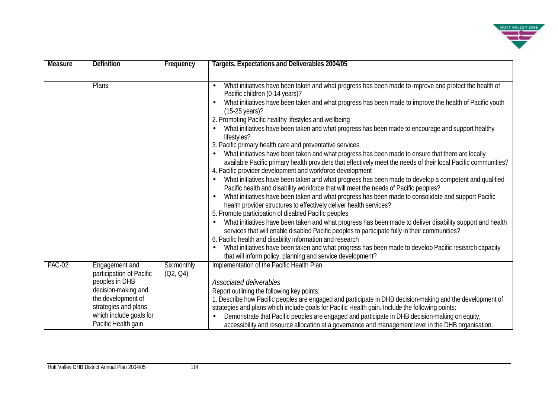

| <b>Measure</b> | <b>Definition</b>                          | Frequency   | Targets, Expectations and Deliverables 2004/05                                                                                                                              |
|----------------|--------------------------------------------|-------------|-----------------------------------------------------------------------------------------------------------------------------------------------------------------------------|
|                |                                            |             |                                                                                                                                                                             |
|                | Plans                                      |             | What initiatives have been taken and what progress has been made to improve and protect the health of<br>Pacific children (0-14 years)?                                     |
|                |                                            |             | What initiatives have been taken and what progress has been made to improve the health of Pacific youth<br>(15-25 years)?                                                   |
|                |                                            |             | 2. Promoting Pacific healthy lifestyles and wellbeing                                                                                                                       |
|                |                                            |             | What initiatives have been taken and what progress has been made to encourage and support healthy<br>lifestyles?                                                            |
|                |                                            |             | 3. Pacific primary health care and preventative services                                                                                                                    |
|                |                                            |             | What initiatives have been taken and what progress has been made to ensure that there are locally                                                                           |
|                |                                            |             | available Pacific primary health providers that effectively meet the needs of their local Pacific communities?<br>4. Pacific provider development and workforce development |
|                |                                            |             | What initiatives have been taken and what progress has been made to develop a competent and qualified                                                                       |
|                |                                            |             | Pacific health and disability workforce that will meet the needs of Pacific peoples?                                                                                        |
|                |                                            |             | What initiatives have been taken and what progress has been made to consolidate and support Pacific<br>health provider structures to effectively deliver health services?   |
|                |                                            |             | 5. Promote participation of disabled Pacific peoples                                                                                                                        |
|                |                                            |             | What initiatives have been taken and what progress has been made to deliver disability support and health                                                                   |
|                |                                            |             | services that will enable disabled Pacific peoples to participate fully in their communities?                                                                               |
|                |                                            |             | 6. Pacific health and disability information and research<br>What initiatives have been taken and what progress has been made to develop Pacific research capacity          |
|                |                                            |             | that will inform policy, planning and service development?                                                                                                                  |
| <b>PAC-02</b>  | <b>Engagement</b> and                      | Six monthly | Implementation of the Pacific Health Plan                                                                                                                                   |
|                | participation of Pacific<br>peoples in DHB | (Q2, Q4)    |                                                                                                                                                                             |
|                | decision-making and                        |             | Associated deliverables                                                                                                                                                     |
|                | the development of                         |             | Report outlining the following key points:<br>1. Describe how Pacific peoples are engaged and participate in DHB decision-making and the development of                     |
|                | strategies and plans                       |             | strategies and plans which include goals for Pacific Health gain. Include the following points:                                                                             |
|                | which include goals for                    |             | Demonstrate that Pacific peoples are engaged and participate in DHB decision-making on equity,                                                                              |
|                | Pacific Health gain                        |             | accessibility and resource allocation at a governance and management level in the DHB organisation.                                                                         |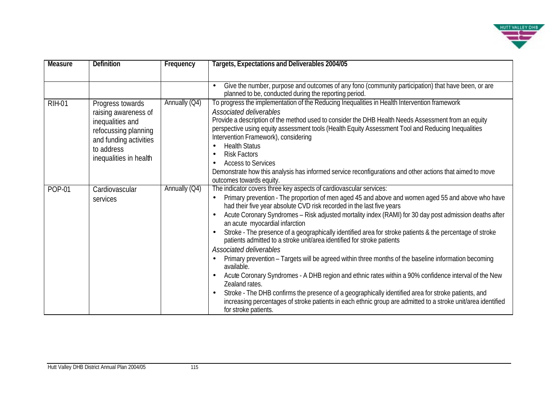

| <b>Measure</b> | <b>Definition</b>                                                                                                                                      | Frequency     | Targets, Expectations and Deliverables 2004/05                                                                                                                                                                                                                                                                                                                                                                                                                                                                                                                                                                                                                                                                                                                                                                                                                                                                                                                                                                                                                                                                                           |
|----------------|--------------------------------------------------------------------------------------------------------------------------------------------------------|---------------|------------------------------------------------------------------------------------------------------------------------------------------------------------------------------------------------------------------------------------------------------------------------------------------------------------------------------------------------------------------------------------------------------------------------------------------------------------------------------------------------------------------------------------------------------------------------------------------------------------------------------------------------------------------------------------------------------------------------------------------------------------------------------------------------------------------------------------------------------------------------------------------------------------------------------------------------------------------------------------------------------------------------------------------------------------------------------------------------------------------------------------------|
|                |                                                                                                                                                        |               |                                                                                                                                                                                                                                                                                                                                                                                                                                                                                                                                                                                                                                                                                                                                                                                                                                                                                                                                                                                                                                                                                                                                          |
|                |                                                                                                                                                        |               | Give the number, purpose and outcomes of any fono (community participation) that have been, or are<br>$\bullet$<br>planned to be, conducted during the reporting period.                                                                                                                                                                                                                                                                                                                                                                                                                                                                                                                                                                                                                                                                                                                                                                                                                                                                                                                                                                 |
| <b>RIH-01</b>  | Progress towards<br>raising awareness of<br>inequalities and<br>refocussing planning<br>and funding activities<br>to address<br>inequalities in health | Annually (Q4) | To progress the implementation of the Reducing Inequalities in Health Intervention framework<br>Associated deliverables<br>Provide a description of the method used to consider the DHB Health Needs Assessment from an equity<br>perspective using equity assessment tools (Health Equity Assessment Tool and Reducing Inequalities<br>Intervention Framework), considering<br><b>Health Status</b><br>$\bullet$<br><b>Risk Factors</b><br>$\bullet$<br><b>Access to Services</b><br>$\bullet$<br>Demonstrate how this analysis has informed service reconfigurations and other actions that aimed to move                                                                                                                                                                                                                                                                                                                                                                                                                                                                                                                              |
|                |                                                                                                                                                        |               | outcomes towards equity.                                                                                                                                                                                                                                                                                                                                                                                                                                                                                                                                                                                                                                                                                                                                                                                                                                                                                                                                                                                                                                                                                                                 |
| <b>POP-01</b>  | Cardiovascular<br>services                                                                                                                             | Annually (Q4) | The indicator covers three key aspects of cardiovascular services:<br>Primary prevention - The proportion of men aged 45 and above and women aged 55 and above who have<br>$\bullet$<br>had their five year absolute CVD risk recorded in the last five years<br>Acute Coronary Syndromes - Risk adjusted mortality index (RAMI) for 30 day post admission deaths after<br>$\bullet$<br>an acute myocardial infarction<br>Stroke - The presence of a geographically identified area for stroke patients & the percentage of stroke<br>patients admitted to a stroke unit/area identified for stroke patients<br>Associated deliverables<br>Primary prevention - Targets will be agreed within three months of the baseline information becoming<br>available.<br>Acute Coronary Syndromes - A DHB region and ethnic rates within a 90% confidence interval of the New<br>$\bullet$<br>Zealand rates.<br>Stroke - The DHB confirms the presence of a geographically identified area for stroke patients, and<br>$\bullet$<br>increasing percentages of stroke patients in each ethnic group are admitted to a stroke unit/area identified |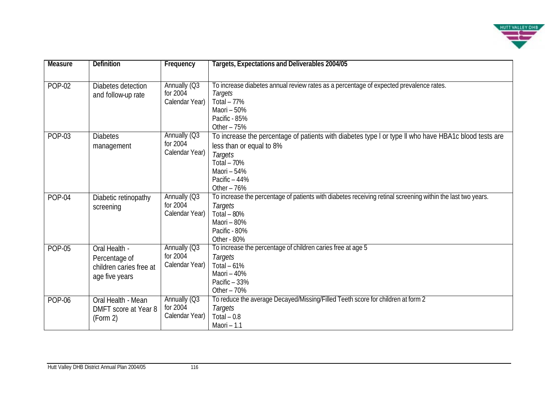

| <b>Measure</b> | <b>Definition</b>                 | Frequency                  | Targets, Expectations and Deliverables 2004/05                                                              |
|----------------|-----------------------------------|----------------------------|-------------------------------------------------------------------------------------------------------------|
|                |                                   |                            |                                                                                                             |
| <b>POP-02</b>  | Diabetes detection                | Annually (Q3<br>for 2004   | To increase diabetes annual review rates as a percentage of expected prevalence rates.<br>Targets           |
|                | and follow-up rate                | Calendar Year)             | Total $-77%$                                                                                                |
|                |                                   |                            | Maori-50%                                                                                                   |
|                |                                   |                            | Pacific - 85%                                                                                               |
|                |                                   |                            | Other $-75%$                                                                                                |
| POP-03         | <b>Diabetes</b>                   | Annually (Q3               | To increase the percentage of patients with diabetes type I or type II who have HBA1c blood tests are       |
|                | management                        | for 2004<br>Calendar Year) | less than or equal to 8%                                                                                    |
|                |                                   |                            | <b>Targets</b><br>Total $-70%$                                                                              |
|                |                                   |                            | Maori-54%                                                                                                   |
|                |                                   |                            | Pacific - 44%                                                                                               |
|                |                                   |                            | Other $-76%$                                                                                                |
| <b>POP-04</b>  | Diabetic retinopathy<br>screening | Annually (Q3<br>for 2004   | To increase the percentage of patients with diabetes receiving retinal screening within the last two years. |
|                |                                   |                            | <b>Targets</b>                                                                                              |
|                |                                   | Calendar Year)             | Total $-80%$                                                                                                |
|                |                                   |                            | Maori - 80%<br>Pacific - 80%                                                                                |
|                |                                   |                            | Other - 80%                                                                                                 |
| <b>POP-05</b>  | Oral Health -                     | Annually (Q3               | To increase the percentage of children caries free at age 5                                                 |
|                | Percentage of                     | for 2004                   | <b>Targets</b>                                                                                              |
|                | children caries free at           | Calendar Year)             | Total $-61%$                                                                                                |
|                | age five years                    |                            | Maori-40%                                                                                                   |
|                |                                   |                            | Pacific - 33%                                                                                               |
|                |                                   |                            | Other $-70%$                                                                                                |
| <b>POP-06</b>  | Oral Health - Mean                | Annually (Q3<br>for 2004   | To reduce the average Decayed/Missing/Filled Teeth score for children at form 2                             |
|                | DMFT score at Year 8              | Calendar Year)             | <b>Targets</b><br>$Total - 0.8$                                                                             |
|                | (Form 2)                          |                            | Maori-1.1                                                                                                   |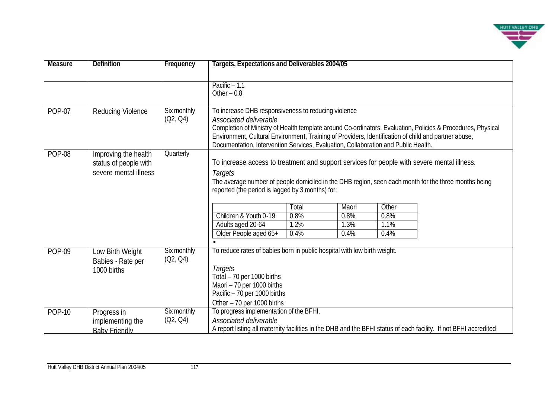

| <b>Measure</b> | <b>Definition</b>                                                      | Frequency               | Targets, Expectations and Deliverables 2004/05                                                                                                                                                                                                                                                                                                                                             |  |  |  |  |
|----------------|------------------------------------------------------------------------|-------------------------|--------------------------------------------------------------------------------------------------------------------------------------------------------------------------------------------------------------------------------------------------------------------------------------------------------------------------------------------------------------------------------------------|--|--|--|--|
|                |                                                                        |                         | Pacific $-1.1$<br>Other $-0.8$                                                                                                                                                                                                                                                                                                                                                             |  |  |  |  |
| <b>POP-07</b>  | Reducing Violence                                                      | Six monthly<br>(Q2, Q4) | To increase DHB responsiveness to reducing violence<br>Associated deliverable<br>Completion of Ministry of Health template around Co-ordinators, Evaluation, Policies & Procedures, Physical<br>Environment, Cultural Environment, Training of Providers, Identification of child and partner abuse,<br>Documentation, Intervention Services, Evaluation, Collaboration and Public Health. |  |  |  |  |
| <b>POP-08</b>  | Improving the health<br>status of people with<br>severe mental illness | Quarterly               | To increase access to treatment and support services for people with severe mental illness.<br>Targets<br>The average number of people domiciled in the DHB region, seen each month for the three months being<br>reported (the period is lagged by 3 months) for:<br>Total<br>Maori<br>Other                                                                                              |  |  |  |  |
|                |                                                                        |                         | Children & Youth 0-19<br>0.8%<br>0.8%<br>0.8%                                                                                                                                                                                                                                                                                                                                              |  |  |  |  |
|                |                                                                        |                         | 1.2%<br>1.1%<br>Adults aged 20-64<br>1.3%                                                                                                                                                                                                                                                                                                                                                  |  |  |  |  |
|                |                                                                        |                         | Older People aged 65+<br>0.4%<br>0.4%<br>0.4%                                                                                                                                                                                                                                                                                                                                              |  |  |  |  |
| <b>POP-09</b>  | Low Birth Weight<br>Babies - Rate per<br>1000 births                   | Six monthly<br>(Q2, Q4) | To reduce rates of babies born in public hospital with low birth weight.<br>Targets<br>Total - 70 per 1000 births<br>Maori - 70 per 1000 births<br>Pacific - 70 per 1000 births<br>Other - 70 per 1000 births                                                                                                                                                                              |  |  |  |  |
| <b>POP-10</b>  | Progress in<br>implementing the<br><b>Baby Friendly</b>                | Six monthly<br>(Q2, Q4) | To progress implementation of the BFHI.<br>Associated deliverable<br>A report listing all maternity facilities in the DHB and the BFHI status of each facility. If not BFHI accredited                                                                                                                                                                                                     |  |  |  |  |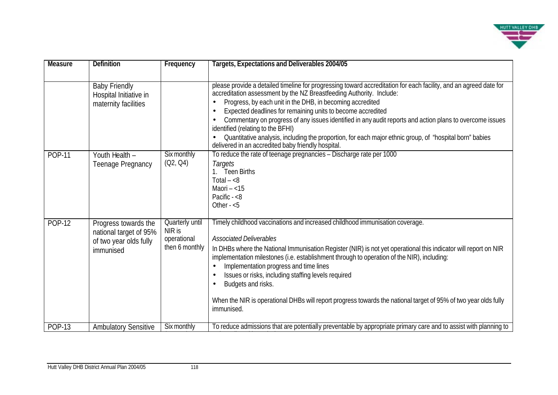

| <b>Measure</b> | <b>Definition</b>                                                                     | Frequency                                                  | Targets, Expectations and Deliverables 2004/05                                                                                                                                                                                                                                                                                                                                                                                                                                                                                                                                                                                          |
|----------------|---------------------------------------------------------------------------------------|------------------------------------------------------------|-----------------------------------------------------------------------------------------------------------------------------------------------------------------------------------------------------------------------------------------------------------------------------------------------------------------------------------------------------------------------------------------------------------------------------------------------------------------------------------------------------------------------------------------------------------------------------------------------------------------------------------------|
|                | <b>Baby Friendly</b><br>Hospital Initiative in<br>maternity facilities                |                                                            | please provide a detailed timeline for progressing toward accreditation for each facility, and an agreed date for<br>accreditation assessment by the NZ Breastfeeding Authority. Include:<br>Progress, by each unit in the DHB, in becoming accredited<br>Expected deadlines for remaining units to become accredited<br>Commentary on progress of any issues identified in any audit reports and action plans to overcome issues<br>identified (relating to the BFHI)<br>Quantitative analysis, including the proportion, for each major ethnic group, of "hospital born" babies<br>delivered in an accredited baby friendly hospital. |
| <b>POP-11</b>  | Youth Health -<br>Teenage Pregnancy                                                   | Six monthly<br>(Q2, Q4)                                    | To reduce the rate of teenage pregnancies - Discharge rate per 1000<br>Targets<br>1. Teen Births<br>Total $- < 8$<br>Maori $-$ <15<br>Pacific - <8<br>Other $-5$                                                                                                                                                                                                                                                                                                                                                                                                                                                                        |
| <b>POP-12</b>  | Progress towards the<br>national target of 95%<br>of two year olds fully<br>immunised | Quarterly until<br>NIR is<br>operational<br>then 6 monthly | Timely childhood vaccinations and increased childhood immunisation coverage.<br><b>Associated Deliverables</b><br>In DHBs where the National Immunisation Register (NIR) is not yet operational this indicator will report on NIR<br>implementation milestones (i.e. establishment through to operation of the NIR), including:<br>Implementation progress and time lines<br>Issues or risks, including staffing levels required<br>Budgets and risks.<br>When the NIR is operational DHBs will report progress towards the national target of 95% of two year olds fully<br>immunised.                                                 |
| <b>POP-13</b>  | <b>Ambulatory Sensitive</b>                                                           | Six monthly                                                | To reduce admissions that are potentially preventable by appropriate primary care and to assist with planning to                                                                                                                                                                                                                                                                                                                                                                                                                                                                                                                        |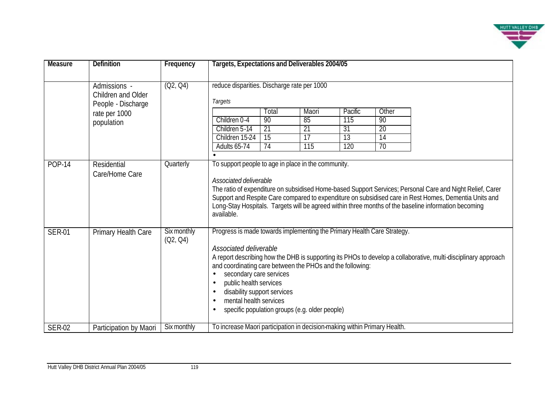

| <b>Measure</b> | <b>Definition</b>                                                                       | Frequency               | Targets, Expectations and Deliverables 2004/05                                                                                                                                                                                                                                                                                                                                                                                                                                          |  |  |  |  |
|----------------|-----------------------------------------------------------------------------------------|-------------------------|-----------------------------------------------------------------------------------------------------------------------------------------------------------------------------------------------------------------------------------------------------------------------------------------------------------------------------------------------------------------------------------------------------------------------------------------------------------------------------------------|--|--|--|--|
|                | Admissions -<br>Children and Older<br>People - Discharge<br>rate per 1000<br>population | (Q2, Q4)                | reduce disparities. Discharge rate per 1000<br><b>Targets</b><br>Pacific<br>Total<br>Maori<br>Other<br>Children 0-4<br>90<br>85<br>90<br>115<br>21<br>Children 5-14<br>21<br>$\overline{31}$<br>$\overline{20}$<br>Children 15-24<br><sup>15</sup><br>$\overline{17}$<br>$\overline{13}$<br>14<br><b>Adults 65-74</b><br>74<br>115<br>70<br>120                                                                                                                                         |  |  |  |  |
| <b>POP-14</b>  | Residential<br>Care/Home Care                                                           | Quarterly               | To support people to age in place in the community.<br>Associated deliverable<br>The ratio of expenditure on subsidised Home-based Support Services; Personal Care and Night Relief, Carer<br>Support and Respite Care compared to expenditure on subsidised care in Rest Homes, Dementia Units and<br>Long-Stay Hospitals. Targets will be agreed within three months of the baseline information becoming<br>available.                                                               |  |  |  |  |
| <b>SER-01</b>  | Primary Health Care                                                                     | Six monthly<br>(Q2, Q4) | Progress is made towards implementing the Primary Health Care Strategy.<br>Associated deliverable<br>A report describing how the DHB is supporting its PHOs to develop a collaborative, multi-disciplinary approach<br>and coordinating care between the PHOs and the following:<br>secondary care services<br>$\bullet$<br>public health services<br>$\bullet$<br>disability support services<br>$\bullet$<br>mental health services<br>specific population groups (e.g. older people) |  |  |  |  |
| <b>SER-02</b>  | Participation by Maori                                                                  | Six monthly             | To increase Maori participation in decision-making within Primary Health.                                                                                                                                                                                                                                                                                                                                                                                                               |  |  |  |  |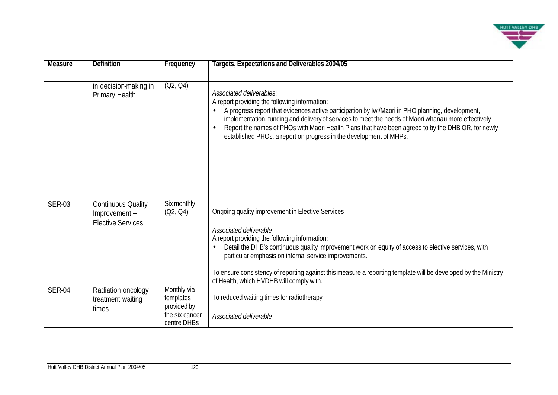

| <b>Measure</b> | <b>Definition</b>                                                     | Frequency                                                                | Targets, Expectations and Deliverables 2004/05                                                                                                                                                                                                                                                                                                                                                                                                                                |
|----------------|-----------------------------------------------------------------------|--------------------------------------------------------------------------|-------------------------------------------------------------------------------------------------------------------------------------------------------------------------------------------------------------------------------------------------------------------------------------------------------------------------------------------------------------------------------------------------------------------------------------------------------------------------------|
|                | in decision-making in<br>Primary Health                               | (02, 04)                                                                 | Associated deliverables:<br>A report providing the following information:<br>A progress report that evidences active participation by Iwi/Maori in PHO planning, development,<br>implementation, funding and delivery of services to meet the needs of Maori whanau more effectively<br>Report the names of PHOs with Maori Health Plans that have been agreed to by the DHB OR, for newly<br>$\bullet$<br>established PHOs, a report on progress in the development of MHPs. |
| <b>SER-03</b>  | <b>Continuous Quality</b><br>Improvement-<br><b>Elective Services</b> | Six monthly<br>(Q2, Q4)                                                  | Ongoing quality improvement in Elective Services<br>Associated deliverable<br>A report providing the following information:<br>Detail the DHB's continuous quality improvement work on equity of access to elective services, with<br>$\bullet$<br>particular emphasis on internal service improvements.<br>To ensure consistency of reporting against this measure a reporting template will be developed by the Ministry<br>of Health, which HVDHB will comply with.        |
| <b>SER-04</b>  | Radiation oncology<br>treatment waiting<br>times                      | Monthly via<br>templates<br>provided by<br>the six cancer<br>centre DHBs | To reduced waiting times for radiotherapy<br>Associated deliverable                                                                                                                                                                                                                                                                                                                                                                                                           |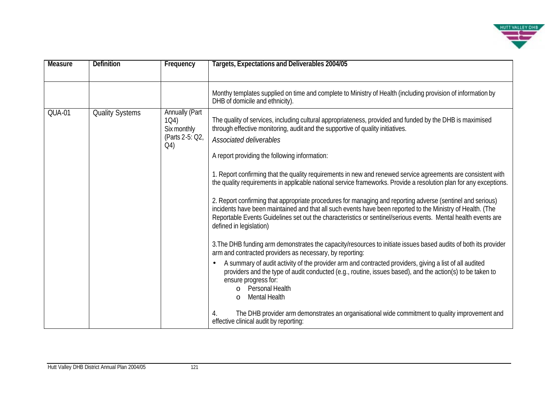

| <b>Measure</b> | <b>Definition</b>      | Frequency                                                                         | Targets, Expectations and Deliverables 2004/05                                                                                                                                                                                                                                                                                                                                                                                                                                                                                                                                                                                                                                                                                                                                                                                                                                                                                                                                                                                                                                                                                                                                                                                                                                                                                                                                                                                                                                                                              |
|----------------|------------------------|-----------------------------------------------------------------------------------|-----------------------------------------------------------------------------------------------------------------------------------------------------------------------------------------------------------------------------------------------------------------------------------------------------------------------------------------------------------------------------------------------------------------------------------------------------------------------------------------------------------------------------------------------------------------------------------------------------------------------------------------------------------------------------------------------------------------------------------------------------------------------------------------------------------------------------------------------------------------------------------------------------------------------------------------------------------------------------------------------------------------------------------------------------------------------------------------------------------------------------------------------------------------------------------------------------------------------------------------------------------------------------------------------------------------------------------------------------------------------------------------------------------------------------------------------------------------------------------------------------------------------------|
|                |                        |                                                                                   | Monthy templates supplied on time and complete to Ministry of Health (including provision of information by<br>DHB of domicile and ethnicity).                                                                                                                                                                                                                                                                                                                                                                                                                                                                                                                                                                                                                                                                                                                                                                                                                                                                                                                                                                                                                                                                                                                                                                                                                                                                                                                                                                              |
| QUA-01         | <b>Quality Systems</b> | <b>Annually (Part</b><br>1Q4)<br>Six monthly<br>(Parts 2-5: Q2,<br>Q <sub>4</sub> | The quality of services, including cultural appropriateness, provided and funded by the DHB is maximised<br>through effective monitoring, audit and the supportive of quality initiatives.<br>Associated deliverables<br>A report providing the following information:<br>1. Report confirming that the quality requirements in new and renewed service agreements are consistent with<br>the quality requirements in applicable national service frameworks. Provide a resolution plan for any exceptions.<br>2. Report confirming that appropriate procedures for managing and reporting adverse (sentinel and serious)<br>incidents have been maintained and that all such events have been reported to the Ministry of Health. (The<br>Reportable Events Guidelines set out the characteristics or sentinel/serious events. Mental health events are<br>defined in legislation)<br>3. The DHB funding arm demonstrates the capacity/resources to initiate issues based audits of both its provider<br>arm and contracted providers as necessary, by reporting:<br>A summary of audit activity of the provider arm and contracted providers, giving a list of all audited<br>providers and the type of audit conducted (e.g., routine, issues based), and the action(s) to be taken to<br>ensure progress for:<br>o Personal Health<br><b>Mental Health</b><br>$\circ$<br>The DHB provider arm demonstrates an organisational wide commitment to quality improvement and<br>4.<br>effective clinical audit by reporting: |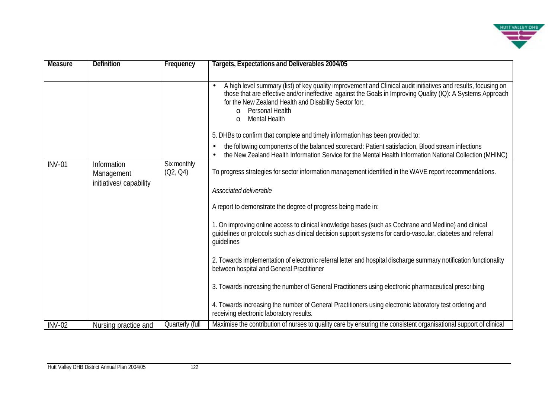

| <b>Measure</b> | <b>Definition</b>                                    | Frequency               | Targets, Expectations and Deliverables 2004/05                                                                                                                                                                                                                                                                                                            |  |  |  |  |
|----------------|------------------------------------------------------|-------------------------|-----------------------------------------------------------------------------------------------------------------------------------------------------------------------------------------------------------------------------------------------------------------------------------------------------------------------------------------------------------|--|--|--|--|
|                |                                                      |                         | A high level summary (list) of key quality improvement and Clinical audit initiatives and results, focusing on<br>those that are effective and/or ineffective against the Goals in Improving Quality (IQ): A Systems Approach<br>for the New Zealand Health and Disability Sector for:.<br>Personal Health<br>$\Omega$<br><b>Mental Health</b><br>$\circ$ |  |  |  |  |
|                |                                                      |                         | 5. DHBs to confirm that complete and timely information has been provided to:                                                                                                                                                                                                                                                                             |  |  |  |  |
|                |                                                      |                         | the following components of the balanced scorecard: Patient satisfaction, Blood stream infections<br>the New Zealand Health Information Service for the Mental Health Information National Collection (MHINC)                                                                                                                                             |  |  |  |  |
| <b>INV-01</b>  | Information<br>Management<br>initiatives/ capability | Six monthly<br>(Q2, Q4) | To progress strategies for sector information management identified in the WAVE report recommendations.                                                                                                                                                                                                                                                   |  |  |  |  |
|                |                                                      |                         | Associated deliverable                                                                                                                                                                                                                                                                                                                                    |  |  |  |  |
|                |                                                      |                         | A report to demonstrate the degree of progress being made in:                                                                                                                                                                                                                                                                                             |  |  |  |  |
|                |                                                      |                         | 1. On improving online access to clinical knowledge bases (such as Cochrane and Medline) and clinical<br>guidelines or protocols such as clinical decision support systems for cardio-vascular, diabetes and referral<br>guidelines                                                                                                                       |  |  |  |  |
|                |                                                      |                         | 2. Towards implementation of electronic referral letter and hospital discharge summary notification functionality<br>between hospital and General Practitioner                                                                                                                                                                                            |  |  |  |  |
|                |                                                      |                         | 3. Towards increasing the number of General Practitioners using electronic pharmaceutical prescribing                                                                                                                                                                                                                                                     |  |  |  |  |
|                |                                                      |                         | 4. Towards increasing the number of General Practitioners using electronic laboratory test ordering and<br>receiving electronic laboratory results.                                                                                                                                                                                                       |  |  |  |  |
| <b>INV-02</b>  | Nursing practice and                                 | Quarterly (full         | Maximise the contribution of nurses to quality care by ensuring the consistent organisational support of clinical                                                                                                                                                                                                                                         |  |  |  |  |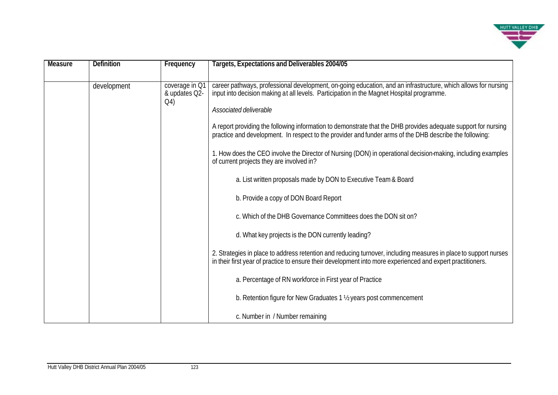

| <b>Measure</b> | Targets, Expectations and Deliverables 2004/05<br><b>Definition</b><br>Frequency |                                 |                                                                                                                                                                                                                                 |  |  |  |
|----------------|----------------------------------------------------------------------------------|---------------------------------|---------------------------------------------------------------------------------------------------------------------------------------------------------------------------------------------------------------------------------|--|--|--|
|                |                                                                                  |                                 |                                                                                                                                                                                                                                 |  |  |  |
|                | development                                                                      | coverage in Q1<br>& updates Q2- | career pathways, professional development, on-going education, and an infrastructure, which allows for nursing<br>input into decision making at all levels. Participation in the Magnet Hospital programme.                     |  |  |  |
|                |                                                                                  | Q4)                             | Associated deliverable                                                                                                                                                                                                          |  |  |  |
|                |                                                                                  |                                 | A report providing the following information to demonstrate that the DHB provides adequate support for nursing<br>practice and development. In respect to the provider and funder arms of the DHB describe the following:       |  |  |  |
|                |                                                                                  |                                 | 1. How does the CEO involve the Director of Nursing (DON) in operational decision-making, including examples<br>of current projects they are involved in?                                                                       |  |  |  |
|                |                                                                                  |                                 | a. List written proposals made by DON to Executive Team & Board                                                                                                                                                                 |  |  |  |
|                |                                                                                  |                                 | b. Provide a copy of DON Board Report                                                                                                                                                                                           |  |  |  |
|                |                                                                                  |                                 | c. Which of the DHB Governance Committees does the DON sit on?                                                                                                                                                                  |  |  |  |
|                |                                                                                  |                                 | d. What key projects is the DON currently leading?                                                                                                                                                                              |  |  |  |
|                |                                                                                  |                                 | 2. Strategies in place to address retention and reducing turnover, including measures in place to support nurses<br>in their first year of practice to ensure their development into more experienced and expert practitioners. |  |  |  |
|                |                                                                                  |                                 | a. Percentage of RN workforce in First year of Practice                                                                                                                                                                         |  |  |  |
|                |                                                                                  |                                 | b. Retention figure for New Graduates 1 1/2 years post commencement                                                                                                                                                             |  |  |  |
|                |                                                                                  |                                 | c. Number in / Number remaining                                                                                                                                                                                                 |  |  |  |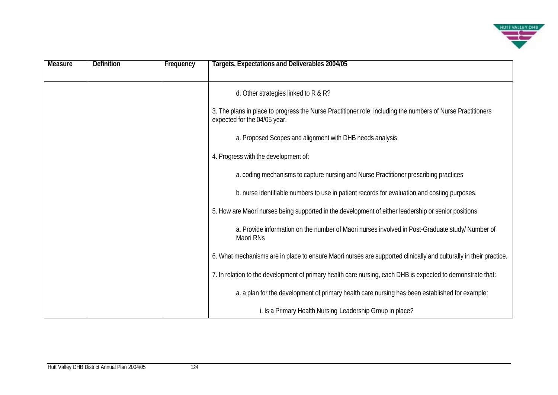

| <b>Measure</b> | <b>Definition</b> | Frequency | Targets, Expectations and Deliverables 2004/05                                                                                              |  |  |
|----------------|-------------------|-----------|---------------------------------------------------------------------------------------------------------------------------------------------|--|--|
|                |                   |           | d. Other strategies linked to R & R?                                                                                                        |  |  |
|                |                   |           | 3. The plans in place to progress the Nurse Practitioner role, including the numbers of Nurse Practitioners<br>expected for the 04/05 year. |  |  |
|                |                   |           | a. Proposed Scopes and alignment with DHB needs analysis                                                                                    |  |  |
|                |                   |           | 4. Progress with the development of:                                                                                                        |  |  |
|                |                   |           | a. coding mechanisms to capture nursing and Nurse Practitioner prescribing practices                                                        |  |  |
|                |                   |           | b. nurse identifiable numbers to use in patient records for evaluation and costing purposes.                                                |  |  |
|                |                   |           | 5. How are Maori nurses being supported in the development of either leadership or senior positions                                         |  |  |
|                |                   |           | a. Provide information on the number of Maori nurses involved in Post-Graduate study/ Number of<br>Maori RNs                                |  |  |
|                |                   |           | 6. What mechanisms are in place to ensure Maori nurses are supported clinically and culturally in their practice.                           |  |  |
|                |                   |           | 7. In relation to the development of primary health care nursing, each DHB is expected to demonstrate that:                                 |  |  |
|                |                   |           | a. a plan for the development of primary health care nursing has been established for example:                                              |  |  |
|                |                   |           | i. Is a Primary Health Nursing Leadership Group in place?                                                                                   |  |  |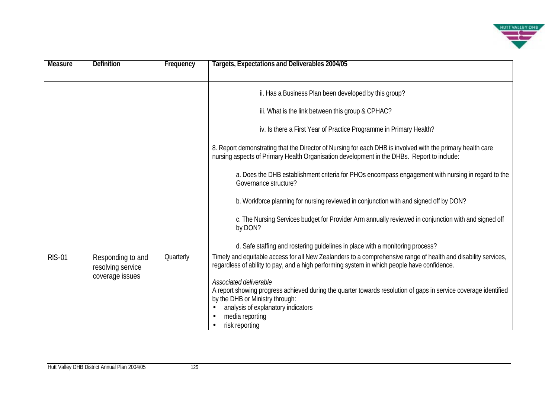

| <b>Measure</b> | <b>Definition</b>                                         | Frequency                                                                                                                                                                                                | Targets, Expectations and Deliverables 2004/05                                                                                                                                                                                          |
|----------------|-----------------------------------------------------------|----------------------------------------------------------------------------------------------------------------------------------------------------------------------------------------------------------|-----------------------------------------------------------------------------------------------------------------------------------------------------------------------------------------------------------------------------------------|
|                |                                                           |                                                                                                                                                                                                          | ii. Has a Business Plan been developed by this group?                                                                                                                                                                                   |
|                |                                                           |                                                                                                                                                                                                          | iii. What is the link between this group & CPHAC?                                                                                                                                                                                       |
|                |                                                           |                                                                                                                                                                                                          | iv. Is there a First Year of Practice Programme in Primary Health?                                                                                                                                                                      |
|                |                                                           | 8. Report demonstrating that the Director of Nursing for each DHB is involved with the primary health care<br>nursing aspects of Primary Health Organisation development in the DHBs. Report to include: |                                                                                                                                                                                                                                         |
|                |                                                           |                                                                                                                                                                                                          | a. Does the DHB establishment criteria for PHOs encompass engagement with nursing in regard to the<br>Governance structure?                                                                                                             |
|                |                                                           |                                                                                                                                                                                                          | b. Workforce planning for nursing reviewed in conjunction with and signed off by DON?                                                                                                                                                   |
|                |                                                           |                                                                                                                                                                                                          | c. The Nursing Services budget for Provider Arm annually reviewed in conjunction with and signed off<br>by DON?                                                                                                                         |
|                |                                                           |                                                                                                                                                                                                          | d. Safe staffing and rostering guidelines in place with a monitoring process?                                                                                                                                                           |
| <b>RIS-01</b>  | Responding to and<br>resolving service<br>coverage issues | Quarterly                                                                                                                                                                                                | Timely and equitable access for all New Zealanders to a comprehensive range of health and disability services,<br>regardless of ability to pay, and a high performing system in which people have confidence.<br>Associated deliverable |
|                |                                                           |                                                                                                                                                                                                          | A report showing progress achieved during the quarter towards resolution of gaps in service coverage identified<br>by the DHB or Ministry through:                                                                                      |
|                |                                                           |                                                                                                                                                                                                          | analysis of explanatory indicators<br>media reporting<br>risk reporting                                                                                                                                                                 |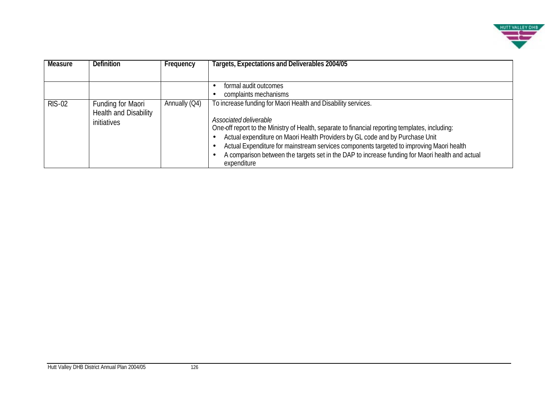

| Measure       | <b>Definition</b>                                         | Frequency       | Targets, Expectations and Deliverables 2004/05                                                                                                                                                                                                                                                                                                                                                                                                                                           |  |
|---------------|-----------------------------------------------------------|-----------------|------------------------------------------------------------------------------------------------------------------------------------------------------------------------------------------------------------------------------------------------------------------------------------------------------------------------------------------------------------------------------------------------------------------------------------------------------------------------------------------|--|
|               |                                                           |                 |                                                                                                                                                                                                                                                                                                                                                                                                                                                                                          |  |
|               |                                                           |                 | formal audit outcomes                                                                                                                                                                                                                                                                                                                                                                                                                                                                    |  |
|               |                                                           |                 | complaints mechanisms                                                                                                                                                                                                                                                                                                                                                                                                                                                                    |  |
| <b>RIS-02</b> | Funding for Maori<br>Health and Disability<br>initiatives | Annually $(Q4)$ | To increase funding for Maori Health and Disability services.<br>Associated deliverable<br>One-off report to the Ministry of Health, separate to financial reporting templates, including:<br>Actual expenditure on Maori Health Providers by GL code and by Purchase Unit<br>Actual Expenditure for mainstream services components targeted to improving Maori health<br>A comparison between the targets set in the DAP to increase funding for Maori health and actual<br>expenditure |  |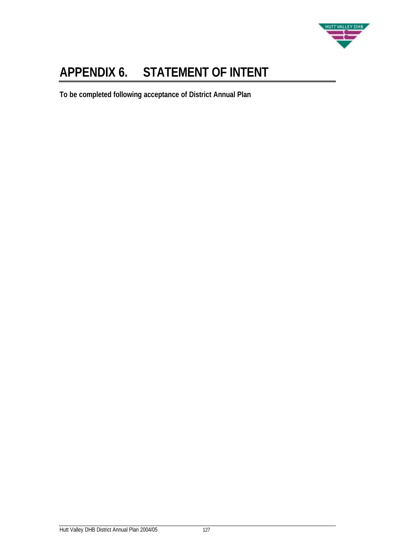

# **APPENDIX 6. STATEMENT OF INTENT**

**To be completed following acceptance of District Annual Plan**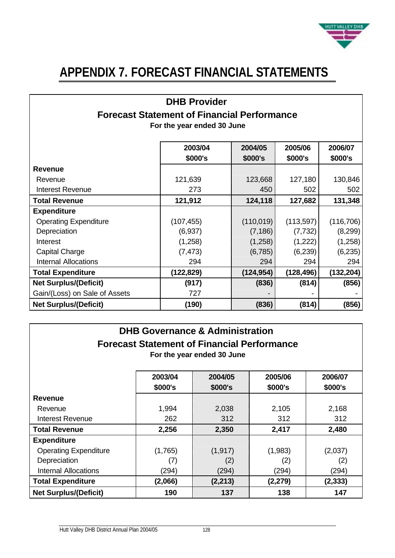

## **APPENDIX 7. FORECAST FINANCIAL STATEMENTS**

| <b>DHB Provider</b><br><b>Forecast Statement of Financial Performance</b><br>For the year ended 30 June |            |            |            |  |  |  |
|---------------------------------------------------------------------------------------------------------|------------|------------|------------|--|--|--|
| 2003/04                                                                                                 | 2004/05    | 2005/06    | 2006/07    |  |  |  |
|                                                                                                         |            |            | \$000's    |  |  |  |
|                                                                                                         |            |            |            |  |  |  |
| 121,639                                                                                                 | 123,668    | 127,180    | 130,846    |  |  |  |
| 273                                                                                                     | 450        | 502        | 502        |  |  |  |
| 121,912                                                                                                 | 124,118    | 127,682    | 131,348    |  |  |  |
|                                                                                                         |            |            |            |  |  |  |
| (107, 455)                                                                                              | (110, 019) | (113, 597) | (116, 706) |  |  |  |
| (6,937)                                                                                                 | (7, 186)   | (7, 732)   | (8,299)    |  |  |  |
|                                                                                                         | \$000's    | \$000's    | \$000's    |  |  |  |

Interest (1,258) (1,258) (1,258) (1,222) (1,258) Capital Charge **(7,473)** (6,785) (6,239) (6,235) Internal Allocations 1 294 294 294 294 294 294  **Total Expenditure (122,829) (124,954) (128,496) (132,204) Net Surplus/(Deficit)** (917) (836) (814) (856)

| <b>Net Surplus/(Deficit)</b> |                                                    | (190)                      |  | (814)   | (856)   |  |
|------------------------------|----------------------------------------------------|----------------------------|--|---------|---------|--|
|                              | (836)                                              |                            |  |         |         |  |
|                              | <b>DHB Governance &amp; Administration</b>         |                            |  |         |         |  |
|                              |                                                    |                            |  |         |         |  |
|                              | <b>Forecast Statement of Financial Performance</b> |                            |  |         |         |  |
|                              |                                                    | For the year ended 30 June |  |         |         |  |
|                              |                                                    |                            |  |         |         |  |
|                              | 2003/04                                            | 2004/05                    |  | 2005/06 | 2006/07 |  |
|                              | \$000's                                            | \$000's                    |  | \$000's | \$000's |  |
| <b>Revenue</b>               |                                                    |                            |  |         |         |  |
| Revenue                      | 1,994                                              | 2,038                      |  | 2,105   | 2,168   |  |
| <b>Interest Revenue</b>      | 262                                                | 312                        |  | 312     | 312     |  |
| <b>Total Revenue</b>         | 2,256                                              | 2,350                      |  | 2,417   | 2,480   |  |
| <b>Expenditure</b>           |                                                    |                            |  |         |         |  |
| <b>Operating Expenditure</b> | (1,765)                                            | (1, 917)                   |  | (1,983) | (2,037) |  |
| Depreciation                 | (7)                                                | (2)                        |  | (2)     | (2)     |  |

 Internal Allocations (294) (294) (294) (294)  **Total Expenditure (2,066) (2,213) (2,279) (2,333) Net Surplus/(Deficit)** 190 137 138 147

Gain/(Loss) on Sale of Assets 727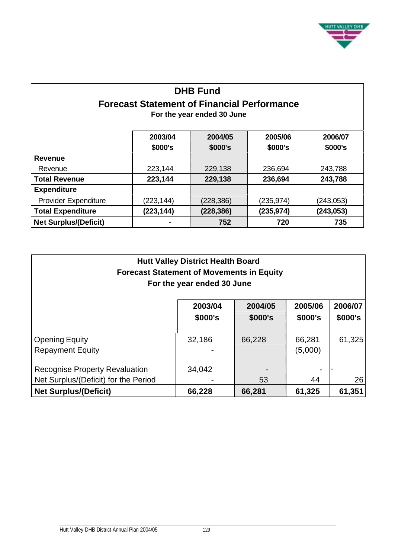

| <b>DHB Fund</b><br><b>Forecast Statement of Financial Performance</b><br>For the year ended 30 June |                                          |            |            |            |  |  |  |  |
|-----------------------------------------------------------------------------------------------------|------------------------------------------|------------|------------|------------|--|--|--|--|
|                                                                                                     | 2003/04<br>2005/06<br>2006/07<br>2004/05 |            |            |            |  |  |  |  |
|                                                                                                     | \$000's                                  | \$000's    | \$000's    | \$000's    |  |  |  |  |
| <b>Revenue</b>                                                                                      |                                          |            |            |            |  |  |  |  |
| Revenue                                                                                             | 223,144                                  | 229,138    | 236,694    | 243,788    |  |  |  |  |
| <b>Total Revenue</b>                                                                                | 223,144                                  | 229,138    | 236,694    | 243,788    |  |  |  |  |
| <b>Expenditure</b>                                                                                  |                                          |            |            |            |  |  |  |  |
| <b>Provider Expenditure</b>                                                                         | (223, 144)                               | (228, 386) | (235, 974) | (243,053)  |  |  |  |  |
| <b>Total Expenditure</b>                                                                            | (223,144)                                | (228, 386) | (235, 974) | (243, 053) |  |  |  |  |
| <b>Net Surplus/(Deficit)</b>                                                                        |                                          | 752        | 720        | 735        |  |  |  |  |

| <b>Hutt Valley District Health Board</b><br><b>Forecast Statement of Movements in Equity</b><br>For the year ended 30 June |                    |                    |                    |                    |  |  |
|----------------------------------------------------------------------------------------------------------------------------|--------------------|--------------------|--------------------|--------------------|--|--|
|                                                                                                                            | 2003/04<br>\$000's | 2004/05<br>\$000's | 2005/06<br>\$000's | 2006/07<br>\$000's |  |  |
| <b>Opening Equity</b>                                                                                                      | 32,186             | 66,228             | 66,281             | 61,325             |  |  |
| <b>Repayment Equity</b>                                                                                                    |                    |                    | (5,000)            |                    |  |  |
| <b>Recognise Property Revaluation</b>                                                                                      | 34,042             |                    |                    |                    |  |  |
| Net Surplus/(Deficit) for the Period<br>26<br>53<br>44                                                                     |                    |                    |                    |                    |  |  |
| <b>Net Surplus/(Deficit)</b>                                                                                               | 66,228             | 66,281             | 61,325             | 61,351             |  |  |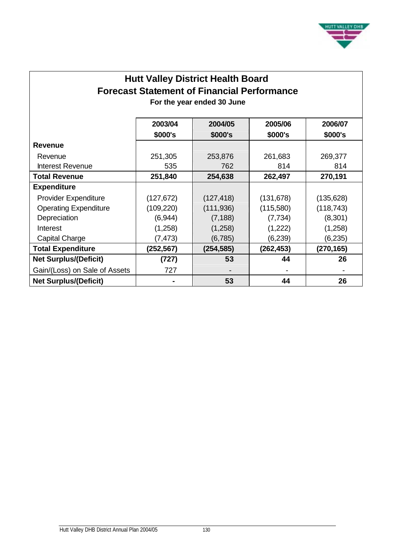

## **Hutt Valley District Health Board Forecast Statement of Financial Performance For the year ended 30 June**

|                               | 2003/04    | 2004/05    | 2005/06    | 2006/07    |
|-------------------------------|------------|------------|------------|------------|
|                               | \$000's    | \$000's    | \$000's    | \$000's    |
| <b>Revenue</b>                |            |            |            |            |
| Revenue                       | 251,305    | 253,876    | 261,683    | 269,377    |
| Interest Revenue              | 535        | 762        | 814        | 814        |
| <b>Total Revenue</b>          | 251,840    | 254,638    | 262,497    | 270,191    |
| <b>Expenditure</b>            |            |            |            |            |
| <b>Provider Expenditure</b>   | (127, 672) | (127, 418) | (131, 678) | (135, 628) |
| <b>Operating Expenditure</b>  | (109, 220) | (111, 936) | (115,580)  | (118, 743) |
| Depreciation                  | (6,944)    | (7, 188)   | (7, 734)   | (8,301)    |
| Interest                      | (1,258)    | (1,258)    | (1,222)    | (1,258)    |
| Capital Charge                | (7, 473)   | (6,785)    | (6,239)    | (6, 235)   |
| <b>Total Expenditure</b>      | (252, 567) | (254, 585) | (262, 453) | (270, 165) |
| <b>Net Surplus/(Deficit)</b>  | (727)      | 53         | 44         | 26         |
| Gain/(Loss) on Sale of Assets | 727        |            |            |            |
| <b>Net Surplus/(Deficit)</b>  |            | 53         | 44         | 26         |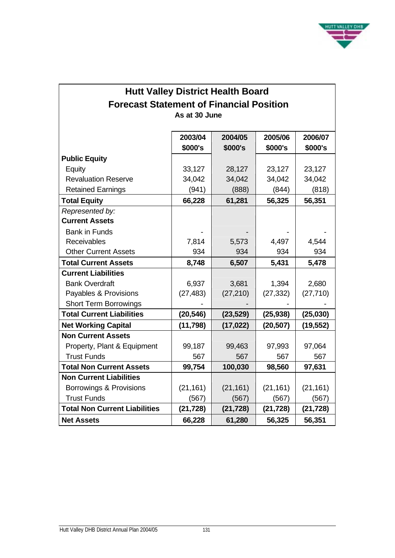

| <b>Hutt Valley District Health Board</b>        |
|-------------------------------------------------|
| <b>Forecast Statement of Financial Position</b> |
| As at 30 June                                   |

|                                      | 2003/04<br>\$000's | 2004/05<br>\$000's | 2005/06<br>\$000's | 2006/07<br>\$000's |
|--------------------------------------|--------------------|--------------------|--------------------|--------------------|
| <b>Public Equity</b>                 |                    |                    |                    |                    |
| Equity                               | 33,127             | 28,127             | 23,127             | 23,127             |
| <b>Revaluation Reserve</b>           | 34,042             | 34,042             | 34,042             | 34,042             |
| <b>Retained Earnings</b>             | (941)              | (888)              | (844)              | (818)              |
| <b>Total Equity</b>                  | 66,228             | 61,281             | 56,325             | 56,351             |
| Represented by:                      |                    |                    |                    |                    |
| <b>Current Assets</b>                |                    |                    |                    |                    |
| <b>Bank in Funds</b>                 |                    |                    |                    |                    |
| Receivables                          | 7,814              | 5,573              | 4,497              | 4,544              |
| <b>Other Current Assets</b>          | 934                | 934                | 934                | 934                |
| <b>Total Current Assets</b>          | 8,748              | 6,507              | 5,431              | 5,478              |
| <b>Current Liabilities</b>           |                    |                    |                    |                    |
| <b>Bank Overdraft</b>                | 6,937              | 3,681              | 1,394              | 2,680              |
| Payables & Provisions                | (27, 483)          | (27, 210)          | (27, 332)          | (27, 710)          |
| <b>Short Term Borrowings</b>         |                    |                    |                    |                    |
| <b>Total Current Liabilities</b>     | (20, 546)          | (23, 529)          | (25, 938)          | (25, 030)          |
| <b>Net Working Capital</b>           | (11, 798)          | (17, 022)          | (20, 507)          | (19, 552)          |
| <b>Non Current Assets</b>            |                    |                    |                    |                    |
| Property, Plant & Equipment          | 99,187             | 99,463             | 97,993             | 97,064             |
| <b>Trust Funds</b>                   | 567                | 567                | 567                | 567                |
| <b>Total Non Current Assets</b>      | 99,754             | 100,030            | 98,560             | 97,631             |
| <b>Non Current Liabilities</b>       |                    |                    |                    |                    |
| Borrowings & Provisions              | (21, 161)          | (21, 161)          | (21, 161)          | (21, 161)          |
| <b>Trust Funds</b>                   | (567)              | (567)              | (567)              | (567)              |
| <b>Total Non Current Liabilities</b> | (21, 728)          | (21, 728)          | (21, 728)          | (21, 728)          |
| <b>Net Assets</b>                    | 66,228             | 61,280             | 56,325             | 56,351             |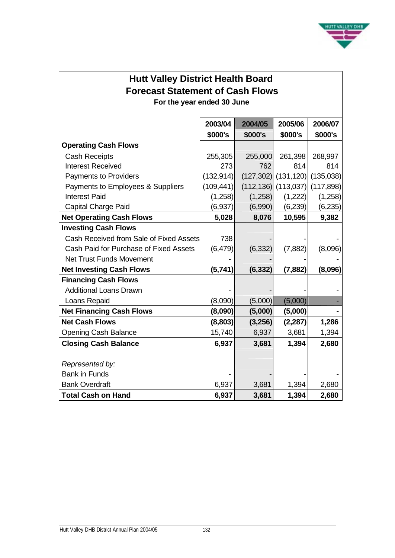

### **Hutt Valley District Health Board Forecast Statement of Cash Flows For the year ended 30 June**

 **2003/04 2004/05 2005/06 2006/07 \$000's \$000's \$000's \$000's Operating Cash Flows**  Cash Receipts 255,305 255,000 261,398 268,997 Interest Received 273 762 814 814 Payments to Providers (132,914) (132,914) (127,302) (131,120) (135,038) Payments to Employees & Suppliers (109,441) (112,136) (113,037) (117,898) Interest Paid (1,258) (1,258) (1,258) (1,222) (1,258) Capital Charge Paid (6,937) (6,990) (6,239) (6,235) **Net Operating Cash Flows** | 5,028 8,076 10,595 9,382  **Investing Cash Flows**  Cash Received from Sale of Fixed Assets 738 Cash Paid for Purchase of Fixed Assets |  $(6,479)$   $(6,332)$   $(7,882)$   $(8,096)$ Net Trust Funds Movement **Net Investing Cash Flows** | (5,741) (6,332) (7,882) (8,096)  **Financing Cash Flows**  Additional Loans Drawn Loans Repaid (8,090) (5,000) (5,000) **Net Financing Cash Flows** | (8,090) (5,000) (5,000) **Net Cash Flows** (8,803) (3,256) (2,287) 1,286 Opening Cash Balance 15,740 6,937 3,681 1,394  **Closing Cash Balance 6,937 3,681 1,394 2,680**   *Represented by:*  Bank in Funds Bank Overdraft 1,394 2,680  **Total Cash on Hand 6,937 3,681 1,394 2,680**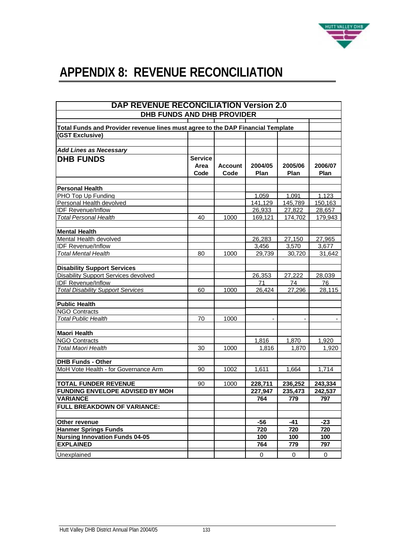

# **APPENDIX 8: REVENUE RECONCILIATION**

| <b>DAP REVENUE RECONCILIATION Version 2.0</b>                                   |                |                |                          |                |                |
|---------------------------------------------------------------------------------|----------------|----------------|--------------------------|----------------|----------------|
| <b>DHB FUNDS AND DHB PROVIDER</b>                                               |                |                |                          |                |                |
|                                                                                 |                |                |                          |                |                |
| Total Funds and Provider revenue lines must agree to the DAP Financial Template |                |                |                          |                |                |
| (GST Exclusive)                                                                 |                |                |                          |                |                |
| <b>Add Lines as Necessary</b>                                                   |                |                |                          |                |                |
|                                                                                 | <b>Service</b> |                |                          |                |                |
| <b>DHB FUNDS</b>                                                                | Area           | <b>Account</b> | 2004/05                  | 2005/06        | 2006/07        |
|                                                                                 | Code           | Code           | Plan                     | Plan           | Plan           |
|                                                                                 |                |                |                          |                |                |
| <b>Personal Health</b>                                                          |                |                |                          |                |                |
| PHO Top Up Funding                                                              |                |                | 1.059                    | 1,091          | 1,123          |
| Personal Health devolved                                                        |                |                | 141,129                  | 145,789        | 150,163        |
| <b>IDF Revenue/Inflow</b>                                                       |                |                | 26,933                   | 27,822         | 28,657         |
| <b>Total Personal Health</b>                                                    | 40             | 1000           | 169,121                  | 174,702        | 179,943        |
|                                                                                 |                |                |                          |                |                |
| <b>Mental Health</b>                                                            |                |                |                          |                |                |
| Mental Health devolved                                                          |                |                | 26,283                   | 27.150         | 27.965         |
| <b>IDF Revenue/Inflow</b>                                                       |                |                | 3,456                    | 3,570          | 3,677          |
| <b>Total Mental Health</b>                                                      | 80             | 1000           | 29,739                   | 30.720         | 31,642         |
|                                                                                 |                |                |                          |                |                |
| <b>Disability Support Services</b>                                              |                |                |                          |                |                |
| <b>Disability Support Services devolved</b>                                     |                |                | 26,353                   | 27,222         | 28,039         |
| <b>IDF Revenue/Inflow</b>                                                       |                |                | 71                       | 74             | 76             |
| <b>Total Disability Support Services</b>                                        | 60             | 1000           | 26,424                   | 27,296         | 28,115         |
| <b>Public Health</b>                                                            |                |                |                          |                |                |
| <b>NGO Contracts</b>                                                            |                |                |                          |                |                |
| <b>Total Public Health</b>                                                      | 70             | 1000           | $\overline{\phantom{a}}$ | $\blacksquare$ | $\blacksquare$ |
|                                                                                 |                |                |                          |                |                |
| <b>Maori Health</b>                                                             |                |                |                          |                |                |
| <b>NGO Contracts</b>                                                            |                |                | 1,816                    | 1,870          | 1,920          |
| <b>Total Maori Health</b>                                                       | 30             | 1000           | 1,816                    | 1,870          | 1,920          |
|                                                                                 |                |                |                          |                |                |
| <b>DHB Funds - Other</b>                                                        |                |                |                          |                |                |
| MoH Vote Health - for Governance Arm                                            | 90             | 1002           | 1,611                    | 1,664          | 1,714          |
|                                                                                 |                |                |                          |                |                |
| <b>TOTAL FUNDER REVENUE</b>                                                     | 90             | 1000           | 228,711                  | 236,252        | 243,334        |
| <b>FUNDING ENVELOPE ADVISED BY MOH</b>                                          |                |                | 227,947                  | 235,473        | 242,537        |
| <b>VARIANCE</b>                                                                 |                |                | 764                      | 779            | 797            |
| <b>FULL BREAKDOWN OF VARIANCE:</b>                                              |                |                |                          |                |                |
|                                                                                 |                |                | $-56$                    | $-41$          | $-23$          |
| <b>Other revenue</b><br><b>Hanmer Springs Funds</b>                             |                |                | 720                      | 720            | 720            |
| <b>Nursing Innovation Funds 04-05</b>                                           |                |                | 100                      | 100            | 100            |
| <b>EXPLAINED</b>                                                                |                |                | 764                      | 779            | 797            |
|                                                                                 |                |                |                          |                |                |
| Unexplained                                                                     |                |                | 0                        | 0              | 0              |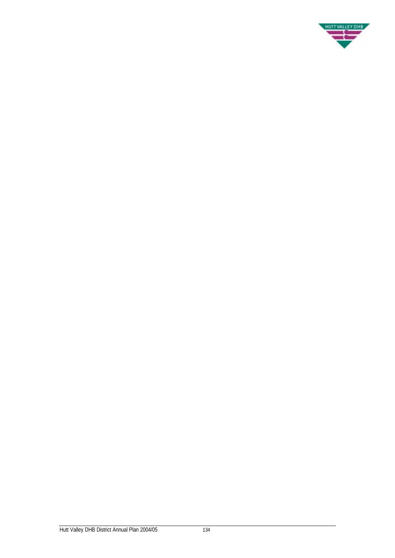